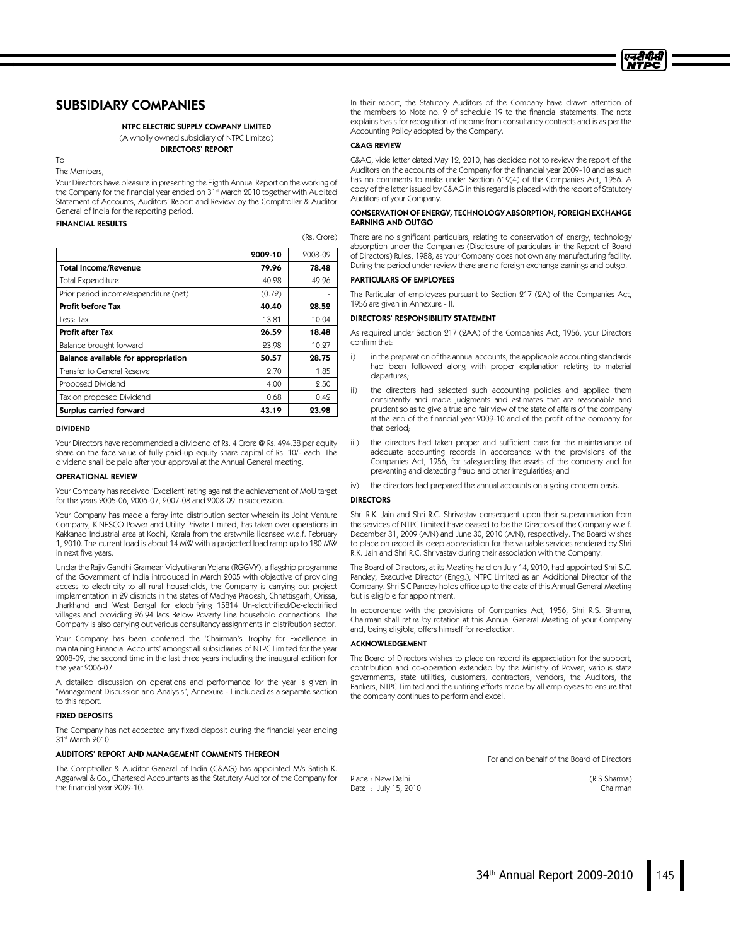

# SUBSIDIARY COMPANIES

#### NTPC ELECTRIC SUPPLY COMPANY LIMITED

(A wholly owned subsidiary of NTPC Limited) DIRECTORS' REPORT

The Members.

To

Your Directors have pleasure in presenting the Eighth Annual Report on the working of the Company for the financial year ended on 31<sup>st</sup> March 2010 together with Audited Statement of Accounts, Auditors' Report and Review by the Comptroller & Auditor General of India for the reporting period.

FINANCIAL RESULTS

|                                       |         | $\sqrt{2}$ |
|---------------------------------------|---------|------------|
|                                       | 2009-10 | 2008-09    |
| <b>Total Income/Revenue</b>           | 79.96   | 78.48      |
| <b>Total Expenditure</b>              | 40.28   | 49.96      |
| Prior period income/expenditure (net) | (0.72)  |            |
| <b>Profit before Tax</b>              | 40.40   | 28.52      |
| Less: Tax                             | 13.81   | 10.04      |
| Profit after Tax                      | 26.59   | 18.48      |
| Balance brought forward               | 23.98   | 10.27      |
| Balance available for appropriation   | 50.57   | 28.75      |
| Transfer to General Reserve           | 2.70    | 1.85       |
| Proposed Dividend                     | 4.00    | 2.50       |
| Tax on proposed Dividend              | 0.68    | 0.42       |
| Surplus carried forward               | 43.19   | 23.98      |

#### DIVIDEND

Your Directors have recommended a dividend of Rs. 4 Crore @ Rs. 494.38 per equity share on the face value of fully paid-up equity share capital of Rs. 10/- each. The dividend shall be paid after your approval at the Annual General meeting.

#### OPERATIONAL REVIEW

Your Company has received 'Excellent' rating against the achievement of MoUtarget for the years 2005-06, 2006-07, 2007-08 and 2008-09 in succession.

Your Company has made a foray into distribution sector wherein its Joint Venture Company, KINESCO Power and Utility Private Limited, has taken over operations in Kakkanad Industrial area at Kochi, Kerala from the erstwhile licensee w.e.f. February 1, 2010. The current load is about 14 MW with a projected load ramp up to 180 MW in next five years.

Under the Rajiv Gandhi Grameen Vidyutikaran Yojana (RGGVY), a flagship programme of the Government of India introduced in March 2005 with objective of providing access to electricity to all rural households, the Company is carrying out project implementation in 29 districts in the states of Madhya Pradesh, Chhattisgarh, Orissa, Jharkhand and West Bengal for electrifying 15814 Un-electrified/De-electrified villages and providing 26.94 lacs Below Poverty Line household connections. The Company is also carrying out various consultancy assignments in distribution sector.

Your Company has been conferred the 'Chairman's Trophy for Excellence in maintaining Financial Accounts' amongst all subsidiaries of NTPC Limited for the year 2008-09, the second time in the last three years including the inaugural edition for the year 2006-07.

A detailed discussion on operations and performance for the year is given in "Management Discussion and Analysis", Annexure - I included as a separate section to this report.

#### FIXED DEPOSITS

The Company has not accepted any fixed deposit during the financial year ending 31st March 2010.

#### AUDITORS' REPORT AND MANAGEMENT COMMENTS THEREON

The Comptroller & Auditor General of India (C&AG) has appointed M/s Satish K. Aggarwal & Co., Chartered Accountants as the Statutory Auditor of the Company for the financial year 2009-10.

In their report, the Statutory Auditors of the Company have drawn attention of the members to Note no. 9 of schedule 19 to the financial statements. The note explains basis for recognition of income from consultancy contracts and is as per the Accounting Policy adopted by the Company.

#### C&AG REVIEW

 $(Re, Crora)$ 

C&AG, vide letter dated May 12, 2010, has decided not to review the report of the Auditors on the accounts of the Company for the financial year 2009-10 and as such has no comments to make under Section 619(4) of the Companies Act, 1956. A copy of the letter issued by C&AG in this regard is placed with the report of Statutory Auditors of your Company.

#### CONSERVATION OF ENERGY, TECHNOLOGY ABSORPTION, FOREIGN EXCHANGE EARNING AND OUTGO

There are no significant particulars, relating to conservation of energy, technology absorption under the Companies (Disclosure of particulars in the Report of Board of Directors) Rules, 1988, as your Company does not own any manufacturing facility. During the period under review there are no foreign exchange earnings and outgo.

#### PARTICULARS OF EMPLOYEES

The Particular of employees pursuant to Section 217 (2A) of the Companies Act, 1956 are given in Annexure - II.

#### DIRECTORS' RESPONSIBILITY STATEMENT

As required under Section 217 (2AA) of the Companies Act, 1956, your Directors confirm that:

- i) in the preparation of the annual accounts, the applicable accounting standards had been followed along with proper explanation relating to material departures;
- the directors had selected such accounting policies and applied them consistently and made judgments and estimates that are reasonable and prudent so as to give a true and fair view of the state of affairs of the company at the end of the financial year 2009-10 and of the profit of the company for that period;
- iii) the directors had taken proper and sufficient care for the maintenance of adequate accounting records in accordance with the provisions of the Companies Act, 1956, for safeguarding the assets of the company and for preventing and detecting fraud and other irregularities; and
- iv) the directors had prepared the annual accounts on a going concern basis.

#### DIRECTORS

Shri R.K. Jain and Shri R.C. Shrivastav consequent upon their superannuation from the services of NTPC Limited have ceased to be the Directors of the Company w.e.f. December 31, 2009 (A/N) and June 30, 2010 (A/N), respectively. The Board wishes to place on record its deep appreciation for the valuable services rendered by Shri R.K. Jain and Shri R.C. Shrivastav during their association with the Company.

The Board of Directors, at its Meeting held on July 14, 2010, had appointed Shri S.C. Pandey, Executive Director (Engg.), NTPC Limited as an Additional Director of the Company. Shri S C Pandey holds office up to the date of this Annual General Meeting but is eligible for appointment.

In accordance with the provisions of Companies Act, 1956, Shri R.S. Sharma, Chairman shall retire by rotation at this Annual General Meeting of your Company and, being eligible, offers himself for re-election.

# ACKNOWLEDGEMENT

The Board of Directors wishes to place on record its appreciation for the support, contribution and co-operation extended by the Ministry of Power, various state governments, state utilities, customers, contractors, vendors, the Auditors, the Bankers, NTPC Limited and the untiring efforts made by all employees to ensure that the company continues to perform and excel.

For and on behalf of the Board of Directors

Place : New Delhi (R S Sharma) Date : July 15, 2010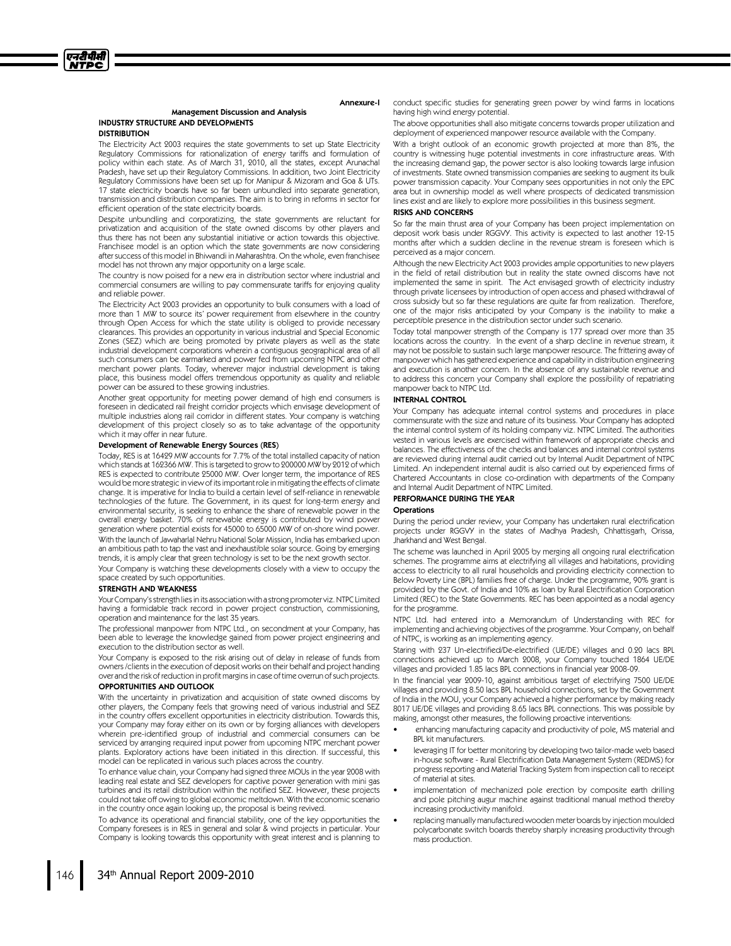

#### Management Discussion and Analysis INDUSTRY STRUCTURE AND DEVELOPMENTS

#### **DISTRIBUTION**

The Electricity Act 2003 requires the state governments to set up State Electricity Regulatory Commissions for rationalization of energy tariffs and formulation of policy within each state. As of March 31, 2010, all the states, except Arunachal Pradesh, have set up their Regulatory Commissions. In addition, two Joint Electricity Regulatory Commissions have been set up for Manipur & Mizoram and Goa & UTs. 17 state electricity boards have so far been unbundled into separate generation, transmission and distribution companies. The aim is to bring in reforms in sector for efficient operation of the state electricity boards.

Despite unbundling and corporatizing, the state governments are reluctant for privatization and acquisition of the state owned discoms by other players and thus there has not been any substantial initiative or action towards this objective. Franchisee model is an option which the state governments are now considering aftersuccess of this model in Bhiwandi in Maharashtra. On the whole, even franchisee model has not thrown any major opportunity on a large scale.

The country is now poised for a new era in distribution sector where industrial and commercial consumers are willing to pay commensurate tariffs for enjoying quality and reliable power.

The Electricity Act 2003 provides an opportunity to bulk consumers with a load of more than 1 MW to source its' power requirement from elsewhere in the country through Open Access for which the state utility is obliged to provide necessary clearances. This provides an opportunity in various industrial and Special Economic Zones (SEZ) which are being promoted by private players as well as the state industrial development corporations wherein a contiguous geographical area of all such consumers can be earmarked and power fed from upcoming NTPC and other merchant power plants. Today, wherever major industrial development is taking place, this business model offers tremendous opportunity as quality and reliable power can be assured to these growing industries.

Another great opportunity for meeting power demand of high end consumers is foreseen in dedicated rail freight corridor projects which envisage development of multiple industries along rail corridor in different states. Your company is watching development of this project closely so as to take advantage of the opportunity which it may offer in near future.

#### Development of Renewable Energy Sources (RES)

Today, RES is at 16429 MW accounts for 7.7% of the total installed capacity of nation which stands at 162366 MW. This is targeted to grow to 200000 MW by 2012 of which RES is expected to contribute 25000 MW. Over longer term, the importance of RES would be more strategic in view of its important role in mitigating the effects of climate change. It is imperative for India to build a certain level of self-reliance in renewable technologies of the future. The Government, in its quest for long-term energy and environmental security, is seeking to enhance the share of renewable power in the overall energy basket. 70% of renewable energy is contributed by wind power generation where potential exists for 45000 to 65000 MW of on-shore wind power. With the launch of Jawaharlal Nehru National Solar Mission, India has embarked upon an ambitious path to tap the vast and inexhaustible solar source. Going by emerging trends, it is amply clear that green technology is set to be the next growth sector.

Your Company is watching these developments closely with a view to occupy the space created by such opportunities.

#### STRENGTH AND WEAKNESS

Your Company's strength lies in its association with a strong promoter viz. NTPC Limited having a formidable track record in power project construction, commissioning, operation and maintenance for the last 35 years.

The professional manpower from NTPC Ltd., on secondment at your Company, has been able to leverage the knowledge gained from power project engineering and execution to the distribution sector as well.

Your Company is exposed to the risk arising out of delay in release of funds from owners /clients in the execution of deposit works on their behalf and project handing over and the risk of reduction in profit margins in case of time overrun of such projects. OPPORTUNITIES AND OUTLOOK

With the uncertainty in privatization and acquisition of state owned discoms by other players, the Company feels that growing need of various industrial and SEZ in the country offers excellent opportunities in electricity distribution. Towards this, your Company may foray either on its own or by forging alliances with developers wherein pre-identified group of industrial and commercial consumers can be serviced by arranging required input power from upcoming NTPC merchant power plants. Exploratory actions have been initiated in this direction. If successful, this model can be replicated in various such places across the country.

To enhance value chain, your Company had signed three MOUs in the year 2008 with leading real estate and SEZ developers for captive power generation with mini gas turbines and its retail distribution within the notified SEZ. However, these projects could not take off owing to global economic meltdown. With the economic scenario in the country once again looking up, the proposal is being revived.

To advance its operational and financial stability, one of the key opportunities the Company foresees is in RES in general and solar & wind projects in particular. Your Company is looking towards this opportunity with great interest and is planning to

conduct specific studies for generating green power by wind farms in locations having high wind energy potential.

The above opportunities shall also mitigate concerns towards proper utilization and deployment of experienced manpower resource available with the Company.

With a bright outlook of an economic growth projected at more than 8%, the country is witnessing huge potential investments in core infrastructure areas. With the increasing demand gap, the power sector is also looking towards large infusion of investments. State owned transmission companies are seeking to augment its bulk power transmission capacity. Your Company sees opportunities in not only the EPC area but in ownership model as well where prospects of dedicated transmission lines exist and are likely to explore more possibilities in this business segment.

#### RISKS AND CONCERNS

Annexure-I

So far the main thrust area of your Company has been project implementation on deposit work basis under RGGVY. This activity is expected to last another 12-15 months after which a sudden decline in the revenue stream is foreseen which is perceived as a major concern.

Although the new Electricity Act 2003 provides ample opportunities to new players in the field of retail distribution but in reality the state owned discoms have not implemented the same in spirit. The Act envisaged growth of electricity industry through private licensees by introduction of open access and phased withdrawal of cross subsidy but so far these regulations are quite far from realization. Therefore, one of the major risks anticipated by your Company is the inability to make a perceptible presence in the distribution sector under such scenario.

Today total manpower strength of the Company is 177 spread over more than 35 locations across the country. In the event of a sharp decline in revenue stream, it may not be possible to sustain such large manpower resource. The frittering away of manpower which has gathered experience and capability in distribution engineering and execution is another concern. In the absence of any sustainable revenue and to address this concern your Company shall explore the possibility of repatriating manpower back to NTPC Ltd.

#### INTERNAL CONTROL

Your Company has adequate internal control systems and procedures in place commensurate with the size and nature of its business. Your Company has adopted the internal control system of its holding company viz. NTPC Limited. The authorities vested in various levels are exercised within framework of appropriate checks and balances. The effectiveness of the checks and balances and internal control systems are reviewed during internal audit carried out by Internal Audit Department of NTPC Limited. An independent internal audit is also carried out by experienced firms of Chartered Accountants in close co-ordination with departments of the Company and Internal Audit Department of NTPC Limited.

# PERFORMANCE DURING THE YEAR

#### **Operations**

During the period under review, your Company has undertaken rural electrification projects under RGGVY in the states of Madhya Pradesh, Chhattisgarh, Orissa, Jharkhand and West Bengal.

The scheme was launched in April 2005 by merging all ongoing rural electrification schemes. The programme aims at electrifying all villages and habitations, providing access to electricity to all rural households and providing electricity connection to Below Poverty Line (BPL) families free of charge. Under the programme, 90% grant is provided by the Govt. of India and 10% as loan by Rural Electrification Corporation Limited (REC) to the State Governments. REC has been appointed as a nodal agency for the programme.

NTPC Ltd. had entered into a Memorandum of Understanding with REC for implementing and achieving objectives of the programme. Your Company, on behalf of NTPC, is working as an implementing agency.

Staring with 237 Un-electrified/De-electrified (UE/DE) villages and 0.20 lacs BPL connections achieved up to March 2008, your Company touched 1864 UE/DE villages and provided 1.85 lacs BPL connections in financial year 2008-09.

In the financial year 2009-10, against ambitious target of electrifying 7500 UE/DE villages and providing 8.50 lacs BPL household connections, set by the Government of India in the MOU, your Company achieved a higher performance by making ready 8017 UE/DE villages and providing 8.65 lacs BPL connections. This was possible by making, amongst other measures, the following proactive interventions:

- enhancing manufacturing capacity and productivity of pole, MS material and BPL kit manufacturers.
- leveraging IT for better monitoring by developing two tailor-made web based in-house software - Rural Electrification Data Management System (REDMS) for progress reporting and Material Tracking System from inspection call to receipt of material at sites.
- implementation of mechanized pole erection by composite earth drilling and pole pitching augur machine against traditional manual method thereby increasing productivity manifold.
- replacing manually manufactured wooden meter boards by injection moulded polycarbonate switch boards thereby sharply increasing productivity through mass production.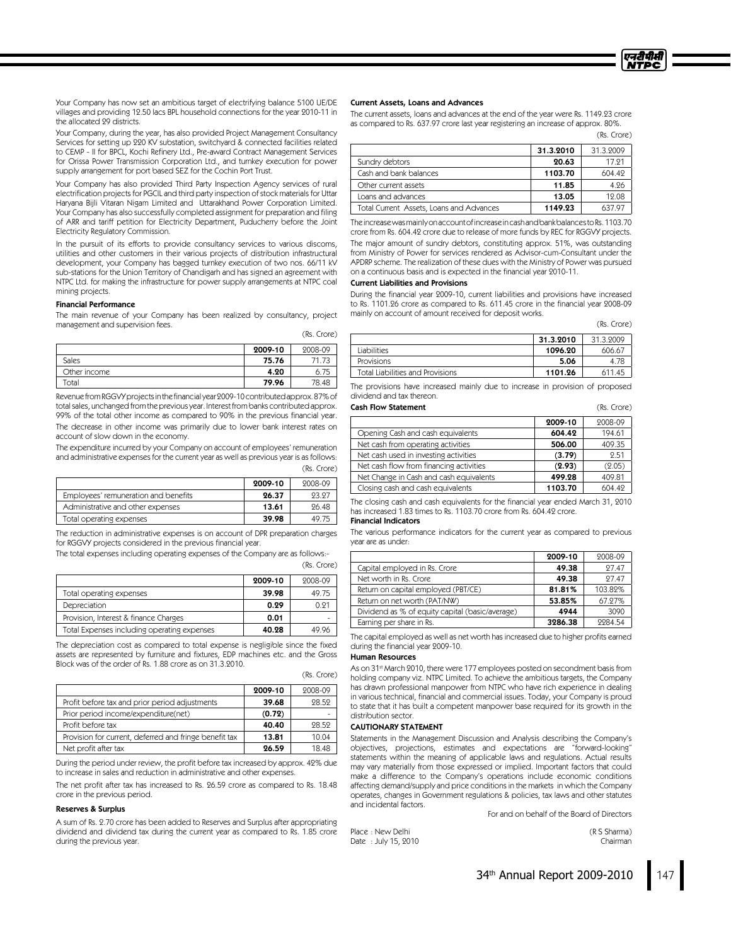

Your Company has now set an ambitious target of electrifying balance 5100 UE/DE villages and providing 12.50 lacs BPL household connections for the year 2010-11 in the allocated 29 districts.

Your Company, during the year, has also provided Project Management Consultancy Services for setting up 220 KV substation, switchyard & connected facilities related to CEMP - II for BPCL, Kochi Refinery Ltd., Pre-award Contract Management Services for Orissa Power Transmission Corporation Ltd., and turnkey execution for power supply arrangement for port based SEZ for the Cochin Port Trust.

Your Company has also provided Third Party Inspection Agency services of rural electrification projects for PGCIL and third party inspection of stock materials for Uttar Haryana Bijli Vitaran Nigam Limited and Uttarakhand Power Corporation Limited. Your Company has also successfully completed assignment for preparation and filing of ARR and tariff petition for Electricity Department, Puducherry before the Joint Electricity Regulatory Commission.

In the pursuit of its efforts to provide consultancy services to various discoms, utilities and other customers in their various projects of distribution infrastructural development, your Company has bagged turnkey execution of two nos. 66/11 kV sub-stations for the Union Territory of Chandigarh and has signed an agreement with NTPC Ltd. for making the infrastructure for power supply arrangements at NTPC coal mining projects.

#### Financial Performance

The main revenue of your Company has been realized by consultancy, project management and supervision fees.

|  | (Rs. Crore) |
|--|-------------|
|--|-------------|

(Rs. Crore)

(Rs. Crore)

|              | 2009-10 | 2008-09 |
|--------------|---------|---------|
| Sales        | 75.76   | 71.73   |
| Other income | 4.20    | 6.75    |
| Total        | 79.96   | 78.48   |

RevenuefromRGGVYprojectsinthefinancial year2009-10contributedapprox.87% of total sales, unchanged from the previous year. Interest from banks contributed approx. 99% of the total other income as compared to 90% in the previous financial year. The decrease in other income was primarily due to lower bank interest rates on account of slow down in the economy.

The expenditure incurred by your Company on account of employees' remuneration and administrative expenses for the current year as well as previous year is as follows: (Rs. Crore)

|                                      | 2009-10 | 2008-09 |
|--------------------------------------|---------|---------|
| Employees' remuneration and benefits | 26.37   | 93.97   |
| Administrative and other expenses    | 13.61   | 96.48   |
| Total operating expenses             | 39.98   | 49.75   |

The reduction in administrative expenses is on account of DPR preparation charges for RGGVY projects considered in the previous financial year.

The total expenses including operating expenses of the Company are as follows:-

|                                             |         | $1.001$ $0.0107$ |
|---------------------------------------------|---------|------------------|
|                                             | 2009-10 | 2008-09          |
| Total operating expenses                    | 39.98   | 49.75            |
| Depreciation                                | 0.29    | 0.91             |
| Provision, Interest & finance Charges       | 0.01    |                  |
| Total Expenses including operating expenses | 40.28   | 49.96            |

The depreciation cost as compared to total expense is negligible since the fixed assets are represented by furniture and fixtures, EDP machines etc. and the Gross Block was of the order of Rs. 1.88 crore as on 31.3.2010.

|                                                        | 2009-10 | 2008-09 |
|--------------------------------------------------------|---------|---------|
| Profit before tax and prior period adjustments         | 39.68   | 98.59   |
| Prior period income/expenditure(net)                   | (0.72)  |         |
| Profit before tax                                      | 40.40   | 98.59   |
| Provision for current, deferred and fringe benefit tax | 13.81   | 10.04   |
| Net profit after tax                                   | 26.59   | 18.48   |

During the period under review, the profit before tax increased by approx. 42% due to increase in sales and reduction in administrative and other expenses.

The net profit after tax has increased to Rs. 26.59 crore as compared to Rs. 18.48 crore in the previous period.

#### Reserves& Surplus

A sum of Rs. 2.70 crore has been added to Reserves and Surplus after appropriating dividend and dividend tax during the current year as compared to Rs. 1.85 crore during the previous year.

#### Current Assets, Loans and Advances

The current assets, loans and advances at the end of the year were Rs. 1149.23 crore as compared to Rs. 637.97 crore last year registering an increase of approx. 80%.

|                                          |           | (Rs. Crore) |
|------------------------------------------|-----------|-------------|
|                                          | 31.3.2010 | 31.3.2009   |
| Sundry debtors                           | 20.63     | 17.91       |
| Cash and bank balances                   | 1103.70   | 604.49      |
| Other current assets                     | 11.85     | 4.96        |
| Loans and advances                       | 13.05     | 12.08       |
| Total Current Assets, Loans and Advances | 1149.23   | 637.97      |

TheincreasewasmainlyonaccountofincreaseincashandbankbalancestoRs.1103.70 crore from Rs. 604.42 crore due to release of more funds by REC for RGGVY projects. The major amount of sundry debtors, constituting approx. 51%, was outstanding from Ministry of Power for services rendered as Advisor-cum-Consultant under the APDRP scheme. The realization of these dues with the Ministry of Power was pursued on a continuous basis and is expected in the financial year 2010-11.

#### **Current Liabilities and Provisions**

During the financial year 2009-10, current liabilities and provisions have increased to Rs. 1101.26 crore as compared to Rs. 611.45 crore in the financial year 2008-09 mainly on account of amount received for deposit works.

(Rs. Crore)

|                                  | 31.3.2010 | 31.3.9009 |
|----------------------------------|-----------|-----------|
| <b>Liabilities</b>               | 1096.20   | 606.67    |
| <b>Provisions</b>                | 5.06      | 4.78      |
| Total Liabilities and Provisions | 1101.26   | 611.45    |

The provisions have increased mainly due to increase in provision of proposed dividend and taxthereon. CashFlow Statement (Rs. Crore)

| <u>CO30 0000 2000 0000 000</u>          |         | 113. JULI |
|-----------------------------------------|---------|-----------|
|                                         | 2009-10 | 2008-09   |
| Opening Cash and cash equivalents       | 604.42  | 194.61    |
| Net cash from operating activities      | 506.00  | 409.35    |
| Net cash used in investing activities   | (3.79)  | 2.51      |
| Net cash flow from financing activities | (2.93)  | (2.05)    |
| Net Change in Cash and cash equivalents | 499.28  | 409.81    |
| Closing cash and cash equivalents       | 1103.70 | 604.49    |

The closing cash and cash equivalents for the financial year ended March 31, 2010 has increased 1.83 times to Rs. 1103.70 crore from Rs. 604.42 crore.

# Financial Indicators

The various performance indicators for the current year as compared to previous year are as under:

|                                                 | 2009-10 | 2008-09 |
|-------------------------------------------------|---------|---------|
| Capital employed in Rs. Crore                   | 49.38   | 97.47   |
| Net worth in Rs. Crore                          | 49.38   | 97.47   |
| Return on capital employed (PBT/CE)             | 81.81%  | 103.89% |
| Return on net worth (PAT/NW)                    | 53.85%  | 67.27%  |
| Dividend as % of equity capital (basic/average) | 4944    | 3090    |
| Earning per share in Rs.                        | 3286.38 | 9984.54 |

The capital employed as well as net worth has increased due to higher profits earned during the financial year 2009-10.

#### **Human Resources**

As on 31<sup>st</sup> March 2010, there were 177 employees posted on secondment basis from holding company viz. NTPC Limited. To achieve the ambitious targets, the Company has drawn professional manpower from NTPC who have rich experience in dealing in various technical, financial and commercial issues. Today, your Company is proud to state that it has built a competent manpower base required for its growth in the distribution sector.

#### CAUTIONARY STATEMENT

Statements in the Management Discussion and Analysis describing the Company's objectives, projections, estimates and expectations are "forward-looking" statements within the meaning of applicable laws and regulations. Actual results may vary materially from those expressed or implied. Important factors that could make a difference to the Company's operations include economic conditions affecting demand/supply and price conditions in the markets in which the Company operates, changes in Government regulations & policies, taxlaws and other statutes and incidental factors.

For and on behalf of the Board of Directors

Place : New Delhi (R S Sharma) Date : July 15, 2010 **Chairman**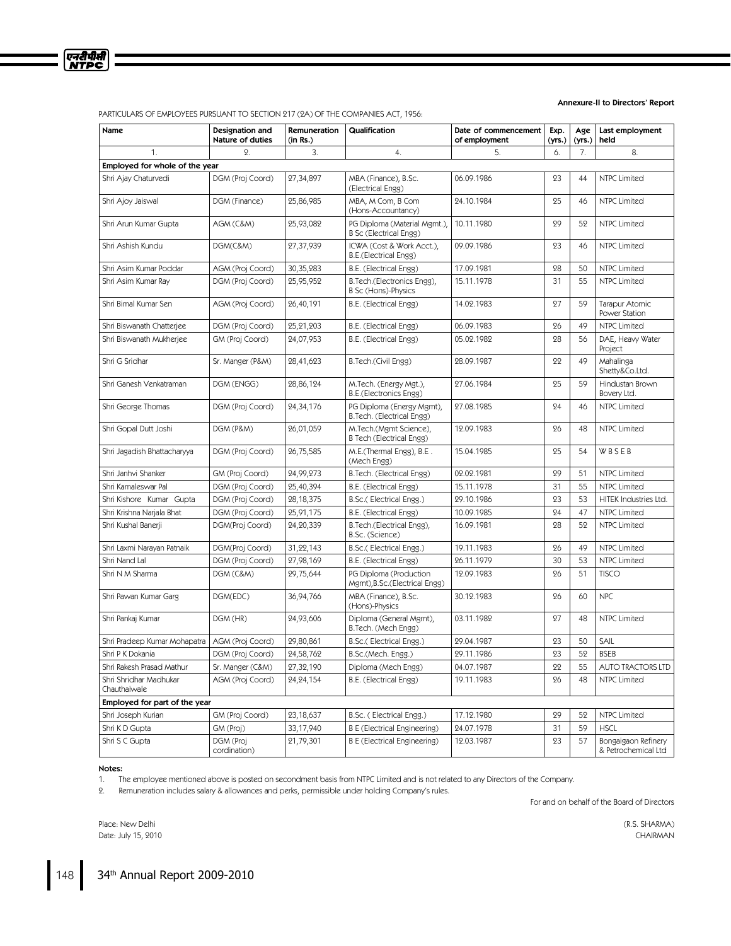

Annexure-II to Directors' Report

| Name                                   | Designation and<br>Nature of duties | Remuneration<br>(in Rs.) | Qualification                                                 | Date of commencement<br>of employment | Exp.<br>(yrs.) | Age<br>(yrs.) | Last employment<br>held                    |  |
|----------------------------------------|-------------------------------------|--------------------------|---------------------------------------------------------------|---------------------------------------|----------------|---------------|--------------------------------------------|--|
| 1.                                     | $\mathsf{2}$ .                      | 3.                       | 4.                                                            | 5.                                    | 6.             | 7.            | 8.                                         |  |
|                                        | Employed for whole of the year      |                          |                                                               |                                       |                |               |                                            |  |
| Shri Ajay Chaturvedi                   | DGM (Proj Coord)                    | 27,34,897                | MBA (Finance), B.Sc.<br>(Electrical Engg)                     | 06.09.1986                            | 23             | 44            | <b>NTPC Limited</b>                        |  |
| Shri Ajoy Jaiswal                      | DGM (Finance)                       | 25,86,985                | MBA, M Com, B Com<br>(Hons-Accountancy)                       | 24.10.1984                            | 25             | 46            | <b>NTPC Limited</b>                        |  |
| Shri Arun Kumar Gupta                  | AGM (C&M)                           | 25,93,082                | PG Diploma (Material Mgmt.),<br><b>B Sc (Electrical Engg)</b> | 10.11.1980                            | 29             | 52            | <b>NTPC Limited</b>                        |  |
| Shri Ashish Kundu                      | DGM(C&M)                            | 27,37,939                | ICWA (Cost & Work Acct.),<br>B.E.(Electrical Engg)            | 09.09.1986                            | 23             | 46            | <b>NTPC Limited</b>                        |  |
| Shri Asim Kumar Poddar                 | AGM (Proj Coord)                    | 30,35,283                | B.E. (Electrical Engg)                                        | 17.09.1981                            | 28             | 50            | <b>NTPC Limited</b>                        |  |
| Shri Asim Kumar Ray                    | DGM (Proj Coord)                    | 25,95,952                | B.Tech.(Electronics Engg),<br>B Sc (Hons)-Physics             | 15.11.1978                            | 31             | 55            | <b>NTPC Limited</b>                        |  |
| Shri Bimal Kumar Sen                   | AGM (Proj Coord)                    | 26,40,191                | B.E. (Electrical Engg)                                        | 14.02.1983                            | 27             | 59            | <b>Tarapur Atomic</b><br>Power Station     |  |
| Shri Biswanath Chatterjee              | DGM (Proj Coord)                    | 25,21,203                | B.E. (Electrical Engg)                                        | 06.09.1983                            | 26             | 49            | <b>NTPC Limited</b>                        |  |
| Shri Biswanath Mukherjee               | GM (Proj Coord)                     | 24,07,953                | B.E. (Electrical Engg)                                        | 05.02.1982                            | 28             | 56            | DAE, Heavy Water<br>Project                |  |
| Shri G Sridhar                         | Sr. Manger (P&M)                    | 28,41,623                | B.Tech.(Civil Engg)                                           | 28.09.1987                            | 22             | 49            | Mahalinga<br>Shetty&Co.Ltd.                |  |
| Shri Ganesh Venkatraman                | DGM (ENGG)                          | 28,86,124                | M.Tech. (Energy Mgt.),<br>B.E.(Electronics Engg)              | 27.06.1984                            | 25             | 59            | Hindustan Brown<br>Bovery Ltd.             |  |
| Shri George Thomas                     | DGM (Proj Coord)                    | 24,34,176                | PG Diploma (Energy Mgmt),<br>B.Tech. (Electrical Engg)        | 97.08.1985                            | 24             | 46            | NTPC Limited                               |  |
| Shri Gopal Dutt Joshi                  | DGM (P&M)                           | 26,01,059                | M.Tech.(Mgmt Science),<br>B Tech (Electrical Engg)            | 12.09.1983                            | 26             | 48            | <b>NTPC Limited</b>                        |  |
| Shri Jagadish Bhattacharyya            | DGM (Proj Coord)                    | 26,75,585                | M.E.(Thermal Engg), B.E.<br>(Mech Engg)                       | 15.04.1985                            | 25             | 54            | WBSEB                                      |  |
| Shri Janhvi Shanker                    | GM (Proj Coord)                     | 24,99,273                | B.Tech. (Electrical Engg)                                     | 02.02.1981                            | 29             | 51            | <b>NTPC Limited</b>                        |  |
| Shri Kamaleswar Pal                    | DGM (Proj Coord)                    | 25,40,394                | B.E. (Electrical Engg)                                        | 15.11.1978                            | 31             | 55            | <b>NTPC Limited</b>                        |  |
| Shri Kishore Kumar Gupta               | DGM (Proj Coord)                    | 28,18,375                | B.Sc.(Electrical Engg.)                                       | 29.10.1986                            | 23             | 53            | HITEK Industries Ltd.                      |  |
| Shri Krishna Narjala Bhat              | DGM (Proj Coord)                    | 25,91,175                | B.E. (Electrical Engg)                                        | 10.09.1985                            | 24             | 47            | <b>NTPC Limited</b>                        |  |
| Shri Kushal Banerji                    | DGM(Proj Coord)                     | 24,20,339                | B.Tech.(Electrical Engg),<br>B.Sc. (Science)                  | 16.09.1981                            | 28             | 52            | <b>NTPC Limited</b>                        |  |
| Shri Laxmi Narayan Patnaik             | DGM(Proj Coord)                     | 31,22,143                | B.Sc.(Electrical Engg.)                                       | 19.11.1983                            | 26             | 49            | <b>NTPC Limited</b>                        |  |
| Shri Nand Lal                          | DGM (Proj Coord)                    | 27,98,169                | B.E. (Electrical Engg)                                        | 26.11.1979                            | 30             | 53            | <b>NTPC Limited</b>                        |  |
| Shri N M Sharma                        | DGM (C&M)                           | 29,75,644                | PG Diploma (Production<br>Mgmt), B.Sc.(Electrical Engg)       | 12.09.1983                            | 26             | 51            | <b>TISCO</b>                               |  |
| Shri Pawan Kumar Garg                  | DGM(EDC)                            | 36,94,766                | MBA (Finance), B.Sc.<br>(Hons)-Physics                        | 30.12.1983                            | 26             | 60            | <b>NPC</b>                                 |  |
| Shri Pankaj Kumar                      | DGM (HR)                            | 24,93,606                | Diploma (General Mgmt),<br>B.Tech. (Mech Engg)                | 03.11.1982                            | 27             | 48            | NTPC Limited                               |  |
| Shri Pradeep Kumar Mohapatra           | AGM (Proj Coord)                    | 29,80,861                | B.Sc.(Electrical Engg.)                                       | 29.04.1987                            | 23             | 50            | SAIL                                       |  |
| Shri P K Dokania                       | DGM (Proj Coord)                    | 24,58,762                | B.Sc.(Mech. Engg.)                                            | 29.11.1986                            | 23             | 52            | <b>BSEB</b>                                |  |
| Shri Rakesh Prasad Mathur              | Sr. Manger (C&M)                    | 27,32,190                | Diploma (Mech Engg)                                           | 04.07.1987                            | 22             | 55            | AUTO TRACTORS LTD                          |  |
| Shri Shridhar Madhukar<br>Chauthaiwale | AGM (Proj Coord)                    | 24,24,154                | B.E. (Electrical Engg)                                        | 19.11.1983                            | 26             | 48            | NTPC Limited                               |  |
| Employed for part of the year          |                                     |                          |                                                               |                                       |                |               |                                            |  |
| Shri Joseph Kurian                     | GM (Proj Coord)                     | 23,18,637                | B.Sc. (Electrical Engg.)                                      | 17.12.1980                            | 29             | 52            | NTPC Limited                               |  |
| Shri K D Gupta                         | GM (Proj)                           | 33,17,940                | <b>B E (Electrical Engineering)</b>                           | 24.07.1978                            | 31             | 59            | <b>HSCL</b>                                |  |
| Shri S C Gupta                         | DGM (Proj<br>cordination)           | 21,79,301                | <b>B E (Electrical Engineering)</b>                           | 12.03.1987                            | 23             | 57            | Bongaigaon Refinery<br>& Petrochemical Ltd |  |

## PARTICULARS OF EMPLOYEES PURSUANT TO SECTION 217 (2A) OF THE COMPANIES ACT, 1956:

Notes:

1. The employee mentioned above is posted on secondment basis from NTPC Limited and is not related to any Directors of the Company.

2. Remuneration includes salary & allowances and perks, permissible under holding Company's rules.

For and on behalf of the Board of Directors

Place: New Delhi (R.S. SHARMA) Date: July 15, 2010 CHAIRMAN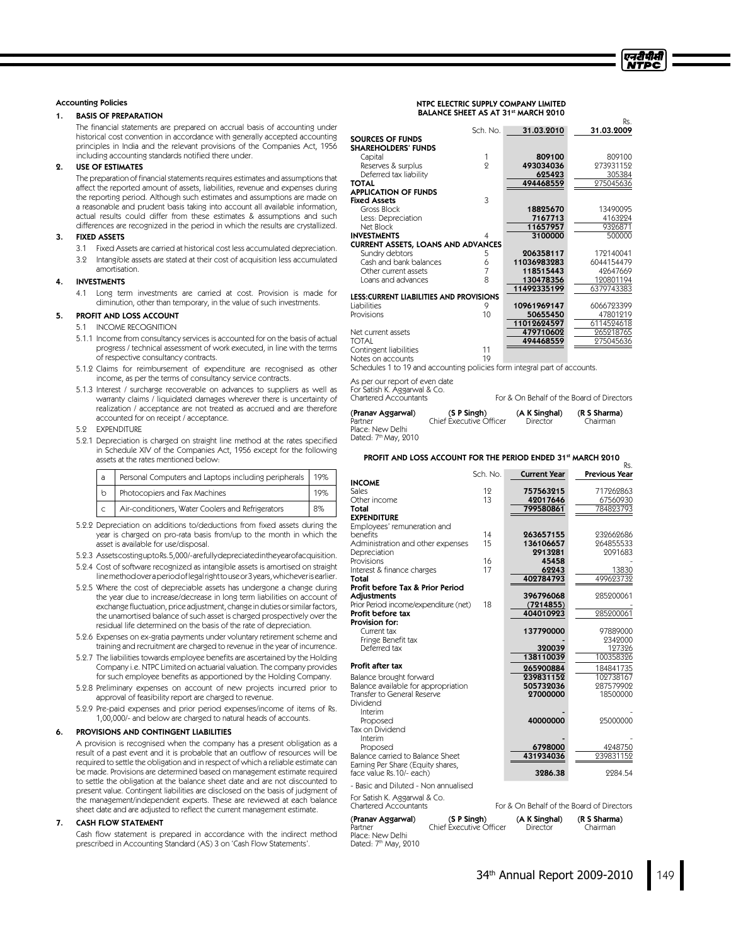#### **Accounting Policies**

#### 1. BASIS OF PREPARATION

The financial statements are prepared on accrual basis of accounting under historical cost convention in accordance with generally accepted accounting principles in India and the relevant provisions of the Companies Act, 1956 including accounting standards notified there under.

#### USE OF ESTIMATES

The preparation of financial statements requires estimates and assumptions that affect the reported amount of assets, liabilities, revenue and expenses during the reporting period. Although such estimates and assumptions are made on a reasonable and prudent basis taking into account all available information, actual results could differ from these estimates & assumptions and such differences are recognized in the period in which the results are crystallized.

#### 3. FIXED ASSETS

- 3.1 Fixed Assets are carried at historical cost less accumulated depreciation. 3.2 Intangible assets are stated at their cost of acquisition less accumulated
- amortisation.

# 4. INVESTMENTS

4.1 Long term investments are carried at cost. Provision is made for diminution, other than temporary, in the value of such investments.

# 5. PROFIT AND LOSS ACCOUNT

- 5.1 INCOME RECOGNITION
- 5.1.1 Income from consultancy services is accounted for on the basis of actual progress /technical assessment of work executed, in line with the terms of respective consultancy contracts.
- 5.1.2 Claims for reimbursement of expenditure are recognised as other income, as per the terms of consultancy service contracts.
- 5.1.3 Interest / surcharge recoverable on advances to suppliers as well as warranty claims / liquidated damages wherever there is uncertainty of realization /acceptance are not treated as accrued and are therefore accounted for on receipt / acceptance.

5.2 EXPENDITURE

5.2.1 Depreciation is charged on straight line method at the rates specified in Schedule XIV of the Companies Act, 1956 except for the following assets at the rates mentioned below:

| a            | Personal Computers and Laptops including peripherals   19% |     |
|--------------|------------------------------------------------------------|-----|
| $\mathsf{b}$ | Photocopiers and Fax Machines                              | '9% |
|              | Air-conditioners, Water Coolers and Refrigerators          | 8%  |

- 5.2.2 Depreciation on additions to/deductions from fixed assets during the year is charged on pro-rata basis from/up to the month in which the asset is available for use/disposal.
- 5.2.3 AssetscostinguptoRs.5,000/-arefullydepreciatedintheyearofacquisition.
- 5.2.4 Cost of software recognized as intangible assets is amortised on straight linemethodoveraperiodoflegalrighttouseor3years,whicheverisearlier.
- 5.2.5 Where the cost of depreciable assets has undergone a change during the year due to increase/decrease in long term liabilities on account of exchange fluctuation, price adjustment, change in duties or similar factors, the unamortised balance of such asset is charged prospectively over the residual life determined on the basis of the rate of depreciation.
- 5.2.6 Expenses on ex-gratia payments under voluntary retirement scheme and training and recruitment are charged to revenue in the year of incurrence.
- 5.2.7 The liabilities towards employee benefits are ascertained by the Holding Company i.e. NTPC Limited on actuarial valuation. The company provides for such employee benefits as apportioned by the Holding Company.
- 5.2.8 Preliminary expenses on account of new projects incurred prior to approval of feasibility report are charged to revenue.
- 5.2.9 Pre-paid expenses and prior period expenses/income of items of Rs. 1,00,000/- and below are charged to natural heads of accounts.

#### PROVISIONS AND CONTINGENT LIABILITIES

A provision is recognised when the company has a present obligation as a result of a past event and it is probable that an outflow of resources will be required to settle the obligation and in respect of which a reliable estimate can be made. Provisions are determined based on management estimate required to settle the obligation at the balance sheet date and are not discounted to present value. Contingent liabilities are disclosed on the basis of judgment of the management/independent experts. These are reviewed at each balance sheet date and are adjusted to reflect the current management estimate.

#### **CASH FLOW STATEMENT**

Cash flow statement is prepared in accordance with the indirect method prescribed in Accounting Standard (AS) 3 on 'Cash Flow Statements'.

#### NTPC ELECTRIC SUPPLY COMPANY LIMITED BALANCE SHEET AS AT 31st MARCH 2010

|                                                 |          |             | Rs.        |
|-------------------------------------------------|----------|-------------|------------|
|                                                 | Sch. No. | 31.03.2010  | 31.03.2009 |
| <b>SOURCES OF FUNDS</b>                         |          |             |            |
| <b>SHAREHOLDERS' FUNDS</b>                      |          |             |            |
| Capital                                         | 1        | 809100      | 809100     |
| Reserves & surplus                              | $\circ$  | 493034036   | 273931152  |
| Deferred tax liability                          |          | 625423      | 305384     |
| TOTAL                                           |          | 494468559   | 275045636  |
| <b>APPLICATION OF FUNDS</b>                     |          |             |            |
| <b>Fixed Assets</b>                             | 3        |             |            |
| Gross Block                                     |          | 18825670    | 13490095   |
| Less: Depreciation                              |          | 7167713     | 4163224    |
| Net Block                                       |          | 11657957    | 9326871    |
| <b>INVESTMENTS</b>                              |          | 3100000     | 500000     |
| <b>CURRENT ASSETS, LOANS AND ADVANCES</b>       |          |             |            |
| Sundry debtors                                  | 5        | 206358117   | 172140041  |
| Cash and bank balances                          | 6        | 11036983283 | 6044154479 |
| Other current assets                            | 7        | 118515443   | 42647669   |
| Loans and advances                              | 8        | 130478356   | 120801194  |
|                                                 |          | 11492335199 | 6379743383 |
| <b>LESS: CURRENT LIABILITIES AND PROVISIONS</b> |          |             |            |
| Liabilities                                     | 9        | 10961969147 | 6066723399 |
| Provisions                                      | 10       | 50655450    | 47801219   |
|                                                 |          | 11012624597 | 6114524618 |
| Net current assets                              |          | 479710602   | 265218765  |
| <b>TOTAL</b>                                    |          | 494468559   | 275045636  |
| Contingent liabilities                          | 11       |             |            |
| Notes on accounts                               | 10       |             |            |

Notes on accounts 19 Schedules 1 to 19 and accounting policies form integral part of accounts.

As per our report of even date

For Satish K. Aggarwal & Co.

For & On Behalf of the Board of Directors

| (Pranav Aggarwal)                | (S P Simgh)             | (A K Singhal) | (R S Sharma) |
|----------------------------------|-------------------------|---------------|--------------|
| Partner                          | Chief Executive Officer | Director      | Chairman     |
| Place: New Delhi                 |                         |               |              |
| Dated: 7 <sup>th</sup> May, 2010 |                         |               |              |

# PROFIT AND LOSS ACCOUNT FOR THE PERIOD ENDED 31st MARCH 2010 Rs.

|                                              | Sch. No. | <b>Current Year</b>   | <b>Previous Year</b>  |
|----------------------------------------------|----------|-----------------------|-----------------------|
| <b>INCOME</b>                                |          |                       |                       |
| Sales<br>Other income                        | 12<br>13 | 757563215             | 717262863             |
| Total                                        |          | 42017646<br>799580861 | 67560930<br>784823793 |
| <b>EXPENDITURE</b>                           |          |                       |                       |
| Employees' remuneration and                  |          |                       |                       |
| benefits                                     | 14       | 263657155             | 232662686             |
| Administration and other expenses            | 15       | 136106657             | 264855533             |
| Depreciation                                 |          | 2913281               | 2091683               |
| Provisions                                   | 16       | 45458                 |                       |
| Interest & finance charges                   | 17       | 62243                 | 13830                 |
| Total                                        |          | 402784793             | 499623732             |
| Profit before Tax & Prior Period             |          |                       |                       |
| Adjustments                                  |          | 396796068             | 285200061             |
| Prior Period income/expenditure (net)        | 18       | (7214855)             |                       |
| Profit before tax<br>Provision for:          |          | 404010923             | 285200061             |
| Current tax                                  |          | 137790000             | 97889000              |
| Fringe Benefit tax                           |          |                       | 9349000               |
| Deferred tax                                 |          | 320039                | 127326                |
|                                              |          | 138110039             | 100358326             |
| Profit after tax                             |          | 265900884             | 184841735             |
| Balance brought forward                      |          | 239831152             | 102738167             |
| Balance available for appropriation          |          | 505732036             | 287579902             |
| Transfer to General Reserve                  |          | 27000000              | 18500000              |
| Dividend                                     |          |                       |                       |
| Interim                                      |          |                       |                       |
| Proposed                                     |          | 40000000              | 25000000              |
| Tax on Dividend                              |          |                       |                       |
| Interim                                      |          |                       |                       |
| Proposed<br>Balance carried to Balance Sheet |          | 6798000<br>431934036  | 4248750<br>239831152  |
| Earning Per Share (Equity shares,            |          |                       |                       |
| face value Rs.10/- each)                     |          | 3286.38               | 9984.54               |
| - Basic and Diluted - Non annualised         |          |                       |                       |

For Satish K. Aggarwal & Co.

Place: New Delhi Dated: 7<sup>th</sup> May, 2010

For & On Behalf of the Board of Directors (**Pranav Aggarwal)** (S P Singh) (A K Singhal) (R S Sharma)<br>Partner Chairman (Chief Executive Officer Director Chairman Chief Executive Officer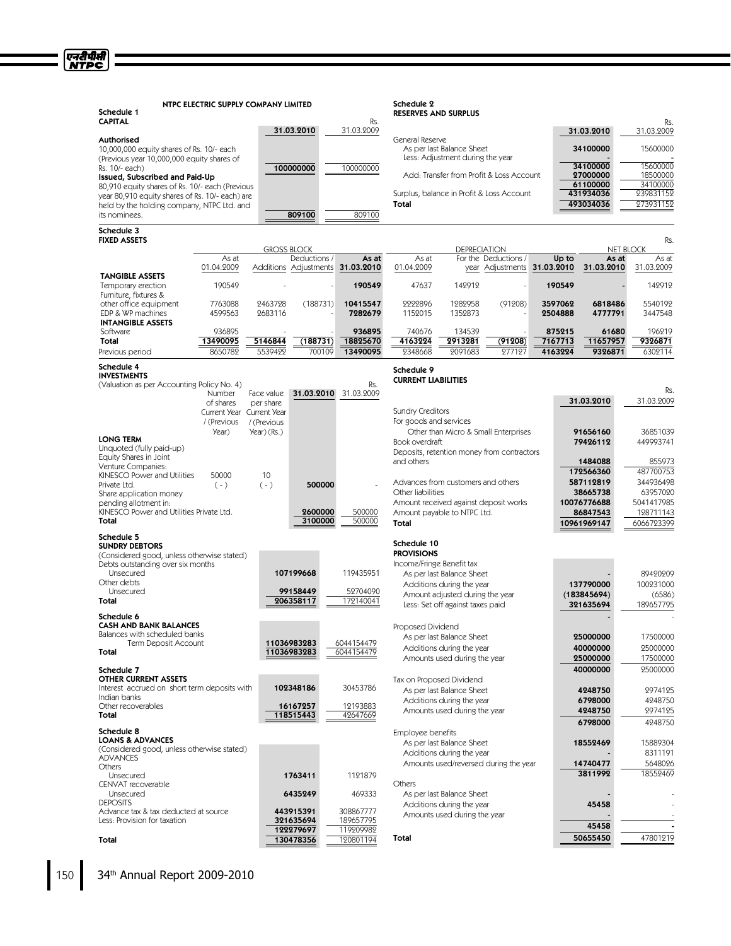| Schedule 1<br><b>CAPITAL</b>                                                                  | NTPC ELECTRIC SUPPLY COMPANY LIMITED     |                    |                                    | Rs.                              | Schedule 2<br><b>RESERVES AND SURPLUS</b> |                                                           |                                            |                             |                         | Rs.                       |
|-----------------------------------------------------------------------------------------------|------------------------------------------|--------------------|------------------------------------|----------------------------------|-------------------------------------------|-----------------------------------------------------------|--------------------------------------------|-----------------------------|-------------------------|---------------------------|
| <b>Authorised</b><br>10,000,000 equity shares of Rs. 10/- each                                |                                          |                    | 31.03.2010                         | 31.03.2009                       | General Reserve                           | As per last Balance Sheet                                 |                                            |                             | 31.03.2010<br>34100000  | 31.03.2009<br>15600000    |
| (Previous year 10,000,000 equity shares of<br>Rs. 10/- each)                                  |                                          |                    | 100000000                          | 100000000                        |                                           | Less: Adjustment during the year                          |                                            |                             | 34100000                | 15600000                  |
| Issued, Subscribed and Paid-Up<br>80,910 equity shares of Rs. 10/- each (Previous             |                                          |                    |                                    |                                  |                                           |                                                           | Add: Transfer from Profit & Loss Account   |                             | 27000000<br>61100000    | 18500000<br>34100000      |
| year 80,910 equity shares of Rs. 10/- each) are<br>held by the holding company, NTPC Ltd. and |                                          |                    |                                    |                                  | Total                                     |                                                           | Surplus, balance in Profit & Loss Account  |                             | 431934036<br>493034036  | 239831152<br>273931152    |
| its nominees.                                                                                 |                                          |                    | 809100                             | 809100                           |                                           |                                                           |                                            |                             |                         |                           |
| Schedule 3<br><b>FIXED ASSETS</b>                                                             |                                          |                    |                                    |                                  |                                           |                                                           |                                            |                             |                         | Rs.                       |
|                                                                                               | As at                                    |                    | <b>GROSS BLOCK</b><br>Deductions / | As at                            | As at                                     | <b>DEPRECIATION</b>                                       | For the Deductions /                       | Up to                       | As at                   | <b>NET BLOCK</b><br>As at |
| <b>TANGIBLE ASSETS</b>                                                                        | 01.04.2009                               |                    |                                    | Additions Adjustments 31.03.2010 | 01.04.2009                                |                                                           |                                            | year Adjustments 31.03.2010 | 31.03.2010              | 31.03.2009                |
| Temporary erection<br>Furniture, fixtures &                                                   | 190549                                   |                    |                                    | 190549                           | 47637                                     | 142912                                                    |                                            | 190549                      |                         | 142912                    |
| other office equipment<br>EDP & WP machines<br><b>INTANGIBLE ASSETS</b>                       | 7763088<br>4599563                       | 2463728<br>2683116 | (188731)                           | 10415547<br>7282679              | 2222896<br>1152015                        | 1282958<br>1352873                                        | (91208)                                    | 3597062<br>2504888          | 6818486<br>4777791      | 5540192<br>3447548        |
| Software                                                                                      | 936895<br>13490095                       | 5146844            |                                    | 936895                           | 740676                                    | 134539                                                    |                                            | 875215                      | 61680                   | 196219                    |
| Total<br>Previous period                                                                      | 8650789                                  | 5539422            | (188731)<br>700109                 | 18825670<br>13490095             | 4163224<br>9348668                        | 2913281<br>2091683                                        | (91208)<br>277127                          | 7167713<br>4163224          | 11657957<br>9326871     | 9326871<br>6302114        |
| Schedule 4<br><b>INVESTMENTS</b>                                                              |                                          |                    |                                    |                                  | Schedule 9<br><b>CURRENT LIABILITIES</b>  |                                                           |                                            |                             |                         |                           |
| (Valuation as per Accounting Policy No. 4)                                                    | Number                                   | Face value         |                                    | Rs.<br>31.03.2010 31.03.2009     |                                           |                                                           |                                            |                             |                         | Rs.                       |
|                                                                                               | of shares                                | per share          |                                    |                                  | <b>Sundry Creditors</b>                   |                                                           |                                            |                             | 31.03.2010              | 31.03.2009                |
|                                                                                               | Current Year Current Year<br>/ (Previous | / (Previous        |                                    |                                  | For goods and services                    |                                                           |                                            |                             |                         |                           |
| <b>LONG TERM</b>                                                                              | Year)                                    | $Year)$ (Rs.)      |                                    |                                  |                                           |                                                           | Other than Micro & Small Enterprises       |                             | 91656160                | 36851039                  |
| Unquoted (fully paid-up)                                                                      |                                          |                    |                                    |                                  | Book overdraft                            |                                                           | Deposits, retention money from contractors |                             | 79426112                | 449993741                 |
| Equity Shares in Joint<br>Venture Companies:                                                  |                                          |                    |                                    |                                  | and others                                |                                                           |                                            |                             | 1484088                 | 855973                    |
| KINESCO Power and Utilities                                                                   | 50000                                    | 10                 |                                    |                                  | Advances from customers and others        |                                                           |                                            |                             | 172566360<br>587112819  | 487700753<br>344936498    |
| Private Ltd.<br>Share application money                                                       | $(-)$                                    | $(-)$              | 500000                             |                                  | Other liabilities                         |                                                           |                                            |                             | 38665738                | 63957020                  |
| pending allotment in:                                                                         |                                          |                    |                                    |                                  | Amount received against deposit works     |                                                           |                                            |                             | 10076776688             | 5041417985                |
| KINESCO Power and Utilities Private Ltd.<br>Total                                             |                                          |                    | 2600000<br>3100000                 | 500000<br>500000                 | Amount payable to NTPC Ltd.<br>Total      |                                                           |                                            |                             | 86847543<br>10961969147 | 128711143<br>6066723399   |
| Schedule 5<br><b>SUNDRY DEBTORS</b>                                                           |                                          |                    |                                    |                                  | Schedule 10                               |                                                           |                                            |                             |                         |                           |
| (Considered good, unless otherwise stated)                                                    |                                          |                    |                                    |                                  | <b>PROVISIONS</b>                         |                                                           |                                            |                             |                         |                           |
| Debts outstanding over six months<br>Unsecured                                                |                                          |                    | 107199668                          | 119435951                        | Income/Fringe Benefit tax                 |                                                           |                                            |                             |                         | 89420209                  |
| Other debts                                                                                   |                                          |                    |                                    |                                  |                                           | As per last Balance Sheet<br>Additions during the year    |                                            |                             | 137790000               | 100231000                 |
| Unsecured<br>Total                                                                            |                                          |                    | 99158449<br>206358117              | 52704090<br>172140041            |                                           | Amount adjusted during the year                           |                                            |                             | (183845694)             | (6586)                    |
| Schedule 6                                                                                    |                                          |                    |                                    |                                  |                                           | Less: Set off against taxes paid                          |                                            |                             | 321635694               | 189657795                 |
| CASH AND BANK BALANCES                                                                        |                                          |                    |                                    |                                  | Proposed Dividend                         |                                                           |                                            |                             |                         |                           |
| Balances with scheduled banks<br>Term Deposit Account                                         |                                          |                    | 11036983283                        | 6044154479                       |                                           | As per last Balance Sheet                                 |                                            |                             | 25000000                | 17500000                  |
| Total                                                                                         |                                          |                    | 11036983283                        | 6044154479                       |                                           | Additions during the year                                 |                                            |                             | 40000000                | 25000000                  |
| Schedule 7                                                                                    |                                          |                    |                                    |                                  |                                           | Amounts used during the year                              |                                            |                             | 25000000<br>40000000    | 17500000<br>25000000      |
| <b>OTHER CURRENT ASSETS</b>                                                                   |                                          |                    |                                    |                                  | Tax on Proposed Dividend                  |                                                           |                                            |                             |                         |                           |
| Interest accrued on short term deposits with<br>Indian banks                                  |                                          |                    | 102348186                          | 30453786                         |                                           | As per last Balance Sheet                                 |                                            |                             | 4248750                 | 2974125                   |
| Other recoverables                                                                            |                                          |                    | 16167257                           | 12193883                         |                                           | Additions during the year<br>Amounts used during the year |                                            |                             | 6798000<br>4248750      | 4248750<br>2974125        |
| Total                                                                                         |                                          |                    | 118515443                          | 42647669                         |                                           |                                                           |                                            |                             | 6798000                 | 4248750                   |
| Schedule 8<br><b>LOANS &amp; ADVANCES</b>                                                     |                                          |                    |                                    |                                  | Employee benefits                         |                                                           |                                            |                             |                         |                           |
| (Considered good, unless otherwise stated)                                                    |                                          |                    |                                    |                                  |                                           | As per last Balance Sheet<br>Additions during the year    |                                            |                             | 18552469                | 15889304<br>8311191       |
| <b>ADVANCES</b>                                                                               |                                          |                    |                                    |                                  |                                           |                                                           | Amounts used/reversed during the year      |                             | 14740477                | 5648026                   |
| Others<br>Unsecured                                                                           |                                          |                    | 1763411                            | 1121879                          |                                           |                                                           |                                            |                             | 3811992                 | 18552469                  |
| CENVAT recoverable                                                                            |                                          |                    | 6435249                            | 469333                           | Others                                    |                                                           |                                            |                             |                         |                           |
| Unsecured<br><b>DEPOSITS</b>                                                                  |                                          |                    |                                    |                                  |                                           | As per last Balance Sheet<br>Additions during the year    |                                            |                             | 45458                   |                           |
| Advance tax & tax deducted at source<br>Less: Provision for taxation                          |                                          |                    | 443915391                          | 308867777                        |                                           | Amounts used during the year                              |                                            |                             |                         |                           |
|                                                                                               |                                          |                    | 321635694<br>122279697             | 189657795<br>119209982           |                                           |                                                           |                                            |                             | 45458                   |                           |
| Total                                                                                         |                                          |                    | 130478356                          | 120801194                        | Total                                     |                                                           |                                            |                             | 50655450                | 47801219                  |

**Total 130478356** 120801194

एनदीपीसी<br>NTPC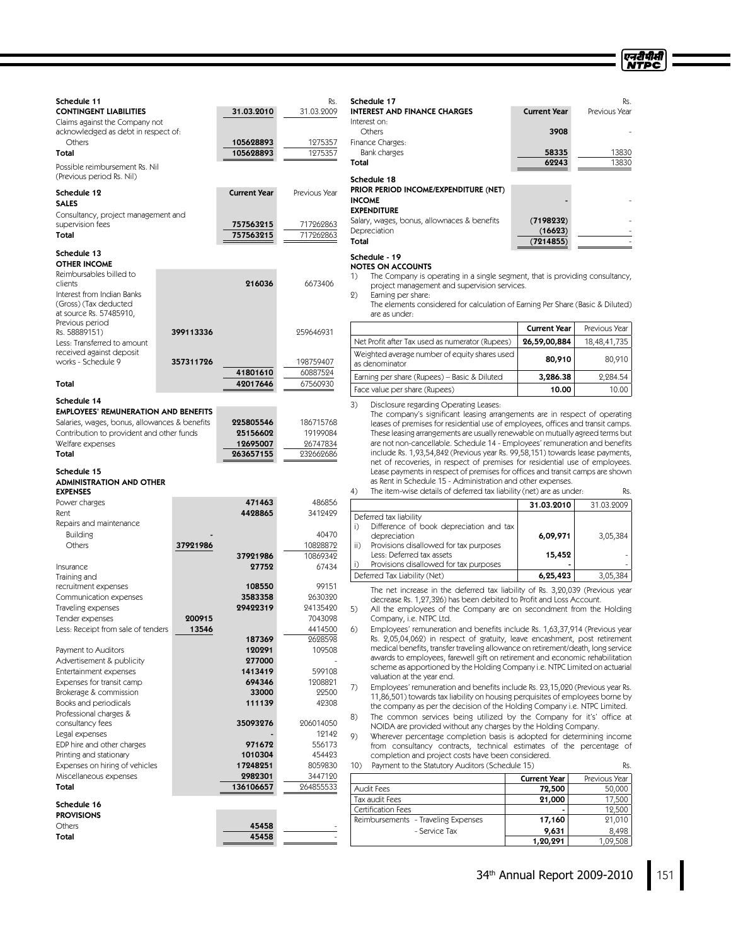ण्नदीपीसी<br>NTPC

| Schedule 11                                                                    |           |                        | Rs.                      | Schedule 17                                                                                                                                                                     |                               | Rs.                     |  |
|--------------------------------------------------------------------------------|-----------|------------------------|--------------------------|---------------------------------------------------------------------------------------------------------------------------------------------------------------------------------|-------------------------------|-------------------------|--|
| <b>CONTINGENT LIABILITIES</b><br>Claims against the Company not                |           | 31.03.2010             | 31.03.2009               | <b>INTEREST AND FINANCE CHARGES</b><br>Interest on:                                                                                                                             | <b>Current Year</b>           | Previous Year           |  |
| acknowledged as debt in respect of:<br><b>Others</b>                           |           | 105628893              | 1275357                  | <b>Others</b><br>Finance Charges:                                                                                                                                               | 3908                          |                         |  |
| Total                                                                          |           | 105628893              | 1275357                  | Bank charges                                                                                                                                                                    | 58335<br>62243                | 13830<br>13830          |  |
| Possible reimbursement Rs. Nil<br>(Previous period Rs. Nil)                    |           |                        |                          | Total<br>Schedule 18                                                                                                                                                            |                               |                         |  |
| Schedule 12<br><b>SALES</b><br>Consultancy, project management and             |           | <b>Current Year</b>    | Previous Year            | PRIOR PERIOD INCOME/EXPENDITURE (NET)<br><b>INCOME</b><br><b>EXPENDITURE</b>                                                                                                    |                               |                         |  |
| supervision fees<br>Total                                                      |           | 757563215<br>757563215 | 717262863<br>717262863   | Salary, wages, bonus, allownaces & benefits<br>Depreciation                                                                                                                     | (7198232)<br>(16623)          |                         |  |
|                                                                                |           |                        |                          | Total                                                                                                                                                                           | (7214855)                     |                         |  |
| Schedule 13<br><b>OTHER INCOME</b><br>Reimbursables billed to<br>clients       |           | 216036                 | 6673406                  | Schedule - 19<br><b>NOTES ON ACCOUNTS</b><br>The Company is operating in a single segment, that is providing consultancy,<br>1)<br>project management and supervision services. |                               |                         |  |
| Interest from Indian Banks<br>(Gross) (Tax deducted<br>at source Rs. 57485910, |           |                        |                          | (2)<br>Earning per share:<br>The elements considered for calculation of Earning Per Share (Basic & Diluted)<br>are as under:                                                    |                               |                         |  |
| Previous period<br>Rs. 58889151)                                               | 399113336 |                        | 259646931                |                                                                                                                                                                                 | <b>Current Year</b>           | Previous Year           |  |
| Less: Transferred to amount                                                    |           |                        |                          | Net Profit after Tax used as numerator (Rupees)                                                                                                                                 | 26,59,00,884                  | 18,48,41,735            |  |
| received against deposit<br>works - Schedule 9                                 | 357311726 |                        | 198759407                | Weighted average number of equity shares used<br>as denominator                                                                                                                 | 80,910                        | 80,910                  |  |
|                                                                                |           | 41801610<br>42017646   | 60887524                 | Earning per share (Rupees) – Basic & Diluted                                                                                                                                    | 3,286.38                      | 2,284.54                |  |
| Total                                                                          |           |                        | 67560930                 | Face value per share (Rupees)                                                                                                                                                   | 10.00                         | 10.00                   |  |
| Schedule 14<br><b>EMPLOYEES' REMUNERATION AND BENEFITS</b>                     |           |                        |                          | 3)<br>Disclosure regarding Operating Leases:                                                                                                                                    |                               |                         |  |
| Salaries, wages, bonus, allowances & benefits                                  |           | 225805546              | 186715768                | The company's significant leasing arrangements are in respect of operating<br>leases of premises for residential use of employees, offices and transit camps.                   |                               |                         |  |
| Contribution to provident and other funds                                      |           | 25156602               | 19199084                 | These leasing arrangements are usually renewable on mutually agreed terms but                                                                                                   |                               |                         |  |
| Welfare expenses<br>Total                                                      |           | 12695007<br>263657155  | 26747834<br>232662686    | are not non-cancellable. Schedule 14 - Employees' remuneration and benefits<br>include Rs. 1,93,54,842 (Previous year Rs. 99,58,151) towards lease payments,                    |                               |                         |  |
|                                                                                |           |                        |                          | net of recoveries, in respect of premises for residential use of employees.                                                                                                     |                               |                         |  |
| Schedule 15<br><b>ADMINISTRATION AND OTHER</b>                                 |           |                        |                          | Lease payments in respect of premises for offices and transit camps are shown<br>as Rent in Schedule 15 - Administration and other expenses.                                    |                               |                         |  |
| <b>EXPENSES</b>                                                                |           |                        |                          | 4)<br>The item-wise details of deferred tax liability (net) are as under:                                                                                                       |                               | Rs.                     |  |
| Power charges<br>Rent                                                          |           | 471463<br>4428865      | 486856<br>3412429        |                                                                                                                                                                                 | 31.03.2010                    | 31.03.2009              |  |
| Repairs and maintenance                                                        |           |                        |                          | Deferred tax liability<br>Difference of book depreciation and tax<br>i)                                                                                                         |                               |                         |  |
| <b>Building</b>                                                                |           |                        | 40470                    | depreciation                                                                                                                                                                    | 6,09,971                      | 3,05,384                |  |
| Others                                                                         | 37921986  |                        | 10828872                 | Provisions disallowed for tax purposes<br>$\mathsf{ii}$ )<br>Less: Deferred tax assets                                                                                          | 15,452                        |                         |  |
| Insurance                                                                      |           | 37921986<br>27752      | 10869342<br>67434        | Provisions disallowed for tax purposes<br>i)                                                                                                                                    |                               |                         |  |
| Training and                                                                   |           |                        |                          | Deferred Tax Liability (Net)                                                                                                                                                    | 6,25,423                      | 3,05,384                |  |
| recruitment expenses                                                           |           | 108550                 | 99151                    | The net increase in the deferred tax liability of Rs. 3,20,039 (Previous year                                                                                                   |                               |                         |  |
| Communication expenses<br>Traveling expenses                                   |           | 3583358<br>29422319    | 2630320<br>24135420      | decrease Rs. 1,27,326) has been debited to Profit and Loss Account.<br>5)<br>All the employees of the Company are on secondment from the Holding                                |                               |                         |  |
| Tender expenses                                                                | 200915    |                        | 7043098                  | Company, i.e. NTPC Ltd.                                                                                                                                                         |                               |                         |  |
| Less: Receipt from sale of tenders                                             | 13546     |                        | 4414500                  | Employees' remuneration and benefits include Rs. 1,63,37,914 (Previous year<br>6)<br>Rs. 2,05,04,062) in respect of gratuity, leave encashment, post retirement                 |                               |                         |  |
| Payment to Auditors                                                            |           | 187369<br>120291       | 2628598<br>109508        | medical benefits, transfer traveling allowance on retirement/death, long service                                                                                                |                               |                         |  |
| Advertisement & publicity                                                      |           | 277000                 |                          | awards to employees, farewell gift on retirement and economic rehabilitation                                                                                                    |                               |                         |  |
| Entertainment expenses                                                         |           | 1413419                | 599108                   | scheme as apportioned by the Holding Company i.e. NTPC Limited on actuarial<br>valuation at the year end.                                                                       |                               |                         |  |
| Expenses for transit camp<br>Brokerage & commission                            |           | 694346<br>33000        | 1208821<br>22500         | 7)<br>Employees' remuneration and benefits include Rs. 23,15,020 (Previous year Rs.                                                                                             |                               |                         |  |
| Books and periodicals                                                          |           | 111139                 | 42308                    | 11,86,501) towards tax liability on housing perquisites of employees borne by<br>the company as per the decision of the Holding Company i.e. NTPC Limited.                      |                               |                         |  |
| Professional charges &                                                         |           |                        |                          | The common services being utilized by the Company for it's' office at<br>8)                                                                                                     |                               |                         |  |
| consultancy fees<br>Legal expenses                                             |           | 35093276               | 206014050<br>12142       | NOIDA are provided without any charges by the Holding Company.<br>9)                                                                                                            |                               |                         |  |
| EDP hire and other charges                                                     |           | 971672                 | 556173                   | Wherever percentage completion basis is adopted for determining income<br>from consultancy contracts, technical estimates of the percentage of                                  |                               |                         |  |
| Printing and stationary                                                        |           | 1010304                | 454423                   | completion and project costs have been considered.                                                                                                                              |                               |                         |  |
| Expenses on hiring of vehicles<br>Miscellaneous expenses                       |           | 17248251<br>2982301    | 8059830<br>3447120       | Payment to the Statutory Auditors (Schedule 15)<br>10)                                                                                                                          |                               | Rs.                     |  |
| Total                                                                          |           | 136106657              | 264855533                | Audit Fees                                                                                                                                                                      | <b>Current Year</b><br>72,500 | Previous Year<br>50,000 |  |
| Schedule 16                                                                    |           |                        |                          | Tax audit Fees                                                                                                                                                                  | 21,000                        | 17,500                  |  |
| <b>PROVISIONS</b>                                                              |           |                        |                          | Certification Fees                                                                                                                                                              |                               | 12,500                  |  |
| Others                                                                         |           | 45458                  |                          | Reimbursements - Traveling Expenses<br>- Service Tax                                                                                                                            | 17,160<br>9,631               | 21,010<br>8,498         |  |
| Total                                                                          |           | 45458                  | $\overline{\phantom{a}}$ |                                                                                                                                                                                 | 1,20,291                      | 1,09,508                |  |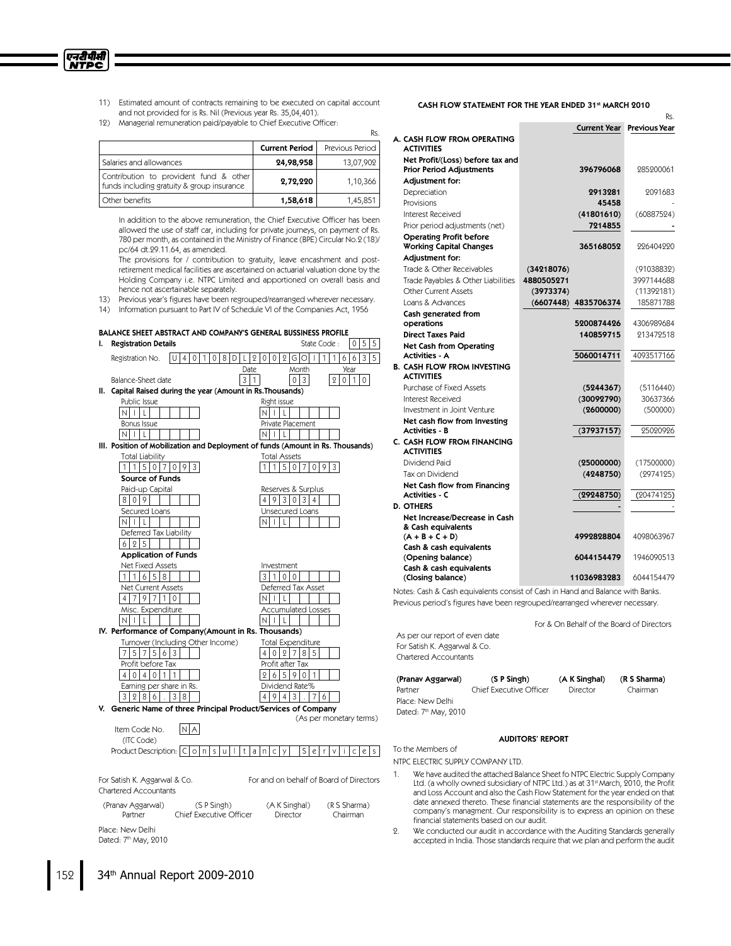- एनटीपीसी **NTPC** 
	- 11) Estimated amount of contracts remaining to be executed on capital account and not provided for is Rs. Nil (Previous year Rs. 35,04,401).

Rs.

12) Managerial remuneration paid/payable to Chief Executive Officer:

|                                                                                      |                       | KS.             |
|--------------------------------------------------------------------------------------|-----------------------|-----------------|
|                                                                                      | <b>Current Period</b> | Previous Period |
| Salaries and allowances                                                              | 24,98,958             | 13,07,902       |
| Contribution to provident fund & other<br>funds including gratuity & group insurance | 2,72,220              | 1,10,366        |
| Other benefits                                                                       | 1,58,618              | 1,45,851        |

In addition to the above remuneration, the Chief Executive Officer has been allowed the use of staff car, including for private journeys, on payment of Rs. 780 per month, as contained in the Ministry of Finance (BPE) Circular No.2 (18)/ pc/64 dt.29.11.64, as amended.

The provisions for / contribution to gratuity, leave encashment and postretirement medical facilities are ascertained on actuarial valuation done by the Holding Company i.e. NTPC Limited and apportioned on overall basis and hence not ascertainable separately.

- 13) Previous year's figures have been regrouped/rearranged wherever necessary.
- 14) Information pursuant to Part IV of Schedule VI of the Companies Act, 1956

#### BALANCE SHEET ABSTRACT AND COMPANY'S GENERAL BUSSINESS PROFILE



#### CASH FLOW STATEMENT FOR THE YEAR ENDED 31st MARCH 2010

|                                                                     |            |                      | Rs.           |
|---------------------------------------------------------------------|------------|----------------------|---------------|
|                                                                     |            | <b>Current Year</b>  | Previous Year |
| A. CASH FLOW FROM OPERATING<br><b>ACTIVITIES</b>                    |            |                      |               |
| Net Profit/(Loss) before tax and<br><b>Prior Period Adjustments</b> |            | 396796068            | 285200061     |
| Adjustment for:                                                     |            |                      |               |
| Depreciation                                                        |            | 2913281              | 2091683       |
| Provisions                                                          |            | 45458                |               |
| Interest Received                                                   |            | (41801610)           | (60887524)    |
| Prior period adjustments (net)                                      |            | 7214855              |               |
| <b>Operating Profit before</b><br><b>Working Capital Changes</b>    |            | 365168052            | 226404220     |
| Adjustment for:                                                     |            |                      |               |
| Trade & Other Receivables                                           | (34218076) |                      | (91038832)    |
| Trade Payables & Other Liabilities                                  | 4880505271 |                      | 3997144688    |
| Other Current Assets                                                | (3973374)  |                      | (11392181)    |
| Loans & Advances                                                    |            | (6607448) 4835706374 | 185871788     |
| Cash generated from                                                 |            |                      |               |
| operations                                                          |            | 5200874426           | 4306989684    |
| <b>Direct Taxes Paid</b>                                            |            | 140859715            | 213472518     |
| <b>Net Cash from Operating</b><br><b>Activities - A</b>             |            | 5060014711           | 4093517166    |
| <b>B. CASH FLOW FROM INVESTING</b><br><b>ACTIVITIES</b>             |            |                      |               |
| Purchase of Fixed Assets                                            |            | (5244367)            | (5116440)     |
| Interest Received                                                   |            | (30092790)           | 30637366      |
| Investment in Joint Venture                                         |            | (2600000)            | (500000)      |
| Net cash flow from Investing<br><b>Activities - B</b>               |            | (37937157)           | 25020926      |
| C. CASH FLOW FROM FINANCING<br><b>ACTIVITIES</b>                    |            |                      |               |
| Dividend Paid                                                       |            | (25000000)           | (17500000)    |
| Tax on Dividend                                                     |            | (4248750)            | (2974125)     |
| Net Cash flow from Financing<br><b>Activities - C</b>               |            | (29248750)           | (20474125)    |
| <b>D. OTHERS</b>                                                    |            |                      |               |
| Net Increase/Decrease in Cash<br>& Cash equivalents                 |            |                      |               |
| $(A + B + C + D)$                                                   |            | 4992828804           | 4098063967    |
| Cash & cash equivalents<br>(Opening balance)                        |            | 6044154479           | 1946090513    |
| Cash & cash equivalents<br>(Closing balance)                        |            | 11036983283          | 6044154479    |

Notes: Cash & Cash equivalents consist of Cash in Hand and Balance with Banks. Previous period's figures have been regrouped/rearranged wherever necessary.

For & On Behalf of the Board of Directors

As per our report of even date For Satish K. Aggarwal & Co. Chartered Accountants

| (Pranav Aggarwal)                | (S P Simgh)             | (A K Singhal) | (R S Sharma) |
|----------------------------------|-------------------------|---------------|--------------|
| Partner                          | Chief Executive Officer | Director      | Chairman     |
| Place: New Delhi                 |                         |               |              |
| Dated: 7 <sup>th</sup> May, 2010 |                         |               |              |

#### AUDITORS' REPORT

To the Members of

NTPC ELECTRIC SUPPLY COMPANY LTD.

- We have audited the attached Balance Sheet fo NTPC Electric Supply Company Ltd. (a wholly owned subsidiary of NTPC Ltd.) as at 31st March, 2010, the Profit<br>and Loss Account and also the Cash Flow Statement for the year ended on that date annexed thereto. These financial statements are the responsibility of the company's managment. Our responsibility is to express an opinion on these financial statements based on our audit.
- 2. We conducted our audit in accordance with the Auditing Standards generally accepted in India. Those standards require that we plan and perform the audit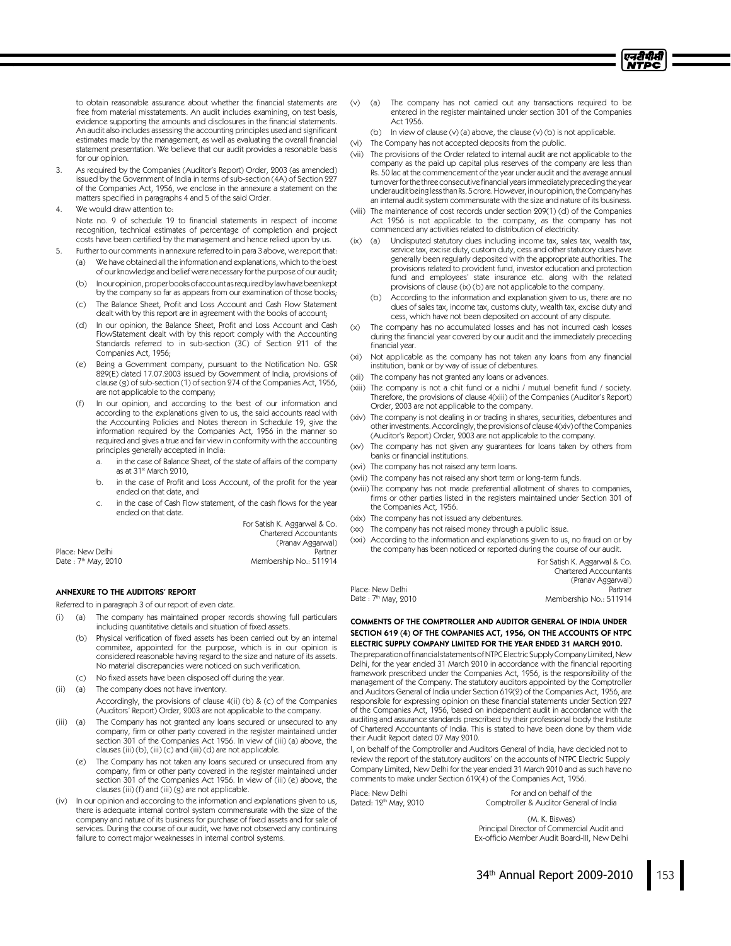

to obtain reasonable assurance about whether the financial statements are free from material misstatements. An audit includes examining, on test basis, evidence supporting the amounts and disclosures in the financial statements. An audit also includes assessing the accounting principles used and significant estimates made by the management, as well as evaluating the overall financial statement presentation. We believe that our audit provides a resonable basis for our opinion.

- As required by the Companies (Auditor's Report) Order, 2003 (as amended) issued by the Government of India in terms of sub-section (4A) of Section 227 of the Companies Act, 1956, we enclose in the annexure a statement on the matters specified in paragraphs 4 and 5 of the said Order.
- 4. We would draw attention to:

Note no. 9 of schedule 19 to financial statements in respect of income recognition, technical estimates of percentage of completion and project costs have been certified by the management and hence relied upon by us.

- 5. Further to our comments in annexure referred to in para 3 above, we report that:
	- (a) We have obtained all the information and explanations, which to the best of our knowledge and belief were necessary for the purpose of our audit;
	- (b) Inouropinion, proper books of account as required by law have been kept by the company so far as appears from our examination of those books;
	- (c) The Balance Sheet, Profit and Loss Account and Cash Flow Statement dealt with by this report are in agreement with the books of account;
	- (d) In our opinion, the Balance Sheet, Profit and Loss Account and Cash FlowStatement dealt with by this report comply with the Accounting Standards referred to in sub-section (3C) of Section 211 of the Companies Act, 1956;
	- (e) Being a Government company, pursuant to the Notification No. GSR 829(E) dated 17.07.2003 issued by Government of India, provisions of clause (g) of sub-section (1) of section 274 of the Companies Act, 1956, are not applicable to the company;
	- (f) In our opinion, and according to the best of our information and according to the explanations given to us, the said accounts read with the Accounting Policies and Notes thereon in Schedule 19, give the information required by the Companies Act, 1956 in the manner so required and gives a true and fair view in conformity with the accounting principles generally accepted in India:
		- a. in the case of Balance Sheet, of the state of affairs of the company as at 31<sup>st</sup> March 2010,
		- in the case of Profit and Loss Account, of the profit for the year ended on that date, and
		- c. in the case of Cash Flow statement, of the cash flows for the year ended on that date.

For Satish K. Aggarwal & Co. Chartered Accountants

| Place: New Delhi     | Partner                |
|----------------------|------------------------|
| Date : 7th May, 2010 | Membership No.: 511914 |

#### ANNEXURE TO THE AUDITORS' REPORT

Referred to in paragraph 3 of our report of even date.

- (a) The company has maintained proper records showing full particulars including quantitative details and situation of fixed assets.
	- (b) Physical verification of fixed assets has been carried out by an internal commitee, appointed for the purpose, which is in our opinion is considered reasonable having regard to the size and nature of its assets. No material discrepancies were noticed on such verification.
	- (c) No fixed assets have been disposed off during the year.
- (ii) (a) The company does not have inventory. Accordingly, the provisions of clause 4(ii) (b) & (c) of the Companies (Auditors' Report) Order, 2003 are not applicable to the company.
- (iii) (a) The Company has not granted any loans secured or unsecured to any company, firm or other party covered in the register maintained under section 301 of the Companies Act 1956. In view of (iii) (a) above, the clauses (iii) (b), (iii) (c) and (iii) (d) are not applicable.
	- (e) The Company has not taken any loans secured or unsecured from any company, firm or other party covered in the register maintained under section 301 of the Companies Act 1956. In view of (iii) (e) above, the clauses (iii) (f) and (iii) (g) are not applicable.
- (iv) In our opinion and according to the information and explanations given to us, there is adequate internal control system commensurate with the size of the company and nature of its business for purchase of fixed assets and for sale of services. During the course of our audit, we have not observed any continuing failure to correct major weaknesses in internal control systems.
- (v) (a) The company has not carried out any transactions required to be entered in the register maintained under section 301 of the Companies Act 1956.
	- (b) In view of clause (v) (a) above, the clause (v) (b) is not applicable.
- (vi) The Company has not accepted deposits from the public.
- (vii) The provisions of the Order related to internal audit are not applicable to the company as the paid up capital plus reserves of the company are less than Rs. 50 lac at the commencement of the year under audit and the average annual turnoverforthe three consecutive financial yearsimmediatelypreceding the year under audit being less than Rs. 5 crore. However, in our opinion, the Company has an internal audit system commensurate with the size and nature of its business.
- (viii) The maintenance of cost records under section 209(1) (d) of the Companies Act 1956 is not applicable to the company, as the company has not commenced any activities related to distribution of electricity.
- (ix) (a) Undisputed statutory dues including income tax, sales tax, wealth tax, service tax, excise duty, custom duty, cess and other statutory dues have generally been regularly deposited with the appropriate authorities. The provisions related to provident fund, investor education and protection fund and employees' state insurance etc. along with the related provisions of clause (ix) (b) are not applicable to the company.
	- (b) According to the information and explanation given to us, there are no dues of sales tax, income tax, customs duty, wealth tax, excise duty and cess, which have not been deposited on account of any dispute.
- (x) The company has no accumulated losses and has not incurred cash losses during the financial year covered by our audit and the immediately preceding financial year.
- (xi) Not applicable as the company has not taken any loans from any financial institution, bank or by way of issue of debentures.
- (xii) The company has not granted any loans or advances.
- (xiii) The company is not a chit fund or a nidhi / mutual benefit fund / society. Therefore, the provisions of clause 4(xiii) of the Companies (Auditor's Report) Order, 2003 are not applicable to the company.
- (xiv) The company is not dealing in or trading in shares, securities, debentures and otherinvestments.Accordingly,theprovisionsof clause 4(xiv)oftheCompanies (Auditor's Report) Order, 2003 are not applicable to the company.
- (xv) The company has not given any guarantees for loans taken by others from banks or financial institutions.
- (xvi) The company has not raised any term loans.
- (xvii) The company has not raised any short term or long-term funds.
- (xviii) The company has not made preferential allotment of shares to companies, firms or other parties listed in the registers maintained under Section 301 of the Companies Act, 1956.
- (xix) The company has not issued any debentures.
- (xx) The company has not raised money through a public issue.
- (xxi) According to the information and explanations given to us, no fraud on or by the company has been noticed or reported during the course of our audit.

|                      | For Satish K. Aggarwal & Co. |
|----------------------|------------------------------|
|                      | <b>Chartered Accountants</b> |
|                      | (Pranav Aggarwal)            |
| Place: New Delhi     | Partner                      |
| Date : 7th May, 2010 | Membership No.: 511914       |

Place: New Delhi

COMMENTS OF THE COMPTROLLER AND AUDITOR GENERAL OF INDIA UNDER SECTION 619 (4) OF THE COMPANIES ACT, 1956, ON THE ACCOUNTS OF NTPC ELECTRIC SUPPLY COMPANY LIMITED FOR THE YEAR ENDED 31 MARCH 2010.

The preparation of financial statements of NTPC Electric Supply Company Limited, New Delhi, for the year ended 31 March 2010 in accordance with the financial reporting framework prescribed under the Companies Act, 1956, is the responsibility of the management of the Company. The statutory auditors appointed by the Comptroller and Auditors General of India under Section 619(2) of the Companies Act, 1956, are responsible for expressing opinion on these financial statements under Section 227 of the Companies Act, 1956, based on independent audit in accordance with the auditing and assurance standards prescribed by their professional body the Institute of Chartered Accountants of India. This is stated to have been done by them vide their Audit Report dated 07 May 2010.

I, on behalf of the Comptroller and Auditors General of India, have decided not to review the report of the statutory auditors' on the accounts of NTPC Electric Supply Company Limited, New Delhi for the year ended 31 March 2010 and as such have no comments to make under Section 619(4) of the Companies Act, 1956.

Place: New Delhi Dated: 12<sup>th</sup> May, 2010

For and on behalf of the Comptroller & Auditor General of India

(M. K. Biswas) Principal Director of Commercial Audit and Ex-officio Member Audit Board-III, New Delhi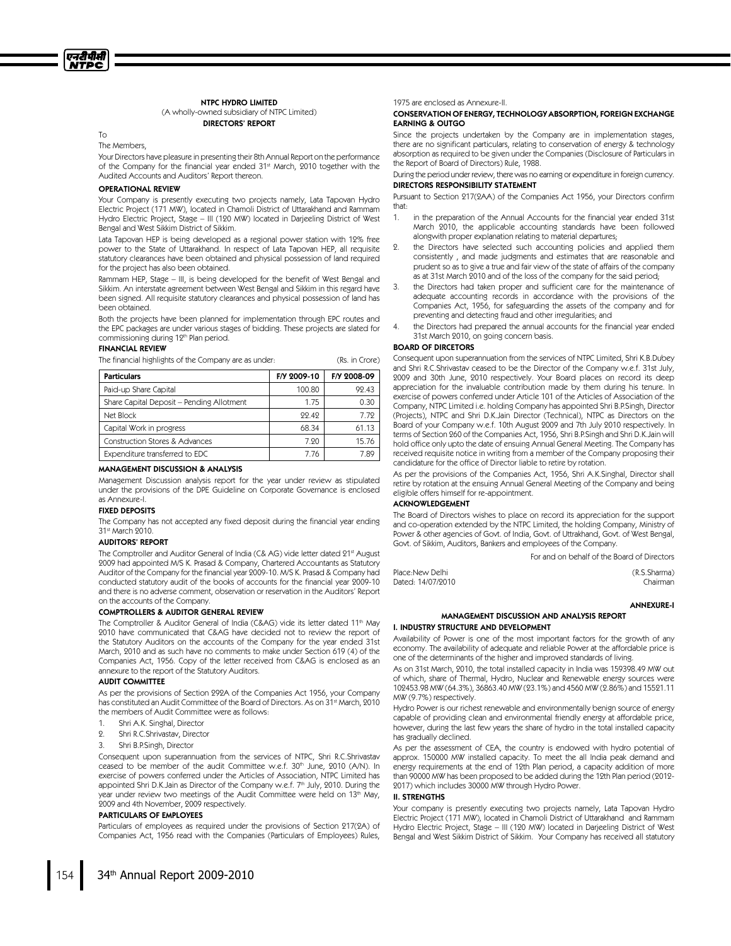#### NTPC HYDRO LIMITED

(A wholly-owned subsidiary of NTPC Limited) DIRECTORS' REPORT

To

The Members,

Your Directors have pleasure in presenting their 8th Annual Report on the performance of the Company for the financial year ended 31st March, 2010 together with the Audited Accounts and Auditors' Report thereon.

#### OPERATIONAL REVIEW

Your Company is presently executing two projects namely, Lata Tapovan Hydro Electric Project (171 MW), located in Chamoli District of Uttarakhand and Rammam Hydro Electric Project, Stage – III (120 MW) located in Darjeeling District of West Bengal and West Sikkim District of Sikkim.

Lata Tapovan HEP is being developed as a regional power station with 12% free power to the State of Uttarakhand. In respect of Lata Tapovan HEP, all requisite statutory clearances have been obtained and physical possession of land required for the project has also been obtained.

Rammam HEP, Stage – III, is being developed for the benefit of West Bengal and Sikkim. An interstate agreement between West Bengal and Sikkim in this regard have been signed. All requisite statutory clearances and physical possession of land has been obtained.

Both the projects have been planned for implementation through EPC routes and the EPC packages are under various stages of bidding. These projects are slated for commissioning during 12<sup>th</sup> Plan period.

#### FINANCIAL REVIEW

The financial highlights of the Company are as under: (Rs. in Crore)

| <b>Particulars</b>                        | F/Y 2009-10 | F/Y 2008-09 |
|-------------------------------------------|-------------|-------------|
| Paid-up Share Capital                     | 100.80      | 92.43       |
| Share Capital Deposit - Pending Allotment | 1.75        | 0.30        |
| Net Block                                 | 99.49       | 7.79        |
| Capital Work in progress                  | 68.34       | 61.13       |
| Construction Stores & Advances            | 7 90        | 15.76       |
| Expenditure transferred to EDC            | 7.76        | 7.89        |

#### MANAGEMENT DISCUSSION & ANALYSIS

Management Discussion analysis report for the year under review as stipulated under the provisions of the DPE Guideline on Corporate Governance is enclosed as Annexure-I.

#### FIXED DEPOSITS

The Company has not accepted any fixed deposit during the financial year ending 31 st March 2010.

# AUDITORS' REPORT

The Comptroller and Auditor General of India (C& AG) vide letter dated 21st August 2009 had appointed M/S K. Prasad & Company, Chartered Accountants as Statutory Auditor of the Company for the financial year 2009-10. M/S K. Prasad & Company had conducted statutory audit of the books of accounts for the financial year 2009-10 and there is no adverse comment, observation or reservation in the Auditors' Report on the accounts of the Company.

#### COMPTROLLERS & AUDITOR GENERAL REVIEW

The Comptroller & Auditor General of India (C&AG) vide its letter dated 11<sup>th</sup> May 2010 have communicated that C&AG have decided not to review the report of the Statutory Auditors on the accounts of the Company for the year ended 31st March, 2010 and as such have no comments to make under Section 619 (4) of the Companies Act, 1956. Copy of the letter received from C&AG is enclosed as an annexure to the report of the Statutory Auditors.

#### AUDIT COMMITTEE

As per the provisions of Section 292A of the Companies Act 1956, your Company has constituted an Audit Committee of the Board of Directors. As on 31 st March, 2010 the members of Audit Committee were as follows:

- 1. Shri A.K. Singhal, Director
- 2. Shri R.C.Shrivastav, Director
- 3. Shri B.P.Singh, Director

Consequent upon superannuation from the services of NTPC, Shri R.C.Shrivastav ceased to be member of the audit Committee w.e.f. 30th June, 2010 (A/N). In exercise of powers conferred under the Articles of Association, NTPC Limited has appointed Shri D.K.Jain as Director of the Company w.e.f. 7th July, 2010. During the year under review two meetings of the Audit Committee were held on 13th May, 2009 and 4th November, 2009 respectively.

#### PARTICULARS OF EMPLOYEES

Particulars of employees as required under the provisions of Section 217(2A) of Companies Act, 1956 read with the Companies (Particulars of Employees) Rules,

#### 1975 are enclosed as Annexure-II.

#### CONSERVATION OF ENERGY,TECHNOLOGY ABSORPTION,FOREIGN EXCHANGE EARNING & OUTGO

Since the projects undertaken by the Company are in implementation stages, there are no significant particulars, relating to conservation of energy & technology absorption as required to be given under the Companies (Disclosure of Particulars in the Report of Board of Directors) Rule, 1988.

During the period under review, there was no earning or expenditure in foreign currency. DIRECTORS RESPONSIBILITY STATEMENT

Pursuant to Section 217(2AA) of the Companies Act 1956, your Directors confirm that:

- 1. in the preparation of the Annual Accounts for the financial year ended 31st March 2010, the applicable accounting standards have been followed alongwith proper explanation relating to material departures;
- 2. the Directors have selected such accounting policies and applied them consistently , and made judgments and estimates that are reasonable and prudent so as to give a true and fair view of the state of affairs of the company as at 31st March 2010 and of the loss of the company for the said period;
- 3. the Directors had taken proper and sufficient care for the maintenance of adequate accounting records in accordance with the provisions of the Companies Act, 1956, for safeguarding the assets of the company and for preventing and detecting fraud and other irregularities; and
- the Directors had prepared the annual accounts for the financial year ended 31st March 2010, on going concern basis.

#### BOARD OF DIRCETORS

Consequent upon superannuation from the services of NTPC Limited, Shri K.B.Dubey and Shri R.C.Shrivastav ceased to be the Director of the Company w.e.f. 31st July, 2009 and 30th June, 2010 respectively. Your Board places on record its deep appreciation for the invaluable contribution made by them during his tenure. In exercise of powers conferred under Article 101 of the Articles of Association of the Company, NTPC Limited i.e. holding Company has appointed Shri B.P.Singh, Director (Projects), NTPC and Shri D.K.Jain Director (Technical), NTPC as Directors on the Board of your Company w.e.f. 10th August 2009 and 7th July 2010 respectively. In terms of Section 260 of the Companies Act, 1956, Shri B.P.Singh and Shri D.K.Jain will hold office only upto the date of ensuing Annual General Meeting. The Company has received requisite notice in writing from a member of the Company proposing their candidature for the office of Director liable to retire by rotation.

As per the provisions of the Companies Act, 1956, Shri A.K.Singhal, Director shall retire by rotation at the ensuing Annual General Meeting of the Company and being eligible offers himself for re-appointment.

# ACKNOWLEDGEMENT

The Board of Directors wishes to place on record its appreciation for the support and co-operation extended by the NTPC Limited, the holding Company, Ministry of Power & other agencies of Govt. of India, Govt. of Uttrakhand, Govt. of West Bengal, Govt. of Sikkim, Auditors, Bankers and employees of the Company.

For and on behalf of the Board of Directors

#### ANNEXURE-I

#### MANAGEMENT DISCUSSION AND ANALYSIS REPORT **I. INDUSTRY STRUCTURE AND DEVELOPMENT**

Availability of Power is one of the most important factors for the growth of any economy. The availability of adequate and reliable Power at the affordable price is one of the determinants of the higher and improved standards of living.

As on 31st March, 2010, the total installed capacity in India was 159398.49 MW out of which, share of Thermal, Hydro, Nuclear and Renewable energy sources were 102453.98 MW (64.3%), 36863.40 MW (23.1%) and 4560 MW (2.86%) and 15521.11 MW (9.7%) respectively.

Hydro Power is our richest renewable and environmentally benign source of energy capable of providing clean and environmental friendly energy at affordable price, however, during the last few years the share of hydro in the total installed capacity has gradually declined.

As per the assessment of CEA, the country is endowed with hydro potential of approx. 150000 MW installed capacity. To meet the all India peak demand and energy requirements at the end of 12th Plan period, a capacity addition of more than 90000 MW has been proposed to be added during the 12th Plan period (2012- 2017) which includes 30000 MW through Hydro Power.

#### **II. STRENGTHS**

Your company is presently executing two projects namely, Lata Tapovan Hydro Electric Project (171 MW), located in Chamoli District of Uttarakhand and Rammam Hydro Electric Project, Stage – III (120 MW) located in Darjeeling District of West Bengal and West Sikkim District of Sikkim. Your Company has received all statutory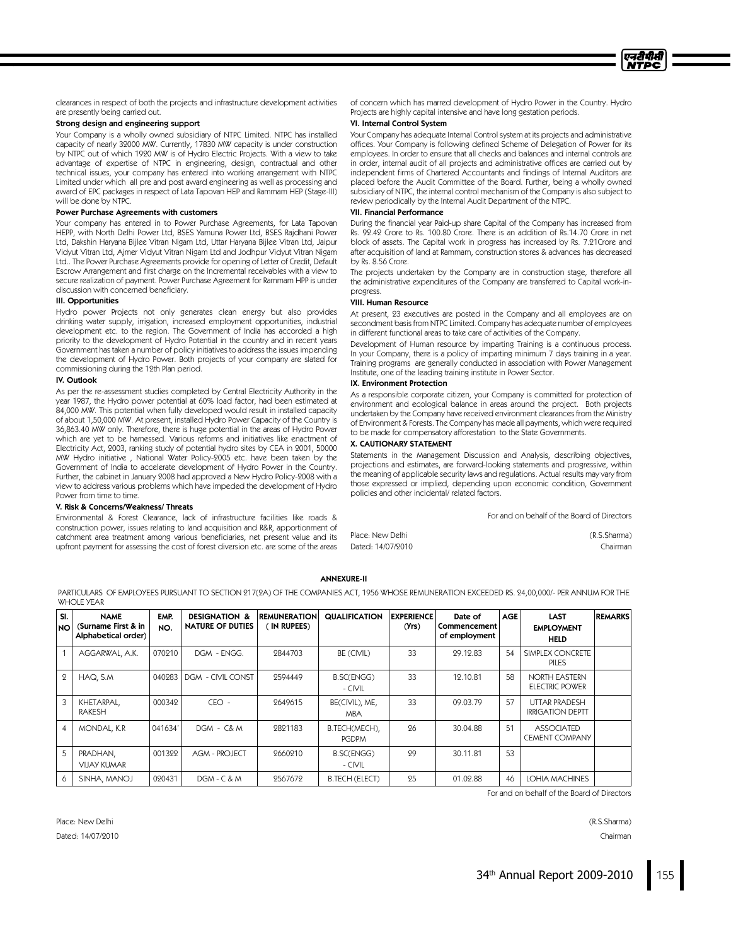

clearances in respect of both the projects and infrastructure development activities are presently being carried out.

# Strong design and engineering support

Your Company is a wholly owned subsidiary of NTPC Limited. NTPC has installed capacity of nearly 32000 MW. Currently, 17830 MW capacity is under construction by NTPC out of which 1920 MW is of Hydro Electric Projects. With a view to take advantage of expertise of NTPC in engineering, design, contractual and other technical issues, your company has entered into working arrangement with NTPC Limited under which all pre and post award engineering as well as processing and award of EPC packages in respect of Lata Tapovan HEP and Rammam HEP (Stage-III) will be done by NTPC.

#### Power Purchase Agreements with customers

Your company has entered in to Power Purchase Agreements, for Lata Tapovan HEPP, with North Delhi Power Ltd, BSES Yamuna Power Ltd, BSES Rajdhani Power Ltd, Dakshin Haryana Bijlee Vitran Nigam Ltd, Uttar Haryana Bijlee Vitran Ltd, Jaipur Vidyut Vitran Ltd, Ajmer Vidyut Vitran Nigam Ltd and Jodhpur Vidyut Vitran Nigam Ltd.. The Power Purchase Agreements provide for opening of Letter of Credit, Default Escrow Arrangement and first charge on the Incremental receivables with a view to secure realization of payment. Power Purchase Agreement for Rammam HPP is under discussion with concerned beneficiary.

#### III.Opportunities

Hydro power Projects not only generates clean energy but also provides drinking water supply, irrigation, increased employment opportunities, industrial development etc. to the region. The Government of India has accorded a high priority to the development of Hydro Potential in the country and in recent years Government has taken a number of policy initiatives to address the issues impending the development of Hydro Power. Both projects of your company are slated for commissioning during the 12th Plan period.

#### **IV.** Outlook

As per the re-assessment studies completed by Central Electricity Authority in the year 1987, the Hydro power potential at 60% load factor, had been estimated at 84,000 MW. This potential when fully developed would result in installed capacity of about 1,50,000 MW. At present, installed Hydro Power Capacity of the Country is 36,863.40 MW only. Therefore, there is huge potential in the areas of Hydro Power which are yet to be harnessed. Various reforms and initiatives like enactment of Electricity Act, 2003, ranking study of potential hydro sites by CEA in 2001, 50000 MW Hydro initiative , National Water Policy-2005 etc. have been taken by the Government of India to accelerate development of Hydro Power in the Country. Further, the cabinet in January 2008 had approved a New Hydro Policy-2008 with a view to address various problems which have impeded the development of Hydro Power from time to time.

#### V.Risk& Concerns/Weakness/Threats

Environmental & Forest Clearance, lack of infrastructure facilities like roads & construction power, issues relating to land acquisition and R&R, apportionment of catchment area treatment among various beneficiaries, net present value and its upfront payment for assessing the cost of forest diversion etc. are some of the areas

of concern which has marred development of Hydro Power in the Country. Hydro Projects are highly capital intensive and have long gestation periods.

# VI. Internal Control System

Your Company has adequate Internal Control system at its projects and administrative offices. Your Company is following defined Scheme of Delegation of Power for its employees. In order to ensure that all checks and balances and internal controls are in order, internal audit of all projects and administrative offices are carried out by independent firms of Chartered Accountants and findings of Internal Auditors are placed before the Audit Committee of the Board. Further, being a wholly owned subsidiary of NTPC, the internal control mechanism of the Company is also subject to review periodically by the Internal Audit Department of the NTPC.

#### VII. Financial Performance

During the financial year Paid-up share Capital of the Company has increased from Rs. 92.42 Crore to Rs. 100.80 Crore. There is an addition of Rs.14.70 Crore in net block of assets. The Capital work in progress has increased by Rs. 7.21Crore and after acquisition of land at Rammam, construction stores & advances has decreased by Rs. 8.56 Crore.

The projects undertaken by the Company are in construction stage, therefore all the administrative expenditures of the Company are transferred to Capital work-inprogress.

#### VIII. Human Resource

At present, 23 executives are posted in the Company and all employees are on secondment basis from NTPC Limited. Company has adequate number of employees in different functional areas to take care of activities of the Company.

Development of Human resource by imparting Training is a continuous process. In your Company, there is a policy of imparting minimum 7 days training in a year. Training programs are generally conducted in association with Power Management Institute, one of the leading training institute in Power Sector.

#### IX. Environment Protection

As a responsible corporate citizen, your Company is committed for protection of environment and ecological balance in areas around the project. Both projects undertaken by the Company have received environment clearances from the Ministry of Environment & Forests. The Company has made all payments, which were required to be made for compensatory afforestation to the State Governments.

#### X.CAUTIONARY STATEMENT

Statements in the Management Discussion and Analysis, describing objectives, projections and estimates, are forward-looking statements and progressive, within the meaning of applicable security laws and regulations. Actual results may vary from those expressed or implied, depending upon economic condition, Government policies and other incidental/related factors.

For and on behalf of the Board of Directors

| Place: New Delhi  | (R.S.Sharma) |
|-------------------|--------------|
| Dated: 14/07/2010 | Chairmar     |

#### ANNEXURE-II

PARTICULARS OFEMPLOYEES PURSUANT TO SECTION 217(2A) OFTHE COMPANIES ACT, 1956 WHOSE REMUNERATION EXCEEDED RS. 24,00,000/- PER ANNUM FOR THE WHOLE YEAR

| SI.<br><b>NO</b> | <b>NAME</b><br>(Surname First & in<br>Alphabetical order) | EMP.<br>NO. | <b>DESIGNATION &amp;</b><br><b>NATURE OF DUTIES</b> | <b>REMUNERATION</b><br>IN RUPEES) | <b>QUALIFICATION</b>          | <b>EXPERIENCE</b><br>(Yrs) | Date of<br>Commencement<br>of employment | <b>AGE</b> | <b>LAST</b><br><b>EMPLOYMENT</b><br><b>HELD</b> | <b>REMARKS</b> |
|------------------|-----------------------------------------------------------|-------------|-----------------------------------------------------|-----------------------------------|-------------------------------|----------------------------|------------------------------------------|------------|-------------------------------------------------|----------------|
|                  | AGGARWAL, A.K.                                            | 070210      | DGM - ENGG.                                         | 2844703                           | BE (CIVIL)                    | 33                         | 29.12.83                                 | 54         | SIMPLEX CONCRETE<br><b>PILES</b>                |                |
| 9                | HAQ, S.M.                                                 | 040983      | DGM - CIVIL CONST                                   | 2594449                           | <b>B.SC(ENGG)</b><br>- CIVIL  | 33                         | 19.10.81                                 | 58         | <b>NORTH EASTERN</b><br>ELECTRIC POWER          |                |
| 3                | KHETARPAL,<br><b>RAKESH</b>                               | 000342      | $EO -$                                              | 9649615                           | BE(CIVIL), ME,<br><b>MBA</b>  | 33                         | 09.03.79                                 | 57         | <b>UTTAR PRADESH</b><br><b>IRRIGATION DEPTT</b> |                |
| $\overline{4}$   | MONDAL, K.R                                               | 041634'     | DGM - C& M                                          | 9891183                           | B.TECH(MECH),<br><b>PGDPM</b> | 96                         | 30.04.88                                 | 51         | <b>ASSOCIATED</b><br><b>CEMENT COMPANY</b>      |                |
| .5               | PRADHAN.<br><b>VIJAY KUMAR</b>                            | 001322      | AGM - PROJECT                                       | 9660910                           | <b>B.SC(ENGG)</b><br>- CIVIL  | 99                         | 30.11.81                                 | 53         |                                                 |                |
| 6                | SINHA, MANOJ                                              | 020431      | $DGM - C & M$                                       | 2567672                           | <b>B.TECH (ELECT)</b>         | 25                         | 01.02.88                                 | 46         | <b>LOHIA MACHINES</b>                           |                |

For and on behalf of the Board of Directors

Place: New Delhi (R.S.Sharma)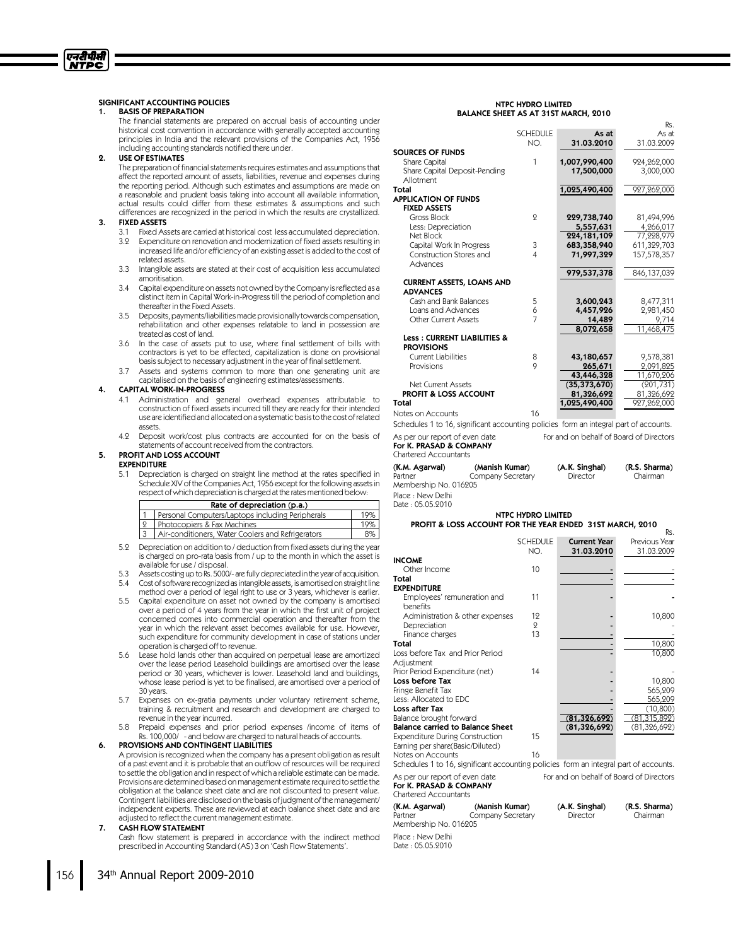# SIGNIFICANT ACCOUNTING POLICIES

#### 1. BASIS OF PREPARATION

एनटीपीसी <u>NTPC</u>

> The financial statements are prepared on accrual basis of accounting under historical cost convention in accordance with generally accepted accounting principles in India and the relevant provisions of the Companies Act, 1956 including accounting standards notified there under.

# 2. USE OF ESTIMATES

The preparation of financial statements requires estimates and assumptions that affect the reported amount of assets, liabilities, revenue and expenses during the reporting period. Although such estimates and assumptions are made on a reasonable and prudent basis taking into account all available information, actual results could differ from these estimates & assumptions and such differences are recognized in the period in which the results are crystallized.

#### 3. FIXED ASSETS

- 3.1 Fixed Assets are carried at historical cost less accumulated depreciation.
- 3.2 Expenditure on renovation and modernization of fixed assets resulting in increased life and/or efficiency of an existing asset is added to the cost of related assets.
- 3.3 Intangible assets are stated at their cost of acquisition less accumulated amoritisation.
- 3.4 Capital expenditure on assets not owned by the Company is reflected as a distinct item in Capital Work-in-Progresstill the period of completion and thereafter in the Fixed Assets.
- 3.5 Deposits, payments/liabilities made provisionally towards compensation, rehabilitation and other expenses relatable to land in possession are treated as cost of land.
- 3.6 In the case of assets put to use, where final settlement of bills with contractors is yet to be effected, capitalization is done on provisional basis subject to necessary adjustment in the year of final settlement.
- Assets and systems common to more than one generating unit are capitalised on the basis of engineering estimates/assessments.

#### 4. CAPITAL WORK-IN-PROGRESS

- 4.1 Administration and general overhead expenses attributable to construction of fixed assets incurred till they are ready for their intended use are identifiedandallocatedon a systematicbasisto the cost of related assets.
- 4.2 Deposit work/cost plus contracts are accounted for on the basis of statements of account received from the contractors.

# 5. PROFIT AND LOSS ACCOUNT

## EXPENDITURE

5.1 Depreciation is charged on straight line method at the rates specified in Schedule XIV of the Companies Act, 1956 except for the following assets in respect of which depreciation is charged at the rates mentioned below:

| Rate of depreciation (p.a.) |                                                   |     |  |  |  |
|-----------------------------|---------------------------------------------------|-----|--|--|--|
|                             | Personal Computers/Laptops including Peripherals  | 19% |  |  |  |
| 9                           | Photocopiers & Fax Machines                       | 19% |  |  |  |
|                             | Air-conditioners, Water Coolers and Refrigerators | 8%  |  |  |  |

- 5.2 Depreciation on addition to /deduction from fixed assets during the year is charged on pro-rata basis from /up to the month in which the asset is available for use / disposal.
- Assets costing up to Rs. 5000/- are fully depreciated in the year of acquisition. 5.4 Cost of software recognized as intangible assets, is amortised on straight line
- method over a period of legal right to use or 3 years, whichever is earlier.
- 5.5 Capital expenditure on asset not owned by the company is amortised over a period of 4 years from the year in which the first unit of project concerned comes into commercial operation and thereafter from the year in which the relevant asset becomes available for use. However, such expenditure for community development in case of stations under operation is charged off to revenue.
- 5.6 Lease hold lands other than acquired on perpetual lease are amortized over the lease period Leasehold buildings are amortised over the lease period or 30 years, whichever is lower. Leasehold land and buildings, whose lease period is yet to be finalised, are amortised over a period of 30 years.
- Expenses on ex-gratia payments under voluntary retirement scheme, training & recruitment and research and development are charged to revenue in the year incurred.
- 5.8 Prepaid expenses and prior period expenses /income of items of Rs. 100,000/ - and below are charged to natural heads of accounts.

#### 6. PROVISIONS AND CONTINGENT LIABILITIES

A provision is recognized when the company has a present obligation as result of a past event and it is probable that an outflow of resources will be required to settle the obligation and in respect of which a reliable estimate can be made. Provisions are determined based on management estimate required to settle the obligation at the balance sheet date and are not discounted to present value. Contingent liabilities are disclosed on the basis of judgment of the management/ independent experts. These are reviewed at each balance sheet date and are adjusted to reflect the current management estimate.

#### 7. CASHFLOW STATEMENT

Cash flow statement is prepared in accordance with the indirect method prescribed in Accounting Standard (AS) 3 on 'Cash Flow Statements'.

#### NTPC HYDRO LIMITED BALANCE SHEET AS AT 31ST MARCH, 2010

|                                        |                 |                | Rs.         |
|----------------------------------------|-----------------|----------------|-------------|
|                                        | <b>SCHEDULE</b> | As at          | As at       |
|                                        | NO.             | 31.03.2010     | 31.03.2009  |
| SOURCES OF FUNDS                       |                 |                |             |
| Share Capital                          | 1               | 1,007,990,400  | 924,262,000 |
| Share Capital Deposit-Pending          |                 | 17,500,000     | 3,000,000   |
| Allotment                              |                 |                |             |
| Total                                  |                 | 1,025,490,400  | 927,262,000 |
| <b>APPLICATION OF FUNDS</b>            |                 |                |             |
| <b>FIXED ASSETS</b>                    |                 |                |             |
| Gross Block                            | 9               | 229,738,740    | 81,494,996  |
| Less: Depreciation                     |                 | 5,557,631      | 4,266,017   |
| Net Block                              |                 | 224,181,109    | 77,228,979  |
| Capital Work In Progress               | 3               | 683,358,940    | 611,329,703 |
| Construction Stores and                | $\overline{4}$  | 71,997,329     | 157,578,357 |
| Advances                               |                 |                |             |
|                                        |                 | 979,537,378    | 846,137,039 |
| <b>CURRENT ASSETS, LOANS AND</b>       |                 |                |             |
| <b>ADVANCES</b>                        |                 |                |             |
| Cash and Bank Balances                 | 5               | 3,600,243      | 8,477,311   |
| Loans and Advances                     | 6               | 4,457,926      | 2,981,450   |
| <b>Other Current Assets</b>            | $\overline{7}$  | 14,489         | 9,714       |
|                                        |                 | 8,072,658      | 11,468,475  |
| <b>Less: CURRENT LIABILITIES &amp;</b> |                 |                |             |
| <b>PROVISIONS</b>                      |                 |                |             |
| <b>Current Liabilities</b>             | 8               | 43,180,657     | 9,578,381   |
| Provisions                             | 9               | 265,671        | 2,091,825   |
|                                        |                 | 43,446,328     | 11,670,206  |
| Net Current Assets                     |                 | (35, 373, 670) | (201, 731)  |
| <b>PROFIT &amp; LOSS ACCOUNT</b>       |                 | 81,326,692     | 81,326,692  |
| Total                                  |                 | 1,025,490,400  | 927,262,000 |
|                                        |                 |                |             |

Notes on Accounts 16

Schedules 1 to 16, significant accounting policies form an integral part of accounts.

As per our report of even date For and on behalf of Board of Directors

#### For K. PRASAD & COMPANY Chartered Accountants

| (K.M. Agarwal)        | (Manish Kumar)    | (A.K. Singhal) | (R.S. Sharma) |
|-----------------------|-------------------|----------------|---------------|
| Partner               | Company Secretary | Director       | Chairman      |
| Membership No. 016205 |                   |                |               |
| Place : New Delhi     |                   |                |               |

Date : 05.05.2010

#### NTPC HYDRO LIMITED PROFIT & LOSS ACCOUNT FOR THE YEAR ENDED 31ST MARCH, 2010

|                                         |                 |                     | Rs.            |
|-----------------------------------------|-----------------|---------------------|----------------|
|                                         | <b>SCHEDULE</b> | <b>Current Year</b> | Previous Year  |
|                                         | NO.             | 31.03.2010          | 31.03.2009     |
| <b>INCOME</b>                           |                 |                     |                |
| Other Income                            | 10              |                     |                |
| Total                                   |                 |                     |                |
| <b>EXPENDITURE</b>                      |                 |                     |                |
| Employees' remuneration and             | 11              |                     |                |
| benefits                                |                 |                     |                |
| Administration & other expenses         | 12              |                     | 10,800         |
| Depreciation                            | 9               |                     |                |
| Finance charges                         | 13              |                     |                |
| Total                                   |                 |                     | 10,800         |
| Loss before Tax and Prior Period        |                 |                     | 10,800         |
| Adjustment                              |                 |                     |                |
| Prior Period Expenditure (net)          | 14              |                     |                |
| Loss before Tax                         |                 |                     | 10,800         |
| Fringe Benefit Tax                      |                 |                     | 565,209        |
| Less: Allocated to EDC                  |                 |                     | 565,209        |
| <b>Loss after Tax</b>                   |                 |                     | (10, 800)      |
| Balance brought forward                 |                 | (81, 326, 692)      | (81, 315, 892) |
| <b>Balance carried to Balance Sheet</b> |                 | (81, 326, 692)      | (81, 326, 692) |
| <b>Expenditure During Construction</b>  | 15              |                     |                |
| Earning per share(Basic/Diluted)        |                 |                     |                |
| Notes on Accounts                       | 16              |                     |                |

Schedules 1 to 16, significant accounting policies form an integral part of accounts. As per our report of even date For and on behalf of Board of Directors

For K. PRASAD & COMPANY Chartered Accountants

| (K.M. Agarwal)<br>Partner              | (Manish Kumar)<br>Company Secretary<br>Membership No. 016205 |  | (R.S. Sharma)<br>Chairman |
|----------------------------------------|--------------------------------------------------------------|--|---------------------------|
| Place : New Delhi<br>Date : 05.05.2010 |                                                              |  |                           |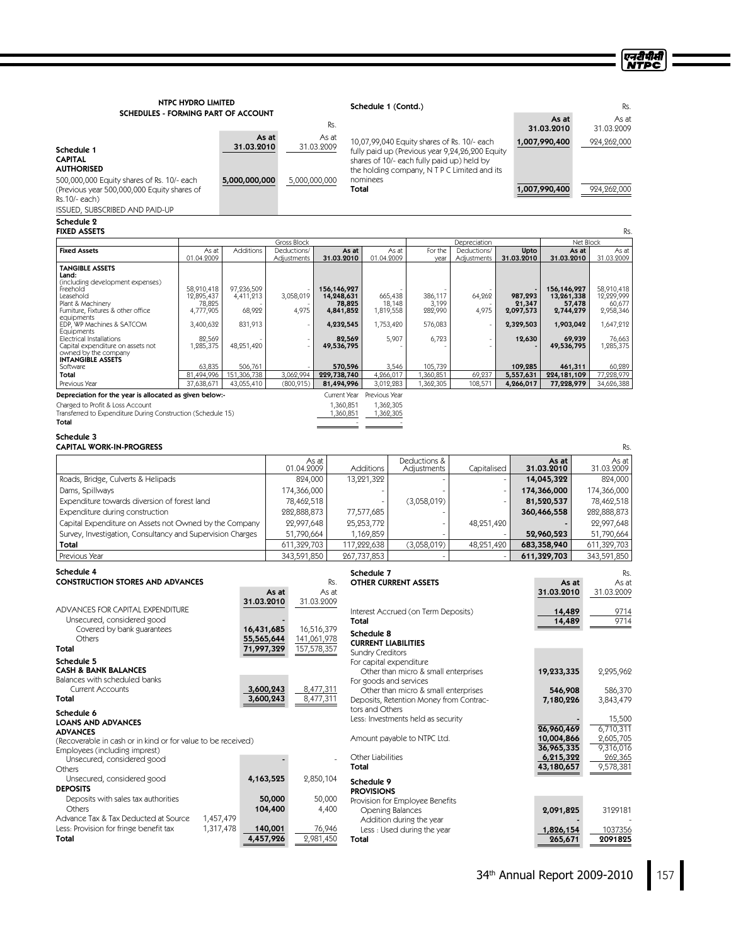ण्नदीपीसी<br>NTPC

| <b>NTPC HYDRO LIMITED</b>                                                                   |                                                                                         |                        |                            | Schedule 1 (Contd.)                                                                                          |                           |                                          |                                                                                 |                             |                      |                           |                           |
|---------------------------------------------------------------------------------------------|-----------------------------------------------------------------------------------------|------------------------|----------------------------|--------------------------------------------------------------------------------------------------------------|---------------------------|------------------------------------------|---------------------------------------------------------------------------------|-----------------------------|----------------------|---------------------------|---------------------------|
| SCHEDULES - FORMING PART OF ACCOUNT                                                         |                                                                                         |                        |                            |                                                                                                              | Rs.                       |                                          |                                                                                 |                             |                      | As at                     | As at                     |
|                                                                                             |                                                                                         |                        | As at                      | As at                                                                                                        |                           |                                          |                                                                                 | 31.03.2010<br>1,007,990,400 | 31.03.2009           |                           |                           |
| Schedule 1                                                                                  |                                                                                         | 31.03.2010             |                            | 10,07,99,040 Equity shares of Rs. 10/- each<br>31.03.2009<br>fully paid up (Previous year 9,24,26,200 Equity |                           |                                          |                                                                                 |                             |                      |                           | 924,262,000               |
| <b>CAPITAL</b><br><b>AUTHORISED</b>                                                         | shares of 10/- each fully paid up) held by<br>the holding company, NTPC Limited and its |                        |                            |                                                                                                              |                           |                                          |                                                                                 |                             |                      |                           |                           |
| 500,000,000 Equity shares of Rs. 10/- each                                                  |                                                                                         | 5,000,000,000          |                            | 5,000,000,000                                                                                                |                           | nominees                                 |                                                                                 |                             |                      |                           |                           |
| (Previous year 500,000,000 Equity shares of                                                 |                                                                                         |                        |                            |                                                                                                              | Total                     |                                          |                                                                                 |                             |                      | 1,007,990,400             | 924,262,000               |
| Rs.10/- each)<br><b>ISSUED, SUBSCRIBED AND PAID-UP</b>                                      |                                                                                         |                        |                            |                                                                                                              |                           |                                          |                                                                                 |                             |                      |                           |                           |
| Schedule 2<br><b>FIXED ASSETS</b>                                                           |                                                                                         |                        |                            |                                                                                                              |                           |                                          | Rs.                                                                             |                             |                      |                           |                           |
|                                                                                             |                                                                                         |                        | Gross Block                |                                                                                                              |                           |                                          |                                                                                 | Depreciation                |                      | Net Block                 |                           |
| <b>Fixed Assets</b>                                                                         | As at<br>01.04.2009                                                                     | Additions              | Deductions/<br>Adiustments |                                                                                                              | As at<br>31.03.2010       | As at<br>01.04.2009                      | For the<br>year                                                                 | Deductions/<br>Adiustments  | Upto<br>31.03.2010   | As at<br>31.03.2010       | As at<br>31.03.2009       |
| <b>TANGIBLE ASSETS</b><br>Land:                                                             |                                                                                         |                        |                            |                                                                                                              |                           |                                          |                                                                                 |                             |                      |                           |                           |
| (including development expenses)<br>Freehold                                                | 58,910,418                                                                              | 97,236,509             |                            |                                                                                                              | 156,146,927               |                                          |                                                                                 |                             |                      | 156,146,927               | 58,910,418                |
| Leasehold<br>Plant & Machinery                                                              | 12,895,437<br>78,825                                                                    | 4,411,213              | 3,058,019                  |                                                                                                              | 14,248,631<br>78,825      | 665,438<br>18,148                        | 386,117<br>3,199                                                                | 64,262                      | 987,293<br>21,347    | 13,261,338<br>57,478      | 12,229,999<br>60,677      |
| Furniture, Fixtures & other office<br>equipments                                            | 4,777,905                                                                               | 68,922                 | 4,975                      |                                                                                                              | 4,841,852                 | 1,819,558                                | 282,990                                                                         | 4,975                       | 2,097,573            | 2,744,279                 | 2,958,346                 |
| EDP, WP Machines & SATCOM<br>Equipments                                                     | 3,400,632                                                                               | 831,913                |                            |                                                                                                              | 4,232,545                 | 1,753,420                                | 576,083                                                                         |                             | 2,329,503            | 1,903,042                 | 1,647,212                 |
| Electrical Installations<br>Capital expenditure on assets not                               | 82,569<br>1,285,375                                                                     | 48,251,420             |                            |                                                                                                              | 82,569<br>49,536,795      | 5,907                                    | 6,723                                                                           |                             | 12,630               | 69,939<br>49,536,795      | 76,663<br>1,285,375       |
| owned by the company<br><b>INTANGIBLE ASSETS</b>                                            |                                                                                         |                        |                            |                                                                                                              |                           |                                          |                                                                                 |                             |                      |                           |                           |
| Software<br>Total                                                                           | 63,835<br>81,494,996                                                                    | 506,761<br>151,306,738 | 3,062,994                  |                                                                                                              | 570,596<br>229,738,740    | 3,546<br>4.266.017                       | 105,739<br>1,360,851                                                            | 69,237                      | 109,285<br>5,557,631 | 461,311<br>224, 181, 109  | 60,289<br>77,228,979      |
| Previous Year                                                                               | 37,638,671                                                                              | 43,055,410             | (800, 915)                 |                                                                                                              | 81,494,996                | 3,012,283                                | 1,362,305                                                                       | 108,571                     | 4,266,017            | 77,228,979                | 34,626,388                |
| Depreciation for the year is allocated as given below:-<br>Charged to Profit & Loss Account |                                                                                         |                        |                            |                                                                                                              | Current Year<br>1,360,851 | Previous Year<br>1,362,305               |                                                                                 |                             |                      |                           |                           |
| Transferred to Expenditure During Construction (Schedule 15)                                |                                                                                         |                        |                            |                                                                                                              | 1,360,851                 | 1,362,305                                |                                                                                 |                             |                      |                           |                           |
| Total                                                                                       |                                                                                         |                        |                            |                                                                                                              |                           |                                          |                                                                                 |                             |                      |                           |                           |
| Schedule 3<br><b>CAPITAL WORK-IN-PROGRESS</b>                                               |                                                                                         |                        |                            |                                                                                                              |                           |                                          |                                                                                 |                             |                      |                           | Rs.                       |
|                                                                                             |                                                                                         |                        |                            | As at                                                                                                        |                           |                                          | Deductions &                                                                    |                             |                      | As at                     | As at                     |
|                                                                                             |                                                                                         |                        |                            | 01.04.2009                                                                                                   |                           | Additions                                | Adjustments                                                                     | Capitalised                 |                      | 31.03.2010                | 31.03.2009                |
| Roads, Bridge, Culverts & Helipads<br>Dams, Spillways                                       |                                                                                         |                        |                            | 824,000                                                                                                      |                           | 13,221,322                               |                                                                                 |                             |                      | 14,045,322<br>174,366,000 | 824,000<br>174,366,000    |
| Expenditure towards diversion of forest land                                                |                                                                                         |                        |                            | 174,366,000<br>78,462,518                                                                                    |                           | (3,058,019)                              |                                                                                 |                             |                      | 81,520,537                | 78,462,518                |
| Expenditure during construction                                                             |                                                                                         |                        |                            | 282,888,873                                                                                                  |                           | 77,577,685                               |                                                                                 |                             |                      | 360,466,558               | 282,888,873               |
| Capital Expenditure on Assets not Owned by the Company                                      |                                                                                         |                        |                            | 22,997,648                                                                                                   |                           | 25, 253, 772                             |                                                                                 | 48,251,420                  |                      |                           | 22,997,648                |
| Survey, Investigation, Consultancy and Supervision Charges<br>Total                         |                                                                                         |                        |                            | 51,790,664<br>1,169,859<br>611,329,703<br>117,222,638                                                        |                           |                                          | (3,058,019)<br>48,251,420                                                       |                             |                      | 52,960,523<br>683,358,940 | 51,790,664<br>611,329,703 |
| Previous Year                                                                               |                                                                                         |                        | 343,591,850                |                                                                                                              |                           | 267,737,853                              |                                                                                 |                             |                      | 611,329,703               | 343,591,850               |
| Schedule 4                                                                                  |                                                                                         |                        |                            |                                                                                                              |                           | Schedule 7                               |                                                                                 |                             |                      |                           | Rs.                       |
| <b>CONSTRUCTION STORES AND ADVANCES</b>                                                     |                                                                                         |                        |                            |                                                                                                              | Rs.                       | <b>OTHER CURRENT ASSETS</b>              |                                                                                 |                             |                      | As at                     | As at                     |
|                                                                                             |                                                                                         | 31.03.2010             | As at                      | 31.03.2009                                                                                                   | As at                     |                                          |                                                                                 |                             |                      | 31.03.2010                | 31.03.2009                |
| ADVANCES FOR CAPITAL EXPENDITURE                                                            |                                                                                         |                        |                            |                                                                                                              |                           |                                          | Interest Accrued (on Term Deposits)                                             |                             |                      | 14,489                    | 9714                      |
| Unsecured, considered good<br>Covered by bank guarantees                                    |                                                                                         |                        | 16,431,685                 | 16,516,379                                                                                                   | Total                     |                                          |                                                                                 |                             |                      | 14,489                    | 9714                      |
| Others                                                                                      |                                                                                         |                        | 55,565,644                 | 141,061,978                                                                                                  |                           | Schedule 8<br><b>CURRENT LIABILITIES</b> |                                                                                 |                             |                      |                           |                           |
| Total                                                                                       |                                                                                         | 71,997,329             |                            | 157,578,357                                                                                                  |                           | <b>Sundry Creditors</b>                  |                                                                                 |                             |                      |                           |                           |
| Schedule 5<br><b>CASH &amp; BANK BALANCES</b>                                               |                                                                                         |                        |                            |                                                                                                              |                           | For capital expenditure                  | Other than micro & small enterprises                                            |                             |                      | 19,233,335                | 2,295,962                 |
| Balances with scheduled banks                                                               |                                                                                         |                        | 3,600,243                  |                                                                                                              |                           | For goods and services                   |                                                                                 |                             |                      |                           |                           |
| <b>Current Accounts</b><br>Total                                                            |                                                                                         |                        | 3,600,243                  | 8,477,311<br>8,477,311                                                                                       |                           |                                          | Other than micro & small enterprises<br>Deposits, Retention Money from Contrac- |                             |                      | 546,908<br>7,180,226      | 586,370<br>3,843,479      |
| Schedule 6                                                                                  |                                                                                         |                        |                            |                                                                                                              |                           | tors and Others                          |                                                                                 |                             |                      |                           |                           |
| <b>LOANS AND ADVANCES</b><br><b>ADVANCES</b>                                                |                                                                                         |                        |                            |                                                                                                              |                           |                                          | Less: Investments held as security                                              |                             |                      | 26,960,469                | 15,500<br>6.710.311       |
| (Recoverable in cash or in kind or for value to be received)                                |                                                                                         |                        |                            |                                                                                                              |                           |                                          | Amount payable to NTPC Ltd.                                                     |                             |                      | 10,004,866                | 2,605,705                 |
| Employees (including imprest)                                                               |                                                                                         |                        |                            |                                                                                                              |                           | Other Liabilities                        |                                                                                 |                             |                      | 36,965,335<br>6,215,322   | 9,316,016<br>262,365      |
| Unsecured, considered good<br>Others                                                        |                                                                                         |                        |                            |                                                                                                              | Total                     |                                          |                                                                                 |                             |                      | 43,180,657                | 9,578,381                 |
| Unsecured, considered good                                                                  |                                                                                         |                        | 4,163,525                  | 2,850,104                                                                                                    |                           | Schedule 9                               |                                                                                 |                             |                      |                           |                           |
| <b>DEPOSITS</b><br>Deposits with sales tax authorities                                      |                                                                                         |                        | 50,000                     | 50,000                                                                                                       |                           | <b>PROVISIONS</b>                        |                                                                                 |                             |                      |                           |                           |
| Others                                                                                      |                                                                                         |                        | 104,400                    |                                                                                                              | 4,400                     | Opening Balances                         | Provision for Employee Benefits                                                 |                             |                      | 2,091,825                 | 3129181                   |
| Advance Tax & Tax Deducted at Source<br>Less: Provision for fringe benefit tax              | 1,457,479<br>1,317,478                                                                  |                        |                            | 76,946                                                                                                       |                           | Addition during the year                 |                                                                                 |                             |                      |                           |                           |
| Total                                                                                       |                                                                                         |                        | 140,001<br>4,457,926       | 2,981,450                                                                                                    | Total                     |                                          | Less : Used during the year                                                     |                             |                      | 1,826,154<br>265,671      | 1037356<br>2091825        |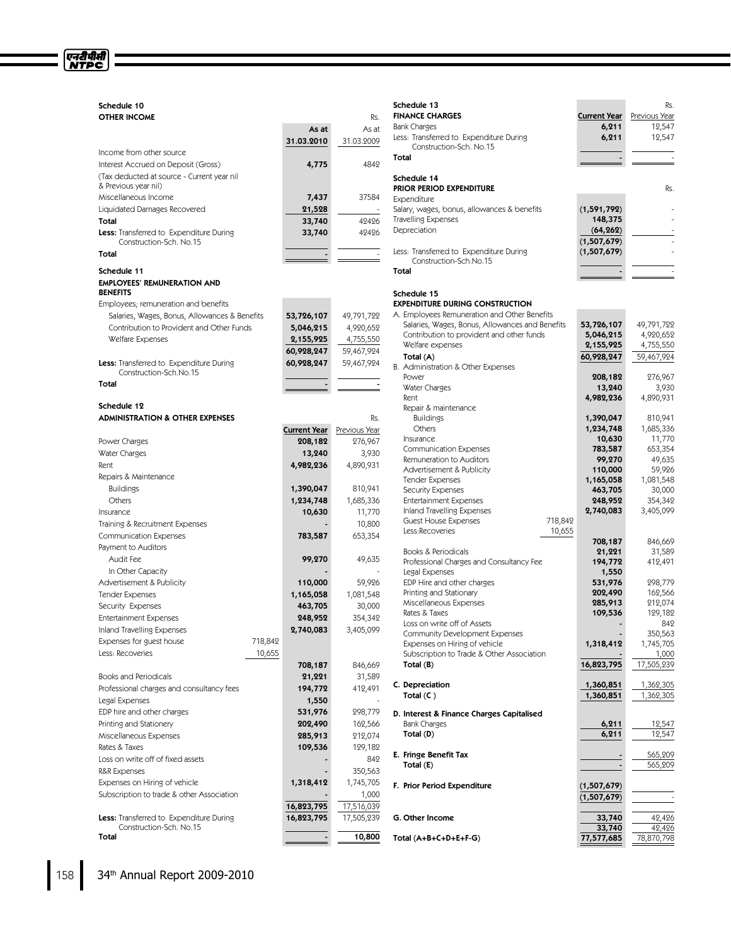# Schedule 10 **OTHER INCOME** RS.

एनरीपीसी<br>NTPC

|                                                                                   | As at             | As at             |
|-----------------------------------------------------------------------------------|-------------------|-------------------|
|                                                                                   | 31.03.2010        | 31.03.2009        |
| Income from other source                                                          |                   |                   |
| Interest Accrued on Deposit (Gross)<br>(Tax deducted at source - Current year nil | 4,775             | 4842              |
| & Previous year nil)                                                              |                   |                   |
| Miscellaneous Income                                                              | 7,437             | 37584             |
| Liquidated Damages Recovered                                                      | 21,528            |                   |
| Total                                                                             | 33,740            | 42426             |
| <b>Less:</b> Transferred to Expenditure During                                    | 33,740            | 42426             |
| Construction-Sch. No.15                                                           |                   |                   |
| Total                                                                             |                   |                   |
| Schedule 11                                                                       |                   |                   |
| <b>EMPLOYEES' REMUNERATION AND</b>                                                |                   |                   |
| <b>BENEFITS</b>                                                                   |                   |                   |
| Employees; remuneration and benefits                                              |                   |                   |
| Salaries, Wages, Bonus, Allowances & Benefits                                     | 53,726,107        | 49,791,722        |
| Contribution to Provident and Other Funds                                         | 5,046,215         | 4,920,652         |
| Welfare Expenses                                                                  | 2,155,925         | 4,755,550         |
|                                                                                   | 60,928,247        | 59,467,924        |
| <b>Less:</b> Transferred to Expenditure During<br>Construction-Sch.No.15          | 60,928,247        | 59,467,924        |
| Total                                                                             |                   |                   |
|                                                                                   |                   |                   |
| Schedule 12                                                                       |                   |                   |
| <b>ADMINISTRATION &amp; OTHER EXPENSES</b>                                        |                   | Rs.               |
|                                                                                   | Current Year      | Previous Year     |
| Power Charges                                                                     | 208,182           | 276,967           |
| Water Charges                                                                     | 13,240            | 3,930             |
| Rent                                                                              | 4,982,236         | 4,890,931         |
| Repairs & Maintenance                                                             |                   |                   |
| <b>Buildings</b>                                                                  | 1,390,047         | 810,941           |
| Others                                                                            | 1,234,748         | 1,685,336         |
| Insurance                                                                         | 10,630            | 11,770            |
| Training & Recruitment Expenses                                                   |                   | 10,800            |
| <b>Communication Expenses</b>                                                     | 783,587           | 653,354           |
| Payment to Auditors                                                               |                   |                   |
| Audit Fee                                                                         | 99,270            | 49,635            |
| In Other Capacity                                                                 |                   |                   |
| Advertisement & Publicity                                                         | 110,000           | 59,926            |
| <b>Tender Expenses</b>                                                            | 1,165,058         | 1,081,548         |
| Security Expenses                                                                 | 463,705           | 30,000            |
| <b>Entertainment Expenses</b>                                                     | 248,952           | 354,342           |
| Inland Travelling Expenses                                                        | 2,740,083         | 3,405,099         |
| Expenses for guest house<br>718,842<br>10,655<br>Less: Recoveries                 |                   |                   |
|                                                                                   |                   |                   |
| <b>Books and Periodicals</b>                                                      | 708,187<br>21,221 | 846,669<br>31,589 |
| Professional charges and consultancy fees                                         | 194,772           | 412,491           |
| Legal Expenses                                                                    | 1,550             |                   |
| EDP hire and other charges                                                        | 531,976           | 298,779           |
| Printing and Stationery                                                           | 202,490           | 162,566           |
| Miscellaneous Expenses                                                            | 285,913           | 212,074           |
| Rates & Taxes                                                                     | 109,536           | 129,182           |
| Loss on write off of fixed assets                                                 |                   | 842               |
| R&R Expenses                                                                      |                   | 350,563           |
| Expenses on Hiring of vehicle                                                     | 1,318,412         | 1,745,705         |
| Subscription to trade & other Association                                         |                   | 1,000             |
|                                                                                   | 16,823,795        | 17,516,039        |
| Less: Transferred to Expenditure During                                           | 16,823,795        | 17,505,239        |
| Construction-Sch. No.15                                                           |                   |                   |
| Total                                                                             |                   | 10,800            |

| Schedule 13                                                        |                   | Rs.              |
|--------------------------------------------------------------------|-------------------|------------------|
| <b>FINANCE CHARGES</b>                                             | Current Year      | Previous Year    |
| Bank Charges                                                       | 6,211             | 12,547           |
| Less: Transferred to Expenditure During<br>Construction-Sch. No.15 | 6,211             | 12,547           |
| Total                                                              |                   |                  |
|                                                                    |                   |                  |
| Schedule 14                                                        |                   |                  |
| PRIOR PERIOD EXPENDITURE                                           |                   | Rs.              |
| Expenditure                                                        |                   |                  |
| Salary, wages, bonus, allowances & benefits                        | (1, 591, 792)     |                  |
| Travelling Expenses                                                | 148,375           |                  |
| Depreciation                                                       | (64, 262)         |                  |
|                                                                    | (1,507,679)       |                  |
| Less: Transferred to Expenditure During                            | (1,507,679)       |                  |
| Construction-Sch.No.15                                             |                   |                  |
| Total                                                              |                   |                  |
|                                                                    |                   |                  |
| Schedule 15                                                        |                   |                  |
| <b>EXPENDITURE DURING CONSTRUCTION</b>                             |                   |                  |
| A. Employees Remuneration and Other Benefits                       |                   |                  |
| Salaries, Wages, Bonus, Allowances and Benefits                    | 53,726,107        | 49,791,722       |
| Contribution to provident and other funds<br>Welfare expenses      | 5,046,215         | 4,920,652        |
|                                                                    | 2,155,925         | 4,755,550        |
| Total (A)                                                          | 60,928,247        | 59,467,924       |
| B. Administration & Other Expenses                                 |                   |                  |
| Power<br>Water Charges                                             | 208,182<br>13,240 | 276,967<br>3,930 |
| Rent                                                               | 4,982,236         | 4,890,931        |
| Repair & maintenance                                               |                   |                  |
| <b>Buildings</b>                                                   | 1,390,047         | 810,941          |
| Others                                                             | 1,234,748         | 1,685,336        |
| Insurance                                                          | 10,630            | 11,770           |
| <b>Communication Expenses</b>                                      | 783,587           | 653,354          |
| Remuneration to Auditors                                           | 99,270            | 49,635           |
| Advertisement & Publicity                                          | 110,000           | 59,926           |
| <b>Tender Expenses</b>                                             | 1,165,058         | 1,081,548        |
| <b>Security Expenses</b>                                           | 463,705           | 30,000           |
| <b>Entertainment Expenses</b>                                      | 248,952           | 354,342          |
| Inland Travelling Expenses                                         | 2,740,083         | 3,405,099        |
| <b>Guest House Expenses</b><br>718,842                             |                   |                  |
| Less:Recoveries<br>10,655                                          |                   |                  |
|                                                                    | 708,187           | 846,669          |
| Books & Periodicals                                                | 21,221            | 31,589           |
| Professional Charges and Consultancy Fee<br>Legal Expenses         | 194,772<br>1,550  | 412,491          |
| EDP Hire and other charges                                         | 531,976           | 298,779          |
| Printing and Stationary                                            | 202,490           | 162,566          |
| Miscellaneous Expenses                                             | 285,913           | 212,074          |
| Rates & Taxes                                                      | 109,536           | 129,182          |
| Loss on write off of Assets                                        |                   | 842              |
| Community Development Expenses                                     |                   | 350,563          |
| Expenses on Hiring of vehicle                                      | 1,318,412         | 1,745,705        |
| Subscription to Trade & Other Association                          |                   | 1,000            |
| Total (B)                                                          | 16,823,795        | 17,505,239       |
|                                                                    |                   |                  |
| C. Depreciation                                                    | 1,360,851         | 1,362,305        |
| Total $(C)$                                                        | 1,360,851         | 1,362,305        |
| D. Interest & Finance Charges Capitalised                          |                   |                  |
| <b>Bank Charges</b>                                                | 6,211             | 12,547           |
| Total (D)                                                          | 6,211             | 12,547           |
|                                                                    |                   |                  |
| E. Fringe Benefit Tax                                              |                   | 565,209          |
| Total (E)                                                          |                   | 565,209          |
|                                                                    |                   |                  |
| F. Prior Period Expenditure                                        | (1,507,679)       |                  |
|                                                                    | (1,507,679)       |                  |
|                                                                    |                   |                  |
| G. Other Income                                                    | 33,740            | 42,426           |
|                                                                    | 33,740            | 42,426           |
| Total (A+B+C+D+E+F-G)                                              | 77,577,685        | 78,870,798       |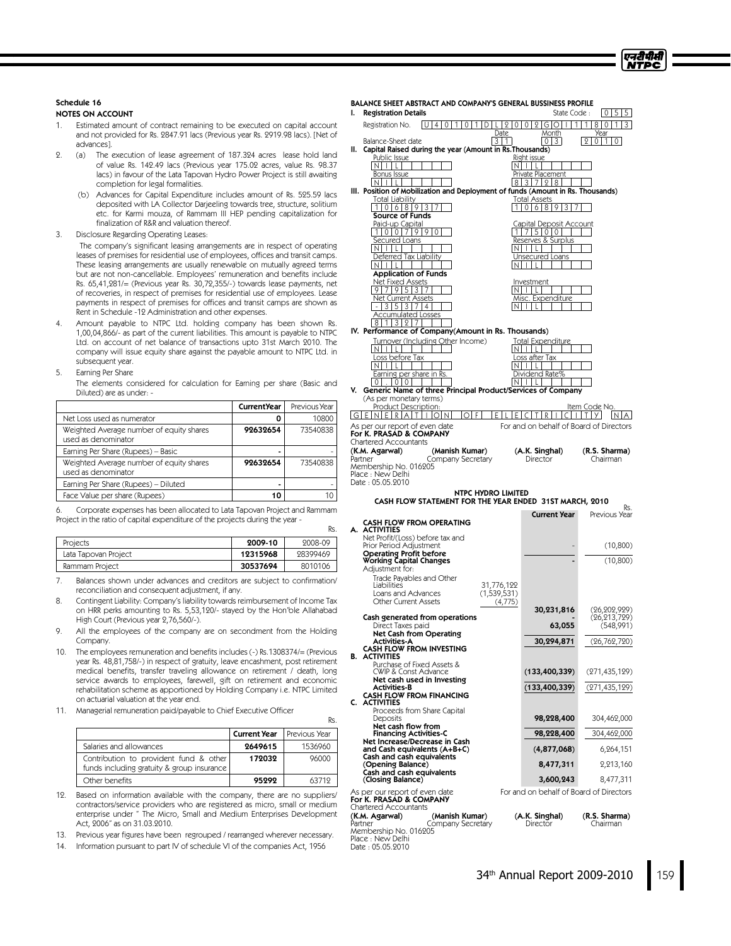# Schedule 16

#### NOTES ON ACCOUNT

- Estimated amount of contract remaining to be executed on capital account and not provided for Rs. 2847.91 lacs (Previous year Rs. 2919.98 lacs). [Net of advances].
- 2. (a) The execution of lease agreement of 187.324 acres lease hold land of value Rs. 142.49 lacs (Previous year 175.02 acres, value Rs. 98.37 lacs) in favour of the Lata Tapovan Hydro Power Project is still awaiting completion for legal formalities.
	- (b) Advances for Capital Expenditure includes amount of Rs. 525.59 lacs deposited with LA Collector Darjeeling towards tree, structure, solitium etc. for Karmi mouza, of Rammam III HEP pending capitalization for finalization of R&R and valuation thereof.
- 3. Disclosure Regarding Operating Leases:

The company's significant leasing arrangements are in respect of operating leases of premises for residential use of employees, offices and transit camps. These leasing arrangements are usually renewable on mutually agreed terms but are not non-cancellable. Employees' remuneration and benefits include Rs. 65,41,281/= (Previous year Rs. 30,72,355/-) towards lease payments, net of recoveries, in respect of premises for residential use of employees. Lease payments in respect of premises for offices and transit camps are shown as Rent in Schedule -12 Administration and other expenses.

- 4. Amount payable to NTPC Ltd. holding company has been shown Rs. 1,00,04,866/- as part of the current liabilities. This amount is payable to NTPC Ltd. on account of net balance of transactions upto 31st March 2010. The company will issue equity share against the payable amount to NTPC Ltd. in subsequent year.
- 5. Earning Per Share

The elements considered for calculation for Earning per share (Basic and Diluted) are as under: -

|                                                                 | <b>Current</b> Year | Previous Year |
|-----------------------------------------------------------------|---------------------|---------------|
| Net Loss used as numerator                                      |                     | 10800         |
| Weighted Average number of equity shares<br>used as denominator | 92632654            | 73540838      |
| Earning Per Share (Rupees) - Basic                              |                     |               |
| Weighted Average number of equity shares<br>used as denominator | 92632654            | 73540838      |
| Earning Per Share (Rupees) - Diluted                            |                     |               |
| Face Value per share (Rupees)                                   | 10                  |               |

6. Corporate expenses has been allocated to Lata Tapovan Project and Rammam Project in the ratio of capital expenditure of the projects during the year -

| Projects             | 2009-10  | 2008-09  |
|----------------------|----------|----------|
| Lata Tapovan Project | 12315968 | 28399469 |
| Rammam Project       | 30537694 | 8010106  |

7. Balances shown under advances and creditors are subject to confirmation/ reconciliation and consequent adjustment, if any.

- 8. Contingent Liability: Company's liability towards reimbursement of Income Tax on HRR perks amounting to Rs. 5,53,120/- stayed by the Hon'ble Allahabad High Court (Previous year 2,76,560/-).
- 9. All the employees of the company are on secondment from the Holding Company.
- 10. The employees remuneration and benefits includes (-) Rs.1308374/=(Previous year Rs. 48,81,758/-) in respect of gratuity, leave encashment, post retirement medical benefits, transfer traveling allowance on retirement / death, long service awards to employees, farewell, gift on retirement and economic rehabilitation scheme as apportioned by Holding Company i.e. NTPC Limited on actuarial valuation at the year end.
- 11. Managerial remuneration paid/payable to Chief Executive Officer

|                                                                                      | <b>Current Year</b> | Previous Year |
|--------------------------------------------------------------------------------------|---------------------|---------------|
| Salaries and allowances                                                              | 2649615             | 1536960       |
| Contribution to provident fund & other<br>funds including gratuity & group insurance | 172032              | 96000         |
| Other benefits                                                                       | 95292               | 63719         |

Rs.

Date : 05.05.9010

12. Based on information available with the company, there are no suppliers/ contractors/service providers who are registered as micro, small or medium enterprise under "The Micro, Small and Medium Enterprises Development Act, 2006"as on 31.03.2010.

13. Previous year figures have been regrouped / rearranged wherever necessary.

14. Information pursuant to part IV of schedule VI of the companies Act, 1956

|      | BALANCE SHEET ABSTRACT AND COMPANY'S GENERAL BUSSINESS PROFILE                                         |                                                            |                                       |
|------|--------------------------------------------------------------------------------------------------------|------------------------------------------------------------|---------------------------------------|
| ı.   | <b>Registration Details</b><br> U 4 <br>Registration No.<br>$\overline{0}$<br>0<br>1<br>2101<br>1<br>D | State Code:<br>$012 G O$<br>1 <sup>1</sup><br>$\mathsf{L}$ | 5<br>10 I<br>5<br>1 I<br>80<br>3<br>1 |
|      | Date                                                                                                   | Month                                                      | Year<br>$\Omega$                      |
| II.  | 3   1  <br>Balance-Sheet date<br>Capital Raised during the year (Amount in Rs. Thousands)              |                                                            | 01110                                 |
|      | Public Issue<br>In III L                                                                               | Right issue<br>Intil                                       |                                       |
|      | <b>Bonus Issue</b>                                                                                     | <u> Private Placement</u>                                  |                                       |
|      | NIILI<br>III. Position of Mobilization and Deployment of funds (Amount in Rs. Thousands)               | 8 3 7 2 8                                                  |                                       |
|      | Total Liability                                                                                        | Total Assets                                               |                                       |
|      | 0689<br>1<br>3<br>1<br><b>Source of Funds</b>                                                          | 01689                                                      |                                       |
|      | <u>Paid-up Capital</u>                                                                                 | <u> Capital Deposit Account</u>                            |                                       |
|      | 100799<br>Secured Loans                                                                                | 1 7 5 0 0 <br><u>Reserves &amp; Surplus</u>                |                                       |
|      | NIILI                                                                                                  | INITEI                                                     |                                       |
|      | Deferred Tax Liability<br>$N$ $ $ $ $ $ $ $ $ $ $                                                      | Unsecured Loans<br>$ N + L $                               |                                       |
|      | <b>Application of Funds</b>                                                                            |                                                            |                                       |
|      | <u>Net Fixed Assets</u><br>9 7 9 5 3 7                                                                 | Investment<br>Intill                                       |                                       |
|      | Net Current Assets                                                                                     | Misc. Expenditure                                          |                                       |
|      | $-$ 355374<br>I N<br>Accumulated Losses                                                                |                                                            |                                       |
|      | 11327<br>8<br>IV. Performance of Company(Amount in Rs. Thousands)                                      |                                                            |                                       |
|      | Turnover (Including Other Income)                                                                      | Total Expenditure                                          |                                       |
|      | Intill                                                                                                 | Intill                                                     |                                       |
|      | <u>Loss before Tax</u><br>Intill                                                                       | <u>Loss after Tax</u><br>NIILI                             |                                       |
|      | Earning per share in Rs.<br>$0$ . $ 0 0 $                                                              | Dividend Rate%<br>In I i I<br>$\mathbf{L}$                 |                                       |
| V.   | Generic Name of three Principal Product/Services of Company                                            |                                                            |                                       |
|      | (As per monetary terms)<br>Product Description:                                                        |                                                            | Item Code No.                         |
| IGIE | NERAIT<br>E.<br>OIF<br>$\overline{10}$<br>F                                                            | т<br>R                                                     | y <br>Т<br>I N                        |
|      | As per our report of even date                                                                         | For and on behalf of Board of Directors                    |                                       |
|      | For K. PRASAD & COMPANY<br>Chartered Accountants                                                       |                                                            |                                       |
|      | (K.M. Agarwal)<br>(Manish Kumar)<br>Partner<br>Company Secretary                                       | (A.K. Singhal)<br>Director                                 | (R.S. Sharma)<br>Chairman             |
|      | Membership No. 016205                                                                                  |                                                            |                                       |
|      | Place : New Delhi<br>Date: 05.05.2010                                                                  |                                                            |                                       |
|      | <b>NTPC HYDRO LIMITED</b>                                                                              |                                                            |                                       |
|      | CASH FLOW STATEMENT FOR THE YEAR ENDED 31ST MARCH, 2010                                                |                                                            | Rs.                                   |
|      | <b>CASH FLOW FROM OPERATING</b>                                                                        | <b>Current Year</b>                                        | Previous Year                         |
|      | A. ACTIVITIES                                                                                          |                                                            |                                       |
|      | Net Profit/(Loss) before tax and<br>Prior Period Adjustment                                            |                                                            | (10, 800)                             |
|      | Operating Profit before<br>Working Capital Changes                                                     |                                                            | (10, 800)                             |
|      | Adjustment for:                                                                                        |                                                            |                                       |
|      | Trade Payables and Other<br>31,776,122<br>Liabilities                                                  |                                                            |                                       |
|      | (1,539,531)<br>Loans and Advances<br>Other Current Assets                                              |                                                            |                                       |
|      | (4,775)                                                                                                | 30,231,816                                                 | (26, 202, 929)                        |
|      | Cash generated from operations<br>Direct Taxes paid                                                    | 63,055                                                     | (26,213,729)<br>(548,991)             |
|      | Net Cash from Operating                                                                                |                                                            |                                       |
|      | Activities-A<br><b>CASH FLOW FROM INVESTING</b>                                                        | 30,294,871                                                 | (26, 762, 720)                        |
|      | <b>B. ACTIVITIES</b><br>Purchase of Fixed Assets &                                                     |                                                            |                                       |
|      | CWIP & Const Advance                                                                                   | (133, 400, 339)                                            | (271,435,129)                         |
|      | Net cash used in Investing<br>Activities-B                                                             | (133, 400, 339)                                            | (271,435,129)                         |
| C.   | CASH FLOW FROM FINANCING<br><b>ACTIVITIES</b>                                                          |                                                            |                                       |
|      | Proceeds from Share Capital                                                                            |                                                            |                                       |
|      | Deposits<br>Net cash flow from                                                                         | 98,228,400                                                 | 304,462,000                           |
|      | <b>Financing Activities-C</b><br>Net Increase/Decrease in Cash                                         | 98,228,400                                                 | 304,462,000                           |
|      | and Cash equivalents (A+B+C)                                                                           | (4,877,068)                                                | 6,264,151                             |
|      | Cash and cash equivalents<br>(Opening Balance)                                                         | 8,477,311                                                  | 2,213,160                             |
|      | Cash and cash equivalents<br>(Closing Balance)                                                         | 3,600,243                                                  | 8,477,311                             |
|      | As per our report of even date                                                                         | For and on behalf of Board of Directors                    |                                       |
|      | For K. PRASAD & COMPANY                                                                                |                                                            |                                       |
|      | Chartered Accountants<br>(K.M. Agarwal)<br>(Manish Kumar)                                              | (A.K. Singhal)                                             | (R.S. Sharma)                         |
|      | Company Secretary<br>Partner                                                                           | Director                                                   | Chairman                              |
|      | Membership No. 016205<br>Place : New Delhi                                                             |                                                            |                                       |

एनटी पीसी NTPC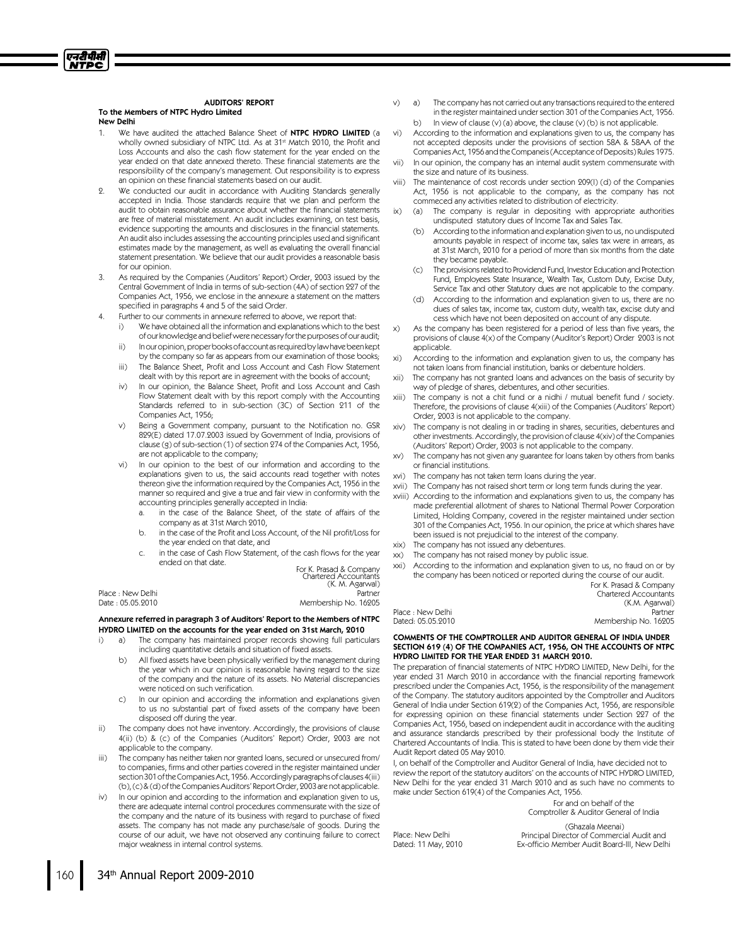#### AUDITORS' REPORT To the Members of NTPC Hydro Limited New Delhi

एनटीपीसी **NTPC** 

- 1. We have audited the attached Balance Sheet of NTPC HYDRO LIMITED (a wholly owned subsidiary of NTPC Ltd. As at 31<sup>st</sup> Match 2010, the Profit and Loss Accounts and also the cash flow statement for the year ended on the year ended on that date annexed thereto. These financial statements are the responsibility of the company's management. Out responsibility is to express an opinion on these financial statements based on our audit.
- 2. We conducted our audit in accordance with Auditing Standards generally accepted in India. Those standards require that we plan and perform the audit to obtain reasonable assurance about whether the financial statements are free of material misstatement. An audit includes examining, on test basis, evidence supporting the amounts and disclosures in the financial statements. An audit also includes assessing the accounting principles used and significant estimates made by the management, as well as evaluating the overall financial statement presentation. We believe that our audit provides a reasonable basis for our opinion.
- As required by the Companies (Auditors' Report) Order, 2003 issued by the Central Government of India in terms of sub-section (4A) of section 227 of the Companies Act, 1956, we enclose in the annexure a statement on the matters specified in paragraphs 4 and 5 of the said Order.
- 4. Further to our comments in annexure referred to above, we report that:
	- i) We have obtained all the information and explanations which to the best of our knowledge and belief were necessary for the purposes of our audit;
	- ii) Inouropinion, proper books of account as required by law have been kept by the company so far as appears from our examination of those books;
	- iii) The Balance Sheet, Profit and Loss Account and Cash Flow Statement dealt with by this report are in agreement with the books of account;
	- iv) In our opinion, the Balance Sheet, Profit and Loss Account and Cash Flow Statement dealt with by this report comply with the Accounting Standards referred to in sub-section (3C) of Section 211 of the Companies Act, 1956;
	- Being a Government company, pursuant to the Notification no. GSR 829(E) dated 17.07.2003 issued by Government of India, provisions of clause (g) of sub-section (1) of section 274 of the Companies Act, 1956, are not applicable to the company;
	- vi) In our opinion to the best of our information and according to the explanations given to us, the said accounts read together with notes thereon give the information required by the Companies Act, 1956 in the manner so required and give a true and fair view in conformity with the accounting principles generally accepted in India:
		- in the case of the Balance Sheet, of the state of affairs of the company as at 31st March 2010,
		- b. in the case of the Profit and Loss Account, of the Nil profit/Loss for the year ended on that date, and
		- c. in the case of Cash Flow Statement, of the cash flows for the year ended on that date.

|                   | For K. Prasad & Company<br>Chartered Accountants<br>(K. M. Agarwal) |
|-------------------|---------------------------------------------------------------------|
| Place : New Delhi | Partner                                                             |
| Date : 05.05.2010 | Membership No. 16205                                                |
|                   |                                                                     |

#### Annexure referred in paragraph 3 of Auditors' Report to the Members of NTPC HYDRO LIMITED on the accounts for the year ended on 31st March, 2010

- i) a) The company has maintained proper records showing full particulars including quantitative details and situation of fixed assets.
	- b) All fixed assets have been physically verified by the management during the year which in our opinion is reasonable having regard to the size of the company and the nature of its assets. No Material discrepancies were noticed on such verification.
	- c) In our opinion and according the information and explanations given to us no substantial part of fixed assets of the company have been disposed off during the year.
- ii) The company does not have inventory. Accordingly, the provisions of clause 4(ii) (b) & (c) of the Companies (Auditors' Report) Order, 2003 are not applicable to the company.
- iii) The company has neither taken nor granted loans, secured or unsecured from/ to companies, firms and other parties covered in the register maintained under section 301 of the Companies Act, 1956. Accordingly paragraphs of clauses 4(iii) (b), (c) & (d) of the Companies Auditors' Report Order, 2003 are not applicable.
- In our opinion and according to the information and explanation given to us, there are adequate internal control procedures commensurate with the size of the company and the nature of its business with regard to purchase of fixed assets. The company has not made any purchase/sale of goods. During the course of our aduit, we have not observed any continuing failure to correct major weakness in internal control systems.
- v) a) The company has not carried out any transactions required to the entered in the register maintained under section 301 of the Companies Act, 1956. b) In view of clause (v) (a) above, the clause (v) (b) is not applicable.
- vi) According to the information and explanations given to us, the company has not accepted deposits under the provisions of section 58A & 58AA of the CompaniesAct, 1956 andthe Companeis(Acceptance ofDeposits) Rules 1975.
- vii) In our opinion, the company has an internal audit system commensurate with the size and nature of its business.
- The maintenance of cost records under section 209(I) (d) of the Companies Act, 1956 is not applicable to the company, as the company has not commeced any activities related to distribution of electricity.
- ix) (a) The company is regular in depositing with appropriate authorities undisputed statutory dues of Income Taxand Sales Tax.
	- (b) According to the information and explanation given to us, no undisputed amounts payable in respect of income tax, sales tax were in arrears, as at 31st March, 2010 for a period of more than six months from the date they became payable.
	- The provisions related to Providend Fund, Investor Education and Protection Fund, Employees State Insurance, Wealth Tax, Custom Duty, Excise Duty, Service Tax and other Statutory dues are not applicable to the company.
	- According to the information and explanation given to us, there are no dues of sales tax, income tax, custom duty, wealth tax, excise duty and cess which have not been deposited on account of any dispute.
- x) As the company has been registered for a period of less than five years, the provisions of clause 4(x) of the Company (Auditor's Report) Order 2003 is not applicable.
- According to the information and explanation given to us, the company has not taken loans from financial institution, banks or debenture holders.
- xii) The company has not granted loans and advances on the basis of security by way of pledge of shares, debentures, and other securities.
- xiii) The company is not a chit fund or a nidhi / mutual benefit fund / society. Therefore, the provisions of clause 4(xiii) of the Companies (Auditors' Report) Order, 2003 is not applicable to the company.
- xiv) The company is not dealing in or trading in shares, securities, debentures and other investments. Accordingly, the provision of clause 4(xiv) of the Companies (Auditors' Report) Order, 2003 is not applicable to the company.
- xv) The company has not given any guarantee for loans taken by others from banks or financial institutions.
- xvi) The company has not taken term loans during the year.
- xvii) The Company has not raised short term or long term funds during the year.
- xviii) According to the information and explanations given to us, the company has made preferential allotment of shares to National Thermal Power Corporation Limited, Holding Company, covered in the register maintained under section 301 of the Companies Act, 1956. In our opinion, the price at which shares have been issued is not prejudicial to the interest of the company.
- xix) The company has not issued any debentures.
- xx) The company has not raised money by public issue.
- xxi) According to the information and explanation given to us, no fraud on or by the company has been noticed or reported during the course of our audit.

For K. Prasad & Company Chartered Accountants (K.M. Agarwal) Membership No. 16205

Place : New Delhi<br>Dated: 05.05.9010

#### COMMENTS OF THE COMPTROLLER AND AUDITOR GENERAL OF INDIA UNDER SECTION 619 (4) OF THE COMPANIES ACT, 1956, ON THE ACCOUNTS OF NTPC HYDRO LIMITED FOR THE YEAR ENDED 31 MARCH 2010.

The preparation of financial statements of NTPC HYDRO LIMITED, New Delhi, for the year ended 31 March 2010 in accordance with the financial reporting framework prescribed under the Companies Act, 1956, is the responsibility of the management of the Company. The statutory auditors appointed by the Comptroller and Auditors General of India under Section 619(2) of the Companies Act, 1956, are responsible for expressing opinion on these financial statements under Section 227 of the Companies Act, 1956, based on independent audit in accordance with the auditing and assurance standards prescribed by their professional body the Institute of Chartered Accountants of India. This is stated to have been done by them vide their Audit Report dated 05 May 2010.

I, on behalf of the Comptroller and Auditor General of India, have decided not to review the report of the statutory auditors' on the accounts of NTPC HYDRO LIMITED, New Delhi for the year ended 31 March 2010 and as such have no comments to make under Section 619(4) of the Companies Act, 1956.

For and on behalf of the Comptroller & Auditor General of India

Place: New Delhi Dated: 11 May, 2010

(Ghazala Meenai) Principal Director of Commercial Audit and Ex-officio Member Audit Board-III, New Delhi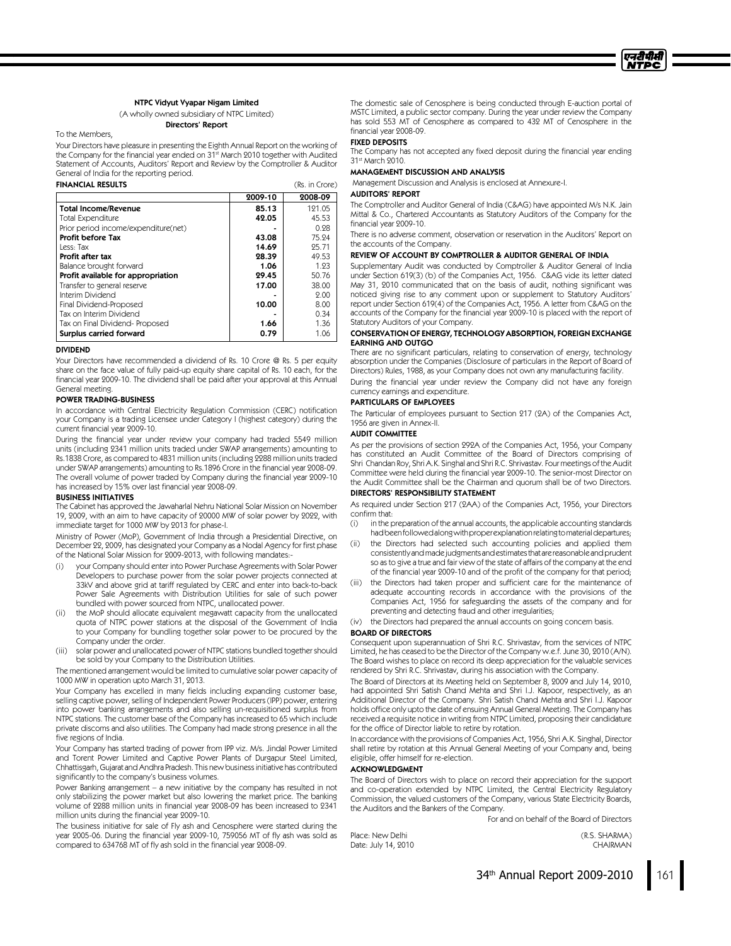#### NTPC Vidyut Vyapar Nigam Limited

(A wholly owned subsidiary of NTPC Limited) Directors' Report

To the Members,

Your Directors have pleasure in presenting the Eighth Annual Report on the working of the Company for the financial year ended on 31st March 2010 together with Audited Statement of Accounts, Auditors' Report and Review by the Comptroller & Auditor General of India for the reporting period.

#### FINANCIAL RESULTS (Rs. in Crore) 2009-10 2008-09 Total Income/Revenue 1999 121.05 121.05<br>Total Expenditure 1999 121.05 121.05 Total Expenditure **42.05** 45.53<br>Prior period income/expenditure(net) **42.05** 45.53 Prior period income/expenditure(net)  $\begin{array}{|l|l|}\n\hline\n\end{array}$  1.0.28  $\begin{array}{|l|l|}\n\hline\n\end{array}$  1.0.28  $\begin{array}{|l|l|}\n\hline\n\end{array}$  1.0.28  $\begin{array}{|l|l|}\n\hline\n\end{array}$  1.5.24 **Profit before Tax**  $\begin{array}{|c|c|c|c|c|} \hline \textbf{23.08} & & & 75.24 \hline \textbf{25.24} & & & 43.08 & & 75.24 \hline \textbf{26.35} & & & 44.69 & & 95.71 \hline \end{array}$ Less: Tax **14.69** 25.71 Profit after tax  $\begin{array}{|c|c|c|c|c|}\n\hline\n\text{88.39} & & & 49.53 \\
\text{Balance brought forward} & & & & 1.06 & 1.93 \\
\hline\n\end{array}$ Balance brought forward **1.06** 1.23<br>**Profit available for appropriation 1.06 1.23** 1.23 Profit available for appropriation Transfer to general reserve  $\vert$  17.00  $\vert$  38.00 Interim Dividend **10.00**<br>
Final Dividend-Proposed **10.00** 8.00 Final Dividend-Proposed 10.00 8.00<br>Tax on Interim Dividend 10.00 - 10.34 Tax on Interim Dividend Tax on Final Dividend- Proposed 1.66 1.36 1.36<br>**Surplus carried forward** 1.06 1.06 1.06 Surplus carried forward

#### DIVIDEND

Your Directors have recommended a dividend of Rs. 10 Crore @ Rs. 5 per equity share on the face value of fully paid-up equity share capital of Rs. 10 each, for the financial year 2009-10. The dividend shall be paid after your approval at this Annual General meeting.

#### POWER TRADING-BUSINESS

In accordance with Central Electricity Regulation Commission (CERC) notification your Company is a trading Licensee under Category I (highest category) during the current financial year 2009-10.

During the financial year under review your company had traded 5549 million units (including 2341 million units traded under SWAP arrangements) amounting to Rs.1838 Crore, as compared to 4831 million units (including 2288 million units traded under SWAP arrangements) amounting to Rs.1896 Crore in the financial year 2008-09. The overall volume of power traded by Company during the financial year 2009-10 has increased by 15% over last financial year 2008-09.

#### BUSINESS INITIATIVES

The Cabinet has approved the Jawaharlal Nehru National Solar Mission on November 19, 2009, with an aim to have capacity of 20000 MW of solar power by 2022, with immediate target for 1000 MW by 2013 for phase-I.

Ministry of Power (MoP), Government of India through a Presidential Directive, on December 22, 2009, has designated your Company as a Nodal Agency for first phase of the National Solar Mission for 2009-2013, with following mandates:

- your Company should enter into Power Purchase Agreements with Solar Power Developers to purchase power from the solar power projects connected at 33kV and above grid at tariff regulated by CERC and enter into back-to-back Power Sale Agreements with Distribution Utilities for sale of such power bundled with power sourced from NTPC, unallocated power.
- (ii) the MoP should allocate equivalent megawatt capacity from the unallocated quota of NTPC power stations at the disposal of the Government of India to your Company for bundling together solar power to be procured by the Company under the order.
- (iii) solar power and unallocated power of NTPC stations bundled together should be sold by your Company to the Distribution Utilities.

The mentioned arrangement would be limited to cumulative solar power capacity of 1000 MW in operation upto March 31, 2013.

Your Company has excelled in many fields including expanding customer base, selling captive power, selling of Independent Power Producers (IPP) power, entering into power banking arrangements and also selling un-requisitioned surplus from NTPC stations. The customer base of the Company has increased to 65 which include private discoms and also utilities. The Company had made strong presence in all the five regions of India.

Your Company has started trading of power from IPP viz. M/s. Jindal Power Limited and Torent Power Limited and Captive Power Plants of Durgapur Steel Limited, Chhattisgarh,Gujarat andAndhra Pradesh. This new businessinitiative has contributed significantly to the company's business volumes.

Power Banking arrangement – a new initiative by the company has resulted in not only stabilizing the power market but also lowering the market price. The banking volume of 2288 million units in financial year 2008-09 has been increased to 2341 million units during the financial year 2009-10.

The business initiative for sale of Fly ash and Cenosphere were started during the year 2005-06. During the financial year 2009-10, 759056 MT of fly ash was sold as compared to 634768 MT of fly ash sold in the financial year 2008-09.

The domestic sale of Cenosphere is being conducted through E-auction portal of MSTC Limited, a public sector company. During the year under review the Company has sold 553 MT of Cenosphere as compared to 432 MT of Cenosphere in the financial year 2008-09.

#### FIXED DEPOSITS

The Company has not accepted any fixed deposit during the financial year ending 31 st March 2010.

#### MANAGEMENT DISCUSSION AND ANALYSIS

Management Discussion and Analysis is enclosed at Annexure-I.

#### AUDITORS' REPORT

The Comptroller and Auditor General of India (C&AG) have appointed M/s N.K. Jain Mittal & Co., Chartered Accountants as Statutory Auditors of the Company for the financial year 2009-10.

There is no adverse comment, observation or reservation in the Auditors' Report on the accounts of the Company.

### REVIEW OF ACCOUNT BY COMPTROLLER & AUDITOR GENERAL OF INDIA

Supplementary Audit was conducted by Comptroller & Auditor General of India under Section 619(3) (b) of the Companies Act, 1956. C&AG vide its letter dated May 31, 2010 communicated that on the basis of audit, nothing significant was noticed giving rise to any comment upon or supplement to Statutory Auditors' report under Section 619(4) of the Companies Act, 1956. A letter from C&AG on the accounts of the Company for the financial year 2009-10 is placed with the report of Statutory Auditors of your Company.

#### CONSERVATION OF ENERGY,TECHNOLOGY ABSORPTION,FOREIGN EXCHANGE EARNING AND OUTGO

There are no significant particulars, relating to conservation of energy, technology absorption under the Companies (Disclosure of particulars in the Report of Board of Directors) Rules, 1988, as your Company does not own any manufacturing facility.

During the financial year under review the Company did not have any foreign currency earnings and expenditure.

#### PARTICULARS OF EMPLOYEES

The Particular of employees pursuant to Section 217 (2A) of the Companies Act, 1956 are given in Annex-II.

#### AUDIT COMMITTEE

As per the provisions of section 292A of the Companies Act, 1956, your Company has constituted an Audit Committee of the Board of Directors comprising of Shri Chandan Roy, Shri A.K. Singhal and Shri R.C. Shrivastav. Four meetings of the Audit Committee were held during the financial year 2009-10. The senior-most Director on the Audit Committee shall be the Chairman and quorum shall be of two Directors. DIRECTORS' RESPONSIBILITY STATEMENT

As required under Section 217 (2AA) of the Companies Act, 1956, your Directors confirm that:

- (i) in the preparation of the annual accounts, the applicable accounting standards had been followed along with proper explanation relating to material departures;
- (ii) the Directors had selected such accounting policies and applied them consistently andmadejudgments andestimatesthat arereasonableandprudent so as to give a true and fair view of the state of affairs of the company at the end of the financial year 2009-10 and of the profit of the company for that period;
- (iii) the Directors had taken proper and sufficient care for the maintenance of adequate accounting records in accordance with the provisions of the Companies Act, 1956 for safeguarding the assets of the company and for preventing and detecting fraud and other irregularities;
- (iv) the Directors had prepared the annual accounts on going concern basis.

#### BOARD OF DIRECTORS

Consequent upon superannuation of Shri R.C. Shrivastav, from the services of NTPC Limited, he has ceased to be the Director of the Company w.e.f. June 30, 2010 (A/N). The Board wishes to place on record its deep appreciation for the valuable services rendered by Shri R.C. Shrivastav, during his association with the Company.

The Board of Directors at its Meeting held on September 8, 2009 and July 14, 2010, had appointed Shri Satish Chand Mehta and Shri I.J. Kapoor, respectively, as an Additional Director of the Company. Shri Satish Chand Mehta and Shri I.J. Kapoor holds office only upto the date of ensuing Annual General Meeting. The Company has received a requisite notice in writing from NTPC Limited, proposing their candidature for the office of Director liable to retire by rotation.

In accordance with the provisions of Companies Act, 1956, Shri A.K. Singhal, Director shall retire by rotation at this Annual General Meeting of your Company and, being eligible, offer himself for re-election.

# ACKNOWLEDGMENT

The Board of Directors wish to place on record their appreciation for the support and co-operation extended by NTPC Limited, the Central Electricity Regulatory Commission, the valued customers of the Company, various State Electricity Boards, the Auditors and the Bankers of the Company.

For and on behalf of the Board of Directors

Place: New Delhi (R.S. SHARMA) Date: July 14, 2010

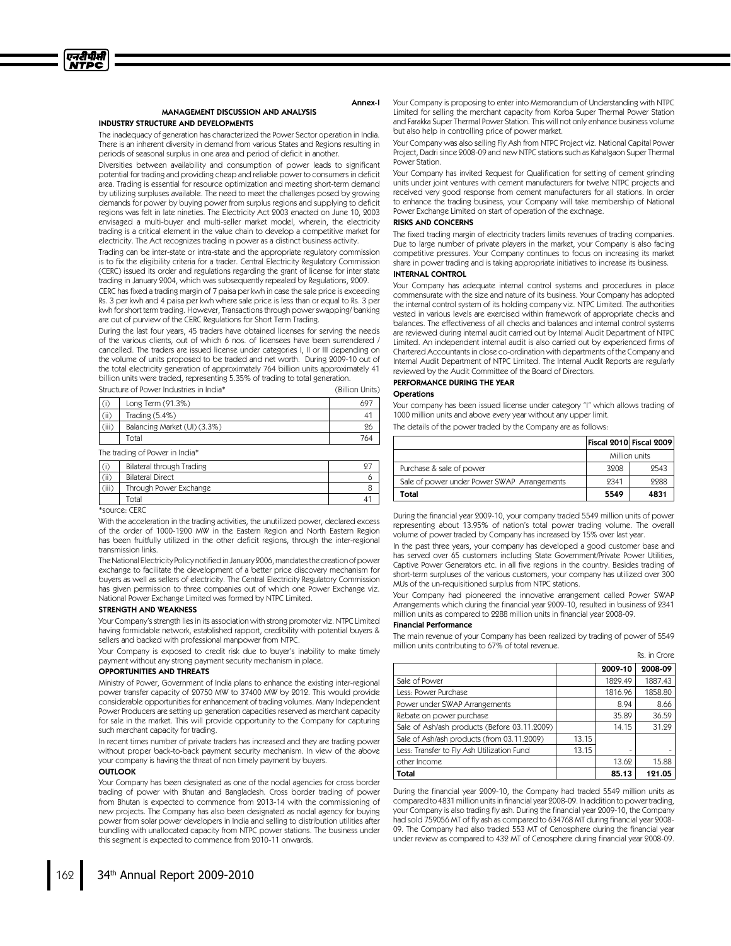

#### MANAGEMENT DISCUSSION AND ANALYSIS INDUSTRY STRUCTURE AND DEVELOPMENTS

Annex-I

The inadequacy of generation has characterized the Power Sector operation in India. There is an inherent diversity in demand from various States and Regions resulting in periods of seasonal surplus in one area and period of deficit in another.

Diversities between availability and consumption of power leads to significant potential for trading and providing cheap and reliable power to consumers in deficit area. Trading is essential for resource optimization and meeting short-term demand by utilizing surpluses available. The need to meet the challenges posed by growing demands for power by buying power from surplus regions and supplying to deficit regions was felt in late nineties. The Electricity Act 2003 enacted on June 10, 2003 envisaged a multi-buyer and multi-seller market model, wherein, the electricity trading is a critical element in the value chain to develop a competitive market for electricity. The Act recognizes trading in power as a distinct business activity.

Trading can be inter-state or intra-state and the appropriate regulatory commission is to fix the eligibility criteria for a trader. Central Electricity Regulatory Commission (CERC) issued its order and regulations regarding the grant of license for inter state trading in January 2004, which was subsequently repealed by Regulations, 2009.

CERC has fixed a trading margin of 7 paisa per kwh in case the sale price is exceeding Rs. 3 per kwh and 4 paisa per kwh where sale price is less than or equal to Rs. 3 per kwh for short term trading. However, Transactions through power swapping/banking are out of purview of the CERC Regulations for Short Term Trading.

During the last four years, 45 traders have obtained licenses for serving the needs of the various clients, out of which 6 nos. of licensees have been surrendered / cancelled. The traders are issued license under categories I, II or III depending on the volume of units proposed to be traded and net worth. During 2009-10 out of the total electricity generation of approximately 764 billion units approximately 41 billion units were traded, representing 5.35% of trading to total generation. Structure of Power Industries in India\* (Billion Units)

| (i)   | Long Term (91.3%)            |     |
|-------|------------------------------|-----|
| (ii)  | Trading $(5.4\%)$            |     |
| (iii) | Balancing Market (UI) (3.3%) | 26  |
|       | Total                        | 764 |

The trading of Power in India\*

|       | Bilateral through Trading |  |
|-------|---------------------------|--|
| Ωï    | <b>Bilateral Direct</b>   |  |
| (iii) | Through Power Exchange    |  |
|       | <b>Total</b>              |  |

\*source: CERC

With the acceleration in the trading activities, the unutilized power, declared excess of the order of 1000-1200 MW in the Eastern Region and North Eastern Region has been fruitfully utilized in the other deficit regions, through the inter-regional transmission links.

The National Electricity Policy notified in January 2006, mandates the creation of power exchange to facilitate the development of a better price discovery mechanism for buyers as well as sellers of electricity. The Central Electricity Regulatory Commission has given permission to three companies out of which one Power Exchange viz. National Power Exchange Limited was formed by NTPC Limited.

### STRENGTH AND WEAKNESS

Your Company's strength lies in its association with strong promoter viz. NTPC Limited having formidable network, established rapport, credibility with potential buyers & sellers and backed with professional manpower from NTPC.

Your Company is exposed to credit risk due to buyer's inability to make timely payment without any strong payment security mechanism in place.

#### OPPORTUNITIES AND THREATS

Ministry of Power, Government of India plans to enhance the existing inter-regional power transfer capacity of 20750 MW to 37400 MW by 2012. This would provide considerable opportunities for enhancement of trading volumes. Many Independent Power Producers are setting up generation capacities reserved as merchant capacity for sale in the market. This will provide opportunity to the Company for capturing such merchant capacity for trading.

In recent times number of private traders has increased and they are trading power without proper back-to-back payment security mechanism. In view of the above your company is having the threat of non timely payment by buyers.

#### **OUTLOOK**

Your Company has been designated as one of the nodal agencies for cross border trading of power with Bhutan and Bangladesh. Cross border trading of power from Bhutan is expected to commence from 2013-14 with the commissioning of new projects. The Company has also been designated as nodal agency for buying power from solar power developers in India and selling to distribution utilities after bundling with unallocated capacity from NTPC power stations. The business under this segment is expected to commence from 2010-11 onwards.

Your Company is proposing to enter into Memorandum of Understanding with NTPC Limited for selling the merchant capacity from Korba Super Thermal Power Station and Farakka Super Thermal Power Station. This will not only enhance business volume but also help in controlling price of power market.

Your Company was also selling Fly Ash from NTPC Project viz. National Capital Power Project, Dadri since 2008-09 and new NTPC stations such as Kahalgaon Super Thermal Power Station.

Your Company has invited Request for Qualification for setting of cement grinding units under joint ventures with cement manufacturers for twelve NTPC projects and received very good response from cement manufacturers for all stations. In order to enhance the trading business, your Company will take membership of National Power Exchange Limited on start of operation of the exchnage.

#### RISKS AND CONCERNS

The fixed trading margin of electricity traders limits revenues of trading companies. Due to large number of private players in the market, your Company is also facing competitive pressures. Your Company continues to focus on increasing its market share in power trading and is taking appropriate initiatives to increase its business.

# INTERNAL CONTROL

Your Company has adequate internal control systems and procedures in place commensurate with the size and nature of its business. Your Company has adopted the internal control system of its holding company viz. NTPC Limited. The authorities vested in various levels are exercised within framework of appropriate checks and balances. The effectiveness of all checks and balances and internal control systems are reviewed during internal audit carried out by Internal Audit Department of NTPC Limited. An independent internal audit is also carried out by experienced firms of Chartered Accountants in close co-ordination with departments of the Company and Internal Audit Department of NTPC Limited. The Internal Audit Reports are regularly reviewed by the Audit Committee of the Board of Directors.

#### PERFORMANCE DURING THE YEAR

### Operations

Your company has been issued license under category "I" which allows trading of 1000 million units and above every year without any upper limit. The details of the power traded by the Company are as follows:

|                                             | Fiscal 2010 Fiscal 2009 |               |
|---------------------------------------------|-------------------------|---------------|
|                                             |                         | Million units |
| Purchase & sale of power                    | 3908                    | 9543          |
| Sale of power under Power SWAP Arrangements | 9341                    | 9988          |
| Total                                       | 5549                    | 4831          |

During the financial year 2009-10, your company traded 5549 million units of power representing about 13.95% of nation's total power trading volume. The overall volume of power traded by Company has increased by 15% over last year.

In the past three years, your company has developed a good customer base and has served over 65 customers including State Government/Private Power Utilities, Captive Power Generators etc. in all five regions in the country. Besides trading of short-term surpluses of the various customers, your company has utilized over 300 MUs of the un-requisitioned surplus from NTPC stations.

Your Company had pioneered the innovative arrangement called Power SWAP Arrangements which during the financial year 2009-10, resulted in business of 2341 million units as compared to 2288 million units in financial year 2008-09.

#### Financial Performance

The main revenue of your Company has been realized by trading of power of 5549 million units contributing to 67% of total revenue. Rs. in Crore

|                                              |       | 2009-10 | 2008-09 |
|----------------------------------------------|-------|---------|---------|
| Sale of Power                                |       | 1829.49 | 1887.43 |
| Less: Power Purchase                         |       | 1816.96 | 1858.80 |
| Power under SWAP Arrangements                |       | 8.94    | 8.66    |
| Rebate on power purchase                     |       | 35.89   | 36.59   |
| Sale of Ash/ash products (Before 03.11.2009) |       | 14.15   | 31.29   |
| Sale of Ash/ash products (from 03.11.2009)   | 13.15 |         |         |
| Less: Transfer to Fly Ash Utilization Fund   | 13.15 |         |         |
| other Income                                 |       | 13.62   | 15.88   |
| Total                                        |       | 85.13   | 121.05  |

During the financial year 2009-10, the Company had traded 5549 million units as compared to 4831 million units in financial year 2008-09. In addition to power trading, your Company is also trading fly ash. During the financial year 2009-10, the Company had sold 759056 MT of fly ash as compared to 634768 MT during financial year 2008- 09. The Company had also traded 553 MT of Cenosphere during the financial year under review as compared to 432 MT of Cenosphere during financial year 2008-09.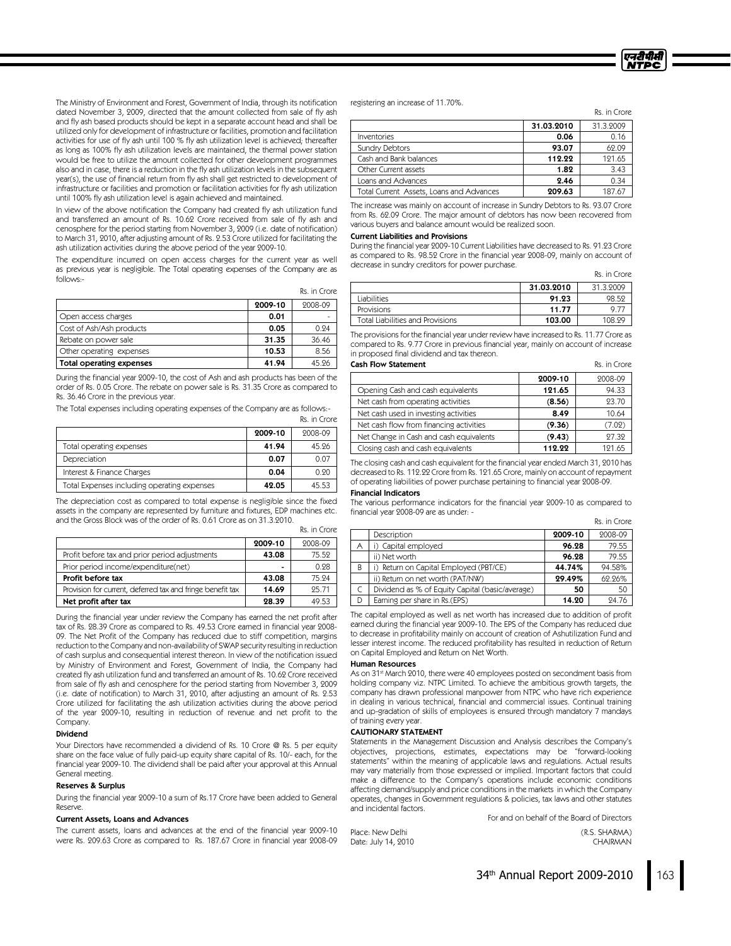The Ministry of Environment and Forest, Government of India, through its notification dated November 3, 2009, directed that the amount collected from sale of fly ash and fly ash based products should be kept in a separate account head and shall be utilized only for development of infrastructure or facilities, promotion and facilitation activities for use of fly ash until 100 % fly ash utilization level is achieved; thereafter as long as 100% fly ash utilization levels are maintained, the thermal power station would be free to utilize the amount collected for other development programmes also and in case, there is a reduction in the fly ash utilization levels in the subsequent year(s), the use of financial return from fly ash shall get restricted to development of infrastructure or facilities and promotion or facilitation activities for fly ash utilization until 100% fly ash utilization level is again achieved and maintained.

In view of the above notification the Company had created fly ash utilization fund and transferred an amount of Rs. 10.62 Crore received from sale of fly ash and cenosphere for the period starting from November 3, 2009 (i.e. date of notification) to March 31, 2010, after adjusting amount of Rs. 2.53 Crore utilized for facilitating the ash utilization activities during the above period of the year 2009-10.

The expenditure incurred on open access charges for the current year as well as previous year is negligible. The Total operating expenses of the Company are as follows:-

|                          |         | Rs. in Crore |
|--------------------------|---------|--------------|
|                          | 2009-10 | 2008-09      |
| Open access charges      | 0.01    |              |
| Cost of Ash/Ash products | 0.05    | 0.94         |
| Rebate on power sale     | 31.35   | 36.46        |
| Other operating expenses | 10.53   | 8.56         |
| Total operating expenses | 41.94   | 45.96        |

During the financial year 2009-10, the cost of Ash and ash products has been of the order of Rs. 0.05 Crore. The rebate on power sale is Rs. 31.35 Crore as compared to Rs. 36.46 Crore in the previous year.

The Total expenses including operating expenses of the Company are as follows:-

|                                             |         | AS. ILL CIUTE. |
|---------------------------------------------|---------|----------------|
|                                             | 2009-10 | 2008-09        |
| Total operating expenses                    | 41.94   | 45.26          |
| Depreciation                                | 0.07    | 0.07           |
| Interest & Finance Charges                  | 0.04    | 0.90           |
| Total Expenses including operating expenses | 42.05   | 45.53          |

The depreciation cost as compared to total expense is negligible since the fixed assets in the company are represented by furniture and fixtures, EDP machines etc. and the Gross Block was of the order of Rs. 0.61 Crore as on 31.3.2010.

|                                                            | 2009-10 | 2008-09 |
|------------------------------------------------------------|---------|---------|
| Profit before tax and prior period adjustments             | 43.08   | 75.52   |
| Prior period income/expenditure(net)                       |         | 0.28    |
| Profit before tax                                          | 43.08   | 75.94   |
| Provision for current, deferred tax and fringe benefit tax | 14.69   | 95.71   |
| Net profit after tax                                       | 28.39   | 49.53   |

During the financial year under review the Company has earned the net profit after taxof Rs. 28.39 Crore as compared to Rs. 49.53 Crore earned in financial year 2008- 09. The Net Profit of the Company has reduced due to stiff competition, margins reduction to the Company and non-availability of SWAP security resulting in reduction of cash surplus and consequential interest thereon. In view of the notification issued by Ministry of Environment and Forest, Government of India, the Company had created fly ash utilization fund and transferred an amount of Rs. 10.62 Crore received from sale of fly ash and cenosphere for the period starting from November 3, 2009 (i.e. date of notification) to March 31, 2010, after adjusting an amount of Rs. 2.53 Crore utilized for facilitating the ash utilization activities during the above period of the year 2009-10, resulting in reduction of revenue and net profit to the Company.

#### Dividend

Your Directors have recommended a dividend of Rs. 10 Crore @ Rs. 5 per equity share on the face value of fully paid-up equity share capital of Rs. 10/- each, for the financial year 2009-10. The dividend shall be paid after your approval at this Annual General meeting.

#### Reserves& Surplus

During the financial year 2009-10 a sum of Rs.17 Crore have been added to General Reserve.

#### Current Assets, Loans and Advances

The current assets, loans and advances at the end of the financial year 2009-10 were Rs. 209.63 Crore as compared to Rs. 187.67 Crore in financial year 2008-09

registering an increase of 11.70%.

|                                          |            | Rs. in Crore. |
|------------------------------------------|------------|---------------|
|                                          | 31.03.2010 | 31.3.2009     |
| <b>Inventories</b>                       | 0.06       | 0.16          |
| <b>Sundry Debtors</b>                    | 93.07      | 62.09         |
| Cash and Bank balances                   | 112.22     | 121.65        |
| Other Current assets                     | 1.82       | 3.43          |
| Loans and Advances                       | 2.46       | 0.34          |
| Total Current Assets, Loans and Advances | 209.63     | 187.67        |

The increase was mainly on account of increase in Sundry Debtors to Rs. 93.07 Crore from Rs. 62.09 Crore. The major amount of debtors has now been recovered from various buyers and balance amount would be realized soon.

#### **Current Liabilities and Provisions**

During the financial year 2009-10 Current Liabilities have decreased to Rs. 91.23 Crore as compared to Rs. 98.52 Crore in the financial year 2008-09, mainly on account of decrease in sundry creditors for power purchase.

Rs. in Crore

एनटीपीसी **NTPC** 

|                                  | 31.03.2010 | 31.3.9009 |
|----------------------------------|------------|-----------|
| <b>Liabilities</b>               | 91.23      | 98.59     |
| Provisions                       | 11.77      | 97        |
| Total Liabilities and Provisions | 103.00     | 108.99    |

The provisions for the financial year under review have increased to Rs. 11.77 Crore as compared to Rs. 9.77 Crore in previous financial year, mainly on account of increase in proposed final dividend and taxthereon.

#### **Cash Flow Statement** Rs. in Crore

|                                         | 2009-10 | 2008-09 |
|-----------------------------------------|---------|---------|
| Opening Cash and cash equivalents       | 121.65  | 94.33   |
| Net cash from operating activities      | (8.56)  | 23.70   |
| Net cash used in investing activities   | 8.49    | 10.64   |
| Net cash flow from financing activities | (9.36)  | (7.02)  |
| Net Change in Cash and cash equivalents | (9.43)  | 97.39   |
| Closing cash and cash equivalents       | 112.22  | 121.65  |
|                                         |         |         |

The closing cash and cash equivalent for the financial year ended March 31, 2010 has decreased to Rs. 112.22 Crore from Rs. 121.65 Crore, mainly on account of repayment of operating liabilities of power purchase pertaining to financial year 2008-09.

### Financial Indicators

Rs. in Crore

De in Crore

The various performance indicators for the financial year 2009-10 as compared to financial year 2008-09 are as under: - Rs. in Crore

| Description                                     | 2009-10 | 2008-09 |
|-------------------------------------------------|---------|---------|
| i) Capital employed                             | 96.28   | 79.55   |
| ii) Net worth                                   | 96.28   | 79.55   |
| i) Return on Capital Employed (PBT/CE)          | 44.74%  | 94.58%  |
| ii) Return on net worth (PAT/NW)                | 29.49%  | 62.26%  |
| Dividend as % of Equity Capital (basic/average) | 50      | 50      |
| Earning per share in Rs.(EPS)                   | 14.20   | 24.76   |
|                                                 |         |         |

The capital employed as well as net worth has increased due to addition of profit earned during the financial year 2009-10. The EPS of the Company has reduced due to decrease in profitability mainly on account of creation of Ashutilization Fund and lesser interest income. The reduced profitability has resulted in reduction of Return on Capital Employed and Return on Net Worth.

#### HumanResources

As on 31<sup>st</sup> March 2010, there were 40 employees posted on secondment basis from holding company viz. NTPC Limited. To achieve the ambitious growth targets, the company has drawn professional manpower from NTPC who have rich experience in dealing in various technical, financial and commercial issues. Continual training and up-gradation of skills of employees is ensured through mandatory 7 mandays of training every year.

#### CAUTIONARY STATEMENT

Date: July 14, 2010

Statements in the Management Discussion and Analysis describes the Company's objectives, projections, estimates, expectations may be "forward-looking statements"within the meaning of applicable laws and regulations. Actual results may vary materially from those expressed or implied. Important factors that could make a difference to the Company's operations include economic conditions affecting demand/supply and price conditions in the markets in which the Company operates, changes in Government regulations & policies, taxlaws and other statutes and incidental factors.

For and on behalf of the Board of Directors Place: New Delhi (R.S. SHARMA)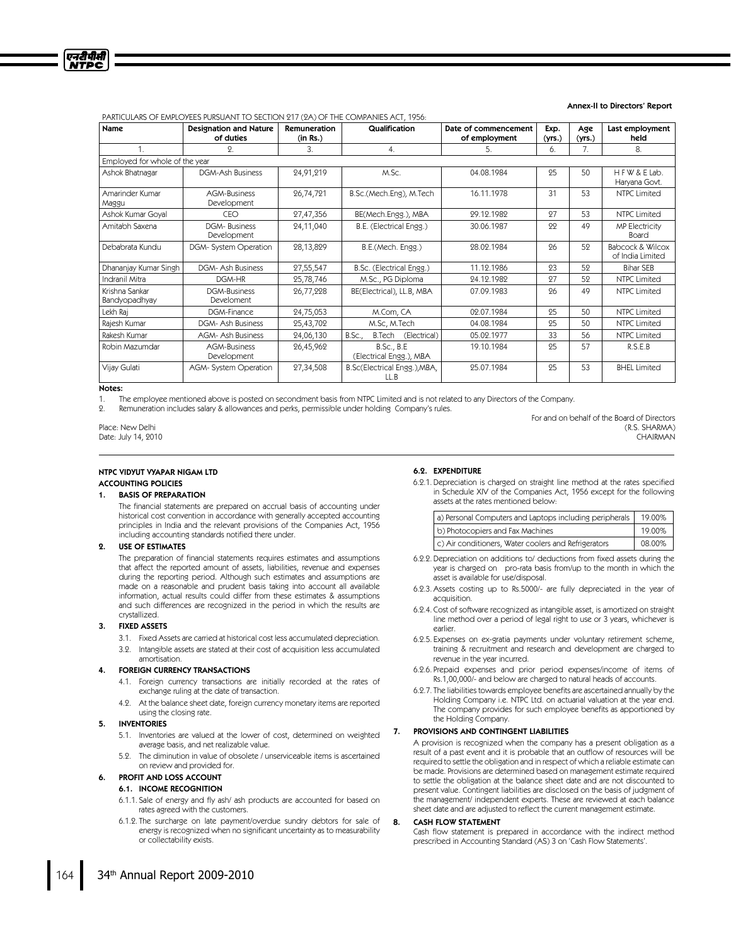

#### Annex-II to Directors' Report

PARTICULARS OFEMPLOYEES PURSUANT TO SECTION 217 (2A) OFTHE COMPANIES ACT, 1956:

| Name                            | <b>Designation and Nature</b><br>of duties | Remuneration<br>(in Rs.) | Qualification                                 | Date of commencement<br>of employment | Exp.<br>(yrs.) | Age<br>(yrs.) | Last employment<br>held                         |
|---------------------------------|--------------------------------------------|--------------------------|-----------------------------------------------|---------------------------------------|----------------|---------------|-------------------------------------------------|
|                                 | $\Omega$ .                                 | 3.                       | 4.                                            | 5.                                    | 6.             | 7.            | 8.                                              |
| Employed for whole of the year  |                                            |                          |                                               |                                       |                |               |                                                 |
| Ashok Bhatnagar                 | DGM-Ash Business                           | 24,91,219                | M.Sc.                                         | 04.08.1984                            | 25             | 50            | HFW & E Lab.<br>Haryana Govt.                   |
| Amarinder Kumar<br>Maggu        | AGM-Business<br>Development                | 26,74,721                | B.Sc.(Mech.Eng), M.Tech                       | 16.11.1978                            | 31             | 53            | NTPC Limited                                    |
| Ashok Kumar Goyal               | CEO                                        | 27,47,356                | BE(Mech.Engg.), MBA                           | 29.12.1982                            | 97             | 53            | <b>NTPC Limited</b>                             |
| Amitabh Saxena                  | <b>DGM-Business</b><br>Development         | 24,11,040                | B.E. (Electrical Engg.)                       | 30.06.1987                            | 22             | 49            | <b>MP Electricity</b><br><b>Board</b>           |
| Debabrata Kundu                 | DGM- System Operation                      | 28,13,829                | B.E.(Mech. Engg.)                             | 28.02.1984                            | 26             | 52            | <b>Babcock &amp; Wilcox</b><br>of India Limited |
| Dhananjay Kumar Singh           | DGM- Ash Business                          | 27,55,547                | B.Sc. (Electrical Engg.)                      | 11.19.1986                            | 93             | 59            | <b>Bihar SEB</b>                                |
| Indranil Mitra                  | DGM-HR                                     | 25,78,746                | M.Sc., PG Diploma                             | 24.12.1982                            | 97             | 59            | <b>NTPC Limited</b>                             |
| Krishna Sankar<br>Bandyopadhyay | <b>DGM-Business</b><br>Develoment          | 26,77,228                | BE(Electrical), LL.B, MBA                     | 07.09.1983                            | 96             | 49            | <b>NTPC Limited</b>                             |
| Lekh Raj                        | DGM-Finance                                | 24,75,053                | M.Com, CA                                     | 02.07.1984                            | 25             | 50            | <b>NTPC Limited</b>                             |
| Rajesh Kumar                    | DGM- Ash Business                          | 25,43,702                | M.Sc, M.Tech                                  | 04.08.1984                            | 25             | 50            | <b>NTPC Limited</b>                             |
| Rakesh Kumar                    | <b>AGM- Ash Business</b>                   | 24,06,130                | B.Tech (Electrical)<br>B.SC.,                 | 05.02.1977                            | 33             | 56            | NTPC Limited                                    |
| Robin Mazumdar                  | AGM-Business<br>Development                | 26,45,962                | <b>B.Sc., B.E.</b><br>(Electrical Engg.), MBA | 19.10.1984                            | 25             | 57            | R.S.E.B                                         |
| Vijay Gulati                    | AGM- System Operation                      | 27,34,508                | B.Sc(Electrical Engg.), MBA,<br>LL.B          | 25.07.1984                            | 95             | 53            | <b>BHEL Limited</b>                             |

# Notes:

The employee mentioned above is posted on secondment basis from NTPC Limited and is not related to any Directors of the Company.

2. Remuneration includes salary & allowances and perks, permissible under holding Company's rules.

# Place: New Delhi (R.S. SHARMA)

Date: July 14, 2010 CHAIRMAN

#### NTPC VIDYUT VYAPAR NIGAM LTD ACCOUNTING POLICIES

#### 1. BASIS OF PREPARATION

The financial statements are prepared on accrual basis of accounting under historical cost convention in accordance with generally accepted accounting principles in India and the relevant provisions of the Companies Act, 1956 including accounting standards notified there under.

#### 2. USE OF ESTIMATES

The preparation of financial statements requires estimates and assumptions that affect the reported amount of assets, liabilities, revenue and expenses during the reporting period. Although such estimates and assumptions are made on a reasonable and prudent basis taking into account all available information, actual results could differ from these estimates & assumptions and such differences are recognized in the period in which the results are crystallized.

#### 3. FIXED ASSETS

- 3.1. Fixed Assets are carried at historical cost less accumulated depreciation.
- 3.2. Intangible assets are stated at their cost of acquisition less accumulated amortisation.

#### 4. FOREIGN CURRENCY TRANSACTIONS

- 4.1. Foreign currency transactions are initially recorded at the rates of exchange ruling at the date of transaction.
- 4.2. At the balance sheet date, foreign currency monetary items are reported using the closing rate.

#### 5. INVENTORIES

- 5.1. Inventories are valued at the lower of cost, determined on weighted average basis, and net realizable value.
- 5.2. The diminution in value of obsolete / unserviceable items is ascertained on review and provided for.

#### 6. PROFIT AND LOSS ACCOUNT

#### 6.1. INCOME RECOGNITION

- 6.1.1. Sale of energy and fly ash/ash products are accounted for based on rates agreed with the customers.
- 6.1.2. The surcharge on late payment/overdue sundry debtors for sale of energy is recognized when no significant uncertainty as to measurability or collectability exists.

#### 6.2. EXPENDITURE

6.2.1. Depreciation is charged on straight line method at the rates specified in Schedule XIV of the Companies Act, 1956 except for the following assets at the rates mentioned below:

For and on behalf of the Board of Directors

| a) Personal Computers and Laptops including peripherals | 19.00% |
|---------------------------------------------------------|--------|
| b) Photocopiers and Fax Machines                        | 19.00% |
| c) Air conditioners, Water coolers and Refrigerators    | 08.00% |

- 6.2.2. Depreciation on additions to/deductions from fixed assets during the year is charged on pro-rata basis from/up to the month in which the asset is available for use/disposal.
- 6.2.3. Assets costing up to Rs.5000/- are fully depreciated in the year of acquisition.
- 6.2.4. Cost of software recognized as intangible asset, is amortized on straight line method over a period of legal right to use or 3 years, whichever is earlier.
- 6.2.5. Expenses on ex-gratia payments under voluntary retirement scheme, training & recruitment and research and development are charged to revenue in the year incurred.
- 6.2.6. Prepaid expenses and prior period expenses/income of items of Rs.1,00,000/- and below are charged to natural heads of accounts.
- 6.2.7. The liabilities towards employee benefits are ascertained annually by the Holding Company i.e. NTPC Ltd. on actuarial valuation at the year end. The company provides for such employee benefits as apportioned by the Holding Company.

#### 7. PROVISIONS AND CONTINGENT LIABILITIES

A provision is recognized when the company has a present obligation as a result of a past event and it is probable that an outflow of resources will be required to settle the obligation and in respect of which a reliable estimate can be made. Provisions are determined based on management estimate required to settle the obligation at the balance sheet date and are not discounted to present value. Contingent liabilities are disclosed on the basis of judgment of the management/independent experts. These are reviewed at each balance sheet date and are adjusted to reflect the current management estimate.

#### 8. CASH FLOW STATEMENT

Cash flow statement is prepared in accordance with the indirect method prescribed in Accounting Standard (AS) 3 on 'Cash Flow Statements'.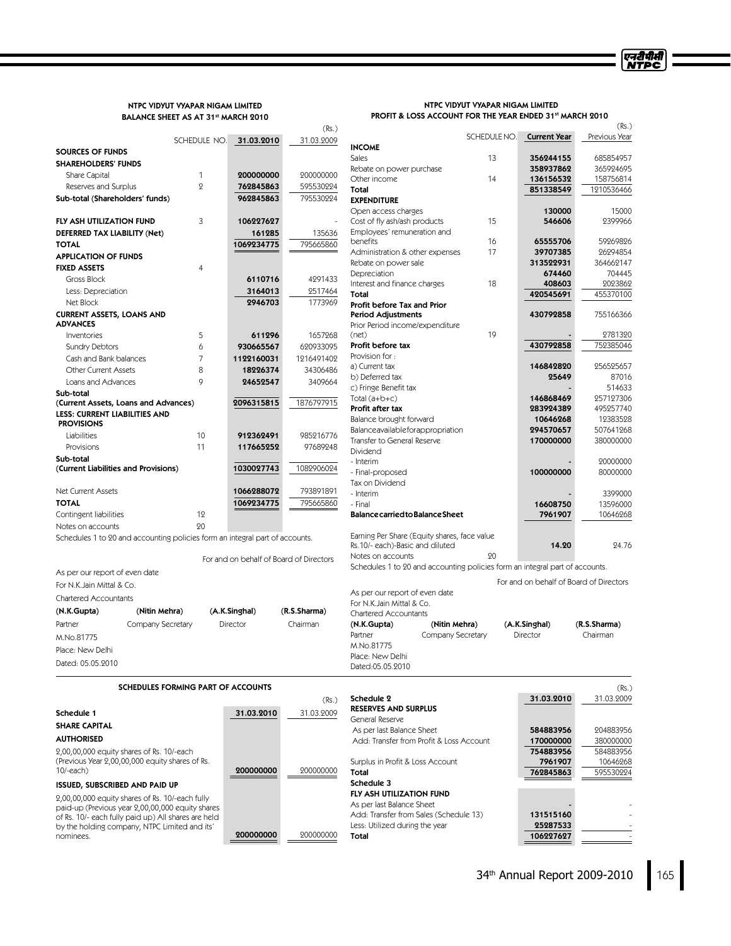# NTPC VIDYUT VYAPAR NIGAM LIMITED BALANCE SHEET AS AT 31st MARCH 2010

#### NTPC VIDYUT VYAPAR NIGAM LIMITED PROFIT & LOSS ACCOUNT FOR THE YEAR ENDED 31st MARCH 2010

एनरीपीसी<br>NTPC

|                                                                                                     |                                    |                                         | (Rs.)        |                                                                              |    |                                         | (Rs.)                  |
|-----------------------------------------------------------------------------------------------------|------------------------------------|-----------------------------------------|--------------|------------------------------------------------------------------------------|----|-----------------------------------------|------------------------|
|                                                                                                     | SCHEDULE NO.                       | 31.03.2010                              | 31.03.2009   |                                                                              |    | SCHEDULE NO. Current Year               | Previous Year          |
| <b>SOURCES OF FUNDS</b>                                                                             |                                    |                                         |              | <b>INCOME</b>                                                                |    |                                         |                        |
| <b>SHAREHOLDERS' FUNDS</b>                                                                          |                                    |                                         |              | <b>Sales</b>                                                                 | 13 | 356244155                               | 685854957              |
| Share Capital                                                                                       | 1                                  | 200000000                               | 200000000    | Rebate on power purchase<br>Other income                                     | 14 | 358937862                               | 365924695<br>158756814 |
| Reserves and Surplus                                                                                | $\overline{2}$                     | 762845863                               | 595530224    | Total                                                                        |    | 136156532<br>851338549                  | 1210536466             |
| Sub-total (Shareholders' funds)                                                                     |                                    | 962845863                               | 795530224    | <b>EXPENDITURE</b>                                                           |    |                                         |                        |
|                                                                                                     |                                    |                                         |              | Open access charges                                                          |    | 130000                                  | 15000                  |
| FLY ASH UTILIZATION FUND                                                                            | 3                                  | 106227627                               |              | Cost of fly ash/ash products                                                 | 15 | 546606                                  | 2399966                |
| DEFERRED TAX LIABILITY (Net)                                                                        |                                    | 161285                                  | 135636       | Employees' remuneration and                                                  |    |                                         |                        |
| <b>TOTAL</b>                                                                                        |                                    | 1069234775                              | 795665860    | benefits                                                                     | 16 | 65555706                                | 59269826               |
| <b>APPLICATION OF FUNDS</b>                                                                         |                                    |                                         |              | Administration & other expenses                                              | 17 | 39707385                                | 26294854               |
| <b>FIXED ASSETS</b>                                                                                 | 4                                  |                                         |              | Rebate on power sale                                                         |    | 313522931                               | 364662147              |
| Gross Block                                                                                         |                                    | 6110716                                 | 4291433      | Depreciation<br>Interest and finance charges                                 | 18 | 674460<br>408603                        | 704445<br>2023862      |
| Less: Depreciation                                                                                  |                                    | 3164013                                 | 2517464      | Total                                                                        |    | 420545691                               | 455370100              |
| Net Block                                                                                           |                                    | 2946703                                 | 1773969      | Profit before Tax and Prior                                                  |    |                                         |                        |
| <b>CURRENT ASSETS, LOANS AND</b>                                                                    |                                    |                                         |              | Period Adjustments                                                           |    | 430792858                               | 755166366              |
| <b>ADVANCES</b>                                                                                     |                                    |                                         |              | Prior Period income/expenditure                                              |    |                                         |                        |
| Inventories                                                                                         | 5                                  | 611296                                  | 1657268      | (net)                                                                        | 19 |                                         | 2781320                |
| <b>Sundry Debtors</b>                                                                               | 6                                  | 930665567                               | 620933095    | Profit before tax                                                            |    | 430792858                               | 752385046              |
| Cash and Bank balances                                                                              | 7                                  | 1122160031                              | 1216491402   | Provision for:                                                               |    |                                         |                        |
| <b>Other Current Assets</b>                                                                         | 8                                  | 18226374                                | 34306486     | a) Current tax                                                               |    | 146842820<br>25649                      | 256525657<br>87016     |
| Loans and Advances                                                                                  | 9                                  | 24652547                                | 3409664      | b) Deferred tax<br>c) Fringe Benefit tax                                     |    |                                         | 514633                 |
| Sub-total                                                                                           |                                    |                                         |              | Total $(a+b+c)$                                                              |    | 146868469                               | 257127306              |
| (Current Assets, Loans and Advances)                                                                |                                    | 2096315815                              | 1876797915   | Profit after tax                                                             |    | 283924389                               | 495257740              |
| <b>LESS: CURRENT LIABILITIES AND</b><br><b>PROVISIONS</b>                                           |                                    |                                         |              | Balance brought forward                                                      |    | 10646268                                | 12383528               |
| Liabilities                                                                                         | 10                                 | 912362491                               | 985216776    | Balanceavailableforappropriation                                             |    | 294570657                               | 507641268              |
| Provisions                                                                                          | 11                                 | 117665252                               |              | Transfer to General Reserve                                                  |    | 170000000                               | 380000000              |
|                                                                                                     |                                    |                                         | 97689248     | Dividend                                                                     |    |                                         |                        |
| Sub-total<br>(Current Liabilities and Provisions)                                                   |                                    | 1030027743                              | 1082906024   | - Interim                                                                    |    |                                         | 20000000               |
|                                                                                                     |                                    |                                         |              | - Final-proposed                                                             |    | 100000000                               | 80000000               |
| Net Current Assets                                                                                  |                                    | 1066288072                              | 793891891    | Tax on Dividend                                                              |    |                                         |                        |
| <b>TOTAL</b>                                                                                        |                                    | 1069234775                              | 795665860    | - Interim<br>- Final                                                         |    | 16608750                                | 3399000<br>13596000    |
| Contingent liabilities                                                                              | 12                                 |                                         |              | <b>Balance carried to Balance Sheet</b>                                      |    | 7961907                                 | 10646268               |
| Notes on accounts                                                                                   | 90                                 |                                         |              |                                                                              |    |                                         |                        |
| Schedules 1 to 20 and accounting policies form an integral part of accounts.                        |                                    |                                         |              | Earning Per Share (Equity shares, face value                                 |    |                                         |                        |
|                                                                                                     |                                    |                                         |              | Rs.10/- each)-Basic and diluted                                              |    | 14.20                                   | 24.76                  |
|                                                                                                     |                                    | For and on behalf of Board of Directors |              | Notes on accounts                                                            | 20 |                                         |                        |
| As per our report of even date                                                                      |                                    |                                         |              | Schedules 1 to 20 and accounting policies form an integral part of accounts. |    |                                         |                        |
| For N.K.Jain Mittal & Co.                                                                           |                                    |                                         |              |                                                                              |    | For and on behalf of Board of Directors |                        |
|                                                                                                     |                                    |                                         |              | As per our report of even date                                               |    |                                         |                        |
| <b>Chartered Accountants</b>                                                                        |                                    |                                         |              | For N.K. Jain Mittal & Co.                                                   |    |                                         |                        |
| (N.K.Gupta)<br>(Nitin Mehra)                                                                        |                                    | (A.K.Singhal)                           | (R.S.Sharma) | Chartered Accountants                                                        |    |                                         |                        |
| Company Secretary<br>Partner                                                                        |                                    | Director                                | Chairman     | (N.K.Gupta)<br>(Nitin Mehra)                                                 |    | (A.K.Singhal)                           | (R.S.Sharma)           |
| M.No.81775                                                                                          |                                    |                                         |              | Partner<br>Company Secretary                                                 |    | Director                                | Chairman               |
| Place: New Delhi                                                                                    |                                    |                                         |              | M.No.81775<br>Place: New Delhi                                               |    |                                         |                        |
| Dated: 05.05.2010                                                                                   |                                    |                                         |              | Dated:05.05.2010                                                             |    |                                         |                        |
|                                                                                                     |                                    |                                         |              |                                                                              |    |                                         |                        |
|                                                                                                     | SCHEDULES FORMING PART OF ACCOUNTS |                                         |              |                                                                              |    |                                         | (Rs.)                  |
|                                                                                                     |                                    |                                         | (Rs.)        | Schedule 2                                                                   |    | 31.03.2010                              | 31.03.2009             |
| Schedule 1                                                                                          |                                    | 31.03.2010                              | 31.03.2009   | <b>RESERVES AND SURPLUS</b>                                                  |    |                                         |                        |
| SHARE CAPITAL                                                                                       |                                    |                                         |              | General Reserve                                                              |    |                                         |                        |
| <b>AUTHORISED</b>                                                                                   |                                    |                                         |              | As per last Balance Sheet                                                    |    | 584883956                               | 204883956              |
|                                                                                                     |                                    |                                         |              | Add: Transfer from Profit & Loss Account                                     |    | 170000000                               | 380000000              |
| 2,00,00,000 equity shares of Rs. 10/-each<br>(Previous Year 2,00,00,000 equity shares of Rs.        |                                    |                                         |              |                                                                              |    | 754883956                               | 584883956              |
| $10/-$ each $)$                                                                                     |                                    | 200000000                               | 200000000    | Surplus in Profit & Loss Account<br>Total                                    |    | 7961907<br>762845863                    | 10646268<br>595530224  |
| ISSUED, SUBSCRIBED AND PAID UP                                                                      |                                    |                                         |              | Schedule 3                                                                   |    |                                         |                        |
|                                                                                                     |                                    |                                         |              | <b>FLY ASH UTILIZATION FUND</b>                                              |    |                                         |                        |
| 2,00,00,000 equity shares of Rs. 10/-each fully<br>paid-up (Previous year 2,00,00,000 equity shares |                                    |                                         |              | As per last Balance Sheet                                                    |    |                                         |                        |
| of Rs. 10/- each fully paid up) All shares are held                                                 |                                    |                                         |              | Add: Transfer from Sales (Schedule 13)                                       |    | 131515160                               |                        |
| by the holding company, NTPC Limited and its'                                                       |                                    |                                         |              | Less: Utilized during the year                                               |    | 25287533                                |                        |
| nominees.                                                                                           |                                    | 200000000                               | 200000000    | Total                                                                        |    | 106227627                               |                        |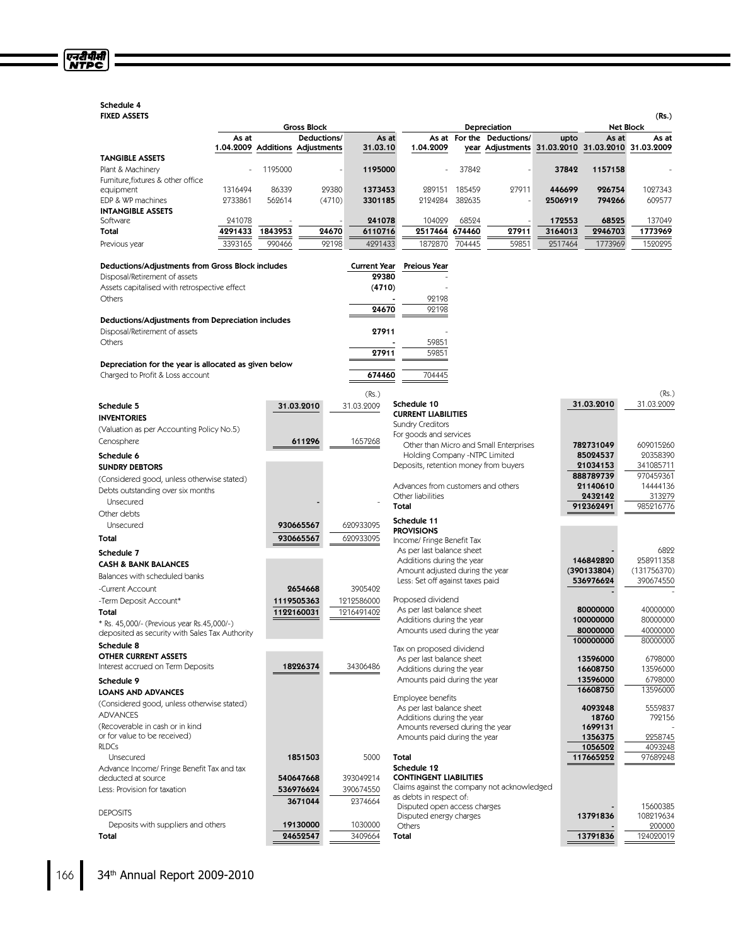# Schedule 4

एनरीपीसी<br>NTPC

| <b>FIXED ASSETS</b>                                                                |                    |         |                                             |                      |                                                                              |        |                                                                                |         |                          | (Rs.)                    |
|------------------------------------------------------------------------------------|--------------------|---------|---------------------------------------------|----------------------|------------------------------------------------------------------------------|--------|--------------------------------------------------------------------------------|---------|--------------------------|--------------------------|
|                                                                                    |                    |         | <b>Gross Block</b>                          |                      |                                                                              |        | Depreciation                                                                   |         |                          | <b>Net Block</b>         |
|                                                                                    | As at<br>1.04.2009 |         | Deductions/<br><b>Additions Adjustments</b> | As at<br>31.03.10    | 1.04.2009                                                                    |        | As at For the Deductions/<br>year Adjustments 31.03.2010 31.03.2010 31.03.2009 | upto    | As at                    | As at                    |
| <b>TANGIBLE ASSETS</b>                                                             |                    |         |                                             |                      |                                                                              |        |                                                                                |         |                          |                          |
| Plant & Machinery                                                                  |                    | 1195000 |                                             | 1195000              |                                                                              | 37842  |                                                                                | 37842   | 1157158                  |                          |
| Furniture, fixtures & other office                                                 |                    |         |                                             |                      |                                                                              |        |                                                                                |         |                          |                          |
| equipment                                                                          | 1316494            | 86339   | 29380                                       | 1373453              | 289151                                                                       | 185459 | 27911                                                                          | 446699  | 926754                   | 1027343                  |
| EDP & WP machines<br><b>INTANGIBLE ASSETS</b>                                      | 2733861            | 569614  | (4710)                                      | 3301185              | 2124284                                                                      | 382635 |                                                                                | 2506919 | 794266                   | 609577                   |
| Software                                                                           | 241078             |         |                                             | 241078               | 104029                                                                       | 68524  |                                                                                | 172553  | 68525                    | 137049                   |
| Total                                                                              | 4291433            | 1843953 | 24670                                       | 6110716              | 2517464 674460                                                               |        | 27911                                                                          | 3164013 | 2946703                  | 1773969                  |
| Previous year                                                                      | 3393165            | 990466  | 92198                                       | 4291433              | 1872870                                                                      | 704445 | 59851                                                                          | 2517464 | 1773969                  | 1520295                  |
| Deductions/Adjustments from Gross Block includes                                   |                    |         |                                             | <b>Current Year</b>  | Preious Year                                                                 |        |                                                                                |         |                          |                          |
| Disposal/Retirement of assets                                                      |                    |         |                                             | 29380                |                                                                              |        |                                                                                |         |                          |                          |
| Assets capitalised with retrospective effect                                       |                    |         |                                             | (4710)               |                                                                              |        |                                                                                |         |                          |                          |
| Others                                                                             |                    |         |                                             |                      | 92198                                                                        |        |                                                                                |         |                          |                          |
|                                                                                    |                    |         |                                             | 24670                | 92198                                                                        |        |                                                                                |         |                          |                          |
| Deductions/Adjustments from Depreciation includes<br>Disposal/Retirement of assets |                    |         |                                             | 27911                |                                                                              |        |                                                                                |         |                          |                          |
| Others                                                                             |                    |         |                                             |                      | 59851                                                                        |        |                                                                                |         |                          |                          |
|                                                                                    |                    |         |                                             | 27911                | 59851                                                                        |        |                                                                                |         |                          |                          |
| Depreciation for the year is allocated as given below                              |                    |         |                                             |                      |                                                                              |        |                                                                                |         |                          |                          |
| Charged to Profit & Loss account                                                   |                    |         |                                             | 674460               | 704445                                                                       |        |                                                                                |         |                          |                          |
|                                                                                    |                    |         |                                             | (Rs.)                |                                                                              |        |                                                                                |         |                          | (Rs.)                    |
| Schedule 5                                                                         |                    |         | 31.03.2010                                  | 31.03.2009           | Schedule 10                                                                  |        |                                                                                |         | 31.03.2010               | 31.03.2009               |
| <b>INVENTORIES</b>                                                                 |                    |         |                                             |                      | <b>CURRENT LIABILITIES</b>                                                   |        |                                                                                |         |                          |                          |
| (Valuation as per Accounting Policy No.5)                                          |                    |         |                                             |                      | <b>Sundry Creditors</b><br>For goods and services                            |        |                                                                                |         |                          |                          |
| Cenosphere                                                                         |                    |         | 611296                                      | 1657268              |                                                                              |        | Other than Micro and Small Enterprises                                         |         | 782731049                | 609015260                |
| Schedule 6                                                                         |                    |         |                                             |                      | Holding Company -NTPC Limited                                                |        |                                                                                |         | 85024537                 | 20358390                 |
| <b>SUNDRY DEBTORS</b>                                                              |                    |         |                                             |                      | Deposits, retention money from buyers                                        |        |                                                                                |         | 21034153                 | 341085711                |
| (Considered good, unless otherwise stated)                                         |                    |         |                                             |                      |                                                                              |        |                                                                                |         | 888789739                | 970459361                |
| Debts outstanding over six months                                                  |                    |         |                                             |                      | Advances from customers and others<br>Other liabilities                      |        |                                                                                |         | 21140610                 | 14444136                 |
| Unsecured                                                                          |                    |         |                                             |                      | Total                                                                        |        |                                                                                |         | 2432142<br>912362491     | 313279<br>985216776      |
| Other debts                                                                        |                    |         |                                             |                      |                                                                              |        |                                                                                |         |                          |                          |
| Unsecured                                                                          |                    |         | 930665567                                   | 620933095            | Schedule 11<br><b>PROVISIONS</b>                                             |        |                                                                                |         |                          |                          |
| Total                                                                              |                    |         | 930665567                                   | 620933095            | Income/ Fringe Benefit Tax                                                   |        |                                                                                |         |                          |                          |
| Schedule 7                                                                         |                    |         |                                             |                      | As per last balance sheet                                                    |        |                                                                                |         |                          | 6822                     |
| <b>CASH &amp; BANK BALANCES</b>                                                    |                    |         |                                             |                      | Additions during the year                                                    |        |                                                                                |         | 146842820                | 258911358                |
| Balances with scheduled banks                                                      |                    |         |                                             |                      | Amount adjusted during the year<br>Less: Set off against taxes paid          |        |                                                                                |         | (390133804)<br>536976624 | (131756370)<br>390674550 |
| -Current Account                                                                   |                    |         | 2654668                                     | 3905402              |                                                                              |        |                                                                                |         |                          |                          |
| -Term Deposit Account*                                                             |                    |         | 1119505363                                  | 1212586000           | Proposed dividend                                                            |        |                                                                                |         |                          |                          |
| Total                                                                              |                    |         | 1122160031                                  | 1216491402           | As per last balance sheet                                                    |        |                                                                                |         | 80000000                 | 40000000                 |
| * Rs. 45,000/- (Previous year Rs.45,000/-)                                         |                    |         |                                             |                      | Additions during the year<br>Amounts used during the year                    |        |                                                                                |         | 100000000<br>80000000    | 80000000<br>40000000     |
| deposited as security with Sales Tax Authority                                     |                    |         |                                             |                      |                                                                              |        |                                                                                |         | 100000000                | 80000000                 |
| Schedule 8                                                                         |                    |         |                                             |                      | Tax on proposed dividend                                                     |        |                                                                                |         |                          |                          |
| <b>OTHER CURRENT ASSETS</b><br>Interest accrued on Term Deposits                   |                    |         | 18226374                                    | 34306486             | As per last balance sheet                                                    |        |                                                                                |         | 13596000                 | 6798000                  |
|                                                                                    |                    |         |                                             |                      | Additions during the year<br>Amounts paid during the year                    |        |                                                                                |         | 16608750                 | 13596000<br>6798000      |
| Schedule 9                                                                         |                    |         |                                             |                      |                                                                              |        |                                                                                |         | 13596000<br>16608750     | 13596000                 |
| <b>LOANS AND ADVANCES</b><br>(Considered good, unless otherwise stated)            |                    |         |                                             |                      | Employee benefits                                                            |        |                                                                                |         |                          |                          |
| <b>ADVANCES</b>                                                                    |                    |         |                                             |                      | As per last balance sheet                                                    |        |                                                                                |         | 4093248                  | 5559837                  |
| (Recoverable in cash or in kind                                                    |                    |         |                                             |                      | Additions during the year<br>Amounts reversed during the year                |        |                                                                                |         | 18760<br>1699131         | 792156                   |
| or for value to be received)                                                       |                    |         |                                             |                      | Amounts paid during the year                                                 |        |                                                                                |         | 1356375                  | 2258745                  |
| <b>RLDCs</b>                                                                       |                    |         |                                             |                      |                                                                              |        |                                                                                |         | 1056502                  | 4093248                  |
| Unsecured                                                                          |                    |         | 1851503                                     | 5000                 | Total                                                                        |        |                                                                                |         | 117665252                | 97689248                 |
| Advance Income/ Fringe Benefit Tax and tax                                         |                    |         |                                             |                      | Schedule 12                                                                  |        |                                                                                |         |                          |                          |
| deducted at source                                                                 |                    |         | 540647668                                   | 393049214            | <b>CONTINGENT LIABILITIES</b><br>Claims against the company not acknowledged |        |                                                                                |         |                          |                          |
| Less: Provision for taxation                                                       |                    |         | 536976624<br>3671044                        | 390674550<br>2374664 | as debts in respect of:                                                      |        |                                                                                |         |                          |                          |
| <b>DEPOSITS</b>                                                                    |                    |         |                                             |                      | Disputed open access charges                                                 |        |                                                                                |         |                          | 15600385                 |
| Deposits with suppliers and others                                                 |                    |         | 19130000                                    | 1030000              | Disputed energy charges                                                      |        |                                                                                |         | 13791836                 | 108219634                |
| Total                                                                              |                    |         | 24652547                                    | 3409664              | Others<br>Total                                                              |        |                                                                                |         | 13791836                 | 200000<br>124020019      |
|                                                                                    |                    |         |                                             |                      |                                                                              |        |                                                                                |         |                          |                          |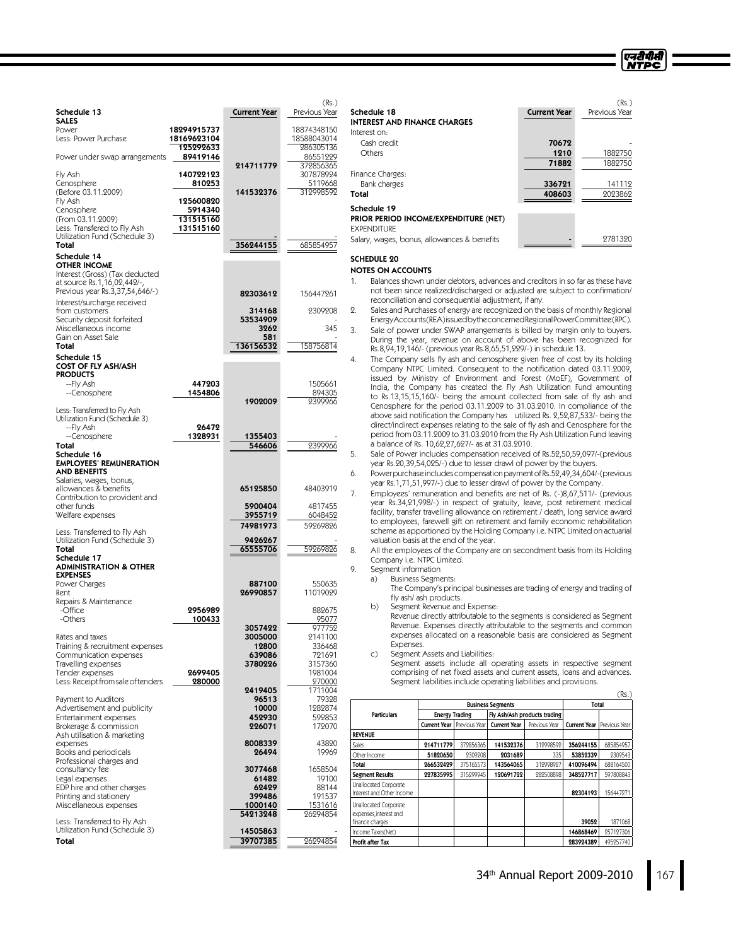| Schedule 13                                                                                                               |                                                                       | <b>Current Year</b>     | Previous Year                           |
|---------------------------------------------------------------------------------------------------------------------------|-----------------------------------------------------------------------|-------------------------|-----------------------------------------|
| <b>SALES</b><br>Power<br>Less: Power Purchase                                                                             | 18294915737<br>18169623104<br>125292633                               |                         | 18874348150<br>18588043014<br>286305136 |
| Power under swap arrangements                                                                                             | 89419146                                                              | 214711779               | 86551229<br>372856365                   |
| Fly Ash<br>Cenosphere<br>(Before 03.11.2009)<br>Fly Ash<br>Cenosphere<br>(From 03.11.2009)<br>Less: Transfered to Fly Ash | 140722123<br>810253<br>125600820<br>5914340<br>131515160<br>131515160 | 141532376               | 307878924<br>5119668<br>312998592       |
| Utilization Fund (Schedule 3)<br>Total                                                                                    |                                                                       | 356244155               | 685854957                               |
| Schedule 14<br><b>OTHER INCOME</b>                                                                                        |                                                                       |                         |                                         |
| Interest (Gross) (Tax deducted<br>at source Rs.1,16,02,442/-,<br>Previous year Rs.3,37,54,646/-)                          |                                                                       | 82303612                | 156447261                               |
| Interest/surcharge received<br>from customers                                                                             |                                                                       | 314168                  | 2309208                                 |
| Security deposit forfeited<br>Miscellaneous income<br>Gain on Asset Sale                                                  |                                                                       | 53534909<br>3262<br>581 | 345                                     |
| Total                                                                                                                     |                                                                       | 136156532               | 158756814                               |
| Schedule 15<br><b>COST OF FLY ASH/ASH</b>                                                                                 |                                                                       |                         |                                         |
| <b>PRODUCTS</b><br>--Fly Ash                                                                                              | 447203<br>1454806                                                     |                         | 1505661                                 |
| --Cenosphere                                                                                                              |                                                                       | 1902009                 | 894305<br>2399966                       |
| Less: Transferred to Fly Ash<br>Utilization Fund (Schedule 3)<br>--Fly Ash                                                | 26472                                                                 |                         |                                         |
| --Cenosphere<br>Total                                                                                                     | 1328931                                                               | 1355403<br>546606       | 9399966                                 |
| Schedule 16<br><b>EMPLOYEES' REMUNERATION</b><br>AND BENEFITS                                                             |                                                                       |                         |                                         |
| Salaries, wages, bonus,<br>allowances & benefits<br>Contribution to provident and                                         |                                                                       | 65125850                | 48403919                                |
| other funds<br>Welfare expenses                                                                                           |                                                                       | 5900404<br>3955719      | 4817455<br>6048452                      |
| Less: Transferred to Fly Ash                                                                                              |                                                                       | 74981973                | 59269826                                |
| Utilization Fund (Schedule 3)<br>Total                                                                                    |                                                                       | 9426267<br>65555706     | 59269826                                |
| Schedule 17<br><b>ADMINISTRATION &amp; OTHER</b><br><b>EXPENSES</b>                                                       |                                                                       |                         |                                         |
| Power Charges<br>Rent                                                                                                     |                                                                       | 887100<br>26990857      | 550635<br>11019029                      |
| Repairs & Maintenance<br>-Office                                                                                          | 2956989                                                               |                         | 882675                                  |
| -Others                                                                                                                   | 100433                                                                | 3057422                 | 95077<br>977752                         |
| Rates and taxes<br>Training & recruitment expenses                                                                        |                                                                       | 3005000<br>12800        | 2141100<br>336468                       |
| Communication expenses<br>Travelling expenses                                                                             |                                                                       | 639086<br>3780226       | 721691<br>3157360                       |
| Tender expenses<br>Less: Receipt from sale of tenders                                                                     | 2699405<br>280000                                                     |                         | 1981004<br>270000                       |
| Payment to Auditors                                                                                                       |                                                                       | 2419405<br>96513        | 1711004<br>79328                        |
| Advertisement and publicity<br>Entertainment expenses                                                                     |                                                                       | 10000<br>452930         | 1282874<br>592853                       |
| Brokerage & commission                                                                                                    |                                                                       | 226071                  | 172070                                  |
| Ash utilisation & marketing<br>expenses<br>Books and periodicals                                                          |                                                                       | 8008339<br>26494        | 43890<br>19969                          |
| Professional charges and<br>consultancy fee                                                                               |                                                                       | 3077468                 | 1658504                                 |
| Legal expenses<br>EDP hire and other charges                                                                              |                                                                       | 61482<br>62429          | 19100<br>88144                          |
| Printing and stationery<br>Miscellaneous expenses                                                                         |                                                                       | 399486<br>1000140       | 191537<br>1531616                       |
| Less: Transferred to Fly Ash                                                                                              |                                                                       | 54213248                | 26294854                                |
| Utilization Fund (Schedule 3)<br>Total                                                                                    |                                                                       | 14505863<br>39707385    | 26294854                                |

| <b>Current Year</b>    | (Rs.)<br>Previous Year |
|------------------------|------------------------|
| 70672<br>1210<br>71882 | 1882750<br>1882750     |
| 336721<br>408603       | 141112<br>9093869      |
|                        |                        |

एनरीपीसी **NTPC** 

#### Schedule 19 PRIOR PERIOD INCOME/EXPENDITURE (NET)

# **EXPENDITURE**

# Salary, wages, bonus, allowances & benefits - 2781320

# SCHEDULE 20

 $(Rs)$ 

## NOTES ON ACCOUNTS

1. Balances shown under debtors, advances and creditors in so far as these have not been since realized/discharged or adjusted are subject to confirmation/ reconciliation and consequential adjustment, if any.

2. Sales and Purchases of energy are recognized on the basis of monthly Regional EnergyAccounts(REA)issuedbytheconcernedRegionalPowerCommittee(RPC).

- 3. Sale of power under SWAP arrangements is billed by margin only to buyers. During the year, revenue on account of above has been recognized for Rs.8,94,19,146/- (previous year Rs.8,65,51,229/-) in schedule 13.
	- The Company sells fly ash and cenosphere given free of cost by its holding Company NTPC Limited. Consequent to the notification dated 03.11.2009, issued by Ministry of Environment and Forest (MoEF), Government of India, the Company has created the Fly Ash Utilization Fund amounting to Rs.13,15,15,160/- being the amount collected from sale of fly ash and Cenosphere for the period 03.11.2009 to 31.03.2010. In compliance of the above said notification the Company has utilized Rs. 2,52,87,533/- being the direct/indirect expenses relating to the sale of fly ash and Cenosphere for the period from 03.11.2009 to 31.03.2010 from the Fly Ash Utilization Fund leaving a balance of Rs. 10,62,27,627/- as at 31.03.2010.
- 5. Sale of Power includes compensation received of Rs.52,50,59,097/-(previous year Rs.20,39,54,025/-) due to lesser drawl of power by the buyers.
- 6. Power purchase includes compensation payment of Rs.52,49,34,604/-(previous year Rs.1,71,51,997/-) due to lesser drawl of power by the Company.

7. Employees' remuneration and benefits are net of Rs. (-)8,67,511/- (previous year Rs.34,21,998/-) in respect of gratuity, leave, post retirement medical facility, transfer travelling allowance on retirement /death, long service award to employees, farewell gift on retirement and family economic rehabilitation scheme as apportioned by the Holding Company i.e. NTPC Limited on actuarial valuation basis at the end of the year.

8. All the employees of the Company are on secondment basis from its Holding Company i.e. NTPC Limited.

- 9. Segment information
	- a) Business Segments:

The Company's principal businesses are trading of energy and trading of fly ash/ ash products.

b) Segment Revenue and Expense:

Revenue directly attributable to the segments is considered as Segment Revenue. Expenses directly attributable to the segments and common expenses allocated on a reasonable basis are considered as Segment Expenses.

c) Segment Assets and Liabilities:

Segment assets include all operating assets in respective segment comprising of net fixed assets and current assets, loans and advances. Segment liabilities include operating liabilities and provisions.

|                                                                    |                     |                                                       |                     |               |                                     | (Rs.)     |  |
|--------------------------------------------------------------------|---------------------|-------------------------------------------------------|---------------------|---------------|-------------------------------------|-----------|--|
| <b>Business Segments</b>                                           |                     |                                                       |                     |               | Total                               |           |  |
| <b>Particulars</b>                                                 |                     | Fly Ash/Ash products trading<br><b>Energy Trading</b> |                     |               |                                     |           |  |
|                                                                    | <b>Current Year</b> | Previous Year                                         | <b>Current Year</b> | Previous Year | <b>Current Year   Previous Year</b> |           |  |
| <b>REVENUE</b>                                                     |                     |                                                       |                     |               |                                     |           |  |
| Sales                                                              | 214711779           | 372856365                                             | 141532376           | 312998592     | 356244155                           | 685854957 |  |
| Other Income                                                       | 51820650            | 2309208                                               | 2031689             | 335           | 53852339                            | 2309543   |  |
| Total                                                              | 266532429           | 375165573                                             | 143564065           | 312998927     | 410096494                           | 688164500 |  |
| <b>Segment Results</b>                                             | 227835995           | 315299945                                             | 120691722           | 282508898     | 348527717                           | 597808843 |  |
| Unallocated Corporate<br>Interest and Other Income                 |                     |                                                       |                     |               | 82304193                            | 156447271 |  |
| Unallocated Corporate<br>expenses, interest and<br>finance charges |                     |                                                       |                     |               | 39052                               | 1871068   |  |
| Income Taxes(Net)                                                  |                     |                                                       |                     |               | 146868469                           | 257127306 |  |
| Profit after Tax                                                   |                     |                                                       |                     |               | 283924389                           | 495257740 |  |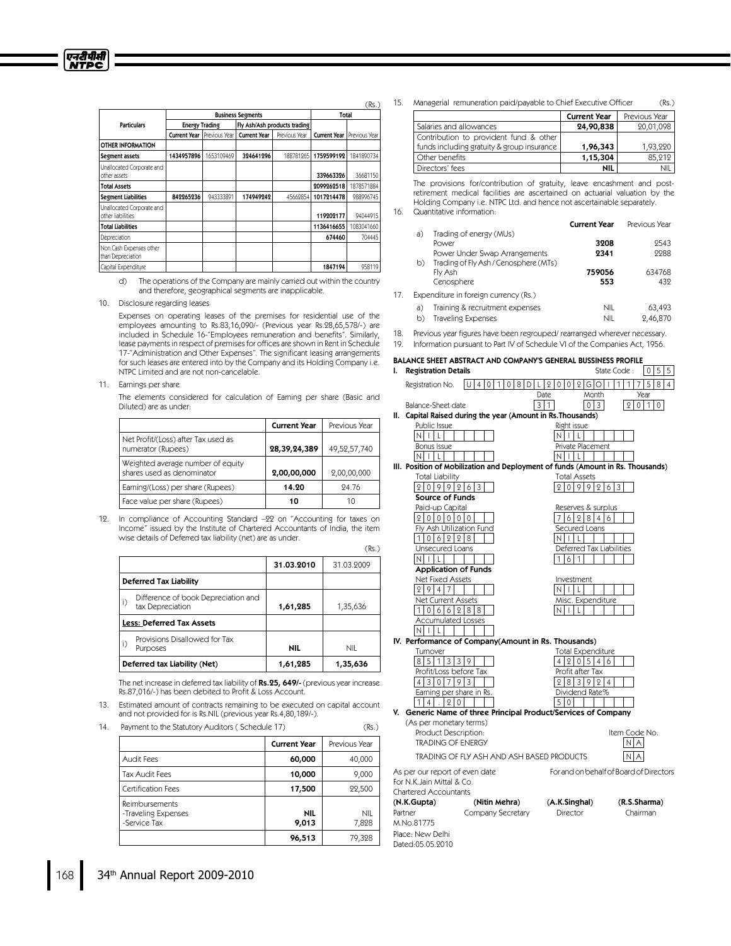|                                                |                     |                          |                     |                              |                     | 、…            |
|------------------------------------------------|---------------------|--------------------------|---------------------|------------------------------|---------------------|---------------|
|                                                |                     | <b>Business Segments</b> | Total               |                              |                     |               |
| <b>Particulars</b>                             |                     | <b>Energy Trading</b>    |                     | Fly Ash/Ash products trading |                     |               |
|                                                | <b>Current Year</b> | Previous Year            | <b>Current Year</b> | Previous Year                | <b>Current Year</b> | Previous Year |
| <b>OTHER INFORMATION</b>                       |                     |                          |                     |                              |                     |               |
| Segment assets                                 | 1434957896          | 1653109469               | 324641296           | 188781265                    | 1759599192          | 1841890734    |
| Unallocated Corporate and<br>other assets      |                     |                          |                     |                              | 339663326           | 36681150      |
| <b>Total Assets</b>                            |                     |                          |                     |                              | 2099262518          | 1878571884    |
| <b>Segment Liabilities</b>                     | 842265236           | 943333891                | 174949242           | 45662854                     | 1017214478          | 988996745     |
| Unallocated Corporate and<br>other liabilities |                     |                          |                     |                              | 119202177           | 94044915      |
| <b>Total Liabilities</b>                       |                     |                          |                     |                              | 1136416655          | 1083041660    |
| Depreciation                                   |                     |                          |                     |                              | 674460              | 704445        |
| Non Cash Expenses other<br>than Depreciation   |                     |                          |                     |                              |                     |               |
| Capital Expenditure                            |                     |                          |                     |                              | 1847194             | 958119        |

 $(De<sub>1</sub>)$ 

 $(Rs)$ 

Place: New Delhi Dated:05.05.2010

d) The operations of the Company are mainly carried out within the country and therefore, geographical segments are inapplicable.

10. Disclosure regarding leases

Expenses on operating leases of the premises for residential use of the employees amounting to Rs.83,16,090/- (Previous year Rs.28,65,578/-) are included in Schedule 16-"Employees remuneration and benefits". Similarly, lease payments in respect of premises for offices are shown in Rent in Schedule 17-"Administration and Other Expenses". The significant leasing arrangements for such leases are entered into by the Company and its Holding Company i.e. NTPC Limited and are not non-cancelable.

#### 11. Earnings per share

The elements considered for calculation of Earning per share (Basic and Diluted) are as under:

|                                                                 | <b>Current Year</b> | Previous Year |
|-----------------------------------------------------------------|---------------------|---------------|
| Net Profit/(Loss) after Tax used as<br>numerator (Rupees)       | 28,39,24,389        | 49,52,57,740  |
| Weighted average number of equity<br>shares used as denominator | 2,00,00,000         | 2,00,00,000   |
| Earning/(Loss) per share (Rupees)                               | 14.20               | 94.76         |
| Face value per share (Rupees)                                   | 10                  | 10            |

12. In compliance of Accounting Standard –22 on "Accounting for taxes on Income" issued by the Institute of Chartered Accountants of India, the item wise details of Deferred tax liability (net) are as under.

|                                                               | 31.03.2010 | 31.03.2009 |
|---------------------------------------------------------------|------------|------------|
| <b>Deferred Tax Liability</b>                                 |            |            |
| Difference of book Depreciation and<br>i)<br>tax Depreciation | 1,61,285   | 1,35,636   |
| <b>Less: Deferred Tax Assets</b>                              |            |            |
| Provisions Disallowed for Tax<br>i)<br>Purposes               | <b>NIL</b> | <b>NIL</b> |
| Deferred tax Liability (Net)                                  | 1,61,285   | 1,35,636   |

The net increase in deferred tax liability of Rs.25, 649/- (previous year increase Rs.87,016/-) has been debited to Profit & Loss Account.

13. Estimated amount of contracts remaining to be executed on capital account and not provided for is Rs.NIL (previous year Rs.4,80,189/-).

14. Payment to the Statutory Auditors (Schedule 17) (Rs.)

|                                                       | <b>Current Year</b> | Previous Year       |
|-------------------------------------------------------|---------------------|---------------------|
| <b>Audit Fees</b>                                     | 60,000              | 40,000              |
| <b>Tax Audit Fees</b>                                 | 10,000              | 9,000               |
| Certification Fees                                    | 17,500              | 22,500              |
| Reimbursements<br>-Traveling Expenses<br>-Service Tax | <b>NIL</b><br>9,013 | <b>NIL</b><br>7,828 |
|                                                       | 96,513              | 79,328              |

|                                            | <b>Current Year</b> | Previous Year |
|--------------------------------------------|---------------------|---------------|
| Salaries and allowances                    | 24,90,838           | 20,01,098     |
| Contribution to provident fund & other     |                     |               |
| funds including gratuity & group insurance | 1,96,343            | 1.93.220      |
| Other benefits                             | 1,15,304            | 85.212        |
| Directors' fees                            | <b>NIL</b>          |               |

The provisions for/contribution of gratuity, leave encashment and postretirement medical facilities are ascertained on actuarial valuation by the Holding Company i.e. NTPC Ltd. and hence not ascertainable separately. 16. Quantitative information:

|     |    |                                                                        | <b>Current Year</b> | Previous Year               |
|-----|----|------------------------------------------------------------------------|---------------------|-----------------------------|
|     | a) | Trading of energy (MUs)                                                |                     |                             |
|     |    | Power                                                                  | 3208                | 9543                        |
|     | b) | Power Under Swap Arrangements<br>Trading of Fly Ash / Cenosphere (MTs) | 2341                | 9988                        |
|     |    | Fly Ash                                                                | 759056              | 634768                      |
|     |    | Cenosphere                                                             | 553                 | 432                         |
| 17. |    | Expenditure in foreign currency (Rs.)                                  |                     |                             |
|     | a) | Training & recruitment expenses                                        | NII.                | 63,493                      |
|     |    |                                                                        | 1.111               | $\sim$ $\sim$ $\sim$ $\sim$ |

b) Traveling Expenses NIL 2,46,870

18. Previous year figures have been regrouped/rearranged wherever necessary.

19. Information pursuant to Part IV of Schedule VI of the Companies Act, 1956.

# BALANCE SHEET ABSTRACT AND COMPANY'S GENERAL BUSSINESS PROFILE<br>I. Registration Details descriptions of the State Code :  $\sqrt{0.5.5}$ **I.** Registration Details **State Code** : 0 5  $\frac{1}{2}$  5  $\frac{1}{2}$  5  $\frac{1}{2}$  5  $\frac{1}{2}$  5  $\frac{1}{2}$  5  $\frac{1}{2}$  5  $\frac{1}{2}$  5  $\frac{1}{2}$  5  $\frac{1}{2}$  5  $\frac{1}{2}$  5  $\frac{1}{2}$  5  $\frac{1}{2}$  5  $\frac{1}{2}$  5  $\frac{1}{2}$  5  $\frac{1}{2}$

Registration No.  $|U|$  4 | 0 | 1 | 0 | 8 | D | L | 2 | 0 | 0 | 2 | G | O | 1 | 1 | 1 | 7 | 5 | 8 | 4 Date Month Year Balance-Sheet date 3 1 0 3 2 0 1 0 II. Capital Raised during the year (Amount in Rs.Thousands) Public Issue Right issue  $N$  i L  $L$ Bonus Issue Private Placement  $\vert N \vert$  i  $\vert L \vert$  i  $\vert N \vert$  i  $\vert L \vert$  i  $\vert N \vert$ III. Position of Mobilization and Deployment of funds (Amount in Rs. Thousands) Total Liability Total Assets  $2099263$ Source of Funds Paid-up Capital Reserves & surplus  $762846$ Fly Ash Utilization Fund Secured Loans 1 0 6 2 2 8 N I L Unsecured Loans Deferred Tax Liabilities<br>  $\frac{D \times \text{Per}(\text{Per} \times \text{Per} \times \text{Per} \times \text{Per} \times \text{Per} \times \text{Per} \times \text{Per} \times \text{Per} \times \text{Per} \times \text{Per} \times \text{Per} \times \text{Per} \times \text{Per} \times \text{Per} \times \text{Per} \times \text{Per} \times \text{Per} \times \text{Per} \times \text{Per} \times \text{Per} \times \text{Per} \times \text{Per} \times \text{Per} \times \text{Per} \times$  $N$   $|I$   $|$   $|$   $|$   $|$   $|$ Application of Funds Net Fixed Assets Investment  $2947$ Net Current Asset  $1066288$  N I L cumulated Loss  $N$   $\vert\vert\vert$   $\vert\vert$   $\vert\vert$   $\vert\vert$   $\vert\vert$   $\vert\vert$ IV. Performance of Company(Amount in Rs. Thousands) Turnover Total Expenditure  $851339$ Profit/Loss before Tax Profit after Tax<br>
4.3.0.7.9.3.1  $9 8 3 9 9 4$ Earning per share in Rs. Dividend Rate%  $114$ . 20 | | V. Generic Name of three Principal Product/Services of Company (As per monetary terms) Product Description: The Code No. TRADING OF ENERGY  $N | A$ TRADING OF FLY ASH AND ASH BASED PRODUCTS  $N | A$ As per our report of even date For and on behalf of Board of Directors For N.K.Jain Mittal & Co. Chartered Accountants (N.K.Gupta) (NitinMehra) (A.K.Singhal) (R.S.Sharma) Partner Company Secretary Director Chairman M.No.81775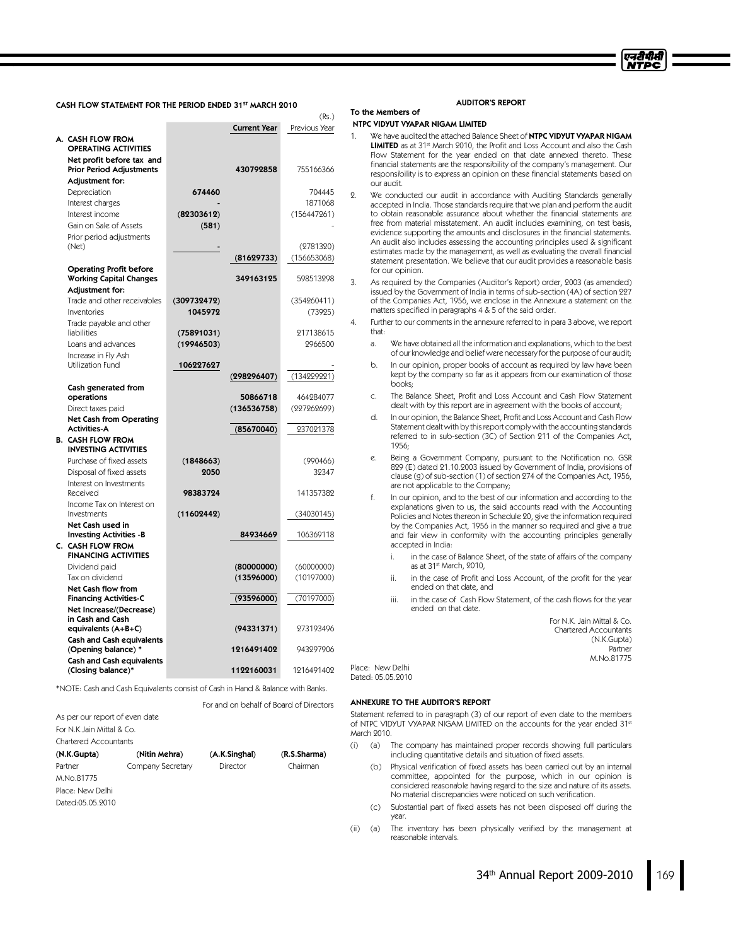

#### CASH FLOW STATEMENT FOR THE PERIOD ENDED 31ST MARCH 2010

|                                                        |             |                     | (Rs.)         |
|--------------------------------------------------------|-------------|---------------------|---------------|
|                                                        |             | <b>Current Year</b> | Previous Year |
| A. CASH FLOW FROM                                      |             |                     |               |
| <b>OPERATING ACTIVITIES</b>                            |             |                     |               |
| Net profit before tax and                              |             |                     |               |
| <b>Prior Period Adjustments</b>                        |             | 430792858           | 755166366     |
| <b>Adjustment for:</b>                                 |             |                     |               |
| Depreciation                                           | 674460      |                     | 704445        |
| Interest charges                                       |             |                     | 1871068       |
| Interest income                                        | (82303612)  |                     | (156447261)   |
| Gain on Sale of Assets                                 | (581)       |                     |               |
| Prior period adjustments                               |             |                     |               |
| (Net)                                                  |             |                     | (2781320)     |
|                                                        |             | (81629733)          | (156653068)   |
| <b>Operating Profit before</b>                         |             |                     |               |
| <b>Working Capital Changes</b>                         |             | 349163125           | 598513298     |
| Adjustment for:                                        |             |                     |               |
| Trade and other receivables                            | (309732472) |                     | (354260411)   |
| Inventories                                            | 1045972     |                     | (73925)       |
| Trade payable and other                                |             |                     |               |
| liabilities                                            | (75891031)  |                     | 217138615     |
| Loans and advances                                     | (19946503)  |                     | 2966500       |
| Increase in Fly Ash                                    |             |                     |               |
| Utilization Fund                                       | 106227627   |                     |               |
|                                                        |             | (298296407)         | (134229221)   |
| Cash generated from<br>operations                      |             | 50866718            | 464284077     |
| Direct taxes paid                                      |             | (136536758)         | (227262699)   |
| <b>Net Cash from Operating</b>                         |             |                     |               |
| <b>Activities-A</b>                                    |             | (85670040)          | 237021378     |
| <b>B. CASH FLOW FROM</b>                               |             |                     |               |
| <b>INVESTING ACTIVITIES</b>                            |             |                     |               |
| Purchase of fixed assets                               | (1848663)   |                     | (990466)      |
| Disposal of fixed assets                               | 2050        |                     | 32347         |
| Interest on Investments                                |             |                     |               |
| Received                                               | 98383724    |                     | 141357382     |
| Income Tax on Interest on                              |             |                     |               |
| Investments                                            | (11602442)  |                     | (34030145)    |
| Net Cash used in<br><b>Investing Activities -B</b>     |             | 84934669            | 106369118     |
| C. CASH FLOW FROM                                      |             |                     |               |
| <b>FINANCING ACTIVITIES</b>                            |             |                     |               |
| Dividend paid                                          |             | (80000000)          | (60000000)    |
| Tax on dividend                                        |             | (13596000)          | (10197000)    |
| Net Cash flow from                                     |             |                     |               |
| <b>Financing Activities-C</b>                          |             | (93596000)          | (70197000)    |
| Net Increase/(Decrease)                                |             |                     |               |
| in Cash and Cash                                       |             |                     |               |
| equivalents (A+B+C)                                    |             | (94331371)          | 273193496     |
| <b>Cash and Cash equivalents</b>                       |             |                     |               |
| (Opening balance) *                                    |             | 1216491402          | 943297906     |
| <b>Cash and Cash equivalents</b><br>(Closing balance)* |             | 1122160031          | 1216491402    |
|                                                        |             |                     |               |

\*NOTE: Cash and Cash Equivalents consist of Cash in Hand & Balance with Banks.

|                                |                   | For and on behalf of Board of Directors |              |
|--------------------------------|-------------------|-----------------------------------------|--------------|
| As per our report of even date |                   |                                         |              |
| For N K, Jain Mittal & Co.     |                   |                                         |              |
| Chartered Accountants          |                   |                                         |              |
| (N.K.Gupta)                    | (Nitin Mehra)     | (A.K.Singhal)                           | (R.S.Sharma) |
| Partner                        | Company Secretary | Director                                | Chairman     |
| M.No.81775                     |                   |                                         |              |
| Place: New Delhi               |                   |                                         |              |
| Dated:05 05 9010               |                   |                                         |              |
|                                |                   |                                         |              |

#### AUDITOR'S REPORT

#### NTPC VIDYUT VYAPAR NIGAM LIMITED

To the Members of

| 1. | We have audited the attached Balance Sheet of NTPC VIDYUT VYAPAR NIGAM                          |
|----|-------------------------------------------------------------------------------------------------|
|    | <b>LIMITED</b> as at 31 <sup>st</sup> March 2010, the Profit and Loss Account and also the Cash |
|    | Flow Statement for the year ended on that date annexed thereto. These                           |
|    | financial statements are the responsibility of the company's management. Our                    |
|    | responsibility is to express an opinion on these financial statements based on                  |
|    | our audit.                                                                                      |

2. We conducted our audit in accordance with Auditing Standards generally accepted in India. Those standards require that we plan and perform the audit to obtain reasonable assurance about whether the financial statements are free from material misstatement. An audit includes examining, on test basis, evidence supporting the amounts and disclosures in the financial statements. An audit also includes assessing the accounting principles used & significant estimates made by the management, as well as evaluating the overall financial statement presentation. We believe that our audit provides a reasonable basis for our opinion.

- 3. As required by the Companies (Auditor's Report) order, 2003 (as amended) issued by the Government of India in terms of sub-section (4A) of section 227 of the Companies Act, 1956, we enclose in the Annexure a statement on the matters specified in paragraphs 4 & 5 of the said order.
- 4. Further to our comments in the annexure referred to in para 3 above, we report that:
	- a. We have obtained all the information and explanations, which to the best of ourknowledge and belief were necessary for the purpose of our audit;
	- b. In our opinion, proper books of account as required by law have been kept by the company so far as it appears from our examination of those books;
	- c. The Balance Sheet, Profit and Loss Account and Cash Flow Statement dealt with by this report are in agreement with the books of account;
	- d. In our opinion, the Balance Sheet, Profit and Loss Account and Cash Flow Statement dealt with by thisreport comply with the accounting standards referred to in sub-section (3C) of Section 211 of the Companies Act, 1956;
	- e. Being a Government Company, pursuant to the Notification no. GSR 829 (E) dated 21.10.2003 issued by Government of India, provisions of clause (g) of sub-section (1) of section 274 of the Companies Act, 1956, are not applicable to the Company;
	- f. In our opinion, and to the best of our information and according to the explanations given to us, the said accounts read with the Accounting Policies and Notes thereon in Schedule 20, give the information required by the Companies Act, 1956 in the manner so required and give a true and fair view in conformity with the accounting principles generally accepted in India:
		- i. in the case of Balance Sheet, of the state of affairs of the company as at 31st March, 2010,
		- ii. in the case of Profit and Loss Account, of the profit for the year ended on that date, and
		- iii. in the case of Cash Flow Statement, of the cash flows for the year ended on that date.

For N.K. Jain Mittal & Co. Chartered Accountants (N.K.Gupta) Partner M.No.81775

Place: New Delhi Dated: 05.05.2010

#### ANNEXURE TO THE AUDITOR'S REPORT

Statement referred to in paragraph (3) of our report of even date to the members of NTPC VIDYUT VYAPAR NIGAM LIMITED on the accounts for the year ended 31st March 2010.

- (i) (a) The company has maintained proper records showing full particulars including quantitative details and situation of fixed assets.
	- (b) Physical verification of fixed assets has been carried out by an internal committee, appointed for the purpose, which in our opinion is considered reasonable having regard to the size and nature of its assets. No material discrepancies were noticed on such verification.
	- (c) Substantial part of fixed assets has not been disposed off during the year.
- (ii) (a) The inventory has been physically verified by the management at reasonable intervals.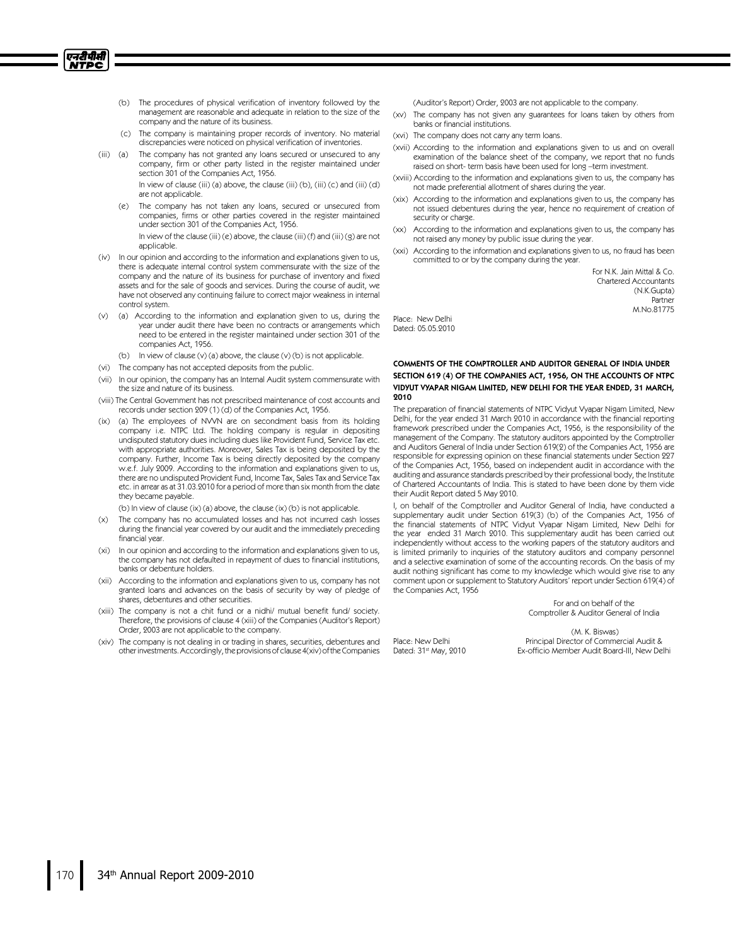(b) The procedures of physical verification of inventory followed by the management are reasonable and adequate in relation to the size of the company and the nature of its business.

एनटीपीसी **NTPC** 

- (c) The company is maintaining proper records of inventory. No material discrepancies were noticed on physical verification of inventories.
- (iii) (a) The company has not granted any loans secured or unsecured to any company, firm or other party listed in the register maintained under section 301 of the Companies Act, 1956. In view of clause (iii) (a) above, the clause (iii) (b), (iii) (c) and (iii) (d) are not applicable.
	- (e) The company has not taken any loans, secured or unsecured from companies, firms or other parties covered in the register maintained under section 301 of the Companies Act, 1956.
	- In view of the clause (iii) (e) above, the clause (iii) (f) and (iii) (g) are not applicable.
- (iv) In our opinion and according to the information and explanations given to us, there is adequate internal control system commensurate with the size of the company and the nature of its business for purchase of inventory and fixed assets and for the sale of goods and services. During the course of audit, we have not observed any continuing failure to correct major weakness in internal control system.
- (v) (a) According to the information and explanation given to us, during the year under audit there have been no contracts or arrangements which need to be entered in the register maintained under section 301 of the companies Act, 1956.
	- (b) In view of clause (v) (a) above, the clause (v) (b) is not applicable.
- (vi) The company has not accepted deposits from the public.
- (vii) In our opinion, the company has an Internal Audit system commensurate with the size and nature of its business.
- (viii) The Central Government has not prescribed maintenance of cost accounts and records under section 209 (1) (d) of the Companies Act, 1956.
- (ix) (a) The employees of NVVN are on secondment basis from its holding company i.e. NTPC Ltd. The holding company is regular in depositing undisputed statutory dues including dues like Provident Fund, Service Taxetc. with appropriate authorities. Moreover, Sales Tax is being deposited by the company. Further, Income Tax is being directly deposited by the company w.e.f. July 2009. According to the information and explanations given to us, there are no undisputed Provident Fund, Income Tax, Sales Taxand Service Tax etc. in arrear as at 31.03.2010 for a period of more than sixmonth from the date they became payable.

(b) In view of clause (ix) (a) above, the clause (ix) (b) is not applicable.

- (x) The company has no accumulated losses and has not incurred cash losses during the financial year covered by our audit and the immediately preceding financial year.
- (xi) In our opinion and according to the information and explanations given to us, the company has not defaulted in repayment of dues to financial institutions, banks or debenture holders.
- (xii) According to the information and explanations given to us, company has not granted loans and advances on the basis of security by way of pledge of shares, debentures and other securities.
- (xiii) The company is not a chit fund or a nidhi/mutual benefit fund/society. Therefore, the provisions of clause 4 (xiii) of the Companies (Auditor's Report) Order, 2003 are not applicable to the company.
- (xiv) The company is not dealing in or trading in shares, securities, debentures and other investments. Accordingly, the provisions of clause 4(xiv) of the Companies
- (Auditor's Report) Order, 2003 are not applicable to the company.
- (xv) The company has not given any guarantees for loans taken by others from banks or financial institutions.
- (xvi) The company does not carry any term loans.
- (xvii) According to the information and explanations given to us and on overall examination of the balance sheet of the company, we report that no funds raised on short- term basis have been used for long –term investment.
- (xviii) According to the information and explanations given to us, the company has not made preferential allotment of shares during the year.
- (xix) According to the information and explanations given to us, the company has not issued debentures during the year, hence no requirement of creation of security or charge.
- (xx) According to the information and explanations given to us, the company has not raised any money by public issue during the year.
- (xxi) According to the information and explanations given to us, no fraud has been committed to or by the company during the year.

For N.K. Jain Mittal & Co. Chartered Accountants (N.K.Gupta) Partner M.No.81775

Place: New Delhi Dated: 05.05.2010

# COMMENTS OF THE COMPTROLLER AND AUDITOR GENERAL OF INDIA UNDER SECTION 619 (4) OF THE COMPANIES ACT, 1956, ON THE ACCOUNTS OF NTPC VIDYUT VYAPAR NIGAM LIMITED, NEW DELHI FOR THE YEAR ENDED, 31 MARCH, 2010

The preparation of financial statements of NTPC Vidyut Vyapar Nigam Limited, New Delhi, for the year ended 31 March 2010 in accordance with the financial reporting framework prescribed under the Companies Act, 1956, is the responsibility of the management of the Company. The statutory auditors appointed by the Comptroller and Auditors General of India under Section 619(2) of the Companies Act, 1956 are responsible for expressing opinion on these financial statements under Section 227 of the Companies Act, 1956, based on independent audit in accordance with the auditing and assurance standards prescribed by their professional body, the Institute of Chartered Accountants of India. This is stated to have been done by them vide their Audit Report dated 5 May 2010.

I, on behalf of the Comptroller and Auditor General of India, have conducted a supplementary audit under Section 619(3) (b) of the Companies Act, 1956 of the financial statements of NTPC Vidyut Vyapar Nigam Limited, New Delhi for the year ended 31 March 2010. This supplementary audit has been carried out independently without access to the working papers of the statutory auditors and is limited primarily to inquiries of the statutory auditors and company personnel and a selective examination of some of the accounting records. On the basis of my audit nothing significant has come to my knowledge which would give rise to any comment upon or supplement to Statutory Auditors' report under Section 619(4) of the Companies Act, 1956

> For and on behalf of the Comptroller & Auditor General of India

Place: New Delhi Dated: 31<sup>st</sup> May, 2010

(M. K. Biswas) Principal Director of Commercial Audit & Ex-officio Member Audit Board-III, New Delhi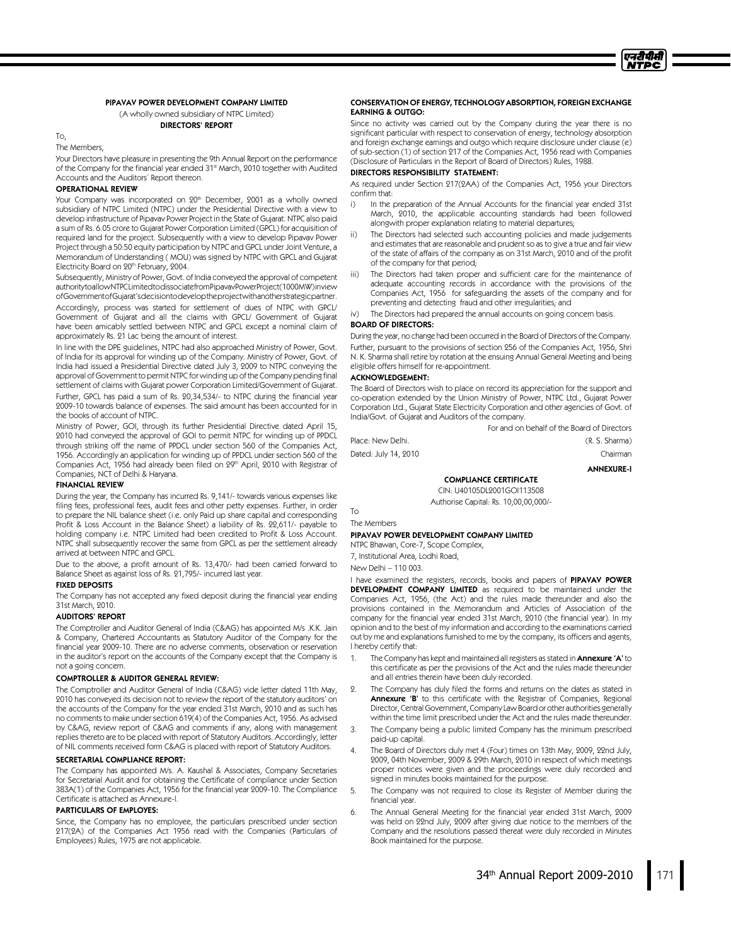# PIPAVAV POWER DEVELOPMENT COMPANY LIMITED

(A wholly owned subsidiary of NTPC Limited)

DIRECTORS' REPORT

# To,

The Members,

Your Directors have pleasure in presenting the 9th Annual Report on the performance of the Company for the financial year ended 31st March, 2010 together with Audited Accounts and the Auditors`Report thereon.

# OPERATIONAL REVIEW

Your Company was incorporated on 20<sup>th</sup> December, 2001 as a wholly owned subsidiary of NTPC Limited (NTPC) under the Presidential Directive with a view to develop infrastructure of Pipavav Power Project in the State of Gujarat. NTPC also paid a sum of Rs. 6.05 crore to Gujarat Power Corporation Limited (GPCL) for acquisition of required land for the project. Subsequently with a view to develop Pipavav Power Project through a 50:50 equity participation by NTPC and GPCL under Joint Venture, a Memorandum of Understanding ( MOU) was signed by NTPC with GPCL and Gujarat Electricity Board on 20<sup>th</sup> February, 2004.

Subsequently, Ministry of Power, Govt. of India conveyed the approval of competent authoritytoallowNTPCLimitedtodissociatefromPipavavPowerProject(1000MW)inview ofGovernmentofGujarat'sdecisiontodeveloptheprojectwithanotherstrategicpartner.

Accordingly, process was started for settlement of dues of NTPC with GPCL/ Government of Gujarat and all the claims with GPCL/Government of Gujarat have been amicably settled between NTPC and GPCL except a nominal claim of approximately Rs. 21 Lac being the amount of interest.

In line with the DPE guidelines, NTPC had also approached Ministry of Power, Govt. of India for its approval for winding up of the Company. Ministry of Power, Govt. of India had issued a Presidential Directive dated July 3, 2009 to NTPC conveying the approval of Government to permit NTPC for winding up of the Company pending final settlement of claims with Gujarat power Corporation Limited/Government of Gujarat. Further, GPCL has paid a sum of Rs. 20,34,534/- to NTPC during the financial year 2009-10 towards balance of expenses. The said amount has been accounted for in the books of account of NTPC.

Ministry of Power, GOI, through its further Presidential Directive dated April 15, 2010 had conveyed the approval of GOI to permit NTPC for winding up of PPDCL through striking off the name of PPDCL under section 560 of the Companies Act, 1956. Accordingly an application for winding up of PPDCL under section 560 of the Companies Act, 1956 had already been filed on 29<sup>th</sup> April, 2010 with Registrar of Companies, NCT of Delhi & Haryana.

#### FINANCIAL REVIEW

During the year, the Company has incurred Rs. 9,141/- towards various expenses like filing fees, professional fees, audit fees and other petty expenses. Further, in order to prepare the NIL balance sheet (i.e. only Paid up share capital and corresponding Profit & Loss Account in the Balance Sheet) a liability of Rs. 22,611/- payable to holding company i.e. NTPC Limited had been credited to Profit & Loss Account. NTPC shall subsequently recover the same from GPCL as per the settlement already arrived at between NTPC and GPCL.

Due to the above, a profit amount of Rs. 13,470/- had been carried forward to Balance Sheet as against loss of Rs. 21,795/- incurred last year.

#### FIXED DEPOSITS

The Company has not accepted any fixed deposit during the financial year ending 31st March, 2010.

#### AUDITORS' REPORT

The Comptroller and Auditor General of India (C&AG) has appointed M/s .K.K. Jain & Company, Chartered Accountants as Statutory Auditor of the Company for the financial year 2009-10. There are no adverse comments, observation or reservation in the auditor's report on the accounts of the Company except that the Company is not a going concern.

#### COMPTROLLER & AUDITOR GENERAL REVIEW:

The Comptroller and Auditor General of India (C&AG) vide letter dated 11th May, 2010 has conveyed its decision not to review the report of the statutory auditors' on the accounts of the Company for the year ended 31st March, 2010 and as such has no comments to make under section 619(4) of the Companies Act, 1956. As advised by C&AG, review report of C&AG and comments if any, along with management replies thereto are to be placed with report of Statutory Auditors. Accordingly, letter of NIL comments received form C&AG is placed with report of Statutory Auditors.

#### SECRETARIAL COMPLIANCE REPORT:

The Company has appointed M/s. A. Kaushal & Associates, Company Secretaries for Secretarial Audit and for obtaining the Certificate of compliance under Section 383A(1) of the Companies Act, 1956 for the financial year 2009-10. The Compliance Certificate is attached as Annexure-I.

#### PARTICULARS OF EMPLOYES:

Since, the Company has no employee, the particulars prescribed under section 217(2A) of the Companies Act 1956 read with the Companies (Particulars of Employees) Rules, 1975 are not applicable.

#### CONSERVATION OF ENERGY,TECHNOLOGY ABSORPTION,FOREIGN EXCHANGE EARNING & OUTGO:

Since no activity was carried out by the Company during the year there is no significant particular with respect to conservation of energy, technology absorption and foreign exchange earnings and outgo which require disclosure under clause (e) of sub-section (1) of section 217 of the Companies Act, 1956 read with Companies (Disclosure of Particulars in the Report of Board of Directors) Rules, 1988.

#### DIRECTORS RESPONSIBILITY STATEMENT:

As required under Section 217(2AA) of the Companies Act, 1956 your Directors confirm that:

- i) In the preparation of the Annual Accounts for the financial year ended 31st March, 2010, the applicable accounting standards had been followed alongwith proper explanation relating to material departures;
- ii) The Directors had selected such accounting policies and made judgements and estimates that are reasonable and prudent so as to give a true and fair view of the state of affairs of the company as on 31st March, 2010 and of the profit of the company for that period;
- iii) The Directors had taken proper and sufficient care for the maintenance of adequate accounting records in accordance with the provisions of the Companies Act, 1956 for safeguarding the assets of the company and for preventing and detecting fraud and other irregularities; and

The Directors had prepared the annual accounts on going concern basis.

#### BOARD OF DIRECTORS:

During the year, no change had been occurred in the Board of Directors of the Company. Further, pursuant to the provisions of section 256 of the Companies Act, 1956, Shri N. K. Sharma shall retire by rotation at the ensuing Annual General Meeting and being eligible offers himself for re-appointment.

#### ACKNOWLEDGEMENT:

The Board of Directors wish to place on record its appreciation for the support and co-operation extended by the Union Ministry of Power, NTPC Ltd., Gujarat Power Corporation Ltd., Gujarat State Electricity Corporation and other agencies of Govt. of India/Govt. of Gujarat and Auditors of the company.

For and on behalf of the Board of Directors

Place: New Delhi. (R. S. Sharma) Dated: July 14, 2010 **Chairman** 

ANNEXURE-I

# COMPLIANCE CERTIFICATE

CIN: U40105DL2001GOI113508 Authorise Capital: Rs. 10,00,00,000/-

The Members

To

#### PIPAVAV POWER DEVELOPMENT COMPANY LIMITED

NTPC Bhawan, Core-7, Scope Complex,

7, Institutional Area, Lodhi Road,

New Delhi –110 003.

I have examined the registers, records, books and papers of PIPAVAV POWER DEVELOPMENT COMPANY LIMITED as required to be maintained under the Companies Act, 1956, (the Act) and the rules made thereunder and also the provisions contained in the Memorandum and Articles of Association of the company for the financial year ended 31st March, 2010 (the financial year). In my opinion and to the best of my information and according to the examinations carried out by me and explanations furnished to me by the company, its officers and agents, I hereby certify that:

- 1. The Company has kept and maintained all registers as stated in Annexure 'A' to this certificate as per the provisions of the Act and the rules made thereunder and all entries therein have been duly recorded.
- 2. The Company has duly filed the forms and returns on the dates as stated in Annexure 'B' to this certificate with the Registrar of Companies, Regional Director, Central Government, Company Law Board or other authorities generally within the time limit prescribed under the Act and the rules made thereunder.
- 3. The Company being a public limited Company has the minimum prescribed paid-up capital.
- The Board of Directors duly met 4 (Four) times on 13th May, 2009, 22nd July, 2009, 04th November, 2009 & 29th March, 2010 in respect of which meetings proper notices were given and the proceedings were duly recorded and signed in minutes books maintained for the purpose.
- 5. The Company was not required to close its Register of Member during the financial year.
- 6. The Annual General Meeting for the financial year ended 31st March, 2009 was held on 22nd July, 2009 after giving due notice to the members of the Company and the resolutions passed thereat were duly recorded in Minutes Book maintained for the purpose.

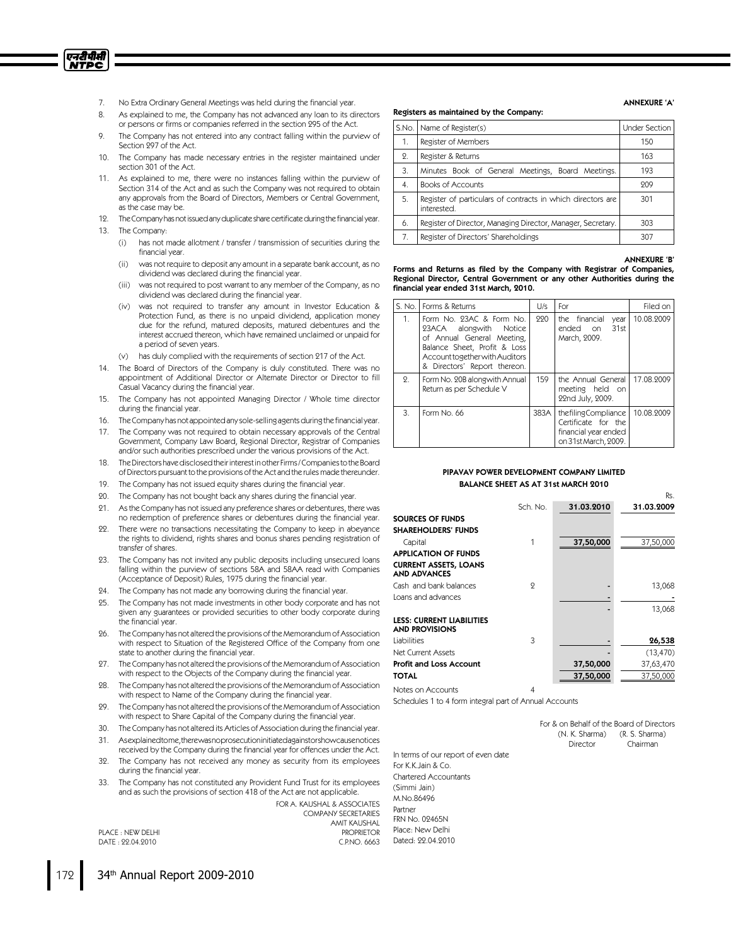- 7. No Extra Ordinary General Meetings was held during the financial year.
- 8. As explained to me, the Company has not advanced any loan to its directors or persons or firms or companies referred in the section 295 of the Act.
- 9. The Company has not entered into any contract falling within the purview of Section 297 of the Act.
- 10. The Company has made necessary entries in the register maintained under section 301 of the Act.
- 11. As explained to me, there were no instances falling within the purview of Section 314 of the Act and as such the Company was not required to obtain any approvals from the Board of Directors, Members or Central Government, as the case may be.
- 12. TheCompanyhasnotissuedanyduplicatesharecertificateduringthefinancial year.
- 13. The Company:

एनटीपीसी <u>NTPC</u>

- (i) has not made allotment / transfer / transmission of securities during the financial year.
- (ii) was not require to deposit any amount in a separate bank account, as no dividend was declared during the financial year.
- (iii) was not required to post warrant to any member of the Company, as no dividend was declared during the financial year.
- (iv) was not required to transfer any amount in Investor Education & Protection Fund, as there is no unpaid dividend, application money due for the refund, matured deposits, matured debentures and the interest accrued thereon, which have remained unclaimed or unpaid for a period of seven years.
- (v) has duly complied with the requirements of section 217 of the Act.
- 14. The Board of Directors of the Company is duly constituted. There was no appointment of Additional Director or Alternate Director or Director to fill Casual Vacancy during the financial year.
- 15. The Company has not appointed Managing Director / Whole time director during the financial year.
- 16. TheCompany has not appointedany sole-selling agentsduring the financial year.
- 17. The Company was not required to obtain necessary approvals of the Central Government, Company Law Board, Regional Director, Registrar of Companies and/or such authorities prescribed under the various provisions of the Act.
- 18. The Directors have disclosed their interest in other Firms / Companies to the Board of Directors pursuant to the provisions of the Act and the rules made thereunder.
- 19. The Company has not issued equity shares during the financial year.
- 20. The Company has not bought back any shares during the financial year.
- 21. Asthe Company has not issued any preference shares or debentures, there was no redemption of preference shares or debentures during the financial year.
- 22. There were no transactions necessitating the Company to keep in abeyance the rights to dividend, rights shares and bonus shares pending registration of transfer of shares.
- 23. The Company has not invited any public deposits including unsecured loans falling within the purview of sections 58A and 58AA read with Companies (Acceptance of Deposit) Rules, 1975 during the financial year.
- 24. The Company has not made any borrowing during the financial year.
- 25. The Company has not made investments in other body corporate and has not given any guarantees or provided securities to other body corporate during the financial year.
- 26. The Company has not altered the provisions of the Memorandum of Association with respect to Situation of the Registered Office of the Company from one state to another during the financial year.
- 27. The Company has not altered the provisions of the Memorandum of Association with respect to the Objects of the Company during the financial year.
- 28. The Company has not altered the provisions of the Memorandum of Association with respect to Name of the Company during the financial year.
- 29. The Company has not altered the provisions of the Memorandum of Association with respect to Share Capital of the Company during the financial year.
- 30. The Company has not altered its Articles of Association during the financial year.
- 31. Asexplainedtome,therewasnoprosecutioninitiatedagainstorshowcausenotices received by the Company during the financial year for offences under the Act.
- 32. The Company has not received any money as security from its employees during the financial year.
- 33. The Company has not constituted any Provident Fund Trust for its employees and as such the provisions of section 418 of the Act are not applicable.

FOR A. KAUSHAL & ASSOCIATES COMPANY SECRETARIES AMIT KAUSHAL PLACE : NEW DELHI PROPRIETOR<br>
DATE : 22.04.2010

# Registers as maintained by the Company:

| S.No. | Name of Register(s)                                                        | <b>Under Section</b> |
|-------|----------------------------------------------------------------------------|----------------------|
| 1.    | Register of Members                                                        | 150                  |
| 2.    | Register & Returns                                                         | 163                  |
| 3.    | Minutes Book of General Meetings, Board Meetings.                          | 193                  |
| 4.    | <b>Books of Accounts</b>                                                   | 209                  |
| .5.   | Register of particulars of contracts in which directors are<br>interested. | 301                  |
| 6.    | Register of Director, Managing Director, Manager, Secretary.               | 303                  |
| 7.    | Register of Directors' Shareholdings                                       | 307                  |

#### ANNEXURE 'B'

Rs.

ANNEXURE 'A'

Forms and Returns as filed by the Company with Registrar of Companies, Regional Director, Central Government or any other Authorities during the financial year ended 31st March, 2010.

| S. No. | Forms & Returns                                                                                                                                                                    | U/s  | For                                                                                        | Filed on   |
|--------|------------------------------------------------------------------------------------------------------------------------------------------------------------------------------------|------|--------------------------------------------------------------------------------------------|------------|
| 1.     | Form No. 93AC & Form No.<br>23ACA alongwith Notice<br>of Annual General Meeting.<br>Balance Sheet, Profit & Loss<br>Account together with Auditors<br>& Directors' Report thereon. | 990  | the financial<br>vear<br>31st<br>ended on<br>March, 2009.                                  | 10.08.2009 |
| 2.     | Form No. 20B alongwith Annual<br>Return as per Schedule V                                                                                                                          | 159  | the Annual General<br>meeting held on<br>22nd July, 2009.                                  | 17.08.9009 |
| 3.     | Form No. 66                                                                                                                                                                        | 383A | thefilingCompliance<br>Certificate for the<br>financial year ended<br>on 31st March, 2009. | 10.08.9009 |

#### PIPAVAV POWER DEVELOPMENT COMPANY LIMITED BALANCE SHEET AS AT 31st MARCH 2010

|                                                           | Sch. No. | 31.03.2010 | 31.03.2009 |
|-----------------------------------------------------------|----------|------------|------------|
| SOURCES OF FUNDS                                          |          |            |            |
| <b>SHAREHOLDERS' FUNDS</b>                                |          |            |            |
| Capital                                                   |          | 37,50,000  | 37,50,000  |
| <b>APPLICATION OF FUNDS</b>                               |          |            |            |
| <b>CURRENT ASSETS, LOANS</b><br><b>AND ADVANCES</b>       |          |            |            |
| Cash and bank balances                                    | 9        |            | 13,068     |
| Loans and advances                                        |          |            |            |
|                                                           |          |            | 13,068     |
| <b>LESS: CURRENT LIABILITIES</b><br><b>AND PROVISIONS</b> |          |            |            |
| Liabilities                                               | 3        |            | 26,538     |
| <b>Net Current Assets</b>                                 |          |            | (13, 470)  |
| <b>Profit and Loss Account</b>                            |          | 37,50,000  | 37,63,470  |
| <b>TOTAL</b>                                              |          | 37,50,000  | 37,50,000  |
|                                                           |          |            |            |

Notes on Accounts 4

Dated: 22.04.2010

Schedules 1 to 4 form integral part of Annual Accounts

|                                     | For & on Behalf of the Board of Directors |          |
|-------------------------------------|-------------------------------------------|----------|
|                                     | (N. K. Sharma) (R. S. Sharma)             |          |
|                                     | Director                                  | Chairman |
| In terms of our report of even date |                                           |          |
| For K.K. Jain & Co.                 |                                           |          |
| Chartered Accountants               |                                           |          |
| (Simmi Jain)                        |                                           |          |
| M.No.86496                          |                                           |          |
| Partner                             |                                           |          |
| FRN No. 09465N                      |                                           |          |
| Place: New Delhi                    |                                           |          |

DATE: 22.04.2010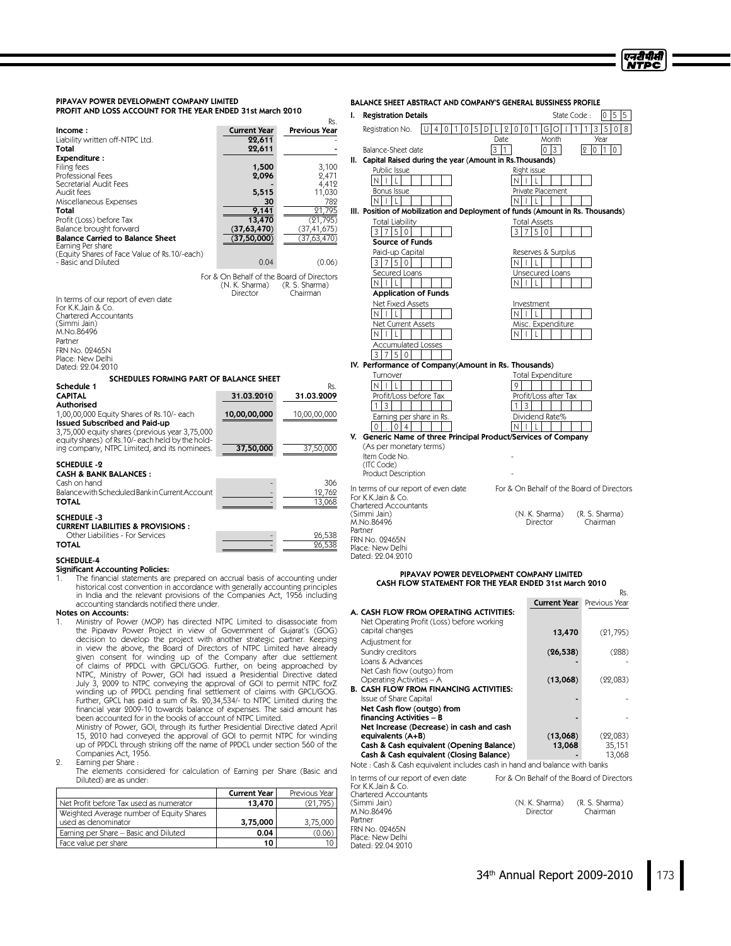| PIPAVAV POWER DEVELOPMENT COMPANY LIMITED<br>PROFIT AND LOSS ACCOUNT FOR THE YEAR ENDED 31st March 2010 |                                           |                      | <b>Registration Details</b><br>L.                              | <b>BALANCE SHEET ABSTRACT AND COMPANY'S GENERAL BUSSINESS PROFILE</b><br>$0 \ 5 \ 5$<br>State Code: |
|---------------------------------------------------------------------------------------------------------|-------------------------------------------|----------------------|----------------------------------------------------------------|-----------------------------------------------------------------------------------------------------|
|                                                                                                         |                                           | Rs.                  | Registration No.                                               | U   4   0   1   0   5   D   L   2   0   0  <br>$3 5 0 8$<br> G O   1 <br>$\mathbf{1}$<br>1          |
| Income:                                                                                                 | <b>Current Year</b>                       | <b>Previous Year</b> |                                                                |                                                                                                     |
| Liability written off-NTPC Ltd.                                                                         | 22,611                                    |                      |                                                                | Date<br>Year<br>Month                                                                               |
| Total                                                                                                   | 22,611                                    |                      | Balance-Sheet date                                             | 3 1<br>$0\vert 3$<br>2010                                                                           |
| Expenditure:                                                                                            |                                           |                      | II. Capital Raised during the year (Amount in Rs. Thousands)   |                                                                                                     |
| Filing fees                                                                                             | 1,500                                     | 3,100                | Public Issue                                                   | Right issue                                                                                         |
| Professional Fees                                                                                       | 2,096                                     | 2,471                | NIIL                                                           | N<br>$\mathsf{L}$<br>$\mathbf{L}$                                                                   |
| Secretarial Audit Fees<br>Audit fees                                                                    | 5,515                                     | 4,412<br>11,030      | <b>Bonus Issue</b>                                             | Private Placement                                                                                   |
| Miscellaneous Expenses                                                                                  | 30                                        | 782                  | N                                                              | N                                                                                                   |
| Total                                                                                                   | 9,141                                     | 21,795               |                                                                | III. Position of Mobilization and Deployment of funds (Amount in Rs. Thousands)                     |
|                                                                                                         |                                           |                      |                                                                |                                                                                                     |
| Profit (Loss) before Tax                                                                                | 13,470                                    | (21, 795)            | <b>Total Liability</b>                                         | <b>Total Assets</b>                                                                                 |
| Balance brought forward                                                                                 | (37,63,470)                               | (37, 41, 675)        | 3750                                                           | 3 7 5 0                                                                                             |
| <b>Balance Carried to Balance Sheet</b><br>Earning Per share                                            | (37, 50, 000)                             | (37, 63, 470)        | Source of Funds                                                |                                                                                                     |
| (Equity Shares of Face Value of Rs.10/-each)                                                            |                                           |                      | Paid-up Capital                                                | Reserves & Surplus                                                                                  |
| - Basic and Diluted                                                                                     | 0.04                                      | (0.06)               | 3 7 5 0                                                        | N<br>-L                                                                                             |
|                                                                                                         |                                           |                      | Secured Loans                                                  | Unsecured Loans                                                                                     |
|                                                                                                         | For & On Behalf of the Board of Directors |                      |                                                                |                                                                                                     |
|                                                                                                         | (N. K. Sharma)                            | (R. S. Sharma)       | IN I<br>TI L                                                   | N<br>$\mathsf{L}$<br>$\mathbf{L}$                                                                   |
| In terms of our report of even date                                                                     | Director                                  | Chairman             | <b>Application of Funds</b>                                    |                                                                                                     |
| For K.K.Jain & Co.                                                                                      |                                           |                      | <b>Net Fixed Assets</b>                                        | Investment                                                                                          |
| <b>Chartered Accountants</b>                                                                            |                                           |                      | IN I<br>$\mathsf{L}$                                           | ΝI<br>L                                                                                             |
| (Simmi Jain)                                                                                            |                                           |                      | Net Current Assets                                             | Misc. Expenditure                                                                                   |
| M.No.86496                                                                                              |                                           |                      | $\mathsf{L}$<br>IN I                                           | L<br>ΝI                                                                                             |
| Partner                                                                                                 |                                           |                      | <b>Accumulated Losses</b>                                      |                                                                                                     |
| FRN No. 09465N                                                                                          |                                           |                      |                                                                |                                                                                                     |
| Place: New Delhi                                                                                        |                                           |                      | 3750                                                           |                                                                                                     |
| Dated: 22.04.2010                                                                                       |                                           |                      | IV. Performance of Company(Amount in Rs. Thousands)            |                                                                                                     |
| SCHEDULES FORMING PART OF BALANCE SHEET                                                                 |                                           |                      | Turnover                                                       | <b>Total Expenditure</b>                                                                            |
| Schedule 1                                                                                              |                                           | Rs.                  | $\mathsf{N}$<br>$\mathsf{L}$                                   | 9                                                                                                   |
| <b>CAPITAL</b>                                                                                          | 31.03.2010                                | 31.03.2009           | Profit/Loss before Tax                                         | Profit/Loss after Tax                                                                               |
| <b>Authorised</b>                                                                                       |                                           |                      | 3<br>$\mathbf{1}$                                              | 3<br>$\mathbf{1}$                                                                                   |
| 1,00,00,000 Equity Shares of Rs.10/- each                                                               | 10,00,00,000                              | 10,00,00,000         |                                                                | Dividend Rate%                                                                                      |
| <b>Issued Subscribed and Paid-up</b>                                                                    |                                           |                      | Earning per share in Rs.                                       |                                                                                                     |
| 3,75,000 equity shares (previous year 3,75,000                                                          |                                           |                      | $\overline{0}$<br> 0 4                                         | N                                                                                                   |
| equity shares) of Rs.10/-each held by the hold-                                                         |                                           |                      | V. Generic Name of three Principal Product/Services of Company |                                                                                                     |
| ing company, NTPC Limited, and its nominees.                                                            | 37,50,000                                 | 37,50,000            | (As per monetary terms)                                        |                                                                                                     |
|                                                                                                         |                                           |                      | Item Code No.                                                  |                                                                                                     |
| <b>SCHEDULE -2</b>                                                                                      |                                           |                      | (ITC Code)                                                     |                                                                                                     |
| <b>CASH &amp; BANK BALANCES:</b>                                                                        |                                           |                      | Product Description                                            |                                                                                                     |
| Cash on hand                                                                                            |                                           | 306                  |                                                                | For & On Behalf of the Board of Directors                                                           |
| Balance with Scheduled Bank in Current Account                                                          |                                           | 12.762               | In terms of our report of even date<br>For K.K.Jain & Co.      |                                                                                                     |
| <b>TOTAL</b>                                                                                            |                                           | 13,068               | <b>Chartered Accountants</b>                                   |                                                                                                     |
|                                                                                                         |                                           |                      | (Simmi Jain)                                                   | (N. K. Sharma)<br>(R. S. Sharma)                                                                    |
| <b>SCHEDULE -3</b>                                                                                      |                                           |                      | M.No.86496                                                     | Director<br>Chairman                                                                                |
| <b>CURRENT LIABILITIES &amp; PROVISIONS:</b>                                                            |                                           |                      | Partner                                                        |                                                                                                     |
| Other Liabilities - For Services                                                                        |                                           | 26,538               | FRN No. 09465N                                                 |                                                                                                     |
| <b>TOTAL</b>                                                                                            |                                           | 26,538               | Place: New Delhi                                               |                                                                                                     |
| <b>SCHEDULE-4</b>                                                                                       |                                           |                      | Dated: 22.04.2010                                              |                                                                                                     |
| <b>Significant Accounting Policies:</b>                                                                 |                                           |                      |                                                                |                                                                                                     |
|                                                                                                         |                                           |                      |                                                                | <b>DIDAVAV DOWED DEVELODMENT COMPANY LIMITED</b>                                                    |

(Simmi Jain)<br>M.No.86496 Partner FRN No. 02465N Place: New Delhi Dated: 22.04.2010

**Significant Accounting Policies:**<br>1. The financial statements are prepared on accrual basis of accounting under<br>historical cost convention in accordance with generally accounting principles in India and the relevant provisions of the Companies Act, 1956 including accounting standards notified there under.

**Notes on Accounts:**<br>1. Ministry of Power (MOP) has directed NTPC Limited to disassociate from the Pipavav Power Project in view of Government of Gujarat's (GOG) decision to develop the project with another strategic partner. Keeping in view the above, the Board of Directors of NTPC Limited have already given consent for winding up of the Company after due settlement of claims of PPDCL with GPCL/GOG. Further, on being approached by NTPC, Ministry of Power, GOI had issued a Presidential Directive dated July 3, 2009 to NTPC conveying the approval of GOI to permit NTPC forZ winding up of PPDCL pending final settlement of claims with GPCL/GOG. Further, GPCL has paid a sum of Rs. 20,34,534/- to NTPC Limited during the financial year 2009-10 towards balance of expenses. The said amount has been accounted for in the books of account of NTPC Limited.

Ministry of Power, GOI, through its further Presidential Directive dated April 15, 2010 had conveyed the approval of GOI to permit NTPC for winding up of PPDCL through striking off the name of PPDCL under section 560 of the Companies Act, 1956.

2. Earning per Share :

The elements considered for calculation of Earning per Share (Basic and Diluted) are as under:

|                                                                 | <b>Current Year</b> | Previous Year |
|-----------------------------------------------------------------|---------------------|---------------|
| Net Profit before Tax used as numerator                         | 13,470              | (21, 795)     |
| Weighted Average number of Equity Shares<br>used as denominator | 3,75,000            | 3,75,000      |
| Earning per Share – Basic and Diluted                           | 0.04                | 0.06          |
| Face value per share                                            | 10                  |               |

#### PIPAVAV POWER DEVELOPMENT COMPANY LIMITED CASH FLOW STATEMENT FOR THE YEAR ENDED 31st March 2010

|                                                                            |                                           | NG.           |
|----------------------------------------------------------------------------|-------------------------------------------|---------------|
|                                                                            | <b>Current Year</b>                       | Previous Year |
| A. CASH FLOW FROM OPERATING ACTIVITIES:                                    |                                           |               |
| Net Operating Profit (Loss) before working                                 |                                           |               |
| capital changes                                                            | 13,470                                    | (21, 795)     |
| Adjustment for                                                             |                                           |               |
| Sundry creditors                                                           | (26, 538)                                 | (288)         |
| Loans & Advances                                                           |                                           |               |
| Net Cash flow (outgo) from                                                 |                                           |               |
| Operating Activities – A                                                   | (13,068)                                  | (22,083)      |
| <b>B. CASH FLOW FROM FINANCING ACTIVITIES:</b>                             |                                           |               |
| Issue of Share Capital                                                     |                                           |               |
| Net Cash flow (outgo) from                                                 |                                           |               |
| financing Activities – B                                                   |                                           |               |
| Net Increase (Decrease) in cash and cash                                   |                                           |               |
| equivalents (A+B)                                                          | (13,068)                                  | (22,083)      |
| Cash & Cash equivalent (Opening Balance)                                   | 13,068                                    | 35,151        |
| Cash & Cash equivalent (Closing Balance)                                   |                                           | 13,068        |
| Note : Cash & Cash equivalent includes cash in hand and balance with banks |                                           |               |
| In terms of our report of even date<br>For K.K. Jain & Co.                 | For & On Behalf of the Board of Directors |               |
| Chartered Accountants                                                      |                                           |               |

(N. K. Sharma) (R. S. Sharma)<br>Director Chairman

Rs.

एनदीपीसी **NTPC**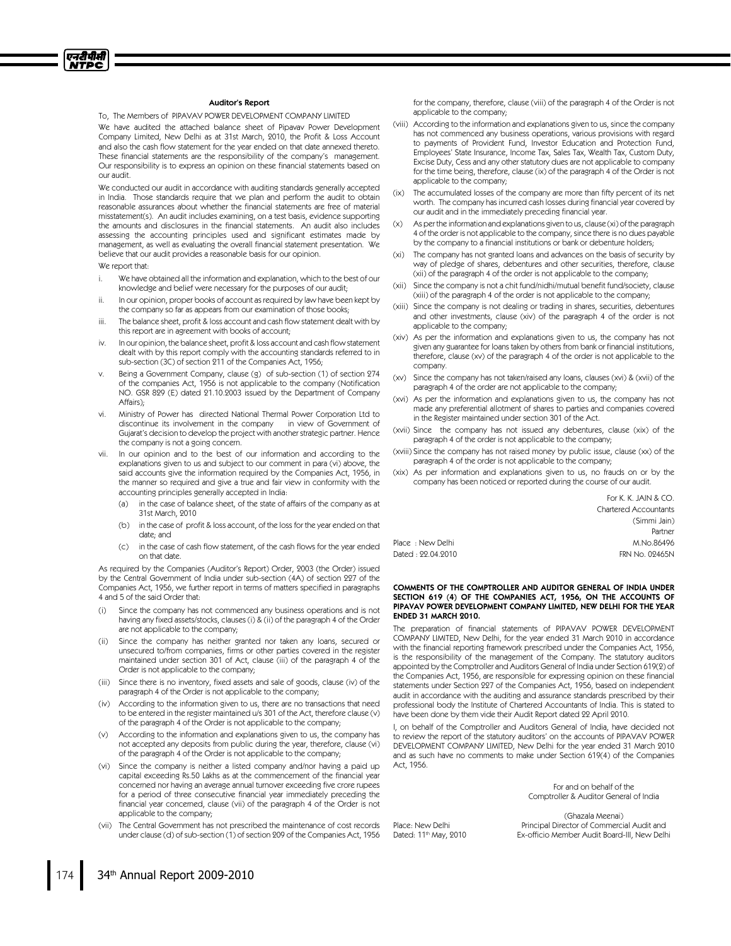

#### Auditor's Report

To. The Members of PIPAVAV POWER DEVELOPMENT COMPANY LIMITED

We have audited the attached balance sheet of Pipavav Power Development Company Limited, New Delhi as at 31st March, 2010, the Profit & Loss Account and also the cash flow statement for the year ended on that date annexed thereto. These financial statements are the responsibility of the company's management. Our responsibility is to express an opinion on these financial statements based on our audit.

We conducted our audit in accordance with auditing standards generally accepted in India. Those standards require that we plan and perform the audit to obtain reasonable assurances about whether the financial statements are free of material misstatement(s). An audit includes examining, on a test basis, evidence supporting the amounts and disclosures in the financial statements. An audit also includes assessing the accounting principles used and significant estimates made by management, as well as evaluating the overall financial statement presentation. We believe that our audit provides a reasonable basis for our opinion.

We report that:

- i. We have obtained all the information and explanation, which to the best of our knowledge and belief were necessary for the purposes of our audit;
- ii. In our opinion, proper books of account as required by law have been kept by the company so far as appears from our examination of those books;
- iii. The balance sheet, profit & loss account and cash flow statement dealt with by this report are in agreement with books of account;
- iv. In our opinion, the balance sheet, profit & loss account and cash flow statement dealt with by this report comply with the accounting standards referred to in sub-section (3C) of section 211 of the Companies Act, 1956;
- Being a Government Company, clause (g) of sub-section (1) of section 274 of the companies Act, 1956 is not applicable to the company (Notification NO. GSR 829 (E) dated 21.10.2003 issued by the Department of Company Affairs);
- vi. Ministry of Power has directed National Thermal Power Corporation Ltd to discontinue its involvement in the company in view of Government of Gujarat's decision to develop the project with another strategic partner. Hence the company is not a going concern.
- vii. In our opinion and to the best of our information and according to the explanations given to us and subject to our comment in para (vi) above, the said accounts give the information required by the Companies Act, 1956, in the manner so required and give a true and fair view in conformity with the accounting principles generally accepted in India:
	- (a) in the case of balance sheet, of the state of affairs of the company as at 31st March, 2010
	- (b) in the case of profit & loss account, of the loss for the year ended on that date; and
	- (c) in the case of cash flow statement, of the cash flows for the year ended on that date.

As required by the Companies (Auditor's Report) Order, 2003 (the Order) issued by the Central Government of India under sub-section (4A) of section 227 of the Companies Act, 1956, we further report in terms of matters specified in paragraphs 4 and 5 of the said Order that:

- Since the company has not commenced any business operations and is not having any fixed assets/stocks, clauses (i) & (ii) of the paragraph 4 of the Order are not applicable to the company;
- (ii) Since the company has neither granted nor taken any loans, secured or unsecured to/from companies, firms or other parties covered in the register maintained under section 301 of Act, clause (iii) of the paragraph 4 of the Order is not applicable to the company;
- (iii) Since there is no inventory, fixed assets and sale of goods, clause (iv) of the paragraph 4 of the Order is not applicable to the company;
- (iv) According to the information given to us, there are no transactions that need to be entered in the register maintained u/s 301 of the Act, therefore clause (v) of the paragraph 4 of the Order is not applicable to the company;
- (v) According to the information and explanations given to us, the company has not accepted any deposits from public during the year, therefore, clause (vi) of the paragraph 4 of the Order is not applicable to the company;
- (vi) Since the company is neither a listed company and/nor having a paid up capital exceeding Rs.50 Lakhs as at the commencement of the financial year concerned nor having an average annual turnover exceeding five crore rupees for a period of three consecutive financial year immediately preceding the financial year concerned, clause (vii) of the paragraph 4 of the Order is not applicable to the company;
- (vii) The Central Government has not prescribed the maintenance of cost records under clause (d) of sub-section (1) of section 209 of the Companies Act, 1956

for the company, therefore, clause (viii) of the paragraph 4 of the Order is not applicable to the company;

- (viii) According to the information and explanations given to us, since the company has not commenced any business operations, various provisions with regard to payments of Provident Fund, Investor Education and Protection Fund, Employees' State Insurance, Income Tax, Sales Tax, Wealth Tax, Custom Duty, Excise Duty, Cess and any other statutory dues are not applicable to company for the time being, therefore, clause (ix) of the paragraph 4 of the Order is not applicable to the company;
- (ix) The accumulated losses of the company are more than fifty percent of its net worth. The company has incurred cash losses during financial year covered by our audit and in the immediately preceding financial year.
- (x) As per the information and explanations given to us, clause (xi) of the paragraph 4 of the order is not applicable to the company, since there is no dues payable by the company to a financial institutions or bank or debenture holders;
- (xi) The company has not granted loans and advances on the basis of security by way of pledge of shares, debentures and other securities, therefore, clause (xii) of the paragraph 4 of the order is not applicable to the company;
- (xii) Since the company is not a chit fund/nidhi/mutual benefit fund/society, clause (xiii) of the paragraph 4 of the order is not applicable to the company;
- (xiii) Since the company is not dealing or trading in shares, securities, debentures and other investments, clause (xiv) of the paragraph 4 of the order is not applicable to the company;
- (xiv) As per the information and explanations given to us, the company has not given any guarantee for loans taken by others from bank or financial institutions, therefore, clause (xv) of the paragraph 4 of the order is not applicable to the company.
- (xv) Since the company has not taken/raised any loans, clauses (xvi) & (xvii) of the paragraph 4 of the order are not applicable to the company;
- (xvi) As per the information and explanations given to us, the company has not made any preferential allotment of shares to parties and companies covered in the Register maintained under section 301 of the Act.
- (xvii) Since the company has not issued any debentures, clause (xix) of the paragraph 4 of the order is not applicable to the company;
- (xviii) Since the company has not raised money by public issue, clause (xx) of the paragraph 4 of the order is not applicable to the company;
- (xix) As per information and explanations given to us, no frauds on or by the company has been noticed or reported during the course of our audit.

|                   | For K. K. JAIN & CO.         |
|-------------------|------------------------------|
|                   | <b>Chartered Accountants</b> |
|                   | (Simmi Jain)                 |
|                   | Partner                      |
| Place: New Delhi  | M.No.86496                   |
| Dated: 22.04.2010 | FRN No. 02465N               |

#### COMMENTS OF THE COMPTROLLER AND AUDITOR GENERAL OF INDIA UNDER SECTION 619 (4) OF THE COMPANIES ACT, 1956, ON THE ACCOUNTS OF PIPAVAV POWER DEVELOPMENT COMPANY LIMITED, NEW DELHI FOR THE YEAR ENDED 31MARCH 2010.

The preparation of financial statements of PIPAVAV POWER DEVELOPMENT COMPANY LIMITED, New Delhi, for the year ended 31 March 2010 in accordance with the financial reporting framework prescribed under the Companies Act, 1956. is the responsibility of the management of the Company. The statutory auditors appointed by the Comptroller and Auditors General of India under Section 619(2) of the Companies Act, 1956, are responsible for expressing opinion on these financial statements under Section 227 of the Companies Act, 1956, based on independent audit in accordance with the auditing and assurance standards prescribed by their professional body the Institute of Chartered Accountants of India. This is stated to have been done by them vide their Audit Report dated 22 April 2010.

I, on behalf of the Comptroller and Auditors General of India, have decided not to review the report of the statutory auditors' on the accounts of PIPAVAV POWER DEVELOPMENT COMPANY LIMITED, New Delhi for the year ended 31 March 2010 and as such have no comments to make under Section 619(4) of the Companies Act, 1956.

Place: New Delhi Dated: 11<sup>th</sup> May, 2010

For and on behalf of the Comptroller & Auditor General of India

(Ghazala Meenai) Principal Director of Commercial Audit and Ex-officio Member Audit Board-III, New Delhi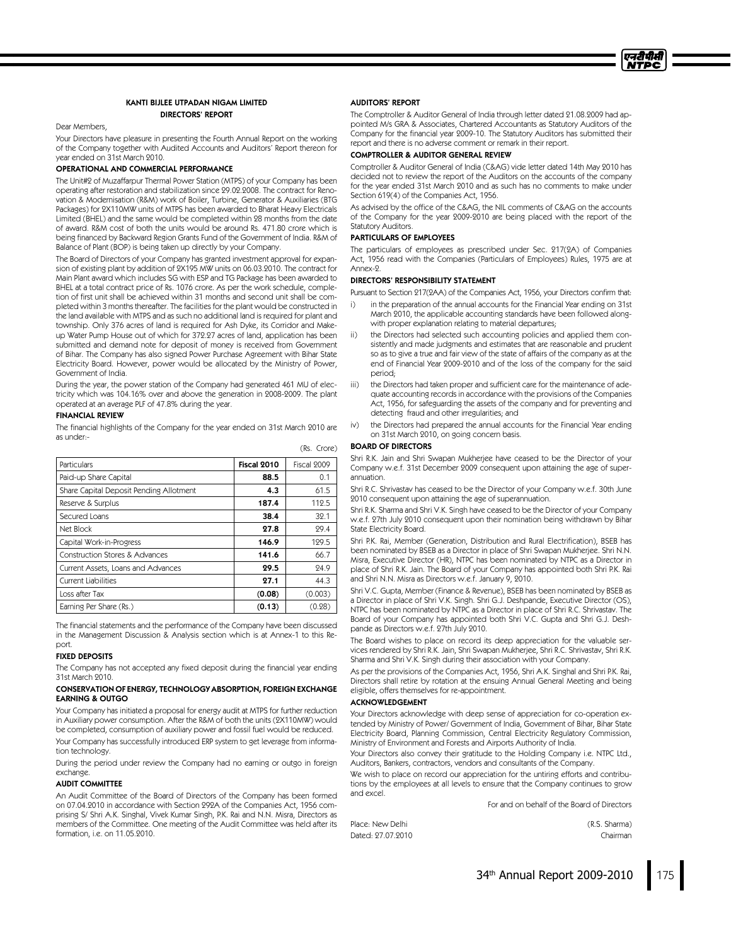

#### KANTI BIJLEE UTPADAN NIGAM LIMITED DIRECTORS' REPORT

#### Dear Members,

Your Directors have pleasure in presenting the Fourth Annual Report on the working of the Company together with Audited Accounts and Auditors' Report thereon for year ended on 31st March 2010.

#### OPERATIONAL AND COMMERCIAL PERFORMANCE

The Unit#2 of Muzaffarpur Thermal Power Station (MTPS) of your Company has been operating after restoration and stabilization since 29.02.2008. The contract for Renovation & Modernisation (R&M) work of Boiler, Turbine, Generator & Auxiliaries (BTG Packages) for 2X110MW units of MTPS has been awarded to Bharat Heavy Electricals Limited (BHEL) and the same would be completed within 28 months from the date of award. R&M cost of both the units would be around Rs. 471.80 crore which is being financed by Backward Region Grants Fund of the Government of India. R&M of Balance of Plant (BOP) is being taken up directly by your Company.

The Board of Directors of your Company has granted investment approval for expansion of existing plant by addition of 2X195 MW units on 06.03.2010. The contract for Main Plant award which includes SG with ESP and TG Package has been awarded to BHEL at a total contract price of Rs. 1076 crore. As per the work schedule, completion of first unit shall be achieved within 31 months and second unit shall be completed within 3 months thereafter. The facilities for the plant would be constructed in the land available with MTPS and as such no additional land is required for plant and township. Only 376 acres of land is required for Ash Dyke, its Corridor and Makeup Water Pump House out of which for 372.27 acres of land, application has been submitted and demand note for deposit of money is received from Government of Bihar. The Company has also signed Power Purchase Agreement with Bihar State Electricity Board. However, power would be allocated by the Ministry of Power, Government of India.

During the year, the power station of the Company had generated 461 MU of electricity which was 104.16% over and above the generation in 2008-2009. The plant operated at an average PLF of 47.8% during the year.

#### FINANCIAL REVIEW

The financial highlights of the Company for the year ended on 31st March 2010 are as under:-

| Particulars                             | Fiscal 2010 | Fiscal 2009 |
|-----------------------------------------|-------------|-------------|
| Paid-up Share Capital                   | 88.5        | 0.1         |
| Share Capital Deposit Pending Allotment | 4.3         | 61.5        |
| Reserve & Surplus                       | 187.4       | 112.5       |
| Secured Loans                           | 38.4        | 32.1        |
| Net Block                               | 27.8        | 29.4        |
| Capital Work-in-Progress                | 146.9       | 129.5       |
| Construction Stores & Advances          | 141.6       | 66.7        |
| Current Assets, Loans and Advances      | 29.5        | 24.9        |
| <b>Current Liabilities</b>              | 27.1        | 44.3        |
| Loss after Tax                          | (0.08)      | (0.003)     |
| Earning Per Share (Rs.)                 | (0.13)      | (0.28)      |

The financial statements and the performance of the Company have been discussed in the Management Discussion & Analysis section which is at Annex-1 to this Report.

## FIXED DEPOSITS

The Company has not accepted any fixed deposit during the financial year ending 31st March 2010.

#### CONSERVATION OF ENERGY,TECHNOLOGY ABSORPTION,FOREIGN EXCHANGE EARNING & OUTGO

Your Company has initiated a proposal for energy audit at MTPS for further reduction in Auxiliary power consumption. After the R&M of both the units (2X110MW) would be completed, consumption of auxiliary power and fossil fuel would be reduced. Your Company has successfully introduced ERP system to get leverage from information technology.

During the period under review the Company had no earning or outgo in foreign exchange.

#### AUDIT COMMITTEE

An Audit Committee of the Board of Directors of the Company has been formed on 07.04.2010 in accordance with Section 292A of the Companies Act, 1956 comprising S/Shri A.K. Singhal, Vivek Kumar Singh, P.K. Rai and N.N. Misra, Directors as members of the Committee. One meeting of the Audit Committee was held after its formation, i.e. on 11.05.2010.

#### AUDITORS' REPORT

The Comptroller & Auditor General of India through letter dated 21.08.2009 had appointed M/s GRA & Associates, Chartered Accountants as Statutory Auditors of the Company for the financial year 2009-10. The Statutory Auditors has submitted their report and there is no adverse comment or remark in their report.

#### COMPTROLLER & AUDITOR GENERAL REVIEW

Comptroller & Auditor General of India (C&AG) vide letter dated 14th May 2010 has decided not to review the report of the Auditors on the accounts of the company for the year ended 31st March 2010 and as such has no comments to make under Section 619(4) of the Companies Act, 1956.

As advised by the office of the C&AG, the NIL comments of C&AG on the accounts of the Company for the year 2009-2010 are being placed with the report of the Statutory Auditors.

#### PARTICULARS OF EMPLOYEES

The particulars of employees as prescribed under Sec. 217(2A) of Companies Act, 1956 read with the Companies (Particulars of Employees) Rules, 1975 are at Annex-2.

#### DIRECTORS' RESPONSIBILITY STATEMENT

Pursuant to Section 217(2AA) of the Companies Act, 1956, your Directors confirm that:

- i) in the preparation of the annual accounts for the Financial Year ending on 31st March 2010, the applicable accounting standards have been followed alongwith proper explanation relating to material departures;
- ii) the Directors had selected such accounting policies and applied them consistently and made judgments and estimates that are reasonable and prudent so as to give a true and fair view of the state of affairs of the company as at the end of Financial Year 2009-2010 and of the loss of the company for the said period;
- iii) the Directors had taken proper and sufficient care for the maintenance of adequate accounting records in accordance with the provisions of the Companies Act, 1956, for safeguarding the assets of the company and for preventing and detecting fraud and other irregularities; and
- iv) the Directors had prepared the annual accounts for the Financial Year ending on 31st March 2010, on going concern basis.

# BOARD OF DIRECTORS

(Rs. Crore)

Shri R.K. Jain and Shri Swapan Mukherjee have ceased to be the Director of your Company w.e.f. 31st December 2009 consequent upon attaining the age of superannuation.

Shri R.C. Shrivastav has ceased to be the Director of your Company w.e.f. 30th June 2010 consequent upon attaining the age of superannuation.

Shri R.K. Sharma and Shri V.K. Singh have ceased to be the Director of your Company w.e.f. 27th July 2010 consequent upon their nomination being withdrawn by Bihar State Electricity Board.

Shri P.K. Rai, Member (Generation, Distribution and Rural Electrification), BSEB has been nominated by BSEB as a Director in place of Shri Swapan Mukherjee. Shri N.N. Misra, Executive Director (HR), NTPC has been nominated by NTPC as a Director in place of Shri R.K. Jain. The Board of your Company has appointed both Shri P.K. Rai and Shri N.N. Misra as Directors w.e.f. January 9, 2010.

Shri V.C. Gupta, Member (Finance & Revenue), BSEB has been nominated by BSEB as a Director in place of Shri V.K. Singh. Shri G.J. Deshpande, Executive Director (OS), NTPC has been nominated by NTPC as a Director in place of Shri R.C. Shrivastav. The Board of your Company has appointed both Shri V.C. Gupta and Shri G.J. Deshpande as Directors w.e.f. 27th July 2010.

The Board wishes to place on record its deep appreciation for the valuable services rendered by Shri R.K. Jain, Shri Swapan Mukherjee, Shri R.C. Shrivastav, Shri R.K. Sharma and Shri V.K. Singh during their association with your Company.

As per the provisions of the Companies Act, 1956, Shri A.K. Singhal and Shri P.K. Rai, Directors shall retire by rotation at the ensuing Annual General Meeting and being eligible, offers themselves for re-appointment.

#### ACKNOWLEDGEMENT

Your Directors acknowledge with deep sense of appreciation for co-operation extended by Ministry of Power/Government of India, Government of Bihar, Bihar State Electricity Board, Planning Commission, Central Electricity Regulatory Commission, Ministry of Environment and Forests and Airports Authority of India.

Your Directors also convey their gratitude to the Holding Company i.e. NTPC Ltd., Auditors, Bankers, contractors, vendors and consultants of the Company.

We wish to place on record our appreciation for the untiring efforts and contributions by the employees at all levels to ensure that the Company continues to grow and excel.

For and on behalf of the Board of Directors

Place: New Delhi (R.S. Sharma) Dated: 27.07.2010 Chairman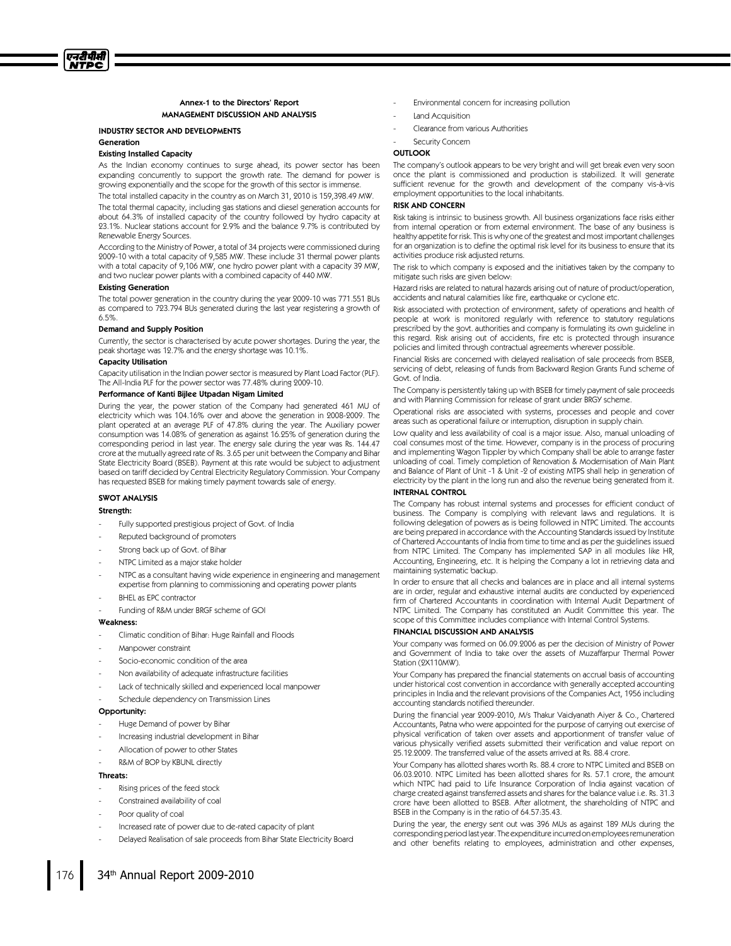#### Annex-1 to the Directors' Report MANAGEMENT DISCUSSION AND ANALYSIS

# INDUSTRY SECTOR AND DEVELOPMENTS

Generation

# Existing Installed Capacity

As the Indian economy continues to surge ahead, its power sector has been expanding concurrently to support the growth rate. The demand for power is growing exponentially and the scope for the growth of this sector is immense.

The total installed capacity in the country as on March 31, 2010 is 159,398.49 MW.

The total thermal capacity, including gas stations and diesel generation accounts for about 64.3% of installed capacity of the country followed by hydro capacity at 23.1%. Nuclear stations account for 2.9% and the balance 9.7% is contributed by Renewable Energy Sources.

According to the Ministry of Power, a total of 34 projects were commissioned during 2009-10 with a total capacity of 9,585 MW. These include 31 thermal power plants with a total capacity of 9,106 MW, one hydro power plant with a capacity 39 MW, and two nuclear power plants with a combined capacity of 440 MW.

#### **Existing Generation**

The total power generation in the country during the year 2009-10 was 771.551 BUs as compared to 723.794 BUs generated during the last year registering a growth of 6.5%.

#### Demand and Supply Position

Currently, the sector is characterised by acute power shortages. During the year, the peak shortage was 12.7% and the energy shortage was 10.1%.

#### Capacity Utilisation

Capacity utilisation in the Indian power sector is measured by Plant Load Factor (PLF). The All-India PLF for the power sector was 77.48% during 2009-10.

#### Performance of Kanti Bijlee Utpadan Nigam Limited

During the year, the power station of the Company had generated 461 MU of electricity which was 104.16% over and above the generation in 2008-2009. The plant operated at an average PLF of 47.8% during the year. The Auxiliary power consumption was 14.08% of generation as against 16.25% of generation during the corresponding period in last year. The energy sale during the year was Rs. 144.47 crore at the mutually agreed rate of Rs. 3.65 per unit between the Company and Bihar State Electricity Board (BSEB). Payment at this rate would be subject to adjustment based on tariff decided by Central Electricity Regulatory Commission. Your Company has requested BSEB for making timely payment towards sale of energy.

#### SWOT ANALYSIS

#### Strength:

- Fully supported prestigious project of Govt. of India
- Reputed background of promoters
- Strong back up of Govt. of Bihar
- NTPC Limited as a major stake holder
- NTPC as a consultant having wide experience in engineering and management expertise from planning to commissioning and operating power plants
- BHEL as EPC contractor
- Funding of R&M under BRGF scheme of GOI

#### Weakness:

- Climatic condition of Bihar: Huge Rainfall and Floods
- Manpower constraint
- Socio-economic condition of the area
- Non availability of adequate infrastructure facilities
- Lack of technically skilled and experienced local manpower
- Schedule dependency on Transmission Lines

#### Opportunity:

- Huge Demand of power by Bihar
- Increasing industrial development in Bihar
- Allocation of power to other States
- R&M of BOP by KBUNL directly

#### Threats:

- Rising prices of the feed stock
- Constrained availability of coal
- Poor quality of coal
- Increased rate of power due to de-rated capacity of plant
- Delayed Realisation of sale proceeds from Bihar State Electricity Board
- Environmental concern for increasing pollution
- Land Acquisition
- Clearance from various Authorities
- Security Concern

#### OUTLOOK

The company's outlook appears to be very bright and will get break even very soon once the plant is commissioned and production is stabilized. It will generate sufficient revenue for the growth and development of the company vis-à-vis employment opportunities to the local inhabitants.

#### RISKAND CONCERN

Risk taking is intrinsic to business growth. All business organizations face risks either from internal operation or from external environment. The base of any business is healthy appetite for risk. This is why one of the greatest and most important challenges for an organization is to define the optimal risk level for its business to ensure that its activities produce risk adjusted returns.

The risk to which company is exposed and the initiatives taken by the company to mitigate such risks are given below:

Hazard risks are related to natural hazards arising out of nature of product/operation, accidents and natural calamities like fire, earthquake or cyclone etc.

Risk associated with protection of environment, safety of operations and health of people at work is monitored regularly with reference to statutory regulations prescribed by the govt. authorities and company is formulating its own guideline in this regard. Risk arising out of accidents, fire etc is protected through insurance policies and limited through contractual agreements wherever possible.

Financial Risks are concerned with delayed realisation of sale proceeds from BSEB, servicing of debt, releasing of funds from Backward Region Grants Fund scheme of Govt. of India.

The Company is persistently taking up with BSEB for timely payment of sale proceeds and with Planning Commission for release of grant under BRGY scheme.

Operational risks are associated with systems, processes and people and cover areas such as operational failure or interruption, disruption in supply chain.

Low quality and less availability of coal is a major issue. Also, manual unloading of coal consumes most of the time. However, company is in the process of procuring and implementing Wagon Tippler by which Company shall be able to arrange faster unloading of coal. Timely completion of Renovation & Modernisation of Main Plant and Balance of Plant of Unit -1 & Unit -2 of existing MTPS shall help in generation of electricity by the plant in the long run and also the revenue being generated from it.

### INTERNAL CONTROL

The Company has robust internal systems and processes for efficient conduct of business. The Company is complying with relevant laws and regulations. It is following delegation of powers as is being followed in NTPC Limited. The accounts are being prepared in accordance with the Accounting Standards issued by Institute of Chartered Accountants of India from time to time and as per the guidelines issued from NTPC Limited. The Company has implemented SAP in all modules like HR, Accounting, Engineering, etc. It is helping the Company a lot in retrieving data and maintaining systematic backup.

In order to ensure that all checks and balances are in place and all internal systems are in order, regular and exhaustive internal audits are conducted by experienced firm of Chartered Accountants in coordination with Internal Audit Department of NTPC Limited. The Company has constituted an Audit Committee this year. The scope of this Committee includes compliance with Internal Control Systems.

#### FINANCIAL DISCUSSION AND ANALYSIS

Your company was formed on 06.09.2006 as per the decision of Ministry of Power and Government of India to take over the assets of Muzaffarpur Thermal Power Station (2X110MW).

Your Company has prepared the financial statements on accrual basis of accounting under historical cost convention in accordance with generally accepted accounting principles in India and the relevant provisions of the Companies Act, 1956 including accounting standards notified thereunder.

During the financial year 2009-2010, M/s Thakur Vaidyanath Aiyer & Co., Chartered Accountants, Patna who were appointed for the purpose of carrying out exercise of physical verification of taken over assets and apportionment of transfer value of various physically verified assets submitted their verification and value report on 25.12.2009. The transferred value of the assets arrived at Rs. 88.4 crore.

Your Company has allotted shares worth Rs. 88.4 crore to NTPC Limited and BSEB on 06.03.2010. NTPC Limited has been allotted shares for Rs. 57.1 crore, the amount which NTPC had paid to Life Insurance Corporation of India against vacation of charge created against transferred assets and shares for the balance value i.e. Rs. 31.3 crore have been allotted to BSEB. After allotment, the shareholding of NTPC and BSEB in the Company is in the ratio of 64.57:35.43.

During the year, the energy sent out was 396 MUs as against 189 MUs during the corresponding period last year. The expenditure incurred on employees remuneration and other benefits relating to employees, administration and other expenses,

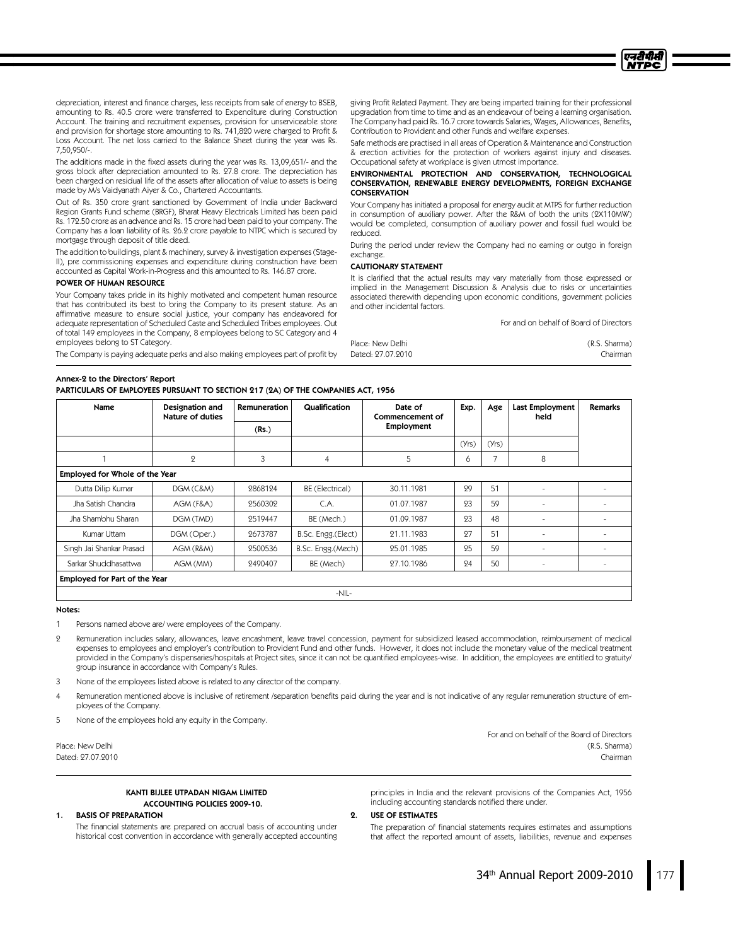depreciation, interest and finance charges, less receipts from sale of energy to BSEB, amounting to Rs. 40.5 crore were transferred to Expenditure during Construction Account. The training and recruitment expenses, provision for unserviceable store and provision for shortage store amounting to Rs. 741,820 were charged to Profit & Loss Account. The net loss carried to the Balance Sheet during the year was Rs. 7,50,950/-.

The additions made in the fixed assets during the year was Rs. 13,09,651/- and the gross block after depreciation amounted to Rs. 27.8 crore. The depreciation has been charged on residual life of the assets after allocation of value to assets is being made by M/s Vaidyanath Aiyer & Co., Chartered Accountants.

Out of Rs. 350 crore grant sanctioned by Government of India under Backward Region Grants Fund scheme (BRGF), Bharat Heavy Electricals Limited has been paid Rs. 172.50 crore as an advance and Rs. 15 crore had been paid to your company. The Company has a loan liability of Rs. 26.2 crore payable to NTPC which is secured by mortgage through deposit of title deed.

The addition to buildings, plant & machinery, survey & investigation expenses (Stage-II), pre commissioning expenses and expenditure during construction have been accounted as Capital Work-in-Progress and this amounted to Rs. 146.87 crore.

#### POWER OF HUMAN RESOURCE

Your Company takes pride in its highly motivated and competent human resource that has contributed its best to bring the Company to its present stature. As an affirmative measure to ensure social justice, your company has endeavored for adequate representation of Scheduled Caste and Scheduled Tribes employees. Out of total 149 employees in the Company, 8 employees belong to SC Category and 4 employees belong to ST Category.

The Company is paying adequate perks and also making employees part of profit by

# Annex-2 to the Directors' Report

PARTICULARS OF EMPLOYEES PURSUANT TO SECTION 217(2A) OF THE COMPANIES ACT,1956

giving Profit Related Payment. They are being imparted training for their professional upgradation from time to time and as an endeavour of being a learning organisation. The Company had paid Rs. 16.7 crore towards Salaries, Wages, Allowances, Benefits, Contribution to Provident and other Funds and welfare expenses.

Safe methods are practised in all areas of Operation & Maintenance and Construction & erection activities for the protection of workers against injury and diseases. Occupational safety at workplace is given utmost importance.

#### ENVIRONMENTAL PROTECTION AND CONSERVATION, TECHNOLOGICAL CONSERVATION, RENEWABLE ENERGY DEVELOPMENTS, FOREIGN EXCHANGE CONSERVATION

Your Company has initiated a proposal for energy audit at MTPS for further reduction in consumption of auxiliary power. After the R&M of both the units (2X110MW) would be completed, consumption of auxiliary power and fossil fuel would be reduced.

During the period under review the Company had no earning or outgo in foreign exchange.

#### CAUTIONARY STATEMENT

It is clarified that the actual results may vary materially from those expressed or implied in the Management Discussion & Analysis due to risks or uncertainties associated therewith depending upon economic conditions, government policies and other incidental factors.

For and on behalf of Board of Directors

एनटीपीसी **NTPC** 

| Place: New Delhi  | (R.S. Sharma) |
|-------------------|---------------|
| Dated: 27.07.2010 | Chairman      |

| Name                          | Designation and<br>Nature of duties | Remuneration | Qualification      | Date of<br>Commencement of | Exp.  | Age   | Last Employment<br>held | <b>Remarks</b> |  |  |
|-------------------------------|-------------------------------------|--------------|--------------------|----------------------------|-------|-------|-------------------------|----------------|--|--|
|                               |                                     | (Rs.)        |                    | Employment                 |       |       |                         |                |  |  |
|                               |                                     |              |                    |                            | (Yrs) | (Yrs) |                         |                |  |  |
|                               | $\mathbf{Q}$                        | 3            | 4                  | 5                          | 6     | ⇁     | 8                       |                |  |  |
|                               | Employed for Whole of the Year      |              |                    |                            |       |       |                         |                |  |  |
| Dutta Dilip Kumar             | DGM (C&M)                           | 2868124      | BE (Electrical)    | 30.11.1981                 | 29    | 51    |                         |                |  |  |
| Jha Satish Chandra            | AGM (F&A)                           | 2560302      | C.A.               | 01.07.1987                 | 23    | 59    | ٠                       |                |  |  |
| Jha Shambhu Sharan            | DGM (TMD)                           | 2519447      | BE (Mech.)         | 01.09.1987                 | 93    | 48    | ۰                       | ٠              |  |  |
| Kumar Uttam                   | DGM (Oper.)                         | 9673787      | B.Sc. Engg.(Elect) | 21.11.1983                 | 97    | 51    |                         |                |  |  |
| Singh Jai Shankar Prasad      | AGM (R&M)                           | 2500536      | B.Sc. Engg.(Mech)  | 25.01.1985                 | 25    | 59    | ٠                       | ٠              |  |  |
| Sarkar Shuddhasattwa          | AGM (MM)                            | 2490407      | BE (Mech)          | 27.10.1986                 | 24    | 50    | ٠                       | ٠              |  |  |
| Employed for Part of the Year |                                     |              |                    |                            |       |       |                         |                |  |  |
|                               | $-NIL-$                             |              |                    |                            |       |       |                         |                |  |  |

#### Notes:

Persons named above are/ were employees of the Company.

2 Remuneration includes salary, allowances, leave encashment, leave travel concession, payment for subsidized leased accommodation, reimbursement of medical expenses to employees and employer's contribution to Provident Fund and other funds. However, it does not include the monetary value of the medical treatment provided in the Company's dispensaries/hospitals at Project sites, since it can not be quantified employees-wise. In addition, the employees are entitled to gratuity/ group insurance in accordance with Company's Rules.

- 3 None of the employees listed above is related to any director of the company.
- Remuneration mentioned above is inclusive of retirement /separation benefits paid during the year and is not indicative of any regular remuneration structure of employees of the Company.

5 None of the employees hold any equity in the Company.

Place: New Delhi (R.S. Sharma) Dated: 27.07.2010 Chairman

> KANTI BIJLEE UTPADAN NIGAM LIMITED ACCOUNTING POLICIES 2009-10.

1. BASIS OF PREPARATION

2. USE OF ESTIMATES

The financial statements are prepared on accrual basis of accounting under historical cost convention in accordance with generally accepted accounting principles in India and the relevant provisions of the Companies Act, 1956 including accounting standards notified there under.

The preparation of financial statements requires estimates and assumptions that affect the reported amount of assets, liabilities, revenue and expenses

For and on behalf of the Board of Directors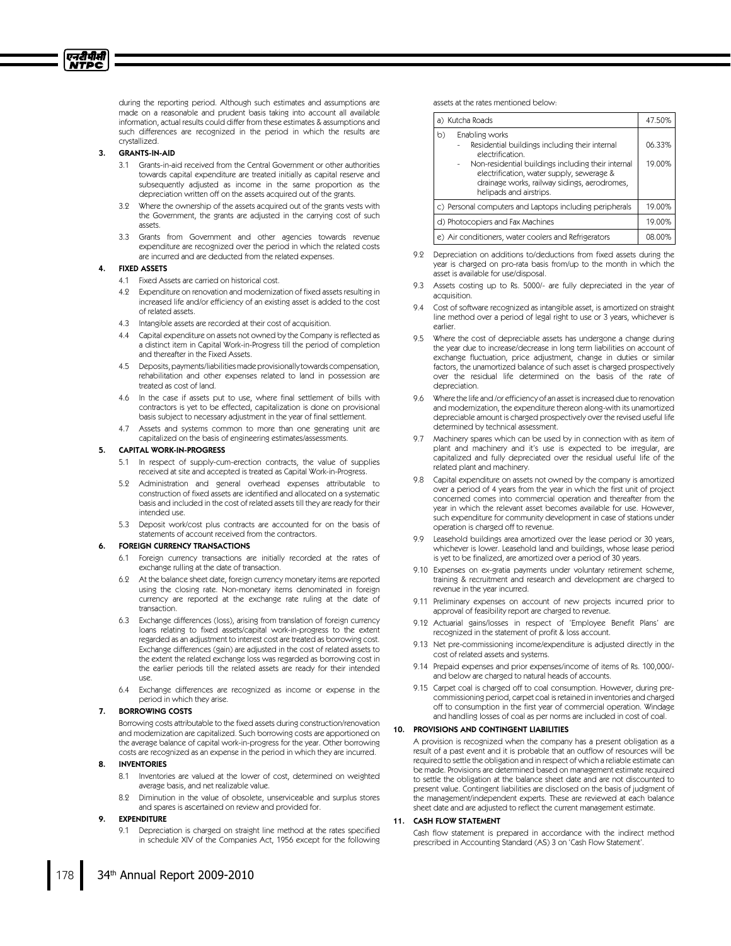during the reporting period. Although such estimates and assumptions are made on a reasonable and prudent basis taking into account all available information, actual results could differ from these estimates & assumptions and such differences are recognized in the period in which the results are crystallized.

#### 3. GRANTS-IN-AID

एनटीपीसी **NTPC** 

- 3.1 Grants-in-aid received from the Central Government or other authorities towards capital expenditure are treated initially as capital reserve and subsequently adjusted as income in the same proportion as the depreciation written off on the assets acquired out of the grants.
- 3.2 Where the ownership of the assets acquired out of the grants vests with the Government, the grants are adjusted in the carrying cost of such assets.
- 3.3 Grants from Government and other agencies towards revenue expenditure are recognized over the period in which the related costs are incurred and are deducted from the related expenses.

#### 4. FIXED ASSETS

- 4.1 Fixed Assets are carried on historical cost.
- 4.2 Expenditure on renovation and modernization of fixed assets resulting in increased life and/or efficiency of an existing asset is added to the cost of related assets.
- 4.3 Intangible assets are recorded at their cost of acquisition.
- 4.4 Capital expenditure on assets not owned by the Company is reflected as a distinct item in Capital Work-in-Progress till the period of completion and thereafter in the Fixed Assets.
- 4.5 Deposits,payments/liabilitiesmadeprovisionally towardscompensation, rehabilitation and other expenses related to land in possession are treated as cost of land.
- 4.6 In the case if assets put to use, where final settlement of bills with contractors is yet to be effected, capitalization is done on provisional basis subject to necessary adjustment in the year of final settlement.
- 4.7 Assets and systems common to more than one generating unit are capitalized on the basis of engineering estimates/assessments.

#### 5. CAPITAL WORK-IN-PROGRESS

- 5.1 In respect of supply-cum-erection contracts, the value of supplies received at site and accepted is treated as Capital Work-in-Progress.
- 5.2 Administration and general overhead expenses attributable to construction of fixed assets are identified and allocated on a systematic basis and included in the cost of related assets till they are ready for their intended use.
- 5.3 Deposit work/cost plus contracts are accounted for on the basis of statements of account received from the contractors.

#### **FOREIGN CURRENCY TRANSACTIONS**

- 6.1 Foreign currency transactions are initially recorded at the rates of exchange rulling at the date of transaction.
- 6.2 At the balance sheet date, foreign currency monetary items are reported using the closing rate. Non-monetary items denominated in foreign currency are reported at the exchange rate ruling at the date of transaction.
- 6.3 Exchange differences (loss), arising from translation of foreign currency loans relating to fixed assets/capital work-in-progress to the extent regarded as an adjustment to interest cost are treated as borrowing cost. Exchange differences (gain) are adjusted in the cost of related assets to the extent the related exchange loss was regarded as borrowing cost in the earlier periods till the related assets are ready for their intended use.
- 6.4 Exchange differences are recognized as income or expense in the period in which they arise.

#### 7. BORROWING COSTS

Borrowing costs attributable to the fixed assets during construction/renovation and modernization are capitalized. Such borrowing costs are apportioned on the average balance of capital work-in-progress for the year. Other borrowing costs are recognized as an expense in the period in which they are incurred.

# 8. INVENTORIES

- 8.1 Inventories are valued at the lower of cost, determined on weighted average basis, and net realizable value.
- 8.2 Diminution in the value of obsolete, unserviceable and surplus stores and spares is ascertained on review and provided for.

## 9. EXPENDITURE

9.1 Depreciation is charged on straight line method at the rates specified in schedule XIV of the Companies Act, 1956 except for the following assets at the rates mentioned below:

|                                                         | a) Kutcha Roads                                                                                                                                                                                                                                                    | 47.50%           |  |  |  |
|---------------------------------------------------------|--------------------------------------------------------------------------------------------------------------------------------------------------------------------------------------------------------------------------------------------------------------------|------------------|--|--|--|
| b)                                                      | Enabling works<br>Residential buildings including their internal<br>electrification.<br>Non-residential buildings including their internal<br>electrification, water supply, sewerage &<br>drainage works, railway sidings, aerodromes,<br>helipads and airstrips. | 06.33%<br>19.00% |  |  |  |
| c) Personal computers and Laptops including peripherals |                                                                                                                                                                                                                                                                    |                  |  |  |  |
| d) Photocopiers and Fax Machines                        |                                                                                                                                                                                                                                                                    |                  |  |  |  |
|                                                         | e) Air conditioners, water coolers and Refrigerators                                                                                                                                                                                                               | 08.00%           |  |  |  |

- 9.2 Depreciation on additions to/deductions from fixed assets during the year is charged on pro-rata basis from/up to the month in which the asset is available for use/disposal.
- 9.3 Assets costing up to Rs. 5000/- are fully depreciated in the year of acquisition.
- 9.4 Cost of software recognized as intangible asset, is amortized on straight line method over a period of legal right to use or 3 years, whichever is earlier.
- 9.5 Where the cost of depreciable assets has undergone a change during the year due to increase/decrease in long term liabilities on account of exchange fluctuation, price adjustment, change in duties or similar factors, the unamortized balance of such asset is charged prospectively over the residual life determined on the basis of the rate of depreciation.
- 9.6 Where the life and /or efficiency of an asset isincreased due to renovation and modernization, the expenditure thereon along-with its unamortized depreciable amount is charged prospectively over the revised useful life determined by technical assessment.
- 9.7 Machinery spares which can be used by in connection with as item of plant and machinery and it's use is expected to be irregular, are capitalized and fully depreciated over the residual useful life of the related plant and machinery.
- 9.8 Capital expenditure on assets not owned by the company is amortized over a period of 4 years from the year in which the first unit of project concerned comes into commercial operation and thereafter from the year in which the relevant asset becomes available for use. However, such expenditure for community development in case of stations under operation is charged off to revenue.
- 9.9 Leasehold buildings area amortized over the lease period or 30 years, whichever is lower. Leasehold land and buildings, whose lease period is yet to be finalized, are amortized over a period of 30 years.
- 9.10 Expenses on ex-gratia payments under voluntary retirement scheme, training & recruitment and research and development are charged to revenue in the year incurred.
- 9.11 Preliminary expenses on account of new projects incurred prior to approval of feasibility report are charged to revenue.
- 9.12 Actuarial gains/losses in respect of 'Employee Benefit Plans' are recognized in the statement of profit & loss account.
- 9.13 Net pre-commissioning income/expenditure is adjusted directly in the cost of related assets and systems.
- 9.14 Prepaid expenses and prior expenses/income of items of Rs. 100,000/ and below are charged to natural heads of accounts.
- 9.15 Carpet coal is charged off to coal consumption. However, during precommissioning period, carpet coal isretained in inventories and charged off to consumption in the first year of commercial operation. Windage and handling losses of coal as per norms are included in cost of coal.

### 10. PROVISIONS AND CONTINGENT LIABILITIES

A provision is recognized when the company has a present obligation as a result of a past event and it is probable that an outflow of resources will be required to settle the obligation and in respect of which a reliable estimate can be made. Provisions are determined based on management estimate required to settle the obligation at the balance sheet date and are not discounted to present value. Contingent liabilities are disclosed on the basis of judgment of the management/independent experts. These are reviewed at each balance sheet date and are adjusted to reflect the current management estimate.

## 11. CASH FLOW STATEMENT

Cash flow statement is prepared in accordance with the indirect method prescribed in Accounting Standard (AS) 3 on 'Cash Flow Statement'.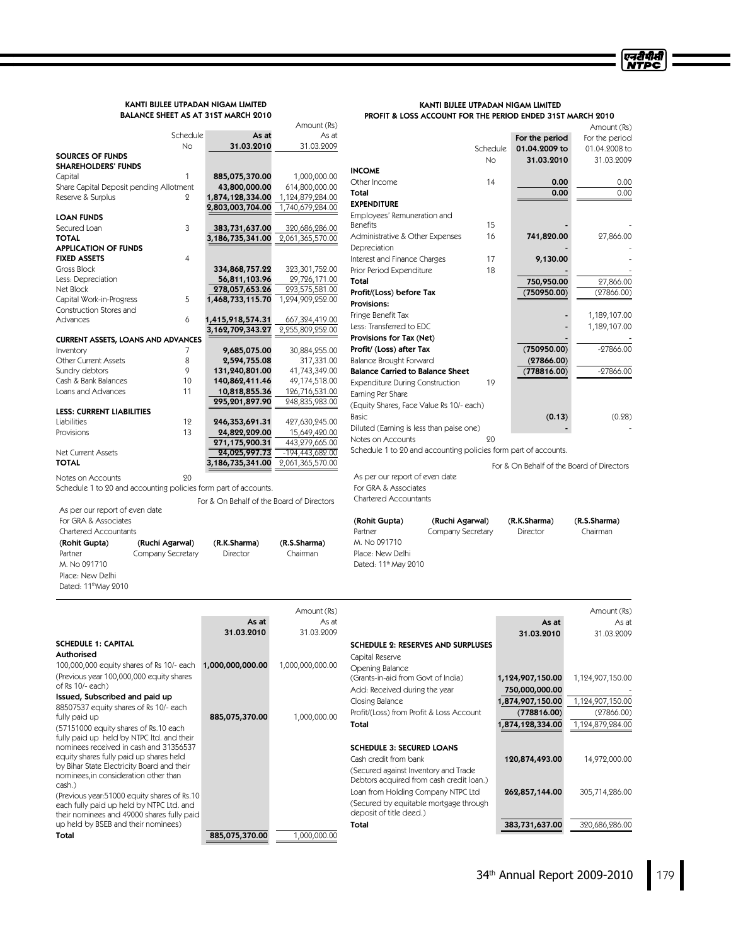# KANTI BIJLEE UTPADAN NIGAM LIMITED BALANCE SHEET AS AT 31ST MARCH 2010

Total 885,075,370.00 1,000,000.00

KANTI BIJLEE UTPADAN NIGAM LIMITED PROFIT & LOSS ACCOUNT FOR THE PERIOD ENDED 31ST MARCH 2010

|                                                                                          |                                           | Amount (Rs)                         |                                                                 |           |                                           | Amount (Rs)      |
|------------------------------------------------------------------------------------------|-------------------------------------------|-------------------------------------|-----------------------------------------------------------------|-----------|-------------------------------------------|------------------|
|                                                                                          | Schedule<br>As at                         | As at                               |                                                                 |           | For the period                            | For the period   |
|                                                                                          | 31.03.2010<br>No                          | 31.03.2009                          |                                                                 | Schedule  | 01.04.2009 to                             | 01.04.2008 to    |
| <b>SOURCES OF FUNDS</b><br><b>SHAREHOLDERS' FUNDS</b>                                    |                                           |                                     |                                                                 | <b>No</b> | 31.03.2010                                | 31.03.2009       |
| Capital                                                                                  | $\mathbf{1}$<br>885,075,370.00            | 1,000,000.00                        | <b>INCOME</b>                                                   |           |                                           |                  |
| Share Capital Deposit pending Allotment                                                  | 43,800,000.00                             | 614,800,000.00                      | Other Income                                                    | 14        | 0.00                                      | 0.00             |
| Reserve & Surplus                                                                        | 1,874,128,334.00<br>9                     | 1,124,879,284.00                    | Total                                                           |           | 0.00                                      | 0.00             |
|                                                                                          | 2,803,003,704.00                          | 1,740,679,284.00                    | <b>EXPENDITURE</b>                                              |           |                                           |                  |
| <b>LOAN FUNDS</b>                                                                        |                                           |                                     | Employees' Remuneration and                                     |           |                                           |                  |
| Secured Loan                                                                             | 3<br>383,731,637.00                       | 320,686,286.00                      | <b>Benefits</b>                                                 | 15        |                                           |                  |
| <b>TOTAL</b>                                                                             | 3,186,735,341.00                          | 2,061,365,570.00                    | Administrative & Other Expenses                                 | 16        | 741,820.00                                | 27,866.00        |
| <b>APPLICATION OF FUNDS</b><br><b>FIXED ASSETS</b>                                       | $\overline{4}$                            |                                     | Depreciation                                                    | 17        |                                           |                  |
| Gross Block                                                                              | 334,868,757.22                            | 323,301,752.00                      | Interest and Finance Charges<br>Prior Period Expenditure        | 18        | 9,130.00                                  |                  |
| Less: Depreciation                                                                       | 56,811,103.96                             | 29,726,171.00                       | Total                                                           |           | 750,950.00                                | 27,866.00        |
| Net Block                                                                                | 278,057,653.26                            | 293,575,581.00                      | Profit/(Loss) before Tax                                        |           | (750950.00)                               | (27866.00)       |
| Capital Work-in-Progress                                                                 | 5<br>1,468,733,115.70                     | 1,294,909,252.00                    | Provisions:                                                     |           |                                           |                  |
| Construction Stores and                                                                  |                                           |                                     | Fringe Benefit Tax                                              |           |                                           | 1,189,107.00     |
| Advances                                                                                 | 6<br>1,415,918,574.31                     | 667,324,419.00                      | Less: Transferred to EDC                                        |           |                                           | 1,189,107.00     |
|                                                                                          | 3,162,709,343.27                          | 2,255,809,252.00                    | Provisions for Tax (Net)                                        |           |                                           |                  |
| <b>CURRENT ASSETS, LOANS AND ADVANCES</b>                                                |                                           |                                     | Profit/ (Loss) after Tax                                        |           | (750950.00)                               | $-27866.00$      |
| Inventory<br>Other Current Assets                                                        | 9,685,075.00<br>7<br>8<br>2,594,755.08    | 30,884,255.00<br>317,331.00         | Balance Brought Forward                                         |           | (27866.00)                                |                  |
| Sundry debtors                                                                           | 9<br>131,240,801.00                       | 41,743,349.00                       | <b>Balance Carried to Balance Sheet</b>                         |           | (778816.00)                               | $-27866.00$      |
| Cash & Bank Balances                                                                     | 10<br>140,862,411.46                      | 49,174,518.00                       | <b>Expenditure During Construction</b>                          | 19        |                                           |                  |
| Loans and Advances                                                                       | 11<br>10,818,855.36                       | 126,716,531.00                      | Earning Per Share                                               |           |                                           |                  |
|                                                                                          | 295,201,897.90                            | 248,835,983.00                      | (Equity Shares, Face Value Rs 10/- each)                        |           |                                           |                  |
| <b>LESS: CURRENT LIABILITIES</b>                                                         |                                           |                                     | Basic                                                           |           | (0.13)                                    | (0.28)           |
| Liabilities                                                                              | 12<br>246,353,691.31                      | 427,630,245.00                      | Diluted (Earning is less than paise one)                        |           |                                           |                  |
| Provisions                                                                               | 13<br>24,822,209.00                       | 15,649,420.00                       | Notes on Accounts                                               | 20        |                                           |                  |
| Net Current Assets                                                                       | 271,175,900.31<br>24,025,997.73           | 443,279,665.00<br>$-194,443,682.00$ | Schedule 1 to 20 and accounting policies form part of accounts. |           |                                           |                  |
| <b>TOTAL</b>                                                                             | 3,186,735,341.00                          | 2,061,365,570.00                    |                                                                 |           |                                           |                  |
|                                                                                          |                                           |                                     |                                                                 |           | For & On Behalf of the Board of Directors |                  |
| Notes on Accounts                                                                        | 20                                        |                                     | As per our report of even date                                  |           |                                           |                  |
| Schedule 1 to 20 and accounting policies form part of accounts.                          |                                           |                                     | For GRA & Associates<br><b>Chartered Accountants</b>            |           |                                           |                  |
| As per our report of even date                                                           | For & On Behalf of the Board of Directors |                                     |                                                                 |           |                                           |                  |
|                                                                                          |                                           |                                     |                                                                 |           |                                           |                  |
|                                                                                          |                                           |                                     |                                                                 |           |                                           |                  |
| For GRA & Associates                                                                     |                                           |                                     | (Rohit Gupta)<br>(Ruchi Agarwal)                                |           | (R.K.Sharma)                              | (R.S.Sharma)     |
| Chartered Accountants                                                                    |                                           |                                     | Company Secretary<br>Partner                                    |           | Director                                  | Chairman         |
| (Ruchi Agarwal)<br>(Rohit Gupta)                                                         | (R.K.Sharma)                              | (R.S.Sharma)                        | M. No 091710                                                    |           |                                           |                  |
| Company Secretary<br>Partner                                                             | Director                                  | Chairman                            | Place: New Delhi                                                |           |                                           |                  |
| M. No 091710                                                                             |                                           |                                     | Dated: 11 <sup>th</sup> May 2010                                |           |                                           |                  |
| Place: New Delhi<br>Dated: 11 <sup>th</sup> May 2010                                     |                                           |                                     |                                                                 |           |                                           |                  |
|                                                                                          |                                           |                                     |                                                                 |           |                                           |                  |
|                                                                                          |                                           |                                     |                                                                 |           |                                           | Amount (Rs)      |
|                                                                                          | As at                                     | Amount (Rs)<br>As at                |                                                                 |           | As at                                     | As at            |
|                                                                                          | 31.03.2010                                | 31.03.2009                          |                                                                 |           | 31.03.2010                                | 31.03.2009       |
| <b>SCHEDULE 1: CAPITAL</b>                                                               |                                           |                                     | <b>SCHEDULE 2: RESERVES AND SURPLUSES</b>                       |           |                                           |                  |
| Authorised                                                                               |                                           |                                     |                                                                 |           |                                           |                  |
| 100,000,000 equity shares of Rs 10/- each                                                | 1,000,000,000.00                          | 1,000,000,000.00                    | Capital Reserve                                                 |           |                                           |                  |
| (Previous year 100,000,000 equity shares                                                 |                                           |                                     | Opening Balance<br>(Grants-in-aid from Govt of India)           |           | 1,124,907,150.00                          | 1,124,907,150.00 |
| of Rs 10/- each)                                                                         |                                           |                                     | Add: Received during the year                                   |           | 750,000,000.00                            |                  |
| Issued, Subscribed and paid up                                                           |                                           |                                     | Closing Balance                                                 |           | 1,874,907,150.00                          | 1,124,907,150.00 |
| 88507537 equity shares of Rs 10/- each                                                   |                                           |                                     | Profit/(Loss) from Profit & Loss Account                        |           | (778816.00)                               | (27866.00)       |
| fully paid up                                                                            | 885,075,370.00                            | 1,000,000.00                        | Total                                                           |           | 1,874,128,334.00                          | 1,124,879,284.00 |
| (57151000 equity shares of Rs.10 each<br>fully paid up held by NTPC ltd. and their       |                                           |                                     |                                                                 |           |                                           |                  |
| nominees received in cash and 31356537                                                   |                                           |                                     | <b>SCHEDULE 3: SECURED LOANS</b>                                |           |                                           |                  |
| equity shares fully paid up shares held                                                  |                                           |                                     | Cash credit from bank                                           |           | 120,874,493.00                            | 14,972,000.00    |
| by Bihar State Electricity Board and their                                               |                                           |                                     | (Secured against Inventory and Trade                            |           |                                           |                  |
| nominees, in consideration other than                                                    |                                           |                                     | Debtors acquired from cash credit loan.)                        |           |                                           |                  |
| cash.)                                                                                   |                                           |                                     | Loan from Holding Company NTPC Ltd                              |           | 262,857,144.00                            | 305,714,286.00   |
| (Previous year:51000 equity shares of Rs.10)<br>each fully paid up held by NTPC Ltd. and |                                           |                                     | (Secured by equitable mortgage through                          |           |                                           |                  |
| their nominees and 49000 shares fully paid<br>up held by BSEB and their nominees)        |                                           |                                     | deposit of title deed.)<br>Total                                |           | 383,731,637.00                            | 320,686,286.00   |

Total 383,731,637.00 320,686,286.00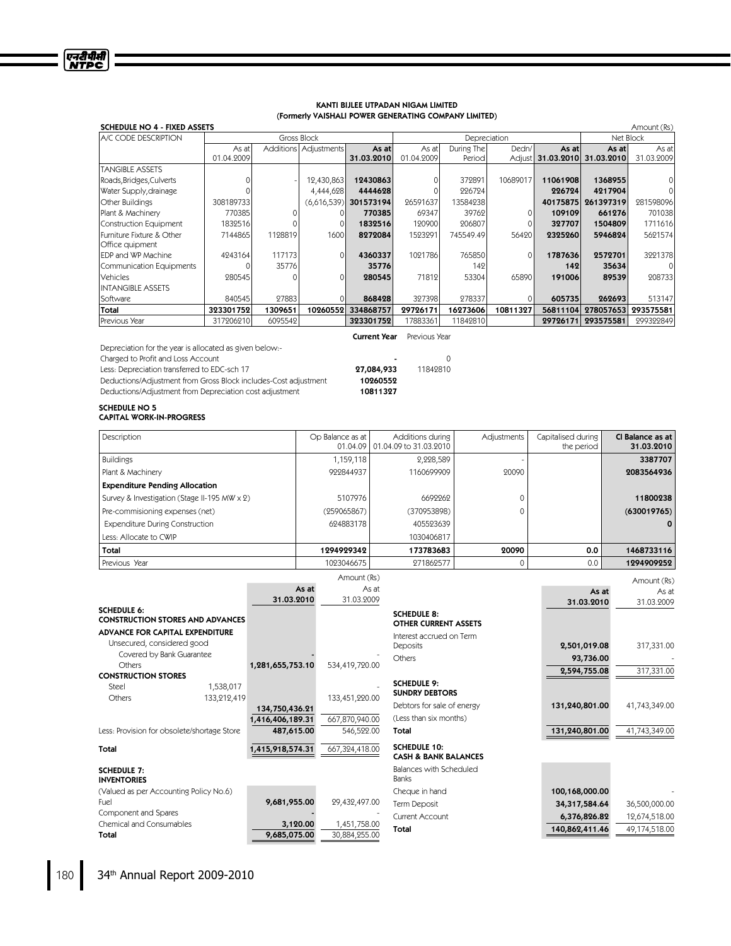# KANTI BIJLEE UTPADAN NIGAM LIMITED (FormerlyVAISHALI POWER GENERATING COMPANY LIMITED)

एनरीपीसी<br>NTPC

| <b>SCHEDULE NO 4 - FIXED ASSETS</b><br>Amount (Rs) |            |         |                         |                         |            |              |          |          |                       |            |
|----------------------------------------------------|------------|---------|-------------------------|-------------------------|------------|--------------|----------|----------|-----------------------|------------|
| <b>LA/C CODE DESCRIPTION</b>                       |            |         | Gross Block             |                         |            | Depreciation |          |          | Net Block             |            |
|                                                    | As at      |         | Additions   Adjustments | As at                   | As at      | During The   | Dedn/    | As at    | As atl                | As at      |
|                                                    | 01.04.2009 |         |                         | 31.03.2010              | 01.04.2009 | Period       | Adjust   |          | 31.03.2010 31.03.2010 | 31.03.2009 |
| <b>TANGIBLE ASSETS</b>                             |            |         |                         |                         |            |              |          |          |                       |            |
| Roads, Bridges, Culverts                           |            |         | 12,430,863              | 12430863                |            | 372891       | 10689017 | 11061908 | 1368955               |            |
| Water Supply, drainage                             |            |         | 4,444,628               | 4444628                 |            | 226724       |          | 226724   | 4217904               |            |
| <b>Other Buildings</b>                             | 308189733  |         |                         | $(6,616,539)$ 301573194 | 26591637   | 13584238     |          | 40175875 | 261397319             | 281598096  |
| Plant & Machinery                                  | 770385     |         |                         | 770385                  | 69347      | 39762        |          | 109109   | 661276                | 701038     |
| Construction Equipment                             | 1832516    |         |                         | 1832516                 | 120900     | 206807       |          | 327707   | 1504809               | 1711616    |
| Furniture Fixture & Other                          | 7144865    | 1128819 | 1600                    | 8272084                 | 1523291    | 745549.49    | 56420    | 2325260  | 5946824               | 5621574    |
| Office quipment                                    |            |         |                         |                         |            |              |          |          |                       |            |
| EDP and WP Machine                                 | 4243164    | 117173  | $\Omega$                | 4360337                 | 1091786    | 765850       | $\Omega$ | 1787636  | 2572701               | 3221378    |
| Communication Equipments                           |            | 35776   |                         | 35776                   |            | 142          |          | 142      | 35634                 | 0          |
| Vehicles                                           | 280545     |         | $\Omega$                | 280545                  | 71812      | 53304        | 65890    | 191006   | 89539                 | 208733     |
| <b>INTANGIBLE ASSETS</b>                           |            |         |                         |                         |            |              |          |          |                       |            |
| Software                                           | 840545     | 27883   |                         | 868428                  | 327398     | 278337       | 01       | 605735   | 262693                | 513147     |
| Total                                              | 323301752  | 1309651 | 10260552                | 334868757               | 29726171   | 16273606     | 10811327 | 56811104 | 278057653             | 293575581  |
| Previous Year                                      | 317206210  | 6095542 |                         | 323301752               | 17883361   | 11842810     |          | 29726171 | 293575581             | 299322849  |

Depreciation for the year is allocated as given below:-

Charged to Profit and Loss Account<br>
Less: Depreciation transferred to EDC-sch 17 **084,933** 11842810 Less: Depreciation transferred to EDC-sch 17 **27,084,933** Deductions/Adjustment from Gross Block includes-Cost adjustment **10260552** Deductions/Adjustment from Gross Block includes-Cost adjustment 10260552<br>Deductions/Adjustment from Depreciation cost adjustment 10811327 Deductions/Adjustment from Depreciation cost adjustment

**Current Year** Previous Year

# SCHEDULE NO 5 CAPITAL WORK-IN-PROGRESS

| Description                                  | Op Balance as at | Additions during<br>01.04.09 01.04.09 to 31.03.2010 | Adjustments | Capitalised during<br>the period | CI Balance as at<br>31.03.2010 |
|----------------------------------------------|------------------|-----------------------------------------------------|-------------|----------------------------------|--------------------------------|
| <b>Buildings</b>                             | 1,159,118        | 2,228,589                                           |             |                                  | 3387707                        |
| Plant & Machinery                            | 999844937        | 1160699909                                          | 20090       |                                  | 2083564936                     |
| <b>Expenditure Pending Allocation</b>        |                  |                                                     |             |                                  |                                |
| Survey & Investigation (Stage II-195 MW x 2) | 5107976          | 6692262                                             |             |                                  | 11800238                       |
| Pre-commisioning expenses (net)              | (259065867)      | (370953898)                                         |             |                                  | (630019765)                    |
| <b>Expenditure During Construction</b>       | 624883178        | 405523639                                           |             |                                  | <sup>0</sup>                   |
| Less: Allocate to CWIP                       |                  | 1030406817                                          |             |                                  |                                |
| Total                                        | 1294929342       | 173783683                                           | 20090       | 0.0                              | 1468733116                     |
| Previous Year                                | 1023046675       | 271862577                                           |             | 0.0                              | 1294909252                     |

Amount (Rs)

|                                                               |             |                                    | Amount (Rs)    |                                                        |                | Amount (Rs)   |
|---------------------------------------------------------------|-------------|------------------------------------|----------------|--------------------------------------------------------|----------------|---------------|
|                                                               |             | As at                              | As at          |                                                        | As at          | As at         |
|                                                               |             | 31.03.2010                         | 31.03.2009     |                                                        | 31.03.2010     | 31.03.2009    |
| <b>SCHEDULE 6:</b><br><b>CONSTRUCTION STORES AND ADVANCES</b> |             |                                    |                | <b>SCHEDULE 8:</b><br><b>OTHER CURRENT ASSETS</b>      |                |               |
| ADVANCE FOR CAPITAL EXPENDITURE                               |             |                                    |                | Interest accrued on Term                               |                |               |
| Unsecured, considered good                                    |             |                                    |                | <b>Deposits</b>                                        | 2,501,019.08   | 317,331.00    |
| Covered by Bank Guarantee                                     |             |                                    |                | Others                                                 | 93,736.00      |               |
| Others                                                        |             | 1,281,655,753.10                   | 534,419,720.00 |                                                        | 2,594,755.08   | 317,331.00    |
| <b>CONSTRUCTION STORES</b>                                    |             |                                    |                | <b>SCHEDULE 9:</b>                                     |                |               |
| Steel                                                         | 1,538,017   |                                    |                | <b>SUNDRY DEBTORS</b>                                  |                |               |
| Others                                                        | 133,212,419 |                                    | 133,451,220.00 | Debtors for sale of energy                             | 131,240,801.00 | 41,743,349.00 |
|                                                               |             | 134,750,436.21<br>1,416,406,189.31 | 667,870,940.00 | (Less than six months)                                 |                |               |
| Less: Provision for obsolete/shortage Store                   |             | 487,615.00                         | 546,522.00     | Total                                                  | 131,240,801.00 | 41,743,349.00 |
| Total                                                         |             | 1,415,918,574.31                   | 667,324,418.00 | <b>SCHEDULE 10:</b><br><b>CASH &amp; BANK BALANCES</b> |                |               |
| <b>SCHEDULE 7:</b><br><b>INVENTORIES</b>                      |             |                                    |                | <b>Balances with Scheduled</b><br>Banks                |                |               |
| (Valued as per Accounting Policy No.6)                        |             |                                    |                | Cheque in hand                                         | 100,168,000.00 |               |
| Fuel                                                          |             | 9,681,955.00                       | 29,432,497.00  | Term Deposit                                           | 34,317,584.64  | 36,500,000.00 |
| Component and Spares                                          |             |                                    |                | Current Account                                        | 6,376,826.82   | 12,674,518.00 |
| Chemical and Consumables                                      |             | 3,120.00                           | 1,451,758.00   | Total                                                  | 140,862,411.46 | 49,174,518.00 |
| Total                                                         |             | 9,685,075.00                       | 30,884,255.00  |                                                        |                |               |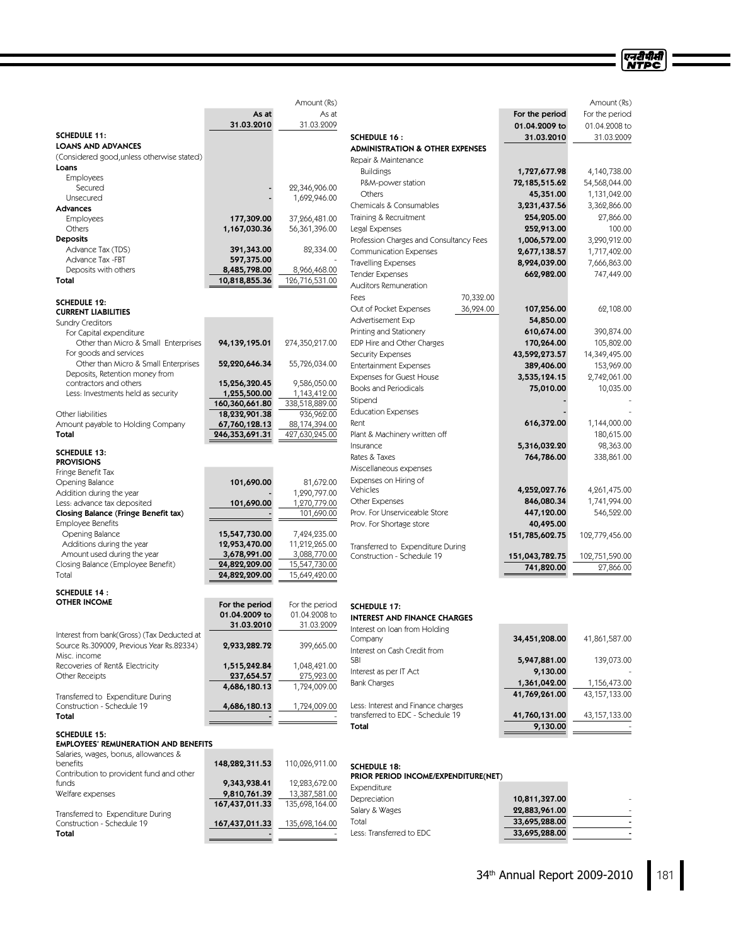| Amount (Rs)                                                       |                               |                               |                                            |                | Amount (Rs)     |
|-------------------------------------------------------------------|-------------------------------|-------------------------------|--------------------------------------------|----------------|-----------------|
|                                                                   | As at                         | As at                         |                                            | For the period | For the period  |
|                                                                   | 31.03.2010                    | 31.03.2009                    |                                            | 01.04.2009 to  | 01.04.2008 to   |
| <b>SCHEDULE 11:</b>                                               |                               |                               | <b>SCHEDULE 16:</b>                        | 31.03.2010     | 31.03.2009      |
| <b>LOANS AND ADVANCES</b>                                         |                               |                               | <b>ADMINISTRATION &amp; OTHER EXPENSES</b> |                |                 |
| (Considered good, unless otherwise stated)                        |                               |                               | Repair & Maintenance                       |                |                 |
| Loans<br><b>Employees</b>                                         |                               |                               | <b>Buildings</b>                           | 1,727,677.98   | 4,140,738.00    |
| Secured                                                           |                               | 22,346,906.00                 | P&M-power station                          | 72,185,515.62  | 54,568,044.00   |
| Unsecured                                                         |                               | 1,692,946.00                  | Others                                     | 45,351.00      | 1,131,042.00    |
| <b>Advances</b>                                                   |                               |                               | Chemicals & Consumables                    | 3,231,437.56   | 3,362,866.00    |
| Employees                                                         | 177,309.00                    | 37,266,481.00                 | Training & Recruitment                     | 254,205.00     | 27,866.00       |
| Others                                                            | 1,167,030.36                  | 56,361,396.00                 | Legal Expenses                             | 252,913.00     | 100.00          |
| <b>Deposits</b>                                                   |                               |                               | Profession Charges and Consultancy Fees    | 1,006,572.00   | 3,290,912.00    |
| Advance Tax (TDS)                                                 | 391,343.00                    | 82,334.00                     | <b>Communication Expenses</b>              | 2,677,138.57   | 1,717,402.00    |
| Advance Tax -FBT                                                  | 597,375.00                    |                               | <b>Travelling Expenses</b>                 | 8,924,039.00   | 7,666,863.00    |
| Deposits with others                                              | 8,485,798.00                  | 8,966,468.00                  | <b>Tender Expenses</b>                     | 662,982.00     | 747,449.00      |
| Total                                                             | 10,818,855.36                 | 126,716,531.00                | Auditors Remuneration                      |                |                 |
|                                                                   |                               |                               | 70,332.00<br>Fees                          |                |                 |
| <b>SCHEDULE 12:</b>                                               |                               |                               | 36,924.00<br>Out of Pocket Expenses        | 107,256.00     | 62,108.00       |
| <b>CURRENT LIABILITIES</b>                                        |                               |                               | Advertisement Exp                          | 54,850.00      |                 |
| <b>Sundry Creditors</b><br>For Capital expenditure                |                               |                               | Printing and Stationery                    | 610,674.00     | 390,874.00      |
| Other than Micro & Small Enterprises                              | 94,139,195.01                 | 274,350,217.00                | EDP Hire and Other Charges                 | 170,264.00     | 105,802.00      |
| For goods and services                                            |                               |                               | Security Expenses                          | 43,592,273.57  | 14,349,495.00   |
| Other than Micro & Small Enterprises                              | 52,220,646.34                 | 55,726,034.00                 | <b>Entertainment Expenses</b>              | 389,406.00     | 153,969.00      |
| Deposits, Retention money from                                    |                               |                               | Expenses for Guest House                   | 3,535,124.15   | 2,742,061.00    |
| contractors and others                                            | 15,256,320.45                 | 9,586,050.00                  | <b>Books and Periodicals</b>               | 75,010.00      | 10,035.00       |
| Less: Investments held as security                                | 1,255,500.00                  | 1,143,412.00                  |                                            |                |                 |
|                                                                   | 160,360,661.80                | 338,518,889.00                | Stipend                                    |                |                 |
| Other liabilities                                                 | 18,232,901.38                 | 936,962.00                    | <b>Education Expenses</b>                  |                |                 |
| Amount payable to Holding Company                                 | 67,760,128.13                 | 88,174,394.00                 | Rent                                       | 616,372.00     | 1,144,000.00    |
| Total                                                             | 246,353,691.31                | 427,630,245.00                | Plant & Machinery written off              |                | 180,615.00      |
| <b>SCHEDULE 13:</b>                                               |                               |                               | Insurance                                  | 5,316,032.20   | 98,363.00       |
| <b>PROVISIONS</b>                                                 |                               |                               | Rates & Taxes                              | 764,786.00     | 338,861.00      |
| Fringe Benefit Tax                                                |                               |                               | Miscellaneous expenses                     |                |                 |
| Opening Balance                                                   | 101,690.00                    | 81,672.00                     | Expenses on Hiring of                      |                |                 |
| Addition during the year                                          |                               | 1,290,797.00                  | Vehicles                                   | 4,252,027.76   | 4,261,475.00    |
| Less: advance tax deposited                                       | 101,690.00                    | 1,270,779.00                  | Other Expenses                             | 846,080.34     | 1,741,994.00    |
| Closing Balance (Fringe Benefit tax)                              |                               | 101,690.00                    | Prov. For Unserviceable Store              | 447,120.00     | 546,522.00      |
| <b>Employee Benefits</b>                                          |                               |                               | Prov. For Shortage store                   | 40,495.00      |                 |
| Opening Balance                                                   | 15,547,730.00                 | 7,424,235.00                  |                                            | 151,785,602.75 | 102,779,456.00  |
| Additions during the year                                         | 12,953,470.00                 | 11,212,265.00<br>3,088,770.00 | Transferred to Expenditure During          |                |                 |
| Amount used during the year<br>Closing Balance (Employee Benefit) | 3,678,991.00<br>24,822,209.00 | 15,547,730.00                 | Construction - Schedule 19                 | 151,043,782.75 | 102,751,590.00  |
| Total                                                             | 24,822,209.00                 | 15,649,420.00                 |                                            | 741,820.00     | 27,866.00       |
|                                                                   |                               |                               |                                            |                |                 |
| <b>SCHEDULE 14:</b>                                               |                               |                               |                                            |                |                 |
| <b>OTHER INCOME</b>                                               | For the period                | For the period                | <b>SCHEDULE 17:</b>                        |                |                 |
|                                                                   | 01.04.2009 to                 | 01.04.2008 to                 | <b>INTEREST AND FINANCE CHARGES</b>        |                |                 |
|                                                                   | 31.03.2010                    | 31.03.2009                    | Interest on Ioan from Holding              |                |                 |
| Interest from bank(Gross) (Tax Deducted at                        |                               |                               | Company                                    | 34,451,208.00  | 41,861,587.00   |
| Source Rs.309009, Previous Year Rs.82334)                         | 2,933,282.72                  | 399,665.00                    | Interest on Cash Credit from               |                |                 |
| Misc. income<br>Recoveries of Rent& Electricity                   |                               |                               | SBI                                        | 5,947,881.00   | 139,073.00      |
| Other Receipts                                                    | 1,515,242.84<br>237,654.57    | 1,048,421.00<br>275,923.00    | Interest as per IT Act                     | 9,130.00       |                 |
|                                                                   | 4,686,180.13                  | 1,724,009.00                  | <b>Bank Charges</b>                        | 1,361,042.00   | 1,156,473.00    |
| Transferred to Expenditure During                                 |                               |                               |                                            | 41,769,261.00  | 43,157,133.00   |
| Construction - Schedule 19                                        | 4,686,180.13                  | 1,724,009.00                  | Less: Interest and Finance charges         |                |                 |
| Total                                                             |                               |                               | transferred to EDC - Schedule 19           | 41,760,131.00  | 43, 157, 133.00 |
|                                                                   |                               |                               | Total                                      | 9,130.00       |                 |
| <b>SCHEDULE 15:</b>                                               |                               |                               |                                            |                |                 |
| <b>EMPLOYEES' REMUNERATION AND BENEFITS</b>                       |                               |                               |                                            |                |                 |
| Salaries, wages, bonus, allowances &<br>benefits                  | 148,282,311.53                | 110,026,911.00                |                                            |                |                 |
| Contribution to provident fund and other                          |                               |                               | <b>SCHEDULE 18:</b>                        |                |                 |
| funds                                                             | 9,343,938.41                  | 12,283,672.00                 | PRIOR PERIOD INCOME/EXPENDITURE(NET)       |                |                 |
| Welfare expenses                                                  | 9,810,761.39                  | 13,387,581.00                 | Expenditure                                |                |                 |
|                                                                   | 167,437,011.33                | 135,698,164.00                | Depreciation                               | 10,811,327.00  |                 |

Construction - Schedule 19 167,437,011.33 135,698,164.00<br>
Total Total and the state of the state of the state of the state of the state of the state of the state of the state

Transferred to Expenditure During

| <b>EXPETIQILLE</b>       |               |   |
|--------------------------|---------------|---|
| Depreciation             | 10,811,327.00 |   |
| Salary & Wages           | 22,883,961.00 |   |
| Total                    | 33,695,288.00 | - |
| Less: Transferred to EDC | 33,695,288.00 | - |
|                          |               |   |

एनदीपीसी<br>NTPC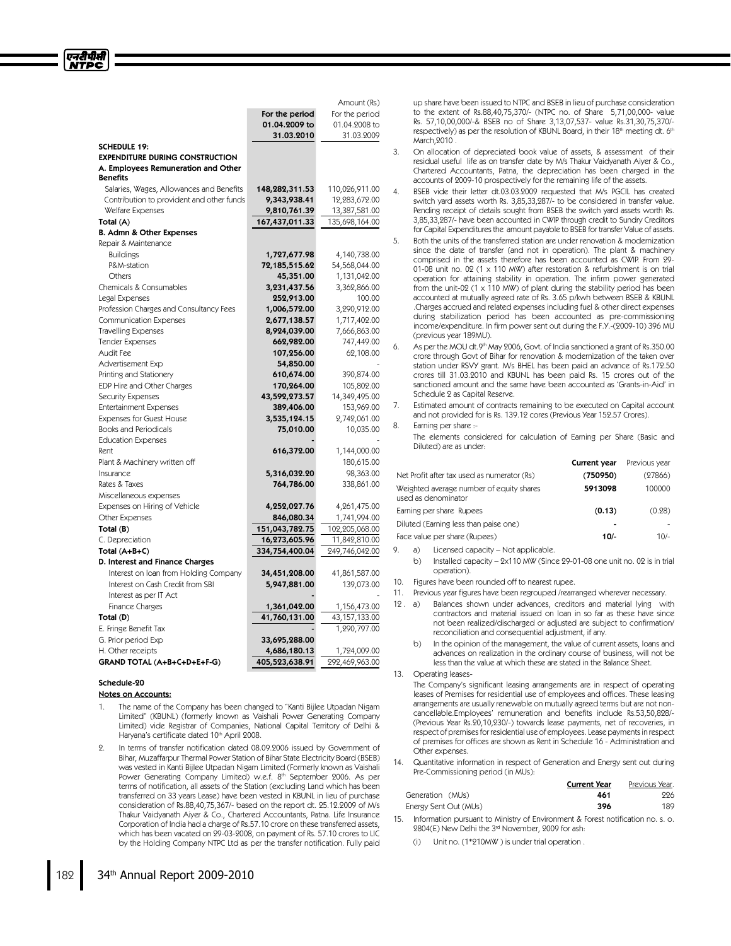|                                                 | For the period             | For the period                  |
|-------------------------------------------------|----------------------------|---------------------------------|
|                                                 | 01.04.2009 to              | 01.04.2008 to                   |
|                                                 | 31.03.2010                 | 31.03.2009                      |
| <b>SCHEDULE 19:</b>                             |                            |                                 |
| <b>EXPENDITURE DURING CONSTRUCTION</b>          |                            |                                 |
| A. Employees Remuneration and Other             |                            |                                 |
| <b>Benefits</b>                                 |                            |                                 |
| Salaries, Wages, Allowances and Benefits        | 148,282,311.53             | 110,026,911.00                  |
| Contribution to provident and other funds       | 9,343,938.41               | 12,283,672.00                   |
| Welfare Expenses                                | 9,810,761.39               | 13,387,581.00                   |
| Total (A)                                       | 167,437,011.33             | 135,698,164.00                  |
| B. Admn & Other Expenses                        |                            |                                 |
| Repair & Maintenance                            |                            |                                 |
| <b>Buildings</b>                                | 1,727,677.98               | 4,140,738.00                    |
| P&M-station                                     | 72,185,515.62              | 54,568,044.00                   |
| Others                                          | 45,351.00                  | 1,131,042.00                    |
| Chemicals & Consumables                         | 3,231,437.56               | 3,362,866.00                    |
| Legal Expenses                                  | 252,913.00                 | 100.00                          |
| Profession Charges and Consultancy Fees         | 1,006,572.00               | 3,290,912.00                    |
| <b>Communication Expenses</b>                   | 2,677,138.57               | 1,717,402.00                    |
| <b>Travelling Expenses</b>                      | 8,924,039.00               | 7,666,863.00                    |
| <b>Tender Expenses</b>                          | 662,982.00                 | 747,449.00                      |
| Audit Fee                                       | 107,256.00                 | 62,108.00                       |
| Advertisement Exp                               | 54,850.00                  |                                 |
| Printing and Stationery                         | 610,674.00                 | 390,874.00                      |
| EDP Hire and Other Charges                      | 170,264.00                 | 105,802.00                      |
| <b>Security Expenses</b>                        | 43,592,273.57              | 14,349,495.00                   |
| <b>Entertainment Expenses</b>                   | 389,406.00                 | 153,969.00                      |
| <b>Expenses for Guest House</b>                 | 3,535,124.15               | 2,742,061.00                    |
| <b>Books and Periodicals</b>                    | 75,010.00                  | 10,035.00                       |
| <b>Education Expenses</b>                       |                            |                                 |
| Rent                                            | 616,372.00                 | 1,144,000.00                    |
| Plant & Machinery written off<br>Insurance      |                            | 180,615.00                      |
| Rates & Taxes                                   | 5,316,032.20<br>764,786.00 | 98,363.00<br>338,861.00         |
|                                                 |                            |                                 |
| Miscellaneous expenses                          |                            |                                 |
| Expenses on Hiring of Vehicle<br>Other Expenses | 4,252,027.76               | 4,261,475.00                    |
|                                                 | 846,080.34                 | 1,741,994.00                    |
| Total (B)<br>C. Depreciation                    | 151,043,782.75             | 102,205,068.00<br>11,842,810.00 |
| Total $(A+B+C)$                                 | 16,273,605.96              |                                 |
| D. Interest and Finance Charges                 | 334,754,400.04             | 249,746,042.00                  |
| Interest on Ioan from Holding Company           | 34,451,208.00              | 41,861,587.00                   |
| Interest on Cash Credit from SBI                | 5,947,881.00               | 139,073.00                      |
| Interest as per IT Act                          |                            |                                 |
| Finance Charges                                 | 1,361,042.00               |                                 |
| Total (D)                                       | 41,760,131.00              | 1,156,473.00<br>43,157,133.00   |
| E. Fringe Benefit Tax                           |                            | 1,290,797.00                    |
| G. Prior period Exp                             | 33,695,288.00              |                                 |
| H. Other receipts                               |                            |                                 |
|                                                 | 4,686,180.13               | 1,724,009.00                    |
| GRAND TOTAL (A+B+C+D+E+F-G)                     | 405,523,638.91             | 292,469,963.00                  |

#### Schedule-20

# Notes on Accounts:

- 1. The name of the Company has been changed to "Kanti Bijlee Utpadan Nigam Limited"(KBUNL) (formerly known as Vaishali Power Generating Company Limited) vide Registrar of Companies, National Capital Territory of Delhi & Haryana's certificate dated 10<sup>th</sup> April 2008.
- In terms of transfer notification dated 08.09.2006 issued by Government of Bihar, Muzaffarpur Thermal Power Station of Bihar State Electricity Board (BSEB) was vested in Kanti Bijlee Utpadan Nigam Limited (Formerly known as Vaishali Power Generating Company Limited) w.e.f. 8<sup>th</sup> September 2006. As per terms of notification, all assets of the Station (excluding Land which has been transferred on 33 years Lease) have been vested in KBUNL in lieu of purchase consideration of Rs.88,40,75,367/- based on the report dt. 25.12.2009 of M/s Thakur Vaidyanath Aiyer & Co., Chartered Accountants, Patna. Life Insurance Corporation of India had a charge of Rs.57.10 crore on these transferred assets, which has been vacated on 29-03-2008, on payment of Rs. 57.10 crores to LIC by the Holding Company NTPC Ltd as per the transfer notification. Fully paid

up share have been issued to NTPC and BSEB in lieu of purchase consideration to the extent of Rs.88,40,75,370/- (NTPC no. of Share 5,71,00,000- value Rs. 57,10,00,000/-& BSEB no of Share 3,13,07,537- value Rs.31,30,75,370/ respectively) as per the resolution of KBUNL Board, in their 18th meeting dt. 6th March,2010 .

- 3. On allocation of depreciated book value of assets, & assessment of their residual useful life as on transfer date by M/s Thakur Vaidyanath Aiyer & Co., Chartered Accountants, Patna, the depreciation has been charged in the accounts of 2009-10 prospectively for the remaining life of the assets.
- 4. BSEB vide their letter dt.03.03.2009 requested that M/s PGCIL has created switch yard assets worth Rs. 3,85,33,287/- to be considered in transfer value. Pending receipt of details sought from BSEB the switch yard assets worth Rs. 3,85,33,287/- have been accounted in CWIP through credit to Sundry Creditors for Capital Expenditures the amount payable to BSEB for transfer Value of assets.
- 5. Both the units of the transferred station are under renovation & modernization since the date of transfer (and not in operation). The plant & machinery comprised in the assets therefore has been accounted as CWIP. From 29- 01-08 unit no. 02 (1 x 110 MW) after restoration & refurbishment is on trial operation for attaining stability in operation. The infirm power generated from the unit-02 (1 x 110 MW) of plant during the stability period has been accounted at mutually agreed rate of Rs. 3.65 p/kwh between BSEB & KBUNL .Charges accrued and related expenses including fuel & other direct expenses during stabilization period has been accounted as pre-commissioning income/expenditure. In firm power sent out during the F.Y.-(2009-10) 396 MU (previous year 189MU).
- 6. As per the MOU dt.9<sup>th</sup> May 2006, Govt. of India sanctioned a grant of Rs.350.00 crore through Govt of Bihar for renovation & modernization of the taken over station under RSVY grant. M/s BHEL has been paid an advance of Rs.172.50 crores till 31.03.2010 and KBUNL has been paid Rs. 15 crores out of the sanctioned amount and the same have been accounted as 'Grants-in-Aid' in Schedule 2 as Capital Reserve.

7. Estimated amount of contracts remaining to be executed on Capital account and not provided for is Rs. 139.12 cores (Previous Year 152.57 Crores).

# 8. Earning per share :-

Amount (Rs)

The elements considered for calculation of Earning per Share (Basic and Diluted) are as under:

|                                                                 | Current year | Previous year |
|-----------------------------------------------------------------|--------------|---------------|
| Net Profit after tax used as numerator (Rs)                     | (750950)     | (27866)       |
| Weighted average number of equity shares<br>used as denominator | 5913098      | 100000        |
| Earning per share Rupees                                        | (0.13)       | (0.28)        |
| Diluted (Earning less than paise one)                           | ۰            |               |
| Face value per share (Rupees)                                   | $10/-$       | 10/-          |

9. a) Licensed capacity –Not applicable.

b) Installed capacity - 2x110 MW (Since 29-01-08 one unit no. 02 is in trial operation).

- 10. Figures have been rounded off to nearest rupee.
- 11. Previous year figures have been regrouped /rearranged wherever necessary.
- 12 . a) Balances shown under advances, creditors and material lying with contractors and material issued on loan in so far as these have since not been realized/discharged or adjusted are subject to confirmation/ reconciliation and consequential adjustment, if any.
	- b) In the opinion of the management, the value of current assets, loans and advances on realization in the ordinary course of business, will not be less than the value at which these are stated in the Balance Sheet.
- 13. Operating leases-

The Company's significant leasing arrangements are in respect of operating leases of Premises for residential use of employees and offices. These leasing arrangements are usually renewable on mutually agreed terms but are not noncancellable.Employees' remuneration and benefits include Rs.53,50,828/- (Previous Year Rs.20,10,230/-) towards lease payments, net of recoveries, in respect of premisesfor residential use of employees.Lease paymentsin respect of premises for offices are shown as Rent in Schedule 16 - Administration and Other expenses.

14. Quantitative information in respect of Generation and Energy sent out during Pre-Commissioning period (in MUs):

|                       | <b>Current Year</b> | Previous Year. |
|-----------------------|---------------------|----------------|
| Generation (MUs)      | 461                 | 226            |
| Energy Sent Out (MUs) | 396                 | 189            |

- Information pursuant to Ministry of Environment & Forest notification no. s. o. 2804(E) New Delhi the 3<sup>rd</sup> November, 2009 for ash:
	- Unit no. (1\*210MW) is under trial operation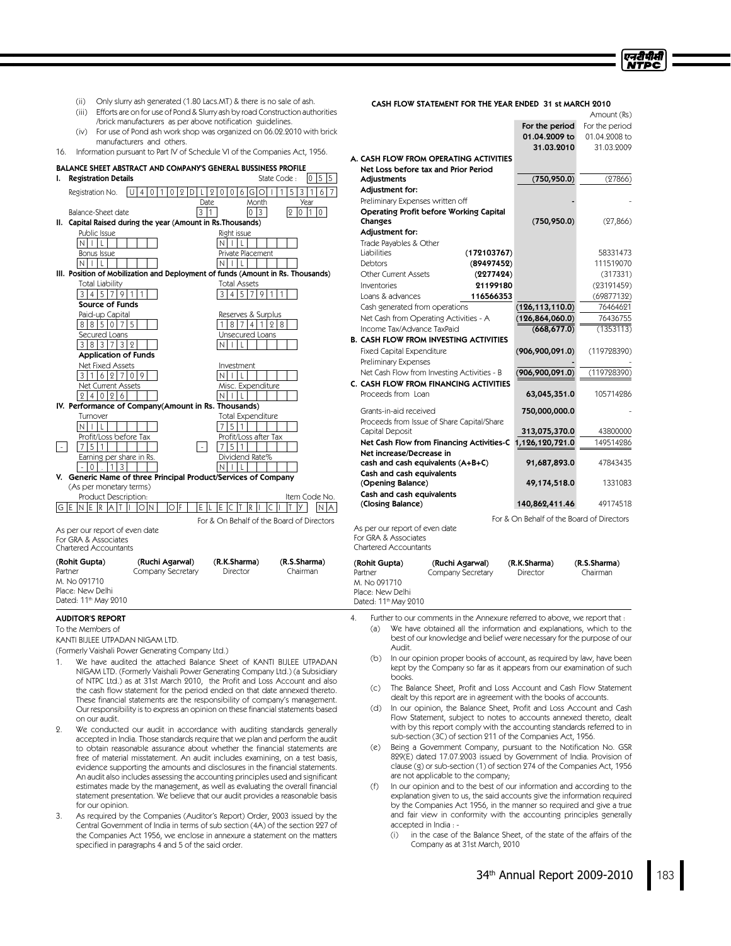एनटीपीसी **NTPC** 

- (ii) Only slurry ash generated (1.80 Lacs.MT) & there is no sale of ash.
- (iii) Efforts are on for use of Pond & Slurry ash by road Construction authorities /brick manufacturers as per above notification guidelines.
- (iv) For use of Pond ash work shop was organized on 06.02.2010 with brick manufacturers and others.

16. Information pursuant to Part IV of Schedule VI of the Companies Act, 1956.

BALANCE SHEET ABSTRACT AND COMPANY'S GENERAL BUSSINESS PROFILE

| ı.   | <b>Registration Details</b>                              | 15<br>15<br>State Code:<br>10                                                                                      |
|------|----------------------------------------------------------|--------------------------------------------------------------------------------------------------------------------|
|      | Registration No.<br>0                                    | $\overline{5}$<br>3 1<br>$\mathbf{1}$<br>6<br>$\overline{2}$<br>l G I<br>9<br>$\mathbf 0$<br>6<br>0<br>0<br>∩<br>D |
|      |                                                          | Month<br>Date<br>Year                                                                                              |
|      | Balance-Sheet date                                       | 3<br>$\vert$ 1<br>3<br>lo.<br>$\overline{2}$<br>0<br>1<br>l0                                                       |
| II.  | Capital Raised during the year (Amount in Rs. Thousands) |                                                                                                                    |
|      | Public Issue                                             | Right issue                                                                                                        |
|      | $\mathsf{N}$<br>$\perp$<br>ı                             | N                                                                                                                  |
|      | Bonus Issue                                              | Private Placement                                                                                                  |
|      | N                                                        |                                                                                                                    |
|      |                                                          | III. Position of Mobilization and Deployment of funds (Amount in Rs. Thousands)                                    |
|      | <b>Total Liability</b>                                   | <b>Total Assets</b>                                                                                                |
|      | $\overline{5}$<br>3<br>4<br>7<br>9                       | 3<br>5<br>4<br>7<br>9<br>1                                                                                         |
|      | Source of Funds                                          |                                                                                                                    |
|      | Paid-up Capital                                          | Reserves & Surplus                                                                                                 |
|      | 5<br>8 8 5 0                                             | 4<br>2<br>8<br>8                                                                                                   |
|      | Secured Loans                                            | Unsecured Loans                                                                                                    |
|      | 3<br>8 3 <br>3<br>7<br>9                                 |                                                                                                                    |
|      | <b>Application of Funds</b>                              |                                                                                                                    |
|      | <b>Net Fixed Assets</b>                                  | Investment                                                                                                         |
|      | 9<br>3<br>6<br>$\overline{2}$<br>1<br>7<br>$\Omega$      |                                                                                                                    |
|      | Net Current Assets                                       | Misc. Expenditure                                                                                                  |
|      | 9<br>9<br>$^{0}$<br>6<br>4                               |                                                                                                                    |
|      | IV. Performance of Company(Amount in Rs. Thousands)      |                                                                                                                    |
|      | Turnover                                                 | <b>Total Expenditure</b>                                                                                           |
|      | N                                                        | 5                                                                                                                  |
|      | Profit/Loss before Tax                                   | Profit/Loss after Tax                                                                                              |
|      | 5                                                        | 5<br>$\sim$                                                                                                        |
|      | Earning per share in Rs.                                 | Dividend Rate%                                                                                                     |
|      | 3<br>0                                                   |                                                                                                                    |
| V.   |                                                          | Generic Name of three Principal Product/Services of Company                                                        |
|      | (As per monetary terms)                                  |                                                                                                                    |
| G IE | Product Description:<br>E<br>R<br>OIN<br>IN<br>А         | Item Code No.<br>İF<br>E<br>E<br>O<br>R                                                                            |
|      |                                                          | For & On Behalf of the Board of Directors                                                                          |
|      | As per our report of even date                           |                                                                                                                    |
|      | For GRA & Associates<br>Chartered Accountants            |                                                                                                                    |
|      |                                                          |                                                                                                                    |

| (Rohit Gupta)                    | (Ruchi Agarwal)   | (R.K.Sharma) | (R.S.Sharma) |
|----------------------------------|-------------------|--------------|--------------|
| Partner                          | Company Secretary | Director     | Chairman     |
| M. No 091710                     |                   |              |              |
| Place: New Delhi                 |                   |              |              |
| Dated: 11 <sup>th</sup> May 2010 |                   |              |              |

#### AUDITOR'S REPORT

To the Members of

KANTI BIJLEE UTPADAN NIGAM LTD.

(Formerly Vaishali Power Generating Company Ltd.)

- 1. We have audited the attached Balance Sheet of KANTI BIJLEE UTPADAN NIGAM LTD. (Formerly Vaishali Power Generating Company Ltd.) (a Subsidiary of NTPC Ltd.) as at 31st March 2010, the Profit and Loss Account and also the cash flow statement for the period ended on that date annexed thereto. These financial statements are the responsibility of company's management. Our responsibility is to express an opinion on these financial statements based on our audit.
- 2. We conducted our audit in accordance with auditing standards generally accepted in India. Those standards require that we plan and perform the audit to obtain reasonable assurance about whether the financial statements are free of material misstatement. An audit includes examining, on a test basis, evidence supporting the amounts and disclosures in the financial statements. An audit also includes assessing the accounting principles used and significant estimates made by the management, as well as evaluating the overall financial statement presentation. We believe that our audit provides a reasonable basis for our opinion.
- 3. As required by the Companies (Auditor's Report) Order, 2003 issued by the Central Government of India in terms of sub section (4A) of the section 227 of the Companies Act 1956, we enclose in annexure a statement on the matters specified in paragraphs 4 and 5 of the said order.

## CASH FLOW STATEMENT FOR THE YEAR ENDED 31 st MARCH 2010

|                                                                                                 |                                           | Amount (Rs)           |
|-------------------------------------------------------------------------------------------------|-------------------------------------------|-----------------------|
|                                                                                                 | For the period                            | For the period        |
|                                                                                                 | 01.04.2009 to                             | 01.04.2008 to         |
|                                                                                                 | 31.03.2010                                | 31.03.2009            |
| A. CASH FLOW FROM OPERATING ACTIVITIES                                                          |                                           |                       |
| Net Loss before tax and Prior Period                                                            |                                           |                       |
| Adjustments                                                                                     | (750, 950.0)                              | (27866)               |
| Adjustment for:                                                                                 |                                           |                       |
| Preliminary Expenses written off                                                                |                                           |                       |
| Operating Profit before Working Capital<br>Changes                                              | (750, 950.0)                              | (27, 866)             |
| Adjustment for:                                                                                 |                                           |                       |
| Trade Payables & Other                                                                          |                                           |                       |
| Liabilities<br>(172103767)                                                                      |                                           | 58331473              |
| (89497452)<br><b>Debtors</b>                                                                    |                                           | 111519070             |
| <b>Other Current Assets</b><br>(2277424)                                                        |                                           | (317331)              |
| 21199180<br>Inventories                                                                         |                                           | (23191459)            |
| 116566353<br>Loans & advances                                                                   |                                           | (69877132)            |
| Cash generated from operations                                                                  | (126, 113, 110.0)                         | 76464621              |
|                                                                                                 |                                           |                       |
| Net Cash from Operating Activities - A<br>Income Tax/Advance TaxPaid                            | (126, 864, 060.0)<br>(668, 677.0)         | 76436755<br>(1353113) |
| <b>B. CASH FLOW FROM INVESTING ACTIVITIES</b>                                                   |                                           |                       |
|                                                                                                 |                                           |                       |
| <b>Fixed Capital Expenditure</b><br>Preliminary Expenses                                        | (906, 900, 091.0)                         | (119728390)           |
| Net Cash Flow from Investing Activities - B                                                     |                                           |                       |
| C. CASH FLOW FROM FINANCING ACTIVITIES                                                          | (906, 900, 091.0)                         | (119728390)           |
| Proceeds from Loan                                                                              | 63,045,351.0                              | 105714286             |
|                                                                                                 |                                           |                       |
| Grants-in-aid received                                                                          | 750,000,000.0                             |                       |
| Proceeds from Issue of Share Capital/Share                                                      |                                           |                       |
| Capital Deposit                                                                                 | 313,075,370.0                             | 43800000              |
| Net Cash Flow from Financing Activities-C                                                       | 1,126,120,721.0                           | 149514286             |
| Net increase/Decrease in                                                                        |                                           |                       |
| cash and cash equivalents (A+B+C)                                                               | 91,687,893.0                              | 47843435              |
| Cash and cash equivalents                                                                       |                                           |                       |
| (Opening Balance)                                                                               | 49,174,518.0                              | 1331083               |
| Cash and cash equivalents                                                                       |                                           | 49174518              |
| (Closing Balance)                                                                               | 140,862,411.46                            |                       |
|                                                                                                 | For & On Behalf of the Board of Directors |                       |
| As per our report of even date                                                                  |                                           |                       |
| For GRA & Associates<br><b>Chartered Accountants</b>                                            |                                           |                       |
|                                                                                                 |                                           |                       |
| (Rohit Gupta)<br>(Ruchi Agarwal)                                                                | (R.K.Sharma)                              | (R.S.Sharma)          |
| Partner<br>Company Secretary                                                                    | Director                                  | Chairman              |
| M. No 091710                                                                                    |                                           |                       |
| Place: New Delhi<br>Dated: 11 <sup>th</sup> May 2010                                            |                                           |                       |
|                                                                                                 |                                           |                       |
| $\overline{4}$ .<br>Further to our comments in the Annexure referred to above, we report that : |                                           |                       |
| We have obtained all the information and explanations, which to the<br>(a)                      |                                           |                       |
| best of our knowledge and belief were necessary for the purpose of our                          |                                           |                       |
| Audit.                                                                                          |                                           |                       |
| (b)<br>In our opinion proper books of account, as required by law, have been                    |                                           |                       |
| kept by the Company so far as it appears from our examination of such                           |                                           |                       |

books. (c) The Balance Sheet, Profit and Loss Account and Cash Flow Statement

- dealt by this report are in agreement with the books of accounts.
- (d) In our opinion, the Balance Sheet, Profit and Loss Account and Cash Flow Statement, subject to notes to accounts annexed thereto, dealt with by this report comply with the accounting standards referred to in sub-section (3C) of section 211 of the Companies Act, 1956.
- (e) Being a Government Company, pursuant to the Notification No. GSR 829(E) dated 17.07.2003 issued by Government of India. Provision of clause (g) or sub-section (1) of section 274 of the Companies Act, 1956 are not applicable to the company;
- (f) In our opinion and to the best of our information and according to the explanation given to us, the said accounts give the information required by the Companies Act 1956, in the manner so required and give a true and fair view in conformity with the accounting principles generally accepted in India : -
	- (i) in the case of the Balance Sheet, of the state of the affairs of the Company as at 31st March, 2010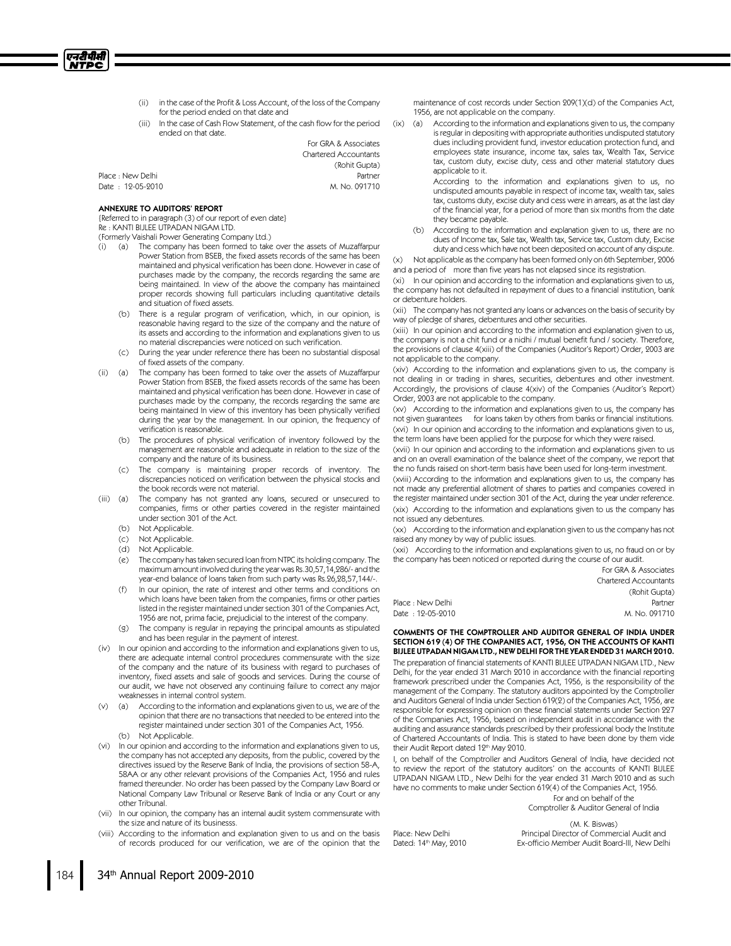

- (ii) in the case of the Profit & Loss Account, of the loss of the Company for the period ended on that date and
- (iii) In the case of Cash Flow Statement, of the cash flow for the period ended on that date.

For GRA & Associates Chartered Accountants (Rohit Gupta) Place : New Delhi **Partner** Date : 12-05-2010 M. No. 091710

#### ANNEXURE TO AUDITORS' REPORT

{Referred to in paragraph (3) of our report of even date} Re : KANTI BIJLEE UTPADAN NIGAM LTD.

(Formerly Vaishali Power Generating Company Ltd.)

- (i) (a) The company has been formed to take over the assets of Muzaffarpur Power Station from BSEB, the fixed assets records of the same has been maintained and physical verification has been done. However in case of purchases made by the company, the records regarding the same are being maintained. In view of the above the company has maintained proper records showing full particulars including quantitative details and situation of fixed assets.
	- (b) There is a regular program of verification, which, in our opinion, is reasonable having regard to the size of the company and the nature of its assets and according to the information and explanations given to us no material discrepancies were noticed on such verification.
	- (c) During the year under reference there has been no substantial disposal of fixed assets of the company.
- (ii) (a) The company has been formed to take over the assets of Muzaffarpur Power Station from BSEB, the fixed assets records of the same has been maintained and physical verification has been done. However in case of purchases made by the company, the records regarding the same are being maintained In view of this inventory has been physically verified during the year by the management. In our opinion, the frequency of verification is reasonable.
	- (b) The procedures of physical verification of inventory followed by the management are reasonable and adequate in relation to the size of the company and the nature of its business.
	- (c) The company is maintaining proper records of inventory. The discrepancies noticed on verification between the physical stocks and the book records were not material.
- (iii) (a) The company has not granted any loans, secured or unsecured to companies, firms or other parties covered in the register maintained under section 301 of the Act.
	- (b) Not Applicable.
	- (c) Not Applicable.
	- (d) Not Applicable.
	- (e) The company hastaken secured loan from NTPC its holding company. The maximum amount involved during the year was Rs.30,57,14,286/- and the year-end balance of loans taken from such party was Rs.26,28,57,144/-
	- In our opinion, the rate of interest and other terms and conditions on which loans have been taken from the companies, firms or other parties listed in the register maintained under section 301 of the Companies Act, 1956 are not, prima facie, prejudicial to the interest of the company.
	- (g) The company is regular in repaying the principal amounts as stipulated and has been regular in the payment of interest.
- (iv) In our opinion and according to the information and explanations given to us, there are adequate internal control procedures commensurate with the size of the company and the nature of its business with regard to purchases of inventory, fixed assets and sale of goods and services. During the course of our audit, we have not observed any continuing failure to correct any major weaknesses in internal control system.
- (v) (a) According to the information and explanations given to us, we are of the opinion that there are no transactions that needed to be entered into the register maintained under section 301 of the Companies Act, 1956. (b) Not Applicable.
- (vi) In our opinion and according to the information and explanations given to us, the company has not accepted any deposits, from the public, covered by the directives issued by the Reserve Bank of India, the provisions of section 58-A, 58AA or any other relevant provisions of the Companies Act, 1956 and rules framed thereunder. No order has been passed by the Company Law Board or National Company Law Tribunal or Reserve Bank of India or any Court or any other Tribunal.
- (vii) In our opinion, the company has an internal audit system commensurate with the size and nature of its businesss.
- (viii) According to the information and explanation given to us and on the basis of records produced for our verification, we are of the opinion that the

maintenance of cost records under Section 209(1)(d) of the Companies Act, 1956, are not applicable on the company.

(ix) (a) According to the information and explanations given to us, the company is regular in depositing with appropriate authorities undisputed statutory dues including provident fund, investor education protection fund, and employees state insurance, income tax, sales tax, Wealth Tax, Service tax, custom duty, excise duty, cess and other material statutory dues applicable to it.

> According to the information and explanations given to us, no undisputed amounts payable in respect of income tax, wealth tax, sales tax, customs duty, excise duty and cess were in arrears, as at the last day of the financial year, for a period of more than six months from the date they became payable.

- (b) According to the information and explanation given to us, there are no dues of Income tax, Sale tax, Wealth tax, Service tax, Custom duty, Excise duty and cess which have not been deposited on account of any dispute.
- (x) Not applicable as the company has been formed only on 6th September, 2006 and a period of more than five years has not elapsed since its registration.

(xi) In our opinion and according to the information and explanations given to us, the company has not defaulted in repayment of dues to a financial institution, bank or debenture holders.

(xii) The company has not granted any loans or advances on the basis of security by way of pledge of shares, debentures and other securities.

(xiii) In our opinion and according to the information and explanation given to us, the company is not a chit fund or a nidhi / mutual benefit fund / society. Therefore, the provisions of clause 4(xiii) of the Companies (Auditor's Report) Order, 2003 are not applicable to the company.

(xiv) According to the information and explanations given to us, the company is not dealing in or trading in shares, securities, debentures and other investment. Accordingly, the provisions of clause 4(xiv) of the Companies (Auditor's Report) Order, 2003 are not applicable to the company.

(xv) According to the information and explanations given to us, the company has not given guarantees for loans taken by others from banks or financial institutions.

(xvi) In our opinion and according to the information and explanations given to us, the term loans have been applied for the purpose for which they were raised.

(xvii) In our opinion and according to the information and explanations given to us and on an overall examination of the balance sheet of the company, we report that the no funds raised on short-term basis have been used for long-term investment.

(xviii) According to the information and explanations given to us, the company has not made any preferential allotment of shares to parties and companies covered in the register maintained under section 301 of the Act, during the year under reference. (xix) According to the information and explanations given to us the company has not issued any debentures.

(xx) According to the information and explanation given to us the company has not raised any money by way of public issues.

(xxi) According to the information and explanations given to us, no fraud on or by the company has been noticed or reported during the course of our audit.

|                   | For GRA & Associates         |
|-------------------|------------------------------|
|                   | <b>Chartered Accountants</b> |
|                   | (Rohit Gupta)                |
| Place : New Delhi | Partner                      |
| Date : 12-05-2010 | M. No. 091710                |

COMMENTS OF THE COMPTROLLER AND AUDITOR GENERAL OF INDIA UNDER SECTION 619 (4) OF THE COMPANIES ACT, 1956, ON THE ACCOUNTS OF KANTI BIJLEE UTPADAN NIGAM LTD., NEW DELHI FOR THE YEAR ENDED 31 MARCH 2010.

The preparation of financial statements of KANTI BIJLEE UTPADAN NIGAM LTD., New Delhi, for the year ended 31 March 2010 in accordance with the financial reporting framework prescribed under the Companies Act, 1956, is the responsibility of the management of the Company. The statutory auditors appointed by the Comptroller and Auditors General of India under Section 619(2) of the Companies Act, 1956, are responsible for expressing opinion on these financial statements under Section 227 of the Companies Act, 1956, based on independent audit in accordance with the auditing and assurance standards prescribed by their professional body the Institute of Chartered Accountants of India. This is stated to have been done by them vide their Audit Report dated 12<sup>th</sup> May 2010.

I, on behalf of the Comptroller and Auditors General of India, have decided not to review the report of the statutory auditors' on the accounts of KANTI BIJLEE UTPADAN NIGAM LTD., New Delhi for the year ended 31 March 2010 and as such have no comments to make under Section 619(4) of the Companies Act, 1956.

> For and on behalf of the Comptroller & Auditor General of India

Place: New Delhi Dated: 14<sup>th</sup> May, 2010

(M. K. Biswas) Principal Director of Commercial Audit and Ex-officio Member Audit Board-III, New Delhi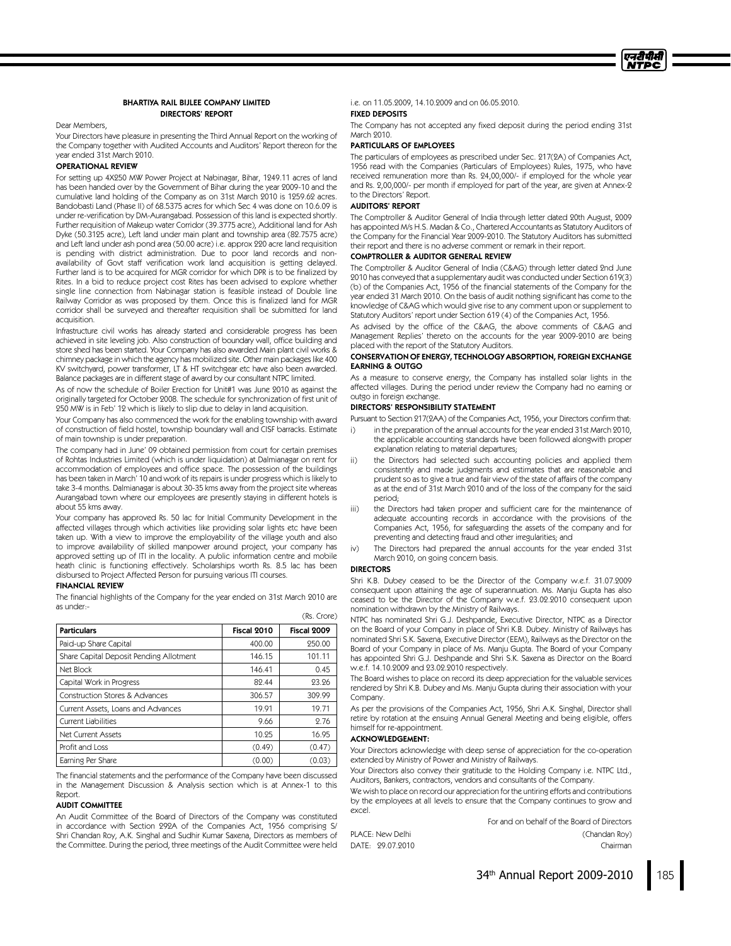

#### BHARTIYA RAIL BIJLEE COMPANY LIMITED DIRECTORS' REPORT

#### Dear Members,

Your Directors have pleasure in presenting the Third Annual Report on the working of the Company together with Audited Accounts and Auditors' Report thereon for the year ended 31st March 2010.

#### OPERATIONAL REVIEW

For setting up 4X250 MW Power Project at Nabinagar, Bihar, 1249.11 acres of land has been handed over by the Government of Bihar during the year 2009-10 and the cumulative land holding of the Company as on 31st March 2010 is 1259.62 acres. Bandobasti Land (Phase II) of 68.5375 acres for which Sec 4 was done on 10.6.09 is under re-verification by DM-Aurangabad. Possession of this land is expected shortly. Further requisition of Makeup water Corridor (39.3775 acre), Additional land for Ash Dyke (50.3125 acre), Left land under main plant and township area (82.7575 acre) and Left land under ash pond area (50.00 acre) i.e. approx220 acre land requisition is pending with district administration. Due to poor land records and nonavailability of Govt staff verification work land acquisition is getting delayed. Further land is to be acquired for MGR corridor for which DPR is to be finalized by Rites. In a bid to reduce project cost Rites has been advised to explore whether single line connection from Nabinagar station is feasible instead of Double line Railway Corridor as was proposed by them. Once this is finalized land for MGR corridor shall be surveyed and thereafter requisition shall be submitted for land acquisition.

Infrastructure civil works has already started and considerable progress has been achieved in site leveling job. Also construction of boundary wall, office building and store shed has been started. Your Company has also awarded Main plant civil works & chimney package in which the agency has mobilized site. Other main packages like 400 KV switchyard, power transformer, LT & HT switchgear etc have also been awarded. Balance packages are in different stage of award by our consultant NTPC limited.

As of now the schedule of Boiler Erection for Unit#1 was June 2010 as against the originally targeted for October 2008. The schedule for synchronization of first unit of 250 MW is in Feb' 12 which is likely to slip due to delay in land acquisition.

Your Company has also commenced the work for the enabling township with award of construction of field hostel, township boundary wall and CISF barracks. Estimate of main township is under preparation.

The company had in June' 09 obtained permission from court for certain premises of Rohtas Industries Limited (which is under liquidation) at Dalmianagar on rent for accommodation of employees and office space. The possession of the buildings has been taken in March' 10 and work of its repairs is under progress which is likely to take 3-4 months. Dalmianagar is about 30-35 kms away from the project site whereas Aurangabad town where our employees are presently staying in different hotels is about 55 kms away.

Your company has approved Rs. 50 lac for Initial Community Development in the affected villages through which activities like providing solar lights etc have been taken up. With a view to improve the employability of the village youth and also to improve availability of skilled manpower around project, your company has approved setting up of ITI in the locality. A public information centre and mobile heath clinic is functioning effectively. Scholarships worth Rs. 8.5 lac has been disbursed to Project Affected Person for pursuing various ITI courses.

#### FINANCIAL REVIEW

The financial highlights of the Company for the year ended on 31st March 2010 are as under:- (Rs. Crore)

| <b>Particulars</b>                        | Fiscal 2010 | Fiscal 2009 |
|-------------------------------------------|-------------|-------------|
| Paid-up Share Capital                     | 400.00      | 250.00      |
| Share Capital Deposit Pending Allotment   | 146.15      | 101.11      |
| Net Block                                 | 146.41      | 0.45        |
| Capital Work in Progress                  | 89.44       | 23.26       |
| <b>Construction Stores &amp; Advances</b> | 306.57      | 309.99      |
| Current Assets, Loans and Advances        | 19.91       | 19.71       |
| <b>Current Liabilities</b>                | 9.66        | 2.76        |
| Net Current Assets                        | 10.25       | 16.95       |
| Profit and Loss                           | (0.49)      | (0.47)      |
| Earning Per Share                         | (0.00)      | (0.03)      |

The financial statements and the performance of the Company have been discussed in the Management Discussion & Analysis section which is at Annex-1 to this Report.

#### AUDIT COMMITTEE

An Audit Committee of the Board of Directors of the Company was constituted in accordance with Section 292A of the Companies Act, 1956 comprising S/ Shri Chandan Roy, A.K. Singhal and Sudhir Kumar Saxena, Directors as members of the Committee. During the period, three meetings of the Audit Committee were held i.e. on 11.05.2009, 14.10.2009 and on 06.05.2010.

# FIXED DEPOSITS

The Company has not accepted any fixed deposit during the period ending 31st March 2010.

#### PARTICULARS OF EMPLOYEES

The particulars of employees as prescribed under Sec. 217(2A) of Companies Act, 1956 read with the Companies (Particulars of Employees) Rules, 1975, who have received remuneration more than Rs. 24,00,000/- if employed for the whole year and Rs. 2,00,000/- per month if employed for part of the year, are given at Annex-2 to the Directors' Report.

#### AUDITORS' REPORT

The Comptroller & Auditor General of India through letter dated 20th August, 2009 has appointed M/s H.S. Madan & Co., Chartered Accountants as Statutory Auditors of the Company for the Financial Year 2009-2010. The Statutory Auditors has submitted their report and there is no adverse comment or remark in their report.

#### COMPTROLLER & AUDITOR GENERAL REVIEW

The Comptroller & Auditor General of India (C&AG) through letter dated 2nd June 2010 has conveyed that a supplementary audit was conducted under Section 619(3) (b) of the Companies Act, 1956 of the financial statements of the Company for the year ended 31 March 2010. On the basis of audit nothing significant has come to the knowledge of C&AG which would give rise to any comment upon or supplement to Statutory Auditors' report under Section 619 (4) of the Companies Act, 1956.

As advised by the office of the C&AG, the above comments of C&AG and Management Replies' thereto on the accounts for the year 2009-2010 are being placed with the report of the Statutory Auditors.

#### CONSERVATION OF ENERGY, TECHNOLOGY ABSORPTION, FOREIGN EXCHANGE EARNING & OUTGO

As a measure to conserve energy, the Company has installed solar lights in the affected villages. During the period under review the Company had no earning or outgo in foreign exchange.

#### DIRECTORS' RESPONSIBILITY STATEMENT

Pursuant to Section 217(2AA) of the Companies Act, 1956, your Directors confirm that:

- i) in the preparation of the annual accounts for the year ended 31st March 2010. the applicable accounting standards have been followed alongwith proper explanation relating to material departures;
- ii) the Directors had selected such accounting policies and applied them consistently and made judgments and estimates that are reasonable and prudent so as to give a true and fair view of the state of affairs of the company as at the end of 31st March 2010 and of the loss of the company for the said period;
- iii) the Directors had taken proper and sufficient care for the maintenance of adequate accounting records in accordance with the provisions of the Companies Act, 1956, for safeguarding the assets of the company and for preventing and detecting fraud and other irregularities; and
- iv) The Directors had prepared the annual accounts for the year ended 31st March 2010, on going concern basis.

#### DIRECTORS

Shri K.B. Dubey ceased to be the Director of the Company w.e.f. 31.07.2009 consequent upon attaining the age of superannuation. Ms. Manju Gupta has also ceased to be the Director of the Company w.e.f. 23.02.2010 consequent upon nomination withdrawn by the Ministry of Railways.

NTPC has nominated Shri G.J. Deshpande, Executive Director, NTPC as a Director on the Board of your Company in place of Shri K.B. Dubey. Ministry of Railways has nominated Shri S.K. Saxena, Executive Director (EEM), Railways as the Director on the Board of your Company in place of Ms. Manju Gupta. The Board of your Company has appointed Shri G.J. Deshpande and Shri S.K. Saxena as Director on the Board w.e.f. 14.10.2009 and 23.02.2010 respectively.

The Board wishes to place on record its deep appreciation for the valuable services rendered by Shri K.B. Dubey and Ms. Manju Gupta during their association with your Company.

As per the provisions of the Companies Act, 1956, Shri A.K. Singhal, Director shall retire by rotation at the ensuing Annual General Meeting and being eligible, offers himself for re-appointment.

#### ACKNOWLEDGEMENT:

Your Directors acknowledge with deep sense of appreciation for the co-operation extended by Ministry of Power and Ministry of Railways.

Your Directors also convey their gratitude to the Holding Company i.e. NTPC Ltd., Auditors, Bankers, contractors, vendors and consultants of the Company.

We wish to place on record our appreciation for the untiring efforts and contributions by the employees at all levels to ensure that the Company continues to grow and excel.

For and on behalf of the Board of Directors PLACE: New Delhi (Chandan Roy)

DATE: 29.07.2010 Chairman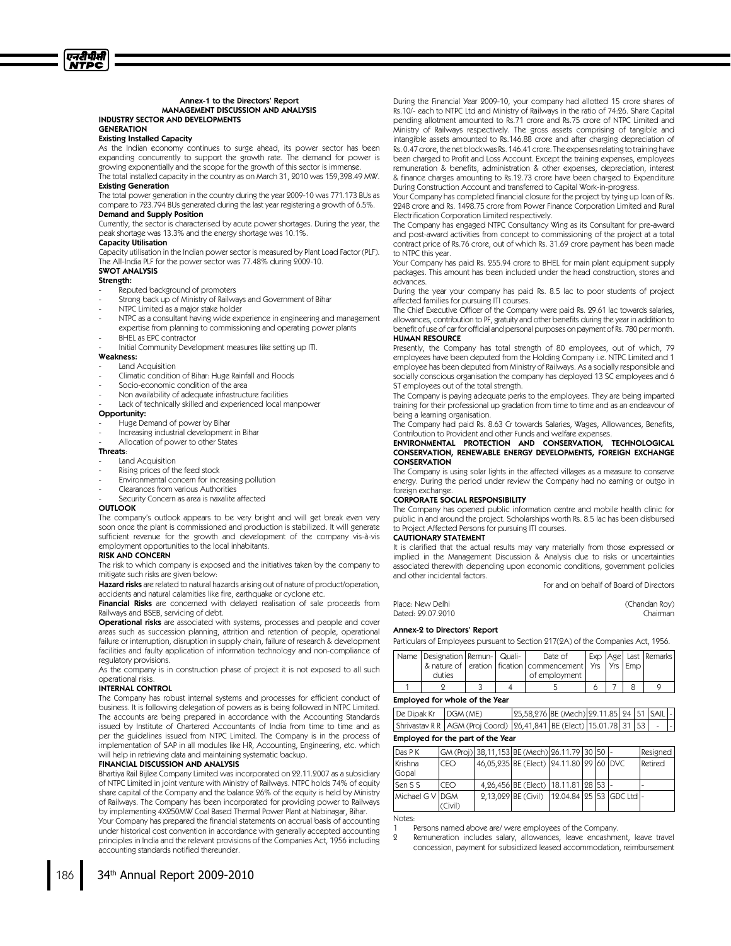### Existing Installed Capacity

As the Indian economy continues to surge ahead, its power sector has been expanding concurrently to support the growth rate. The demand for power is growing exponentially and the scope for the growth of this sector is immense. The total installed capacity in the country as on March 31, 2010 was 159,398.49 MW.

#### **Existing Generation**

The total power generation in the country during the year 2009-10 was 771.173 BUs as compare to 723.794 BUs generated during the last year registering a growth of 6.5%. Demand and Supply Position

Currently, the sector is characterised by acute power shortages. During the year, the peak shortage was 13.3% and the energy shortage was 10.1%.

#### Capacity Utilisation

Capacity utilisation in the Indian power sector is measured by Plant Load Factor (PLF). The All-India PLF for the power sector was 77.48% during 2009-10.

#### SWOT ANALYSIS

#### Strength:

- Reputed background of promoters
- Strong back up of Ministry of Railways and Government of Bihar
- NTPC Limited as a major stake holder
- NTPC as a consultant having wide experience in engineering and management expertise from planning to commissioning and operating power plants
- BHEL as EPC contractor
- Initial Community Development measures like setting up ITI.

# Weakness:

- Land Acquisition
- Climatic condition of Bihar: Huge Rainfall and Floods
- Socio-economic condition of the area
- Non availability of adequate infrastructure facilities
- Lack of technically skilled and experienced local manpower

#### Opportunity:

- Huge Demand of power by Bihar
- Increasing industrial development in Bihar
- Allocation of power to other States

# Threats:

- Land Acquisition
- Rising prices of the feed stock
- Environmental concern for increasing pollution
- Clearances from various Authorities
- Security Concern as area is naxalite affected

#### **OUTLOOK**

The company's outlook appears to be very bright and will get break even very soon once the plant is commissioned and production is stabilized. It will generate sufficient revenue for the growth and development of the company vis-à-vis employment opportunities to the local inhabitants.

#### RISKAND CONCERN

The risk to which company is exposed and the initiatives taken by the company to mitigate such risks are given below:

Hazard risks are related to natural hazards arising out of nature of product/operation, accidents and natural calamities like fire, earthquake or cyclone etc.

Financial Risks are concerned with delayed realisation of sale proceeds from Railways and BSEB, servicing of debt.

Operational risks are associated with systems, processes and people and cover areas such as succession planning, attrition and retention of people, operational failure or interruption, disruption in supply chain, failure of research & development facilities and faulty application of information technology and non-compliance of regulatory provisions.

As the company is in construction phase of project it is not exposed to all such operational risks.

#### INTERNAL CONTROL

The Company has robust internal systems and processes for efficient conduct of business. It is following delegation of powers as is being followed in NTPC Limited. The accounts are being prepared in accordance with the Accounting Standards issued by Institute of Chartered Accountants of India from time to time and as per the guidelines issued from NTPC Limited. The Company is in the process of implementation of SAP in all modules like HR, Accounting, Engineering, etc. which will help in retrieving data and maintaining systematic backup.

#### FINANCIAL DISCUSSION AND ANALYSIS

Bhartiya Rail Bijlee Company Limited was incorporated on 22.11.2007 as a subsidiary of NTPC Limited in joint venture with Ministry of Railways. NTPC holds 74% of equity share capital of the Company and the balance 26% of the equity is held by Ministry of Railways. The Company has been incorporated for providing power to Railways by implementing 4X250MW Coal Based Thermal Power Plant at Nabinagar, Bihar.

Your Company has prepared the financial statements on accrual basis of accounting under historical cost convention in accordance with generally accepted accounting principles in India and the relevant provisions of the Companies Act, 1956 including accounting standards notified thereunder.

During the Financial Year 2009-10, your company had allotted 15 crore shares of Rs.10/- each to NTPC Ltd and Ministry of Railways in the ratio of 74:26. Share Capital pending allotment amounted to Rs.71 crore and Rs.75 crore of NTPC Limited and Ministry of Railways respectively. The gross assets comprising of tangible and intangible assets amounted to Rs.146.88 crore and after charging depreciation of Rs. 0.47 crore, the net block was Rs. 146.41 crore. The expenses relating to training have been charged to Profit and Loss Account. Except the training expenses, employees remuneration & benefits, administration & other expenses, depreciation, interest & finance charges amounting to Rs.12.73 crore have been charged to Expenditure During Construction Account and transferred to Capital Work-in-progress.

Your Company has completed financial closure for the project by tying up loan of Rs. 2248 crore and Rs. 1498.75 crore from Power Finance Corporation Limited and Rural Electrification Corporation Limited respectively.

The Company has engaged NTPC Consultancy Wing as its Consultant for pre-award and post-award activities from concept to commissioning of the project at a total contract price of Rs.76 crore, out of which Rs. 31.69 crore payment has been made to NTPC this year.

Your Company has paid Rs. 255.94 crore to BHEL for main plant equipment supply packages. This amount has been included under the head construction, stores and advances.

During the year your company has paid Rs. 8.5 lac to poor students of project affected families for pursuing ITI courses.

The Chief Executive Officer of the Company were paid Rs. 29.61 lac towards salaries, allowances, contribution to PF, gratuity and other benefits during the year in addition to benefit of use of car for official and personal purposes on payment of Rs. 780 per month. HUMAN RESOURCE

Presently, the Company has total strength of 80 employees, out of which, 79 employees have been deputed from the Holding Company i.e. NTPC Limited and 1 employee has been deputed from Ministry of Railways. As a socially responsible and socially conscious organisation the company has deployed 13 SC employees and 6 ST employees out of the total strength.

The Company is paying adequate perks to the employees. They are being imparted training for their professional up gradation from time to time and as an endeavour of being a learning organisation.

The Company had paid Rs. 8.63 Cr towards Salaries, Wages, Allowances, Benefits, Contribution to Provident and other Funds and welfare expenses.

ENVIRONMENTAL PROTECTION AND CONSERVATION, TECHNOLOGICAL CONSERVATION,RENEWABLE ENERGY DEVELOPMENTS,FOREIGN EXCHANGE CONSERVATION

The Company is using solar lights in the affected villages as a measure to conserve energy. During the period under review the Company had no earning or outgo in foreign exchange.

#### CORPORATE SOCIAL RESPONSIBILITY

The Company has opened public information centre and mobile health clinic for public in and around the project. Scholarships worth Rs. 8.5 lac has been disbursed to Project Affected Persons for pursuing ITI courses.

#### CAUTIONARY STATEMENT

It is clarified that the actual results may vary materially from those expressed or implied in the Management Discussion & Analysis due to risks or uncertainties associated therewith depending upon economic conditions, government policies and other incidental factors.

For and on behalf of Board of Directors

Place: New Delhi (Chandan Roy) Dated: 29.07.2010 Chairman

#### Annex-2 to Directors' Report

Particulars of Employees pursuant to Section 217(2A) of the Companies Act, 1956.

| Name   Designation   Remun-   Quali- |  | Date of                                                           |  | Exp   Age   Last   Remarks |
|--------------------------------------|--|-------------------------------------------------------------------|--|----------------------------|
|                                      |  | & nature of   eration   fication   commencement   Yrs   Yrs   Emp |  |                            |
| duties                               |  | of employment                                                     |  |                            |
|                                      |  |                                                                   |  |                            |

#### Employed for whole of the Year

| Shrivastav R R   AGM (Proj Coord)   26,41,841   BE (Elect)   15.01.78   31   53 | $\log$ Dipak Kr $\log M$ (ME) |  | 25,58,276 BE (Mech) 29.11.85 24 51 SAIL - |  |  |  |
|---------------------------------------------------------------------------------|-------------------------------|--|-------------------------------------------|--|--|--|
|                                                                                 |                               |  |                                           |  |  |  |

#### Employed for the part of the Year

| Das P K          |         | GM (Proj) 38,11,153 BE (Mech) 26.11.79 30 50 -    |  |  | Resigned |
|------------------|---------|---------------------------------------------------|--|--|----------|
| Krishna<br>Gopal | CEO     | 46,05,235   BE (Elect)   24.11.80   29   60   DVC |  |  | Retired  |
| Sen S S          | CEO     | 4, 26, 456 BE (Elect) 18.11.81 28 53 -            |  |  |          |
| Michael G V IDGM | 'Civil) | 2,13,029 BE (Civil)   12.04.84 25 53 GDC Ltd  -   |  |  |          |

Notes:

2 Remuneration includes salary, allowances, leave encashment, leave travel concession, payment for subsidized leased accommodation, reimbursement



Persons named above are/ were employees of the Company.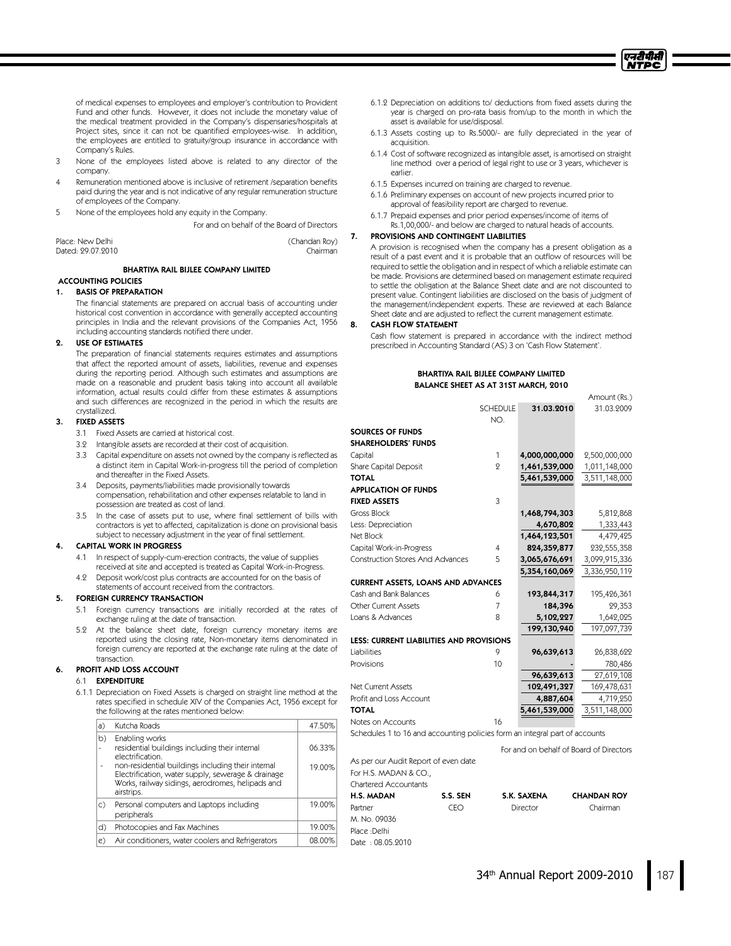

of medical expenses to employees and employer's contribution to Provident Fund and other funds. However, it does not include the monetary value of the medical treatment provided in the Company's dispensaries/hospitals at Project sites, since it can not be quantified employees-wise. In addition, the employees are entitled to gratuity/group insurance in accordance with Company's Rules.

- 3 None of the employees listed above is related to any director of the company.
- Remuneration mentioned above is inclusive of retirement /separation benefits paid during the year and is not indicative of any regular remuneration structure of employees of the Company.
- 5 None of the employees hold any equity in the Company.

For and on behalf of the Board of Directors

| Place: New Delhi  | (Chandan Roy) |
|-------------------|---------------|
| Dated: 29.07.2010 | Chairman      |

#### BHARTIYA RAIL BIJLEE COMPANY LIMITED

#### ACCOUNTING POLICIES 1. BASIS OF PREPARATION

The financial statements are prepared on accrual basis of accounting under historical cost convention in accordance with generally accepted accounting principles in India and the relevant provisions of the Companies Act, 1956 including accounting standards notified there under.

#### 2. USE OF ESTIMATES

The preparation of financial statements requires estimates and assumptions that affect the reported amount of assets, liabilities, revenue and expenses during the reporting period. Although such estimates and assumptions are made on a reasonable and prudent basis taking into account all available information, actual results could differ from these estimates & assumptions and such differences are recognized in the period in which the results are crystallized.

#### 3. FIXED ASSETS

- 3.1 Fixed Assets are carried at historical cost.
- 3.2 Intangible assets are recorded at their cost of acquisition.
- 3.3 Capital expenditure on assets not owned by the company is reflected as a distinct item in Capital Work-in-progress till the period of completion and thereafter in the Fixed Assets.
- 3.4 Deposits, payments/liabilities made provisionally towards compensation, rehabilitation and other expenses relatable to land in possession are treated as cost of land.
- 3.5 In the case of assets put to use, where final settlement of bills with contractors is yet to affected, capitalization is done on provisional basis subject to necessary adjustment in the year of final settlement.

#### **4. CAPITAL WORK IN PROGRESS**

- 4.1 In respect of supply-cum-erection contracts, the value of supplies received at site and accepted is treated as Capital Work-in-Progress.
- 4.2 Deposit work/cost plus contracts are accounted for on the basis of statements of account received from the contractors.

#### 5. FOREIGN CURRENCY TRANSACTION

- 5.1 Foreign currency transactions are initially recorded at the rates of exchange ruling at the date of transaction.
- 5.2 At the balance sheet date, foreign currency monetary items are reported using the closing rate, Non-monetary items denominated in foreign currency are reported at the exchange rate ruling at the date of transaction.

#### 6. PROFIT AND LOSS ACCOUNT

# 6.1 EXPENDITURE

6.1.1 Depreciation on Fixed Assets is charged on straight line method at the rates specified in schedule XIV of the Companies Act, 1956 except for the following at the rates mentioned below:

| a) | Kutcha Roads                                                                                                                                                                                                                                                       | 47.50%           |
|----|--------------------------------------------------------------------------------------------------------------------------------------------------------------------------------------------------------------------------------------------------------------------|------------------|
| b) | Enabling works<br>residential buildings including their internal<br>electrification.<br>non-residential buildings including their internal<br>Electrification, water supply, sewerage & drainage<br>Works, railway sidings, aerodromes, helipads and<br>airstrips. | 06.33%<br>19.00% |
| C) | Personal computers and Laptops including<br>peripherals                                                                                                                                                                                                            | 19.00%           |
| d) | Photocopies and Fax Machines                                                                                                                                                                                                                                       | 19.00%           |
| e) | Air conditioners, water coolers and Refrigerators                                                                                                                                                                                                                  | 08.00%           |
|    |                                                                                                                                                                                                                                                                    |                  |

- 6.1.2 Depreciation on additions to/deductions from fixed assets during the year is charged on pro-rata basis from/up to the month in which the asset is available for use/disposal.
- 6.1.3 Assets costing up to Rs.5000/- are fully depreciated in the year of acquisition.
- 6.1.4 Cost of software recognized as intangible asset, is amortised on straight line method over a period of legal right to use or 3 years, whichever is earlier.
- 6.1.5 Expenses incurred on training are charged to revenue.
- 6.1.6 Preliminary expenses on account of new projects incurred prior to approval of feasibility report are charged to revenue.
- 6.1.7 Prepaid expenses and prior period expenses/income of items of Rs.1,00,000/- and below are charged to natural heads of accounts.

#### 7. PROVISIONS AND CONTINGENT LIABILITIES

A provision is recognised when the company has a present obligation as a result of a past event and it is probable that an outflow of resources will be required to settle the obligation and in respect of which a reliable estimate can be made. Provisions are determined based on management estimate required to settle the obligation at the Balance Sheet date and are not discounted to present value. Contingent liabilities are disclosed on the basis of judgment of the management/independent experts. These are reviewed at each Balance Sheet date and are adjusted to reflect the current management estimate.

#### 8. CASH FLOW STATEMENT

Cash flow statement is prepared in accordance with the indirect method prescribed in Accounting Standard (AS) 3 on 'Cash Flow Statement'.

#### BHARTIYA RAIL BIJLEE COMPANY LIMITED BALANCE SHEET AS AT 31ST MARCH, 2010

|                                                                             |          |                 |                    | Amount (Rs.)                            |  |
|-----------------------------------------------------------------------------|----------|-----------------|--------------------|-----------------------------------------|--|
|                                                                             |          | <b>SCHEDULE</b> | 31.03.2010         | 31.03.2009                              |  |
|                                                                             |          | NO.             |                    |                                         |  |
| SOURCES OF FUNDS                                                            |          |                 |                    |                                         |  |
| <b>SHAREHOLDERS' FUNDS</b>                                                  |          |                 |                    |                                         |  |
| Capital                                                                     |          | 1               | 4,000,000,000      | 2,500,000,000                           |  |
| Share Capital Deposit                                                       |          | $\overline{2}$  | 1,461,539,000      | 1,011,148,000                           |  |
| <b>TOTAL</b>                                                                |          |                 | 5,461,539,000      | 3,511,148,000                           |  |
| <b>APPLICATION OF FUNDS</b>                                                 |          |                 |                    |                                         |  |
| <b>FIXED ASSETS</b>                                                         |          | 3               |                    |                                         |  |
| Gross Block                                                                 |          |                 | 1,468,794,303      | 5,812,868                               |  |
| Less: Depreciation                                                          |          |                 | 4,670,802          | 1,333,443                               |  |
| Net Block                                                                   |          |                 | 1,464,123,501      | 4,479,425                               |  |
| Capital Work-in-Progress                                                    |          | 4               | 824,359,877        | 232,555,358                             |  |
| <b>Construction Stores And Advances</b>                                     |          | 5               | 3,065,676,691      | 3,099,915,336                           |  |
|                                                                             |          |                 | 5,354,160,069      | 3,336,950,119                           |  |
| <b>CURRENT ASSETS, LOANS AND ADVANCES</b>                                   |          |                 |                    |                                         |  |
| Cash and Bank Balances                                                      |          | 6               | 193,844,317        | 195,426,361                             |  |
| Other Current Assets                                                        |          | 7               | 184,396            | 29,353                                  |  |
| Loans & Advances                                                            |          | 8               | 5,102,227          | 1,642,025                               |  |
|                                                                             |          |                 | 199,130,940        | 197,097,739                             |  |
| <b>LESS: CURRENT LIABILITIES AND PROVISIONS</b>                             |          |                 |                    |                                         |  |
| Liabilities                                                                 |          | 9               | 96,639,613         | 26,838,622                              |  |
| Provisions                                                                  |          | 10              |                    | 780,486                                 |  |
|                                                                             |          |                 | 96,639,613         | 27,619,108                              |  |
| <b>Net Current Assets</b>                                                   |          |                 | 102,491,327        | 169,478,631                             |  |
| Profit and Loss Account                                                     |          |                 | 4,887,604          | 4,719,250                               |  |
| <b>TOTAL</b>                                                                |          |                 | 5,461,539,000      | 3,511,148,000                           |  |
| Notes on Accounts                                                           |          | 16              |                    |                                         |  |
| Schedules 1 to 16 and accounting policies form an integral part of accounts |          |                 |                    |                                         |  |
|                                                                             |          |                 |                    | For and on behalf of Board of Directors |  |
| As per our Audit Report of even date                                        |          |                 |                    |                                         |  |
| For H.S. MADAN & CO.,                                                       |          |                 |                    |                                         |  |
| <b>Chartered Accountants</b>                                                |          |                 |                    |                                         |  |
| <b>H.S. MADAN</b>                                                           | S.S. SEN |                 | <b>S.K. SAXENA</b> | <b>CHANDAN ROY</b>                      |  |

Partner CEO Director Chairman

M. No. 09036 Place :Delhi Date : 08.05.2010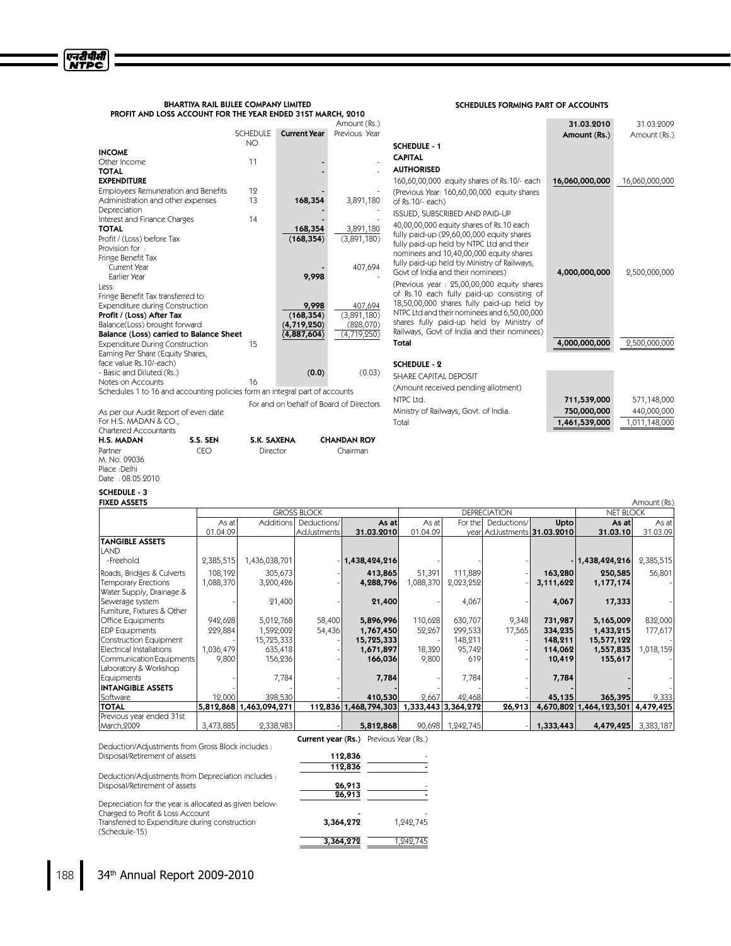| <b>BHARTIYA RAIL BIJLEE COMPANY LIMITED</b>                 |
|-------------------------------------------------------------|
| PROFIT AND LOSS ACCOUNT FOR THE YEAR ENDED 31ST MARCH, 2010 |

|                                         |                 |                     | Amount (Rs.)  |
|-----------------------------------------|-----------------|---------------------|---------------|
|                                         | <b>SCHEDULE</b> | <b>Current Year</b> | Previous Year |
|                                         | NO.             |                     |               |
| <b>INCOME</b>                           |                 |                     |               |
| Other Income                            | 11              |                     |               |
| <b>TOTAL</b>                            |                 |                     |               |
| <b>EXPENDITURE</b>                      |                 |                     |               |
| Employees Remuneration and Benefits     | 19              |                     |               |
| Administration and other expenses       | 13              | 168,354             | 3,891,180     |
| Depreciation                            |                 |                     |               |
| Interest and Finance Charges            | 14              |                     |               |
| <b>TOTAL</b>                            |                 | 168,354             | 3,891,180     |
| Profit / (Loss) before Tax              |                 | (168, 354)          | (3,891,180)   |
| Provision for :                         |                 |                     |               |
| Fringe Benefit Tax                      |                 |                     |               |
| Current Year                            |                 |                     | 407,694       |
| Earlier Year                            |                 | 9,998               |               |
| Less:                                   |                 |                     |               |
| Fringe Benefit Tax transferred to       |                 |                     |               |
| <b>Expenditure during Construction</b>  |                 | 9,998               | 407,694       |
| Profit / (Loss) After Tax               |                 | (168, 354)          | (3,891,180)   |
| Balance(Loss) brought forward           |                 | (4, 719, 250)       | (828,070)     |
| Balance (Loss) carried to Balance Sheet |                 | (4,887,604)         | (4,719,250)   |
| <b>Expenditure During Construction</b>  | 15              |                     |               |
| Earning Per Share (Equity Shares,       |                 |                     |               |
| face value Rs.10/-each)                 |                 |                     |               |
| - Basic and Diluted (Rs.)               |                 | (0.0)               | (0.03)        |
| Notes on Accounts                       | 16              |                     |               |

Schedules 1 to 16 and accounting policies form an integral part of accounts For and on behalf of Board of Direct

As per our Audit Report of even date For H.S. MADAN & CO., Partner CEO Director Chairman M. No. 09036 Place :Delhi

Chartered Accountants H.S.MADAN S.S.SEN S.K.SAXENA CHANDAN ROY

# SCHEDULES FORMING PART OF ACCOUNTS

| (Rs.)<br>Year                     |                                                                                                                                                                                                                                                                                | 31.03.2010<br>Amount (Rs.) | 31.03.2009<br>Amount (Rs.) |
|-----------------------------------|--------------------------------------------------------------------------------------------------------------------------------------------------------------------------------------------------------------------------------------------------------------------------------|----------------------------|----------------------------|
|                                   | <b>SCHEDULE - 1</b>                                                                                                                                                                                                                                                            |                            |                            |
|                                   | <b>CAPITAL</b>                                                                                                                                                                                                                                                                 |                            |                            |
|                                   | <b>AUTHORISED</b>                                                                                                                                                                                                                                                              |                            |                            |
|                                   | 160,60,00,000 equity shares of Rs.10/- each                                                                                                                                                                                                                                    | 16,060,000,000             | 16,060,000,000             |
| ,180                              | (Previous Year: 160,60,00,000 equity shares<br>of Rs.10/- each)                                                                                                                                                                                                                |                            |                            |
|                                   | <b>ISSUED, SUBSCRIBED AND PAID-UP</b>                                                                                                                                                                                                                                          |                            |                            |
| ,180<br>180)                      | 40,00,00,000 equity shares of Rs.10 each<br>fully paid-up (29,60,00,000 equity shares<br>fully paid-up held by NTPC Ltd and their<br>nominees and 10,40,00,000 equity shares                                                                                                   |                            |                            |
| ,694                              | fully paid-up held by Ministry of Railways,<br>Govt of India and their nominees)                                                                                                                                                                                               | 4,000,000,000              | 2,500,000,000              |
| $\frac{694}{180}$<br>070)<br>250) | (Previous year: 25,00,00,000 equity shares<br>of Rs.10 each fully paid-up consisting of<br>18,50,00,000 shares fully paid-up held by<br>NTPC Ltd and their nominees and 6,50,00,000<br>shares fully paid-up held by Ministry of<br>Railways, Govt of India and their nominees) |                            |                            |
|                                   | Total                                                                                                                                                                                                                                                                          | 4,000,000,000              | 2,500,000,000              |
|                                   |                                                                                                                                                                                                                                                                                |                            |                            |
| ).03)                             | <b>SCHEDULE - 2</b>                                                                                                                                                                                                                                                            |                            |                            |
|                                   | SHARE CAPITAL DEPOSIT                                                                                                                                                                                                                                                          |                            |                            |
|                                   | (Amount received pending allotment)<br>NTPC Ltd.                                                                                                                                                                                                                               | 711,539,000                | 571,148,000                |
| ctors:                            | Ministry of Railways, Govt. of India.                                                                                                                                                                                                                                          | 750,000,000                | 440,000,000                |
|                                   | Total                                                                                                                                                                                                                                                                          | 1,461,539,000              | 1,011,148,000              |
|                                   |                                                                                                                                                                                                                                                                                |                            |                            |

# Date : 08.05.2010

# SCHEDULE - 3<br>FIXED ASSETS

| <b>FIXED ASSETS</b><br>Amount (Rs) |                                           |                         |             |                       |           |                     |                             |           |                         |           |
|------------------------------------|-------------------------------------------|-------------------------|-------------|-----------------------|-----------|---------------------|-----------------------------|-----------|-------------------------|-----------|
|                                    | <b>GROSS BLOCK</b><br><b>DEPRECIATION</b> |                         |             |                       |           |                     | <b>NET BLOCK</b>            |           |                         |           |
|                                    | As at                                     | <b>Additions</b>        | Deductions/ | As at                 | As at     | For the I           | Deductions/                 | Upto      | As at                   | As at     |
|                                    | 01.04.09                                  |                         | AdJustments | 31.03.2010            | 01.04.09  |                     | year AdJustments 31.03.2010 |           | 31.03.10                | 31.03.09  |
| <b>TANGIBLE ASSETS</b>             |                                           |                         |             |                       |           |                     |                             |           |                         |           |
| ILAND                              |                                           |                         |             |                       |           |                     |                             |           |                         |           |
| -Freehold                          | 2,385,515                                 | 1,436,038,701           |             | 1,438,424,216         |           |                     |                             |           | 1,438,424,216           | 2,385,515 |
| Roads, Bridges & Culverts          | 108,192                                   | 305,673                 |             | 413,865               | 51,391    | 111,889             |                             | 163,280   | 250,585                 | 56,801    |
| Temporary Erections                | 1,088,370                                 | 3,200,426               |             | 4,288,796             | 1,088,370 | 2,023,252           |                             | 3,111,622 | 1,177,174               |           |
| Water Supply, Drainage &           |                                           |                         |             |                       |           |                     |                             |           |                         |           |
| Sewerage system                    |                                           | 21,400                  |             | 21,400                |           | 4,067               |                             | 4,067     | 17,333                  |           |
| Furniture, Fixtures & Other        |                                           |                         |             |                       |           |                     |                             |           |                         |           |
| Office Equipments                  | 942,628                                   | 5,012,768               | 58,400      | 5,896,996             | 110,628   | 630,707             | 9,348                       | 731,987   | 5,165,009               | 832,000   |
| <b>EDP</b> Equipments              | 229,884                                   | 1,592,002               | 54,436      | 1,767,450             | 52,267    | 299,533             | 17,565                      | 334,235   | 1,433,215               | 177,617   |
| Construction Equipment             |                                           | 15,725,333              |             | 15,725,333            |           | 148,211             |                             | 148,211   | 15,577,122              |           |
| Electrical Installations           | 1,036,479                                 | 635,418                 |             | 1,671,897             | 18,320    | 95,742              |                             | 114,062   | 1,557,835               | 1,018,159 |
| Communication Equipments           | 9,800                                     | 156,236                 |             | 166,036               | 9,800     | 619                 |                             | 10,419    | 155,617                 |           |
| Laboratory & Workshop              |                                           |                         |             |                       |           |                     |                             |           |                         |           |
| Equipments                         |                                           | 7,784                   |             | 7,784                 |           | 7,784               |                             | 7,784     |                         |           |
| <b>INTANGIBLE ASSETS</b>           |                                           |                         |             |                       |           |                     |                             |           |                         |           |
| Software                           | 12,000                                    | 398,530                 |             | 410,530               | 2,667     | 42,468              |                             | 45,135    | 365,395                 | 9,333     |
| <b>TOTAL</b>                       |                                           | 5,812,868 1,463,094,271 |             | 112,836 1,468,794,303 |           | 1,333,443 3,364,272 | 26,913                      |           | 4,670,802 1,464,123,501 | 4,479,425 |
| Previous year ended 31st           |                                           |                         |             |                       |           |                     |                             |           |                         |           |
| March, 2009                        | 3,473,885                                 | 2,338,983               |             | 5,812,868             | 90,698    | 1,242,745           |                             | 1,333,443 | 4,479,425               | 3,383,187 |

Deduction/Adjustments from Gross Block includes : Disposal/Retirement of assets 112,836

Deduction/Adjustments from Depreciation includes : Disposal/Retirement of assets

Transferred to Expenditure during construction

| 112,836          |           |
|------------------|-----------|
| 26,913<br>26,913 |           |
| 3,364,272        | 1,242,745 |
| 3,364,272        | 1,242,745 |

**Current year (Rs.)** Previous Year (Rs.)

Depreciation for the year is allocated as given below: Charged to Profit & Loss Account

(Schedule-15)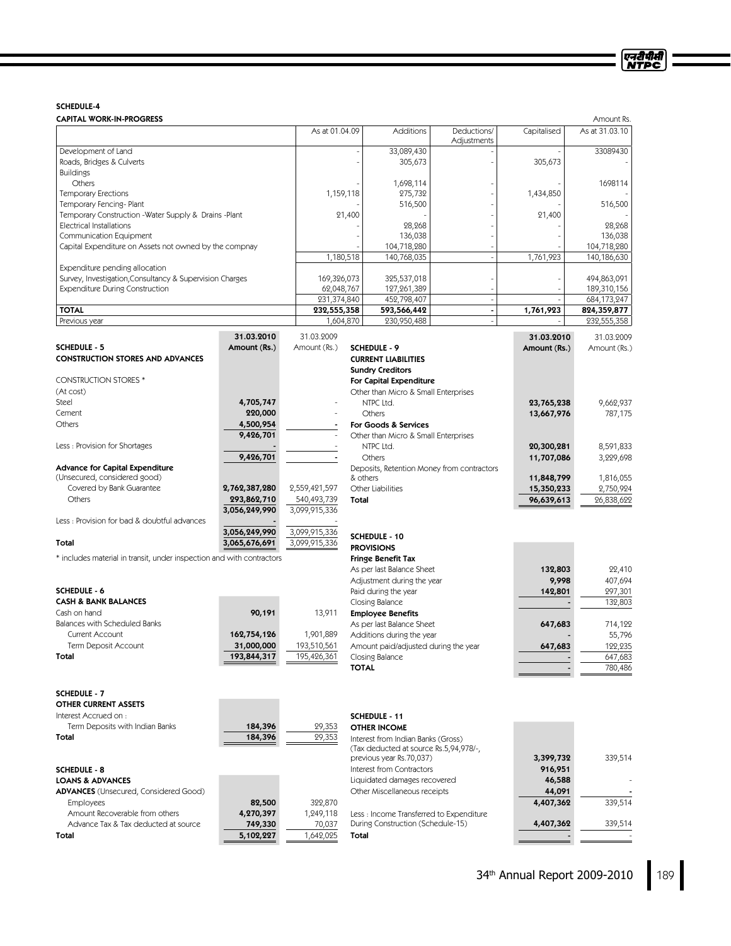# SCHEDULE-4

| <b>CAPITAL WORK-IN-PROGRESS</b>                                       |               |                |              |                                            |                            |              | Amount Rs.     |
|-----------------------------------------------------------------------|---------------|----------------|--------------|--------------------------------------------|----------------------------|--------------|----------------|
|                                                                       |               | As at 01.04.09 |              | Additions                                  | Deductions/<br>Adjustments | Capitalised  | As at 31.03.10 |
| Development of Land                                                   |               |                |              | 33,089,430                                 |                            |              | 33089430       |
| Roads, Bridges & Culverts                                             |               |                |              | 305,673                                    |                            | 305,673      |                |
| <b>Buildings</b>                                                      |               |                |              |                                            |                            |              |                |
| Others                                                                |               |                |              | 1,698,114                                  |                            |              | 1698114        |
| <b>Temporary Erections</b>                                            |               |                | 1,159,118    | 275,732                                    |                            | 1,434,850    |                |
| Temporary Fencing-Plant                                               |               |                |              | 516,500                                    |                            |              | 516,500        |
| Temporary Construction - Water Supply & Drains - Plant                |               |                | 21,400       |                                            |                            | 21,400       |                |
| Electrical Installations                                              |               |                |              | 28,268                                     |                            |              | 28,268         |
| Communication Equipment                                               |               |                |              | 136,038                                    |                            |              | 136,038        |
| Capital Expenditure on Assets not owned by the compnay                |               |                |              | 104,718,280                                |                            |              | 104,718,280    |
|                                                                       |               |                | 1,180,518    | 140,768,035                                | $\overline{\phantom{a}}$   | 1,761,923    | 140,186,630    |
| Expenditure pending allocation                                        |               |                |              |                                            |                            |              |                |
| Survey, Investigation, Consultancy & Supervision Charges              |               | 169,326,073    |              | 325,537,018                                |                            |              | 494,863,091    |
| <b>Expenditure During Construction</b>                                |               | 62,048,767     |              | 127,261,389                                |                            |              | 189,310,156    |
|                                                                       |               | 231,374,840    |              | 452,798,407                                | $\overline{\phantom{a}}$   |              | 684, 173, 247  |
| <b>TOTAL</b>                                                          |               | 232,555,358    |              | 593,566,442                                | $\overline{\phantom{a}}$   | 1,761,923    | 824,359,877    |
| Previous year                                                         |               |                | 1,604,870    | 230,950,488                                |                            |              | 232,555,358    |
|                                                                       | 31.03.2010    | 31.03.2009     |              |                                            |                            |              |                |
|                                                                       |               |                |              |                                            |                            | 31.03.2010   | 31.03.2009     |
| <b>SCHEDULE - 5</b>                                                   | Amount (Rs.)  | Amount (Rs.)   |              | <b>SCHEDULE - 9</b>                        |                            | Amount (Rs.) | Amount (Rs.)   |
| <b>CONSTRUCTION STORES AND ADVANCES</b>                               |               |                |              | <b>CURRENT LIABILITIES</b>                 |                            |              |                |
|                                                                       |               |                |              | <b>Sundry Creditors</b>                    |                            |              |                |
| <b>CONSTRUCTION STORES*</b>                                           |               |                |              | For Capital Expenditure                    |                            |              |                |
| (At cost)                                                             |               |                |              | Other than Micro & Small Enterprises       |                            |              |                |
| Steel                                                                 | 4,705,747     |                |              | NTPC Ltd.                                  |                            | 23,765,238   | 9,662,937      |
| Cement                                                                | 220,000       |                |              | Others                                     |                            | 13,667,976   | 787,175        |
| Others                                                                | 4,500,954     |                |              | For Goods & Services                       |                            |              |                |
|                                                                       | 9,426,701     |                |              | Other than Micro & Small Enterprises       |                            |              |                |
| Less: Provision for Shortages                                         |               |                |              | NTPC Ltd.                                  |                            | 20,300,281   | 8,591,833      |
|                                                                       | 9,426,701     |                |              | Others                                     |                            | 11,707,086   | 3,229,698      |
| Advance for Capital Expenditure                                       |               |                |              | Deposits, Retention Money from contractors |                            |              |                |
| (Unsecured, considered good)                                          |               |                |              | & others                                   |                            | 11,848,799   | 1,816,055      |
| Covered by Bank Guarantee                                             | 2,762,387,280 | 2,559,421,597  |              | Other Liabilities                          |                            | 15,350,233   | 2,750,924      |
| Others                                                                | 293,862,710   | 540,493,739    | Total        |                                            |                            | 96,639,613   | 26,838,622     |
|                                                                       | 3,056,249,990 | 3,099,915,336  |              |                                            |                            |              |                |
| Less: Provision for bad & doubtful advances                           |               |                |              |                                            |                            |              |                |
|                                                                       | 3,056,249,990 | 3,099,915,336  |              |                                            |                            |              |                |
| Total                                                                 | 3,065,676,691 | 3,099,915,336  |              | SCHEDULE - 10                              |                            |              |                |
|                                                                       |               |                |              | <b>PROVISIONS</b>                          |                            |              |                |
| * includes material in transit, under inspection and with contractors |               |                |              | <b>Fringe Benefit Tax</b>                  |                            |              |                |
|                                                                       |               |                |              | As per last Balance Sheet                  |                            | 132,803      | 22,410         |
|                                                                       |               |                |              | Adjustment during the year                 |                            | 9,998        | 407,694        |
| <b>SCHEDULE - 6</b>                                                   |               |                |              | Paid during the year                       |                            | 142,801      | 297,301        |
| <b>CASH &amp; BANK BALANCES</b>                                       |               |                |              | Closing Balance                            |                            |              | 132,803        |
| Cash on hand                                                          | 90,191        | 13,911         |              | <b>Employee Benefits</b>                   |                            |              |                |
| Balances with Scheduled Banks                                         |               |                |              | As per last Balance Sheet                  |                            | 647,683      | 714,122        |
| Current Account                                                       | 162,754,126   | 1,901,889      |              | Additions during the year                  |                            |              | 55,796         |
| Term Deposit Account                                                  | 31,000,000    | 193,510,561    |              | Amount paid/adjusted during the year       |                            | 647,683      | 122,235        |
| Total                                                                 | 193,844,317   | 195,426,361    |              | Closing Balance                            |                            |              | 647,683        |
|                                                                       |               |                | <b>TOTAL</b> |                                            |                            |              | 780,486        |
|                                                                       |               |                |              |                                            |                            |              |                |
| <b>SCHEDULE - 7</b>                                                   |               |                |              |                                            |                            |              |                |
| <b>OTHER CURRENT ASSETS</b>                                           |               |                |              |                                            |                            |              |                |
| Interest Accrued on :                                                 |               |                |              |                                            |                            |              |                |
|                                                                       |               |                |              | SCHEDULE - 11                              |                            |              |                |
| Term Deposits with Indian Banks                                       | 184,396       | 29,353         |              | <b>OTHER INCOME</b>                        |                            |              |                |
| Total                                                                 | 184,396       | 29,353         |              | Interest from Indian Banks (Gross)         |                            |              |                |
|                                                                       |               |                |              | (Tax deducted at source Rs.5,94,978/-,     |                            |              |                |
|                                                                       |               |                |              | previous year Rs.70,037)                   |                            | 3,399,732    | 339,514        |
| <b>SCHEDULE - 8</b>                                                   |               |                |              | Interest from Contractors                  |                            | 916,951      |                |
| <b>LOANS &amp; ADVANCES</b>                                           |               |                |              | Liquidated damages recovered               |                            | 46,588       |                |

| <b>ADVANCES</b> (Unsecured, Considered Good) |           |           |
|----------------------------------------------|-----------|-----------|
| <b>Employees</b>                             | 82,500    | 322,870   |
| Amount Recoverable from others               | 4,270,397 | 1.249.118 |
| Advance Tax & Tax deducted at source         | 749,330   | 70.037    |
| Total                                        | 5,102,227 | 1,642,025 |
|                                              |           |           |

 $\frac{44,091}{4,407,362}$ 

Other Miscellaneous receipts 44,091 -

During Construction (Schedule-15) 4,407,362 339,514 Total and the state of the state of the state of the state of the state of the state of the state of the state

Less : Income Transferred to Expenditure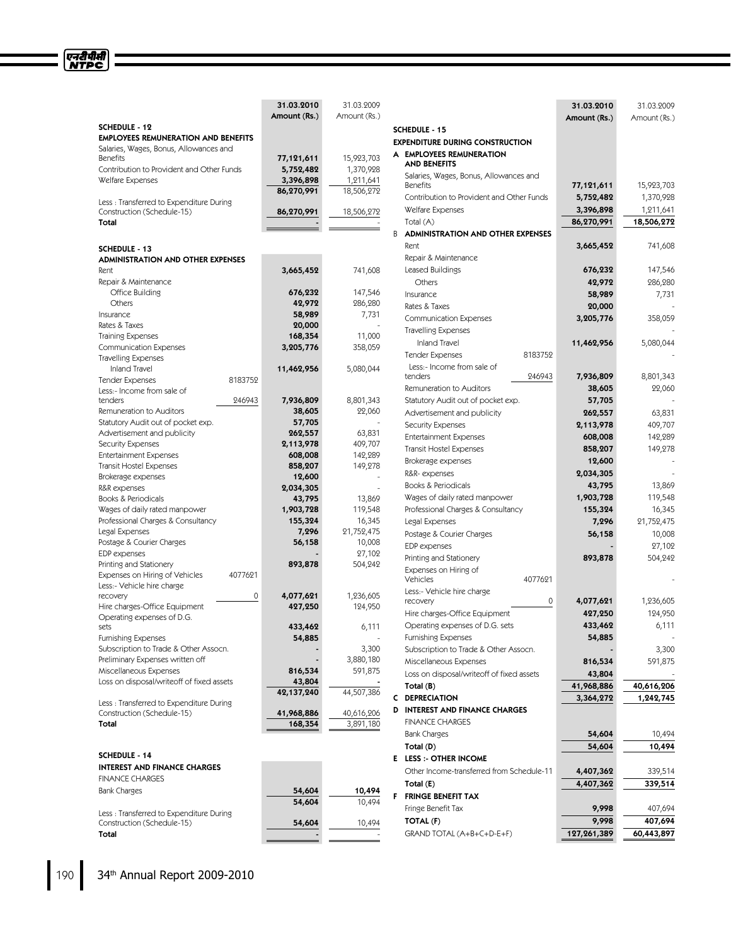|                                                                       | 31.03.2010           | 31.03.9009          |                                                 | 31.03.2010   | 31.03.2009          |
|-----------------------------------------------------------------------|----------------------|---------------------|-------------------------------------------------|--------------|---------------------|
| <b>SCHEDULE - 12</b>                                                  | Amount (Rs.)         | Amount (Rs.)        |                                                 | Amount (Rs.) | Amount (Rs.)        |
| <b>EMPLOYEES REMUNERATION AND BENEFITS</b>                            |                      |                     | <b>SCHEDULE - 15</b>                            |              |                     |
| Salaries, Wages, Bonus, Allowances and                                |                      |                     | <b>EXPENDITURE DURING CONSTRUCTION</b>          |              |                     |
| <b>Benefits</b>                                                       | 77,121,611           | 15,923,703          | A EMPLOYEES REMUNERATION<br><b>AND BENEFITS</b> |              |                     |
| Contribution to Provident and Other Funds                             | 5,752,482            | 1,370,928           | Salaries, Wages, Bonus, Allowances and          |              |                     |
| Welfare Expenses                                                      | 3,396,898            | 1,211,641           | <b>Benefits</b>                                 | 77,121,611   | 15,923,703          |
|                                                                       | 86,270,991           | 18,506,272          | Contribution to Provident and Other Funds       | 5,752,482    | 1,370,928           |
| Less: Transferred to Expenditure During<br>Construction (Schedule-15) | 86,270,991           | 18,506,272          | Welfare Expenses                                | 3,396,898    | 1,211,641           |
| Total                                                                 |                      |                     | Total (A)                                       | 86,270,991   | 18,506,272          |
|                                                                       |                      |                     | B.<br><b>ADMINISTRATION AND OTHER EXPENSES</b>  |              |                     |
|                                                                       |                      |                     | Rent                                            | 3,665,452    | 741,608             |
| <b>SCHEDULE - 13</b><br><b>ADMINISTRATION AND OTHER EXPENSES</b>      |                      |                     | Repair & Maintenance                            |              |                     |
| Rent                                                                  | 3,665,452            | 741,608             | Leased Buildings                                | 676,232      | 147,546             |
| Repair & Maintenance                                                  |                      |                     | Others                                          | 42,972       | 286,280             |
| Office Building                                                       | 676,232              | 147,546             | Insurance                                       | 58,989       | 7,731               |
| Others                                                                | 42,972               | 286,280             | Rates & Taxes                                   | 20,000       |                     |
| Insurance                                                             | 58,989               | 7,731               | <b>Communication Expenses</b>                   | 3,205,776    | 358,059             |
| Rates & Taxes                                                         | 20,000               |                     |                                                 |              |                     |
| <b>Training Expenses</b>                                              | 168,354              | 11,000              | <b>Travelling Expenses</b>                      |              |                     |
| <b>Communication Expenses</b>                                         | 3,205,776            | 358,059             | <b>Inland Travel</b>                            | 11,462,956   | 5,080,044           |
| <b>Travelling Expenses</b>                                            |                      |                     | <b>Tender Expenses</b><br>8183752               |              |                     |
| <b>Inland Travel</b>                                                  | 11,462,956           | 5,080,044           | Less:- Income from sale of<br>tenders           |              |                     |
| <b>Tender Expenses</b><br>8183752                                     |                      |                     | 246943<br>Remuneration to Auditors              | 7,936,809    | 8,801,343<br>22,060 |
| Less:- Income from sale of<br>tenders                                 |                      |                     |                                                 | 38,605       |                     |
| 246943<br>Remuneration to Auditors                                    | 7,936,809<br>38,605  | 8,801,343<br>22,060 | Statutory Audit out of pocket exp.              | 57,705       |                     |
| Statutory Audit out of pocket exp.                                    | 57,705               |                     | Advertisement and publicity                     | 262,557      | 63,831              |
| Advertisement and publicity                                           | 262,557              | 63,831              | <b>Security Expenses</b>                        | 2,113,978    | 409,707             |
| <b>Security Expenses</b>                                              | 2,113,978            | 409,707             | <b>Entertainment Expenses</b>                   | 608,008      | 142,289             |
| <b>Entertainment Expenses</b>                                         | 608,008              | 142,289             | <b>Transit Hostel Expenses</b>                  | 858,207      | 149,278             |
| Transit Hostel Expenses                                               | 858,207              | 149,278             | Brokerage expenses                              | 12,600       |                     |
| Brokerage expenses                                                    | 12,600               |                     | R&R-expenses                                    | 2,034,305    |                     |
| R&R expenses                                                          | 2,034,305            |                     | Books & Periodicals                             | 43,795       | 13,869              |
| Books & Periodicals                                                   | 43,795               | 13,869              | Wages of daily rated manpower                   | 1,903,728    | 119,548             |
| Wages of daily rated manpower                                         | 1,903,728            | 119,548             | Professional Charges & Consultancy              | 155,324      | 16,345              |
| Professional Charges & Consultancy                                    | 155,324              | 16,345              | Legal Expenses                                  | 7,296        | 21,752,475          |
| Legal Expenses                                                        | 7,296                | 21,752,475          | Postage & Courier Charges                       | 56,158       | 10,008              |
| Postage & Courier Charges                                             | 56,158               | 10,008              | EDP expenses                                    |              | 27,102              |
| EDP expenses<br>Printing and Stationery                               | 893,878              | 27,102<br>504,242   | Printing and Stationery                         | 893,878      | 504,242             |
| Expenses on Hiring of Vehicles<br>4077621                             |                      |                     | Expenses on Hiring of                           |              |                     |
| Less:- Vehicle hire charge                                            |                      |                     | 4077621<br>Vehicles                             |              |                     |
| 0<br>recovery                                                         | 4,077,621            | 1,236,605           | Less:- Vehicle hire charge                      |              |                     |
| Hire charges-Office Equipment                                         | 427,250              | 124,950             | $\mathsf{O}\xspace$<br>recovery                 | 4,077,621    | 1,236,605           |
| Operating expenses of D.G.                                            |                      |                     | Hire charges-Office Equipment                   | 427,250      | 124,950             |
| sets                                                                  | 433,462              | 6.111               | Operating expenses of D.G. sets                 | 433,462      | 6,111               |
| <b>Furnishing Expenses</b>                                            | 54,885               |                     | <b>Furnishing Expenses</b>                      | 54,885       |                     |
| Subscription to Trade & Other Assocn.                                 |                      | 3,300               | Subscription to Trade & Other Assocn.           |              | 3,300               |
| Preliminary Expenses written off                                      |                      | 3,880,180           | Miscellaneous Expenses                          | 816,534      | 591,875             |
| Miscellaneous Expenses                                                | 816,534              | 591,875             | Loss on disposal/writeoff of fixed assets       | 43,804       |                     |
| Loss on disposal/writeoff of fixed assets                             | 43,804<br>42,137,240 | 44,507,386          | Total (B)                                       | 41,968,886   | 40,616,206          |
| Less: Transferred to Expenditure During                               |                      |                     | C DEPRECIATION                                  | 3,364,272    | 1,242,745           |
| Construction (Schedule-15)                                            | 41,968,886           | 40,616,206          | <b>D</b> INTEREST AND FINANCE CHARGES           |              |                     |
| Total                                                                 | 168,354              | 3,891,180           | <b>FINANCE CHARGES</b>                          |              |                     |
|                                                                       |                      |                     | Bank Charges                                    | 54,604       | 10,494              |
|                                                                       |                      |                     | Total (D)                                       | 54,604       | 10,494              |
| <b>SCHEDULE - 14</b>                                                  |                      |                     | E LESS :- OTHER INCOME                          |              |                     |
| <b>INTEREST AND FINANCE CHARGES</b>                                   |                      |                     | Other Income-transferred from Schedule-11       | 4,407,362    | 339,514             |
| <b>FINANCE CHARGES</b>                                                |                      |                     | Total (E)                                       | 4,407,362    | 339,514             |
| <b>Bank Charges</b>                                                   | 54,604               | 10,494              | F FRINGE BENEFIT TAX                            |              |                     |
|                                                                       | 54,604               | 10,494              | Fringe Benefit Tax                              | 9,998        | 407,694             |
| Less: Transferred to Expenditure During                               |                      |                     | TOTAL (F)                                       | 9,998        | 407,694             |
| Construction (Schedule-15)                                            | 54,604               | 10,494              | GRAND TOTAL (A+B+C+D-E+F)                       | 127,261,389  | 60,443,897          |
| Total                                                                 |                      |                     |                                                 |              |                     |

एनदीपीसी<br>NTPC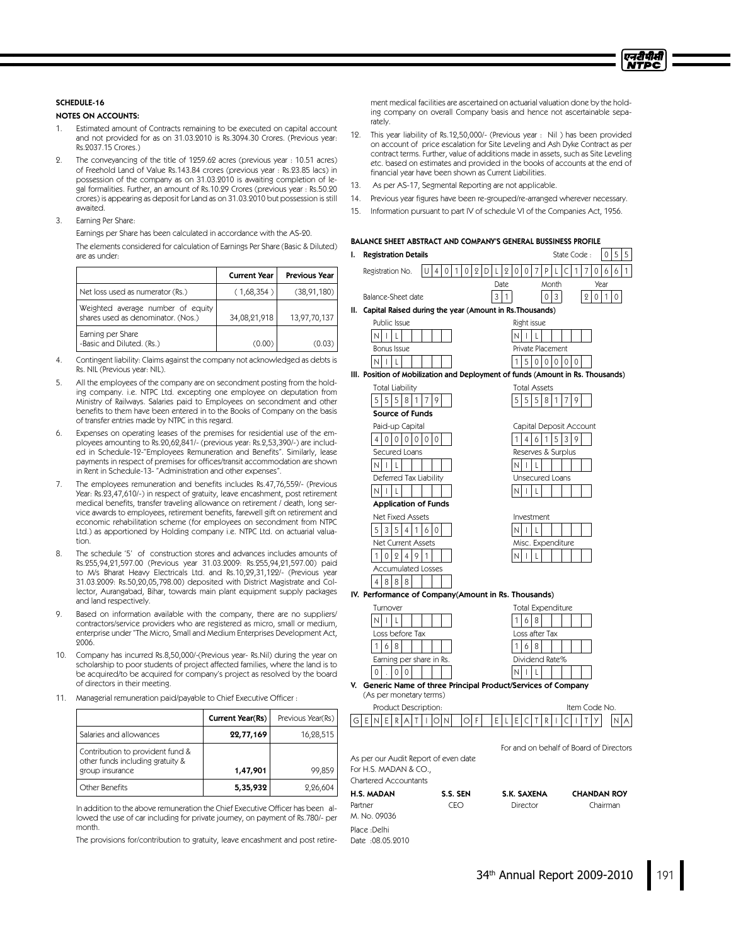

# SCHEDULE-16

NOTES ON ACCOUNTS:

- 1. Estimated amount of Contracts remaining to be executed on capital account and not provided for as on 31.03.2010 is Rs.3094.30 Crores. (Previous year: Rs.2037.15 Crores.)
- 2. The conveyancing of the title of 1259.62 acres (previous year : 10.51 acres) of Freehold Land of Value Rs.143.84 crores (previous year : Rs.23.85 lacs) in possession of the company as on 31.03.2010 is awaiting completion of legal formalities. Further, an amount of Rs.10.29 Crores (previous year : Rs.50.20 crores) is appearing as deposit for Land as on 31.03.2010 but possession is still awaited.
- 3. Earning Per Share:

Earnings per Share has been calculated in accordance with the AS-20. The elements considered for calculation of Earnings Per Share (Basic & Diluted) are as under:

|                                                                         | <b>Current Year</b> | <b>Previous Year</b> |
|-------------------------------------------------------------------------|---------------------|----------------------|
| Net loss used as numerator (Rs.)                                        | (1,68,354)          | (38, 91, 180)        |
| Weighted average number of equity<br>shares used as denominator. (Nos.) | 34,08,21,918        | 13,97,70,137         |
| Earning per Share<br>-Basic and Diluted. (Rs.)                          | (0.00)              | (0.03)               |

- 4. Contingent liability: Claims against the company not acknowledged as debts is Rs. NIL (Previous year: NIL).
- 5. All the employees of the company are on secondment posting from the holding company. i.e. NTPC Ltd. excepting one employee on deputation from Ministry of Railways. Salaries paid to Employees on secondment and other benefits to them have been entered in to the Books of Company on the basis of transfer entries made by NTPC in this regard.
- 6. Expenses on operating leases of the premises for residential use of the employees amounting to Rs.20,62,841/- (previous year: Rs.2,53,390/-) are included in Schedule-12-"Employees Remuneration and Benefits". Similarly, lease payments in respect of premises for offices/transit accommodation are shown in Rent in Schedule-13- "Administration and other expenses".
- 7. The employees remuneration and benefits includes Rs.47,76,559/- (Previous Year: Rs.23,47,610/-) in respect of gratuity, leave encashment, post retirement medical benefits, transfer traveling allowance on retirement / death, long service awards to employees, retirement benefits, farewell gift on retirement and economic rehabilitation scheme (for employees on secondment from NTPC Ltd.) as apportioned by Holding company i.e. NTPC Ltd. on actuarial valuation.
- 8. The schedule '5' of construction stores and advances includes amounts of Rs.255,94,21,597.00 (Previous year 31.03.2009: Rs.255,94,21,597.00) paid to M/s Bharat Heavy Electricals Ltd. and Rs.10,29,31,122/- (Previous year 31.03.2009: Rs.50,20,05,798.00) deposited with District Magistrate and Collector, Aurangabad, Bihar, towards main plant equipment supply packages and land respectively.
- 9. Based on information available with the company, there are no suppliers/ contractors/service providers who are registered as micro, small or medium, enterprise under "The Micro, Small and Medium Enterprises Development Act, 2006.
- 10. Company has incurred Rs.8,50,000/-(Previous year- Rs.Nil) during the year on scholarship to poor students of project affected families, where the land is to be acquired/to be acquired for company's project as resolved by the board of directors in their meeting.
- 11. Managerial remuneration paid/payable to Chief Executive Officer :

|                                                                                         | <b>Current Year(Rs)</b> | Previous Year(Rs) |
|-----------------------------------------------------------------------------------------|-------------------------|-------------------|
| Salaries and allowances                                                                 | 22,77,169               | 16,28,515         |
| Contribution to provident fund &<br>other funds including gratuity &<br>group insurance | 1,47,901                | 99.859            |
| Other Benefits                                                                          | 5,35,932                | 2,26,604          |

In addition to the above remuneration the Chief Executive Officer has been allowed the use of car including for private journey, on payment of Rs.780/- per month.

The provisions for/contribution to gratuity, leave encashment and post retire-

ment medical facilities are ascertained on actuarial valuation done by the holding company on overall Company basis and hence not ascertainable separately.

- 12. This year liability of Rs.12,50,000/- (Previous year : Nil ) has been provided on account of price escalation for Site Leveling and Ash Dyke Contract as per contract terms. Further, value of additions made in assets, such as Site Leveling etc. based on estimates and provided in the books of accounts at the end of financial year have been shown as Current Liabilities.
- 13. As per AS-17, Segmental Reporting are not applicable.
- 14. Previous year figures have been re-grouped/re-arranged wherever necessary.
- 15. Information pursuant to part IV of schedule VI of the Companies Act, 1956.

**I.** Registration Details  $\begin{bmatrix} 0 & 5 & 5 \end{bmatrix}$ 

BALANCE SHEET ABSTRACT AND COMPANY'S GENERAL BUSSINESS PROFILE

| Registration No.                                                                | 0<br>1<br>4         | $\circ$<br>$\Omega$<br>D<br>2<br>L | $\mathbf{0}$<br>0<br>7<br>P<br>L<br>C | 1<br>1<br>7<br>0<br>6 <sup>1</sup><br>6 |
|---------------------------------------------------------------------------------|---------------------|------------------------------------|---------------------------------------|-----------------------------------------|
|                                                                                 |                     | Date                               | Month                                 | Year                                    |
| Balance-Sheet date                                                              |                     | 3 I 1                              | 0 3                                   | $\Omega$<br>011<br>0                    |
| II. Capital Raised during the year (Amount in Rs. Thousands)                    |                     |                                    |                                       |                                         |
| Public Issue                                                                    |                     |                                    | Right issue                           |                                         |
| ΙL<br>Νl<br>$\mathbf{I}$                                                        |                     |                                    | N.<br>I<br>L                          |                                         |
| Bonus Issue                                                                     |                     |                                    | Private Placement                     |                                         |
| $N$ $ $ $ $ $ $ $ $                                                             |                     |                                    | 1 5 0 0 0 0                           | 0                                       |
| III. Position of Mobilization and Deployment of funds (Amount in Rs. Thousands) |                     |                                    |                                       |                                         |
| <b>Total Liability</b>                                                          |                     |                                    | <b>Total Assets</b>                   |                                         |
| 5 5 8 1<br>5                                                                    | 7 <sup>1</sup><br>9 |                                    | 5<br>5<br>5 8 1<br>7                  | 9                                       |
| <b>Source of Funds</b>                                                          |                     |                                    |                                       |                                         |
| Paid-up Capital                                                                 |                     |                                    | Capital Deposit Account               |                                         |
| 4000000                                                                         | $\mathbf 0$         |                                    | 4 6 1 5 3 9<br>1                      |                                         |
| Secured Loans                                                                   |                     |                                    | Reserves & Surplus                    |                                         |
| N<br>$\mathbf{I}$<br>ΙL                                                         |                     |                                    | N<br>T<br>L                           |                                         |
| Deferred Tax Liability                                                          |                     |                                    | Unsecured Loans                       |                                         |
| NIIL                                                                            |                     |                                    | $\overline{1}$<br>N<br>$\mathsf{L}$   |                                         |
| <b>Application of Funds</b>                                                     |                     |                                    |                                       |                                         |
| <b>Net Fixed Assets</b>                                                         |                     |                                    | Investment                            |                                         |
| 3 5 4 1<br>5                                                                    | 0<br>6              |                                    | N<br>I.<br>L                          |                                         |
| Net Current Assets                                                              |                     |                                    | Misc. Expenditure                     |                                         |
| 0 2 4 9<br>1                                                                    | 1                   |                                    | I<br>Ν<br>L                           |                                         |
| Accumulated Losses                                                              |                     |                                    |                                       |                                         |
| 888<br>4 I                                                                      |                     |                                    |                                       |                                         |
| IV. Performance of Company(Amount in Rs. Thousands)                             |                     |                                    |                                       |                                         |
| Turnover                                                                        |                     |                                    | <b>Total Expenditure</b>              |                                         |
| Ν<br>I<br>L                                                                     |                     |                                    | 8<br>1<br>6                           |                                         |
| Loss before Tax                                                                 |                     |                                    | Loss after Tax                        |                                         |
| $\mathbf{1}$<br>6 8                                                             |                     |                                    | 11<br>6 8                             |                                         |
| Earning per share in Rs.                                                        |                     |                                    | Dividend Rate%                        |                                         |
| 0<br>0<br>$\overline{0}$                                                        |                     |                                    | N<br>1<br>L                           |                                         |
| Generic Name of three Principal Product/Services of Company<br>V.               |                     |                                    |                                       |                                         |
| (As per monetary terms)                                                         |                     |                                    |                                       |                                         |
| Product Description:<br>GIE<br>R I<br>$\mathsf{A}$<br>Т                         | $\mathbf{L}$        | O F<br>E I<br>L                    | E.<br>C<br>R<br>C                     | Item Code No.<br>T<br>ı                 |
| $N \mid E \mid$                                                                 | O N                 |                                    | Т<br>T                                | N<br>Α                                  |
|                                                                                 |                     |                                    |                                       | For and on behalf of Board of Directors |
| As per our Audit Report of even date                                            |                     |                                    |                                       |                                         |
| For H.S. MADAN & CO.,                                                           |                     |                                    |                                       |                                         |
| Chartered Accountants                                                           |                     |                                    |                                       |                                         |
| <b>H.S. MADAN</b>                                                               | S.S. SEN            |                                    | <b>S.K. SAXENA</b>                    | <b>CHANDAN ROY</b>                      |
| Partner                                                                         | <b>CEO</b>          |                                    | Director                              | Chairman                                |
| M. No. 09036                                                                    |                     |                                    |                                       |                                         |
| Place:Delhi                                                                     |                     |                                    |                                       |                                         |
| Date: 08.05.2010                                                                |                     |                                    |                                       |                                         |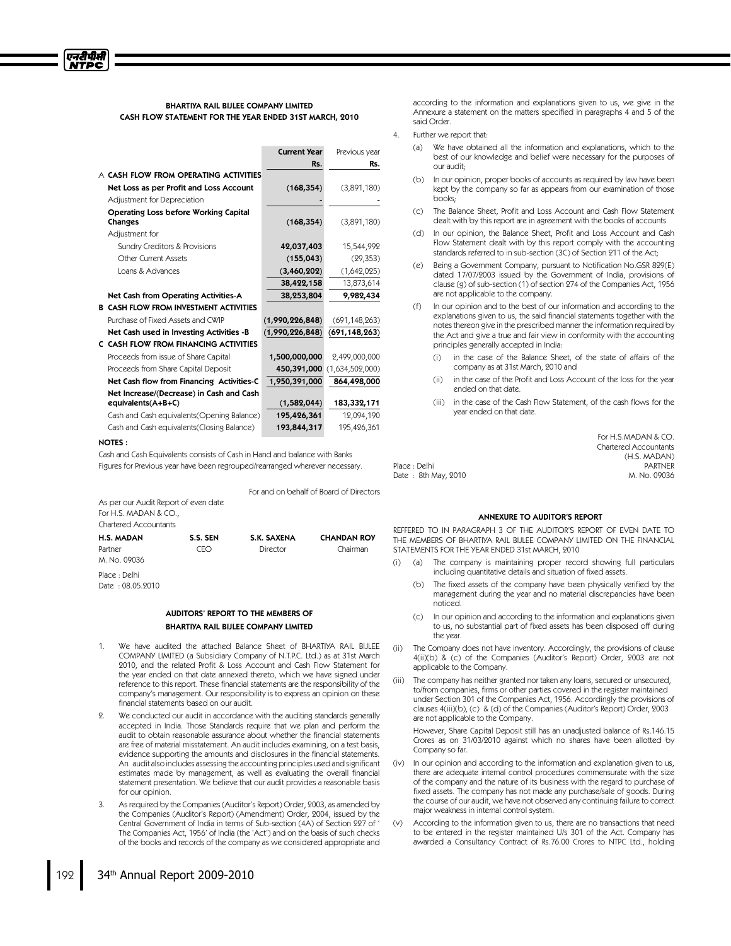# BHARTIYA RAIL BIJLEE COMPANY LIMITED CASH FLOW STATEMENT FOR THE YEAR ENDED 31ST MARCH, 2010

|                                               | <b>Current Year</b> | Previous year   |
|-----------------------------------------------|---------------------|-----------------|
|                                               | Rs.                 | Rs.             |
| A CASH FLOW FROM OPERATING ACTIVITIES         |                     |                 |
| Net Loss as per Profit and Loss Account       | (168, 354)          | (3,891,180)     |
| Adjustment for Depreciation                   |                     |                 |
| <b>Operating Loss before Working Capital</b>  |                     |                 |
| Changes                                       | (168, 354)          | (3,891,180)     |
| Adjustment for                                |                     |                 |
| Sundry Creditors & Provisions                 | 42,037,403          | 15,544,992      |
| <b>Other Current Assets</b>                   | (155, 043)          | (29, 353)       |
| Loans & Advances                              | (3,460,202)         | (1,642,025)     |
|                                               | 38,422,158          | 13,873,614      |
| Net Cash from Operating Activities-A          | 38,253,804          | 9,982,434       |
| <b>B CASH FLOW FROM INVESTMENT ACTIVITIES</b> |                     |                 |
| Purchase of Fixed Assets and CWIP             | (1,990,226,848)     | (691, 148, 263) |
| Net Cash used in Investing Activities -B      | (1,990,226,848)     | (691, 148, 263) |
| C CASH FLOW FROM FINANCING ACTIVITIES         |                     |                 |
| Proceeds from issue of Share Capital          | 1,500,000,000       | 2,499,000,000   |
| Proceeds from Share Capital Deposit           | 450,391,000         | (1,634,502,000) |
| Net Cash flow from Financing Activities-C     | 1,950,391,000       | 864,498,000     |
| Net Increase/(Decrease) in Cash and Cash      |                     |                 |
| equivalents(A+B+C)                            | (1,582,044)         | 183,332,171     |
| Cash and Cash equivalents (Opening Balance)   | 195,426,361         | 12,094,190      |
| Cash and Cash equivalents(Closing Balance)    | 193,844,317         | 195,426,361     |

#### NOTES :

एनटीपीसी **NTPC** 

> Cash and Cash Equivalents consists of Cash in Hand and balance with Banks Figures for Previous year have been regrouped/rearranged wherever necessary.

> > For and on behalf of Board of Directors

As per our Audit Report of even date For H.S. MADAN & CO., Chartered Accountants

| <b>H.S. MADAN</b> | S.S. SEN | S.K. SAXENA | <b>CHANDAN ROY</b> |
|-------------------|----------|-------------|--------------------|
| Partner           | CEO      | Director    | Chairman           |
| M. No. 09036      |          |             |                    |
| Place : Delhi     |          |             |                    |
| Date: 08.05.2010  |          |             |                    |

#### AUDITORS' REPORT TO THE MEMBERS OF BHARTIYA RAIL BIJLEE COMPANY LIMITED

- We have audited the attached Balance Sheet of BHARTIYA RAIL BIJLEE COMPANY LIMITED (a Subsidiary Company of N.T.P.C. Ltd.) as at 31st March 2010, and the related Profit & Loss Account and Cash Flow Statement for the year ended on that date annexed thereto, which we have signed under reference to this report. These financial statements are the responsibility of the company's management. Our responsibility is to express an opinion on these financial statements based on our audit.
- We conducted our audit in accordance with the auditing standards generally accepted in India. Those Standards require that we plan and perform the audit to obtain reasonable assurance about whether the financial statements are free of material misstatement. An audit includes examining, on a test basis, evidence supporting the amounts and disclosures in the financial statements. An audit also includes assessing the accounting principles used and significant estimates made by management, as well as evaluating the overall financial statement presentation. We believe that our audit provides a reasonable basis for our opinion.
- As required by the Companies (Auditor's Report) Order, 2003, as amended by the Companies (Auditor's Report) (Amendment) Order, 2004, issued by the Central Government of India in terms of Sub-section (4A) of Section 227 of ' The Companies Act, 1956' of India (the 'Act') and on the basis of such checks of the books and records of the company as we considered appropriate and

according to the information and explanations given to us, we give in the Annexure a statement on the matters specified in paragraphs 4 and 5 of the said Order.

#### Further we report that:

Date : 8th May, 2010

- (a) We have obtained all the information and explanations, which to the best of our knowledge and belief were necessary for the purposes of our audit;
- (b) In our opinion, proper books of accounts as required by law have been kept by the company so far as appears from our examination of those books;
- (c) The Balance Sheet, Profit and Loss Account and Cash Flow Statement dealt with by this report are in agreement with the books of accounts
- (d) In our opinion, the Balance Sheet, Profit and Loss Account and Cash Flow Statement dealt with by this report comply with the accounting standards referred to in sub-section (3C) of Section 211 of the Act;
- (e) Being a Government Company, pursuant to Notification No.GSR 829(E) dated 17/07/2003 issued by the Government of India, provisions of clause (g) of sub-section (1) of section 274 of the Companies Act, 1956 are not applicable to the company.
- (f) In our opinion and to the best of our information and according to the explanations given to us, the said financial statements together with the notes thereon give in the prescribed manner the information required by the Act and give a true and fair view in conformity with the accounting principles generally accepted in India:
	- (i) in the case of the Balance Sheet, of the state of affairs of the company as at 31st March, 2010 and
	- (ii) in the case of the Profit and Loss Account of the loss for the year ended on that date.
	- (iii) in the case of the Cash Flow Statement, of the cash flows for the year ended on that date.

For H.S.MADAN & CO. Chartered Accountants (H.S. MADAN) Place : Delhi Partner (1990)<br>
Partner (1990)<br>
M. No. 09036

#### ANNEXURE TO AUDITOR'S REPORT

REFFERED TO IN PARAGRAPH 3 OF THE AUDITOR'S REPORT OF EVEN DATE TO THE MEMBERS OF BHARTIYA RAIL BIJLEE COMPANY LIMITED ON THE FINANCIAL STATEMENTS FOR THE YEAR ENDED 31st MARCH, 2010

- (i) (a) The company is maintaining proper record showing full particulars including quantitative details and situation of fixed assets.
	- (b) The fixed assets of the company have been physically verified by the management during the year and no material discrepancies have been noticed.
	- (c) In our opinion and according to the information and explanations given to us, no substantial part of fixed assets has been disposed off during the year.
- (ii) The Company does not have inventory. Accordingly, the provisions of clause 4(ii)(b) & (c) of the Companies (Auditor's Report) Order, 2003 are not applicable to the Company.
- (iii) The company has neither granted nor taken any loans, secured or unsecured, to/from companies, firms or other parties covered in the register maintained under Section 301 of the Companies Act, 1956. Accordingly the provisions of clauses 4(iii)(b), (c) & (d) of the Companies (Auditor's Report) Order, 2003 are not applicable to the Company.

However, Share Capital Deposit still has an unadjusted balance of Rs.146.15 Crores as on 31/03/2010 against which no shares have been allotted by Company so far.

- (iv) In our opinion and according to the information and explanation given to us, there are adequate internal control procedures commensurate with the size of the company and the nature of its business with the regard to purchase of fixed assets. The company has not made any purchase/sale of goods. During the course of our audit, we have not observed any continuing failure to correct major weakness in internal control system.
- (v) According to the information given to us, there are no transactions that need to be entered in the register maintained U/s 301 of the Act. Company has awarded a Consultancy Contract of Rs.76.00 Crores to NTPC Ltd., holding